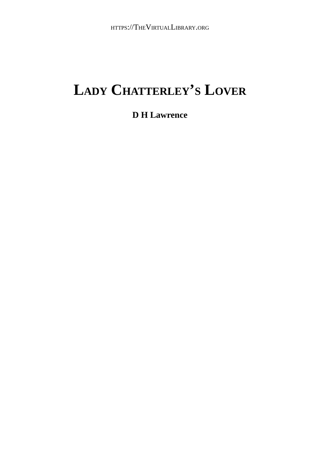#### **LADY CHATTERLEY'S LOVER**

#### **D H Lawrence**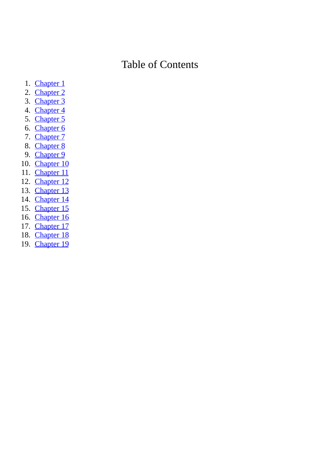#### Table of Contents

- 1. Chapter 1
- 2. Chapter 2
- 3. Chapter 3
- 4. [C](#page-2-0)hapter 4
- 5. [C](#page-8-0)hapter 5
- 6. [C](#page-13-0)hapter 6
- 7. [C](#page-21-0)hapter 7
- 8. [C](#page-29-0)hapter 8
- 9. [C](#page-40-0)hapter 9
- 10. [C](#page-51-0)hapter 10
- 11. [C](#page-62-0)hapter 11
- 12. [C](#page-72-0)hapter 12
- 13. [C](#page-81-0)hapter 13
- 14. [C](#page-110-0)hapter 14
- 15. [C](#page-124-0)hapter 15
- 16. [C](#page-135-0)hapter 16
- 17. [C](#page-149-0)hapter 17
- 18. [C](#page-164-0)hapter 18
- 19. [C](#page-178-0)hapter 19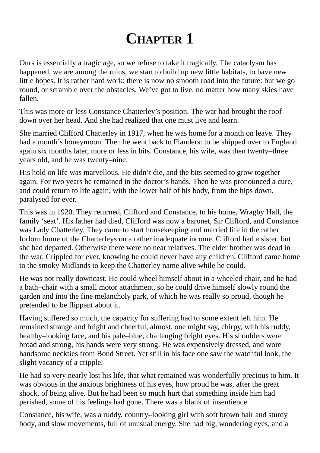# **CHAPTER 1**

<span id="page-2-0"></span>Ours is essentially a tragic age, so we refuse to take it tragically. The cataclysm has happened, we are among the ruins, we start to build up new little habitats, to have new little hopes. It is rather hard work: there is now no smooth road into the future: but we go round, or scramble over the obstacles. We've got to live, no matter how many skies have fallen.

This was more or less Constance Chatterley's position. The war had brought the roof down over her head. And she had realized that one must live and learn.

She married Clifford Chatterley in 1917, when he was home for a month on leave. They had a month's honeymoon. Then he went back to Flanders: to be shipped over to England again six months later, more or less in bits. Constance, his wife, was then twenty–three years old, and he was twenty–nine.

His hold on life was marvellous. He didn't die, and the bits seemed to grow together again. For two years he remained in the doctor's hands. Then he was pronounced a cure, and could return to life again, with the lower half of his body, from the hips down, paralysed for ever.

This was in 1920. They returned, Clifford and Constance, to his home, Wragby Hall, the family 'seat'. His father had died, Clifford was now a baronet, Sir Clifford, and Constance was Lady Chatterley. They came to start housekeeping and married life in the rather forlorn home of the Chatterleys on a rather inadequate income. Clifford had a sister, but she had departed. Otherwise there were no near relatives. The elder brother was dead in the war. Crippled for ever, knowing he could never have any children, Clifford came home to the smoky Midlands to keep the Chatterley name alive while he could.

He was not really downcast. He could wheel himself about in a wheeled chair, and he had a bath–chair with a small motor attachment, so he could drive himself slowly round the garden and into the fine melancholy park, of which he was really so proud, though he pretended to be flippant about it.

Having suffered so much, the capacity for suffering had to some extent left him. He remained strange and bright and cheerful, almost, one might say, chirpy, with his ruddy, healthy–looking face, and his pale–blue, challenging bright eyes. His shoulders were broad and strong, his hands were very strong. He was expensively dressed, and wore handsome neckties from Bond Street. Yet still in his face one saw the watchful look, the slight vacancy of a cripple.

He had so very nearly lost his life, that what remained was wonderfully precious to him. It was obvious in the anxious brightness of his eyes, how proud he was, after the great shock, of being alive. But he had been so much hurt that something inside him had perished, some of his feelings had gone. There was a blank of insentience.

Constance, his wife, was a ruddy, country–looking girl with soft brown hair and sturdy body, and slow movements, full of unusual energy. She had big, wondering eyes, and a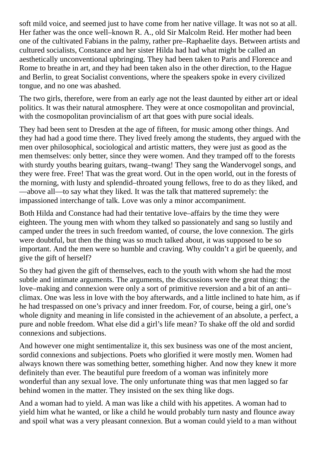soft mild voice, and seemed just to have come from her native village. It was not so at all. Her father was the once well–known R. A., old Sir Malcolm Reid. Her mother had been one of the cultivated Fabians in the palmy, rather pre–Raphaelite days. Between artists and cultured socialists, Constance and her sister Hilda had had what might be called an aesthetically unconventional upbringing. They had been taken to Paris and Florence and Rome to breathe in art, and they had been taken also in the other direction, to the Hague and Berlin, to great Socialist conventions, where the speakers spoke in every civilized tongue, and no one was abashed.

The two girls, therefore, were from an early age not the least daunted by either art or ideal politics. It was their natural atmosphere. They were at once cosmopolitan and provincial, with the cosmopolitan provincialism of art that goes with pure social ideals.

They had been sent to Dresden at the age of fifteen, for music among other things. And they had had a good time there. They lived freely among the students, they argued with the men over philosophical, sociological and artistic matters, they were just as good as the men themselves: only better, since they were women. And they tramped off to the forests with sturdy youths bearing guitars, twang–twang! They sang the Wandervogel songs, and they were free. Free! That was the great word. Out in the open world, out in the forests of the morning, with lusty and splendid–throated young fellows, free to do as they liked, and —above all—to say what they liked. It was the talk that mattered supremely: the impassioned interchange of talk. Love was only a minor accompaniment.

Both Hilda and Constance had had their tentative love–affairs by the time they were eighteen. The young men with whom they talked so passionately and sang so lustily and camped under the trees in such freedom wanted, of course, the love connexion. The girls were doubtful, but then the thing was so much talked about, it was supposed to be so important. And the men were so humble and craving. Why couldn't a girl be queenly, and give the gift of herself?

So they had given the gift of themselves, each to the youth with whom she had the most subtle and intimate arguments. The arguments, the discussions were the great thing: the love–making and connexion were only a sort of primitive reversion and a bit of an anti– climax. One was less in love with the boy afterwards, and a little inclined to hate him, as if he had trespassed on one's privacy and inner freedom. For, of course, being a girl, one's whole dignity and meaning in life consisted in the achievement of an absolute, a perfect, a pure and noble freedom. What else did a girl's life mean? To shake off the old and sordid connexions and subjections.

And however one might sentimentalize it, this sex business was one of the most ancient, sordid connexions and subjections. Poets who glorified it were mostly men. Women had always known there was something better, something higher. And now they knew it more definitely than ever. The beautiful pure freedom of a woman was infinitely more wonderful than any sexual love. The only unfortunate thing was that men lagged so far behind women in the matter. They insisted on the sex thing like dogs.

And a woman had to yield. A man was like a child with his appetites. A woman had to yield him what he wanted, or like a child he would probably turn nasty and flounce away and spoil what was a very pleasant connexion. But a woman could yield to a man without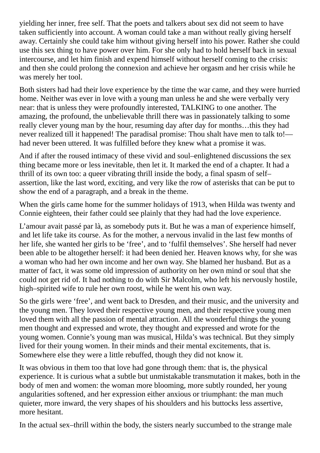yielding her inner, free self. That the poets and talkers about sex did not seem to have taken sufficiently into account. A woman could take a man without really giving herself away. Certainly she could take him without giving herself into his power. Rather she could use this sex thing to have power over him. For she only had to hold herself back in sexual intercourse, and let him finish and expend himself without herself coming to the crisis: and then she could prolong the connexion and achieve her orgasm and her crisis while he was merely her tool.

Both sisters had had their love experience by the time the war came, and they were hurried home. Neither was ever in love with a young man unless he and she were verbally very near: that is unless they were profoundly interested, TALKING to one another. The amazing, the profound, the unbelievable thrill there was in passionately talking to some really clever young man by the hour, resuming day after day for months…this they had never realized till it happened! The paradisal promise: Thou shalt have men to talk to! had never been uttered. It was fulfilled before they knew what a promise it was.

And if after the roused intimacy of these vivid and soul–enlightened discussions the sex thing became more or less inevitable, then let it. It marked the end of a chapter. It had a thrill of its own too: a queer vibrating thrill inside the body, a final spasm of self– assertion, like the last word, exciting, and very like the row of asterisks that can be put to show the end of a paragraph, and a break in the theme.

When the girls came home for the summer holidays of 1913, when Hilda was twenty and Connie eighteen, their father could see plainly that they had had the love experience.

L'amour avait passé par là, as somebody puts it. But he was a man of experience himself, and let life take its course. As for the mother, a nervous invalid in the last few months of her life, she wanted her girls to be 'free', and to 'fulfil themselves'. She herself had never been able to be altogether herself: it had been denied her. Heaven knows why, for she was a woman who had her own income and her own way. She blamed her husband. But as a matter of fact, it was some old impression of authority on her own mind or soul that she could not get rid of. It had nothing to do with Sir Malcolm, who left his nervously hostile, high–spirited wife to rule her own roost, while he went his own way.

So the girls were 'free', and went back to Dresden, and their music, and the university and the young men. They loved their respective young men, and their respective young men loved them with all the passion of mental attraction. All the wonderful things the young men thought and expressed and wrote, they thought and expressed and wrote for the young women. Connie's young man was musical, Hilda's was technical. But they simply lived for their young women. In their minds and their mental excitements, that is. Somewhere else they were a little rebuffed, though they did not know it.

It was obvious in them too that love had gone through them: that is, the physical experience. It is curious what a subtle but unmistakable transmutation it makes, both in the body of men and women: the woman more blooming, more subtly rounded, her young angularities softened, and her expression either anxious or triumphant: the man much quieter, more inward, the very shapes of his shoulders and his buttocks less assertive, more hesitant.

In the actual sex–thrill within the body, the sisters nearly succumbed to the strange male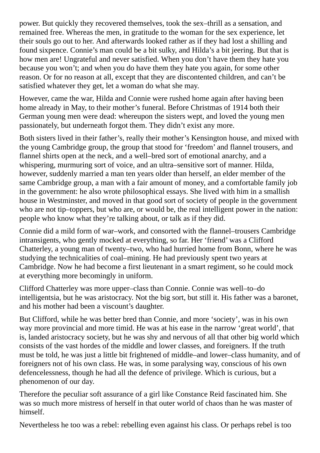power. But quickly they recovered themselves, took the sex–thrill as a sensation, and remained free. Whereas the men, in gratitude to the woman for the sex experience, let their souls go out to her. And afterwards looked rather as if they had lost a shilling and found sixpence. Connie's man could be a bit sulky, and Hilda's a bit jeering. But that is how men are! Ungrateful and never satisfied. When you don't have them they hate you because you won't; and when you do have them they hate you again, for some other reason. Or for no reason at all, except that they are discontented children, and can't be satisfied whatever they get, let a woman do what she may.

However, came the war, Hilda and Connie were rushed home again after having been home already in May, to their mother's funeral. Before Christmas of 1914 both their German young men were dead: whereupon the sisters wept, and loved the young men passionately, but underneath forgot them. They didn't exist any more.

Both sisters lived in their father's, really their mother's Kensington house, and mixed with the young Cambridge group, the group that stood for 'freedom' and flannel trousers, and flannel shirts open at the neck, and a well–bred sort of emotional anarchy, and a whispering, murmuring sort of voice, and an ultra–sensitive sort of manner. Hilda, however, suddenly married a man ten years older than herself, an elder member of the same Cambridge group, a man with a fair amount of money, and a comfortable family job in the government: he also wrote philosophical essays. She lived with him in a smallish house in Westminster, and moved in that good sort of society of people in the government who are not tip–toppers, but who are, or would be, the real intelligent power in the nation: people who know what they're talking about, or talk as if they did.

Connie did a mild form of war–work, and consorted with the flannel–trousers Cambridge intransigents, who gently mocked at everything, so far. Her 'friend' was a Clifford Chatterley, a young man of twenty–two, who had hurried home from Bonn, where he was studying the technicalities of coal–mining. He had previously spent two years at Cambridge. Now he had become a first lieutenant in a smart regiment, so he could mock at everything more becomingly in uniform.

Clifford Chatterley was more upper–class than Connie. Connie was well–to–do intelligentsia, but he was aristocracy. Not the big sort, but still it. His father was a baronet, and his mother had been a viscount's daughter.

But Clifford, while he was better bred than Connie, and more 'society', was in his own way more provincial and more timid. He was at his ease in the narrow 'great world', that is, landed aristocracy society, but he was shy and nervous of all that other big world which consists of the vast hordes of the middle and lower classes, and foreigners. If the truth must be told, he was just a little bit frightened of middle–and lower–class humanity, and of foreigners not of his own class. He was, in some paralysing way, conscious of his own defencelessness, though he had all the defence of privilege. Which is curious, but a phenomenon of our day.

Therefore the peculiar soft assurance of a girl like Constance Reid fascinated him. She was so much more mistress of herself in that outer world of chaos than he was master of himself.

Nevertheless he too was a rebel: rebelling even against his class. Or perhaps rebel is too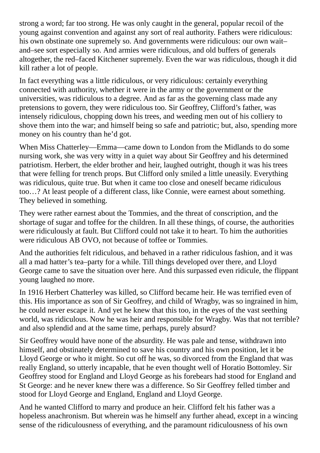strong a word; far too strong. He was only caught in the general, popular recoil of the young against convention and against any sort of real authority. Fathers were ridiculous: his own obstinate one supremely so. And governments were ridiculous: our own wait– and–see sort especially so. And armies were ridiculous, and old buffers of generals altogether, the red–faced Kitchener supremely. Even the war was ridiculous, though it did kill rather a lot of people.

In fact everything was a little ridiculous, or very ridiculous: certainly everything connected with authority, whether it were in the army or the government or the universities, was ridiculous to a degree. And as far as the governing class made any pretensions to govern, they were ridiculous too. Sir Geoffrey, Clifford's father, was intensely ridiculous, chopping down his trees, and weeding men out of his colliery to shove them into the war; and himself being so safe and patriotic; but, also, spending more money on his country than he'd got.

When Miss Chatterley—Emma—came down to London from the Midlands to do some nursing work, she was very witty in a quiet way about Sir Geoffrey and his determined patriotism. Herbert, the elder brother and heir, laughed outright, though it was his trees that were felling for trench props. But Clifford only smiled a little uneasily. Everything was ridiculous, quite true. But when it came too close and oneself became ridiculous too…? At least people of a different class, like Connie, were earnest about something. They believed in something.

They were rather earnest about the Tommies, and the threat of conscription, and the shortage of sugar and toffee for the children. In all these things, of course, the authorities were ridiculously at fault. But Clifford could not take it to heart. To him the authorities were ridiculous AB OVO, not because of toffee or Tommies.

And the authorities felt ridiculous, and behaved in a rather ridiculous fashion, and it was all a mad hatter's tea–party for a while. Till things developed over there, and Lloyd George came to save the situation over here. And this surpassed even ridicule, the flippant young laughed no more.

In 1916 Herbert Chatterley was killed, so Clifford became heir. He was terrified even of this. His importance as son of Sir Geoffrey, and child of Wragby, was so ingrained in him, he could never escape it. And yet he knew that this too, in the eyes of the vast seething world, was ridiculous. Now he was heir and responsible for Wragby. Was that not terrible? and also splendid and at the same time, perhaps, purely absurd?

Sir Geoffrey would have none of the absurdity. He was pale and tense, withdrawn into himself, and obstinately determined to save his country and his own position, let it be Lloyd George or who it might. So cut off he was, so divorced from the England that was really England, so utterly incapable, that he even thought well of Horatio Bottomley. Sir Geoffrey stood for England and Lloyd George as his forebears had stood for England and St George: and he never knew there was a difference. So Sir Geoffrey felled timber and stood for Lloyd George and England, England and Lloyd George.

And he wanted Clifford to marry and produce an heir. Clifford felt his father was a hopeless anachronism. But wherein was he himself any further ahead, except in a wincing sense of the ridiculousness of everything, and the paramount ridiculousness of his own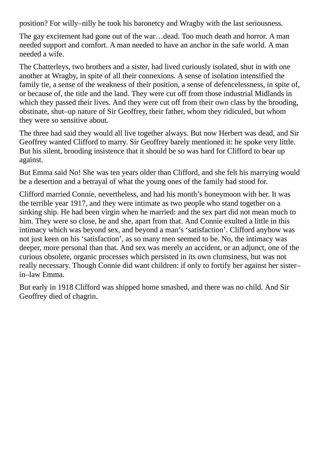position? For willy–nilly he took his baronetcy and Wragby with the last seriousness.

The gay excitement had gone out of the war…dead. Too much death and horror. A man needed support and comfort. A man needed to have an anchor in the safe world. A man needed a wife.

The Chatterleys, two brothers and a sister, had lived curiously isolated, shut in with one another at Wragby, in spite of all their connexions. A sense of isolation intensified the family tie, a sense of the weakness of their position, a sense of defencelessness, in spite of, or because of, the title and the land. They were cut off from those industrial Midlands in which they passed their lives. And they were cut off from their own class by the brooding, obstinate, shut–up nature of Sir Geoffrey, their father, whom they ridiculed, but whom they were so sensitive about.

The three had said they would all live together always. But now Herbert was dead, and Sir Geoffrey wanted Clifford to marry. Sir Geoffrey barely mentioned it: he spoke very little. But his silent, brooding insistence that it should be so was hard for Clifford to bear up against.

But Emma said No! She was ten years older than Clifford, and she felt his marrying would be a desertion and a betrayal of what the young ones of the family had stood for.

Clifford married Connie, nevertheless, and had his month's honeymoon with her. It was the terrible year 1917, and they were intimate as two people who stand together on a sinking ship. He had been virgin when he married: and the sex part did not mean much to him. They were so close, he and she, apart from that. And Connie exulted a little in this intimacy which was beyond sex, and beyond a man's 'satisfaction'. Clifford anyhow was not just keen on his 'satisfaction', as so many men seemed to be. No, the intimacy was deeper, more personal than that. And sex was merely an accident, or an adjunct, one of the curious obsolete, organic processes which persisted in its own clumsiness, but was not really necessary. Though Connie did want children: if only to fortify her against her sister– in–law Emma.

But early in 1918 Clifford was shipped home smashed, and there was no child. And Sir Geoffrey died of chagrin.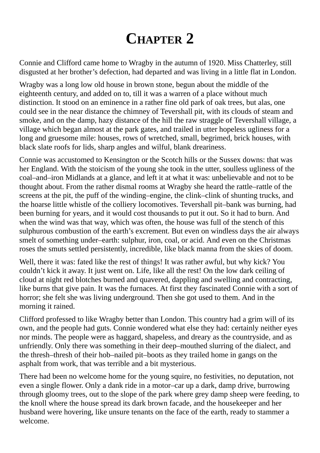## **CHAPTER 2**

<span id="page-8-0"></span>Connie and Clifford came home to Wragby in the autumn of 1920. Miss Chatterley, still disgusted at her brother's defection, had departed and was living in a little flat in London.

Wragby was a long low old house in brown stone, begun about the middle of the eighteenth century, and added on to, till it was a warren of a place without much distinction. It stood on an eminence in a rather fine old park of oak trees, but alas, one could see in the near distance the chimney of Tevershall pit, with its clouds of steam and smoke, and on the damp, hazy distance of the hill the raw straggle of Tevershall village, a village which began almost at the park gates, and trailed in utter hopeless ugliness for a long and gruesome mile: houses, rows of wretched, small, begrimed, brick houses, with black slate roofs for lids, sharp angles and wilful, blank dreariness.

Connie was accustomed to Kensington or the Scotch hills or the Sussex downs: that was her England. With the stoicism of the young she took in the utter, soulless ugliness of the coal–and–iron Midlands at a glance, and left it at what it was: unbelievable and not to be thought about. From the rather dismal rooms at Wragby she heard the rattle–rattle of the screens at the pit, the puff of the winding–engine, the clink–clink of shunting trucks, and the hoarse little whistle of the colliery locomotives. Tevershall pit–bank was burning, had been burning for years, and it would cost thousands to put it out. So it had to burn. And when the wind was that way, which was often, the house was full of the stench of this sulphurous combustion of the earth's excrement. But even on windless days the air always smelt of something under–earth: sulphur, iron, coal, or acid. And even on the Christmas roses the smuts settled persistently, incredible, like black manna from the skies of doom.

Well, there it was: fated like the rest of things! It was rather awful, but why kick? You couldn't kick it away. It just went on. Life, like all the rest! On the low dark ceiling of cloud at night red blotches burned and quavered, dappling and swelling and contracting, like burns that give pain. It was the furnaces. At first they fascinated Connie with a sort of horror; she felt she was living underground. Then she got used to them. And in the morning it rained.

Clifford professed to like Wragby better than London. This country had a grim will of its own, and the people had guts. Connie wondered what else they had: certainly neither eyes nor minds. The people were as haggard, shapeless, and dreary as the countryside, and as unfriendly. Only there was something in their deep–mouthed slurring of the dialect, and the thresh–thresh of their hob–nailed pit–boots as they trailed home in gangs on the asphalt from work, that was terrible and a bit mysterious.

There had been no welcome home for the young squire, no festivities, no deputation, not even a single flower. Only a dank ride in a motor–car up a dark, damp drive, burrowing through gloomy trees, out to the slope of the park where grey damp sheep were feeding, to the knoll where the house spread its dark brown facade, and the housekeeper and her husband were hovering, like unsure tenants on the face of the earth, ready to stammer a welcome.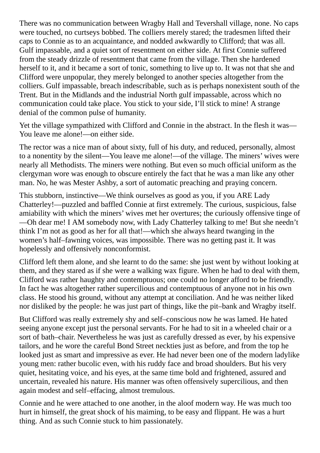There was no communication between Wragby Hall and Tevershall village, none. No caps were touched, no curtseys bobbed. The colliers merely stared; the tradesmen lifted their caps to Connie as to an acquaintance, and nodded awkwardly to Clifford; that was all. Gulf impassable, and a quiet sort of resentment on either side. At first Connie suffered from the steady drizzle of resentment that came from the village. Then she hardened herself to it, and it became a sort of tonic, something to live up to. It was not that she and Clifford were unpopular, they merely belonged to another species altogether from the colliers. Gulf impassable, breach indescribable, such as is perhaps nonexistent south of the Trent. But in the Midlands and the industrial North gulf impassable, across which no communication could take place. You stick to your side, I'll stick to mine! A strange denial of the common pulse of humanity.

Yet the village sympathized with Clifford and Connie in the abstract. In the flesh it was— You leave me alone!—on either side.

The rector was a nice man of about sixty, full of his duty, and reduced, personally, almost to a nonentity by the silent—You leave me alone!—of the village. The miners' wives were nearly all Methodists. The miners were nothing. But even so much official uniform as the clergyman wore was enough to obscure entirely the fact that he was a man like any other man. No, he was Mester Ashby, a sort of automatic preaching and praying concern.

This stubborn, instinctive—We think ourselves as good as you, if you ARE Lady Chatterley!—puzzled and baffled Connie at first extremely. The curious, suspicious, false amiability with which the miners' wives met her overtures; the curiously offensive tinge of —Oh dear me! I AM somebody now, with Lady Chatterley talking to me! But she needn't think I'm not as good as her for all that!—which she always heard twanging in the women's half–fawning voices, was impossible. There was no getting past it. It was hopelessly and offensively nonconformist.

Clifford left them alone, and she learnt to do the same: she just went by without looking at them, and they stared as if she were a walking wax figure. When he had to deal with them, Clifford was rather haughty and contemptuous; one could no longer afford to be friendly. In fact he was altogether rather supercilious and contemptuous of anyone not in his own class. He stood his ground, without any attempt at conciliation. And he was neither liked nor disliked by the people: he was just part of things, like the pit–bank and Wragby itself.

But Clifford was really extremely shy and self–conscious now he was lamed. He hated seeing anyone except just the personal servants. For he had to sit in a wheeled chair or a sort of bath–chair. Nevertheless he was just as carefully dressed as ever, by his expensive tailors, and he wore the careful Bond Street neckties just as before, and from the top he looked just as smart and impressive as ever. He had never been one of the modern ladylike young men: rather bucolic even, with his ruddy face and broad shoulders. But his very quiet, hesitating voice, and his eyes, at the same time bold and frightened, assured and uncertain, revealed his nature. His manner was often offensively supercilious, and then again modest and self–effacing, almost tremulous.

Connie and he were attached to one another, in the aloof modern way. He was much too hurt in himself, the great shock of his maiming, to be easy and flippant. He was a hurt thing. And as such Connie stuck to him passionately.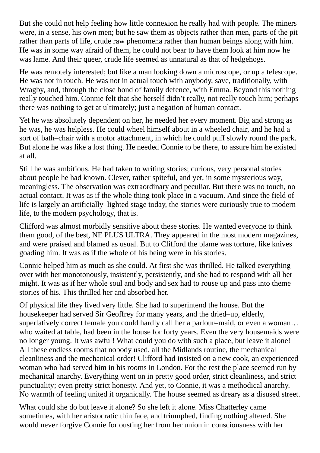But she could not help feeling how little connexion he really had with people. The miners were, in a sense, his own men; but he saw them as objects rather than men, parts of the pit rather than parts of life, crude raw phenomena rather than human beings along with him. He was in some way afraid of them, he could not bear to have them look at him now he was lame. And their queer, crude life seemed as unnatural as that of hedgehogs.

He was remotely interested; but like a man looking down a microscope, or up a telescope. He was not in touch. He was not in actual touch with anybody, save, traditionally, with Wragby, and, through the close bond of family defence, with Emma. Beyond this nothing really touched him. Connie felt that she herself didn't really, not really touch him; perhaps there was nothing to get at ultimately; just a negation of human contact.

Yet he was absolutely dependent on her, he needed her every moment. Big and strong as he was, he was helpless. He could wheel himself about in a wheeled chair, and he had a sort of bath–chair with a motor attachment, in which he could puff slowly round the park. But alone he was like a lost thing. He needed Connie to be there, to assure him he existed at all.

Still he was ambitious. He had taken to writing stories; curious, very personal stories about people he had known. Clever, rather spiteful, and yet, in some mysterious way, meaningless. The observation was extraordinary and peculiar. But there was no touch, no actual contact. It was as if the whole thing took place in a vacuum. And since the field of life is largely an artificially–lighted stage today, the stories were curiously true to modern life, to the modern psychology, that is.

Clifford was almost morbidly sensitive about these stories. He wanted everyone to think them good, of the best, NE PLUS ULTRA. They appeared in the most modern magazines, and were praised and blamed as usual. But to Clifford the blame was torture, like knives goading him. It was as if the whole of his being were in his stories.

Connie helped him as much as she could. At first she was thrilled. He talked everything over with her monotonously, insistently, persistently, and she had to respond with all her might. It was as if her whole soul and body and sex had to rouse up and pass into theme stories of his. This thrilled her and absorbed her.

Of physical life they lived very little. She had to superintend the house. But the housekeeper had served Sir Geoffrey for many years, and the dried–up, elderly, superlatively correct female you could hardly call her a parlour–maid, or even a woman… who waited at table, had been in the house for forty years. Even the very housemaids were no longer young. It was awful! What could you do with such a place, but leave it alone! All these endless rooms that nobody used, all the Midlands routine, the mechanical cleanliness and the mechanical order! Clifford had insisted on a new cook, an experienced woman who had served him in his rooms in London. For the rest the place seemed run by mechanical anarchy. Everything went on in pretty good order, strict cleanliness, and strict punctuality; even pretty strict honesty. And yet, to Connie, it was a methodical anarchy. No warmth of feeling united it organically. The house seemed as dreary as a disused street.

What could she do but leave it alone? So she left it alone. Miss Chatterley came sometimes, with her aristocratic thin face, and triumphed, finding nothing altered. She would never forgive Connie for ousting her from her union in consciousness with her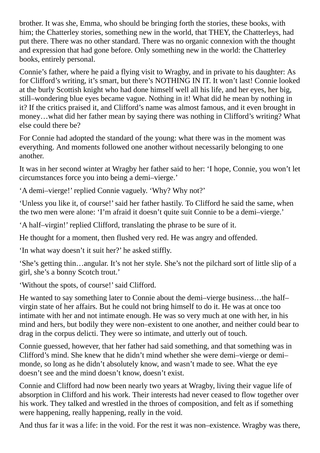brother. It was she, Emma, who should be bringing forth the stories, these books, with him; the Chatterley stories, something new in the world, that THEY, the Chatterleys, had put there. There was no other standard. There was no organic connexion with the thought and expression that had gone before. Only something new in the world: the Chatterley books, entirely personal.

Connie's father, where he paid a flying visit to Wragby, and in private to his daughter: As for Clifford's writing, it's smart, but there's NOTHING IN IT. It won't last! Connie looked at the burly Scottish knight who had done himself well all his life, and her eyes, her big, still–wondering blue eyes became vague. Nothing in it! What did he mean by nothing in it? If the critics praised it, and Clifford's name was almost famous, and it even brought in money…what did her father mean by saying there was nothing in Clifford's writing? What else could there be?

For Connie had adopted the standard of the young: what there was in the moment was everything. And moments followed one another without necessarily belonging to one another.

It was in her second winter at Wragby her father said to her: 'I hope, Connie, you won't let circumstances force you into being a demi–vierge.'

'A demi–vierge!' replied Connie vaguely. 'Why? Why not?'

'Unless you like it, of course!' said her father hastily. To Clifford he said the same, when the two men were alone: 'I'm afraid it doesn't quite suit Connie to be a demi–vierge.'

'A half–virgin!' replied Clifford, translating the phrase to be sure of it.

He thought for a moment, then flushed very red. He was angry and offended.

'In what way doesn't it suit her?' he asked stiffly.

'She's getting thin…angular. It's not her style. She's not the pilchard sort of little slip of a girl, she's a bonny Scotch trout.'

'Without the spots, of course!'said Clifford.

He wanted to say something later to Connie about the demi–vierge business…the half– virgin state of her affairs. But he could not bring himself to do it. He was at once too intimate with her and not intimate enough. He was so very much at one with her, in his mind and hers, but bodily they were non–existent to one another, and neither could bear to drag in the corpus delicti. They were so intimate, and utterly out of touch.

Connie guessed, however, that her father had said something, and that something was in Clifford's mind. She knew that he didn't mind whether she were demi–vierge or demi– monde, so long as he didn't absolutely know, and wasn't made to see. What the eye doesn't see and the mind doesn't know, doesn't exist.

Connie and Clifford had now been nearly two years at Wragby, living their vague life of absorption in Clifford and his work. Their interests had never ceased to flow together over his work. They talked and wrestled in the throes of composition, and felt as if something were happening, really happening, really in the void.

And thus far it was a life: in the void. For the rest it was non–existence. Wragby was there,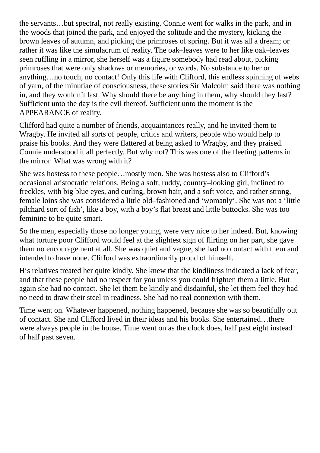the servants…but spectral, not really existing. Connie went for walks in the park, and in the woods that joined the park, and enjoyed the solitude and the mystery, kicking the brown leaves of autumn, and picking the primroses of spring. But it was all a dream; or rather it was like the simulacrum of reality. The oak–leaves were to her like oak–leaves seen ruffling in a mirror, she herself was a figure somebody had read about, picking primroses that were only shadows or memories, or words. No substance to her or anything…no touch, no contact! Only this life with Clifford, this endless spinning of webs of yarn, of the minutiae of consciousness, these stories Sir Malcolm said there was nothing in, and they wouldn't last. Why should there be anything in them, why should they last? Sufficient unto the day is the evil thereof. Sufficient unto the moment is the APPEARANCE of reality.

Clifford had quite a number of friends, acquaintances really, and he invited them to Wragby. He invited all sorts of people, critics and writers, people who would help to praise his books. And they were flattered at being asked to Wragby, and they praised. Connie understood it all perfectly. But why not? This was one of the fleeting patterns in the mirror. What was wrong with it?

She was hostess to these people…mostly men. She was hostess also to Clifford's occasional aristocratic relations. Being a soft, ruddy, country–looking girl, inclined to freckles, with big blue eyes, and curling, brown hair, and a soft voice, and rather strong, female loins she was considered a little old–fashioned and 'womanly'. She was not a 'little pilchard sort of fish', like a boy, with a boy's flat breast and little buttocks. She was too feminine to be quite smart.

So the men, especially those no longer young, were very nice to her indeed. But, knowing what torture poor Clifford would feel at the slightest sign of flirting on her part, she gave them no encouragement at all. She was quiet and vague, she had no contact with them and intended to have none. Clifford was extraordinarily proud of himself.

His relatives treated her quite kindly. She knew that the kindliness indicated a lack of fear, and that these people had no respect for you unless you could frighten them a little. But again she had no contact. She let them be kindly and disdainful, she let them feel they had no need to draw their steel in readiness. She had no real connexion with them.

Time went on. Whatever happened, nothing happened, because she was so beautifully out of contact. She and Clifford lived in their ideas and his books. She entertained…there were always people in the house. Time went on as the clock does, half past eight instead of half past seven.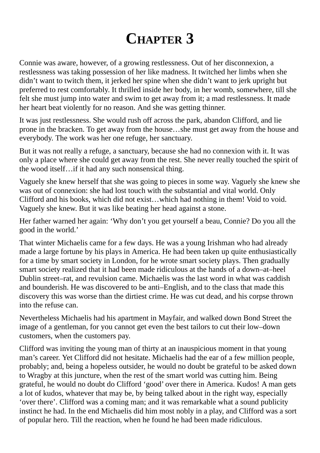#### **CHAPTER 3**

<span id="page-13-0"></span>Connie was aware, however, of a growing restlessness. Out of her disconnexion, a restlessness was taking possession of her like madness. It twitched her limbs when she didn't want to twitch them, it jerked her spine when she didn't want to jerk upright but preferred to rest comfortably. It thrilled inside her body, in her womb, somewhere, till she felt she must jump into water and swim to get away from it; a mad restlessness. It made her heart beat violently for no reason. And she was getting thinner.

It was just restlessness. She would rush off across the park, abandon Clifford, and lie prone in the bracken. To get away from the house…she must get away from the house and everybody. The work was her one refuge, her sanctuary.

But it was not really a refuge, a sanctuary, because she had no connexion with it. It was only a place where she could get away from the rest. She never really touched the spirit of the wood itself…if it had any such nonsensical thing.

Vaguely she knew herself that she was going to pieces in some way. Vaguely she knew she was out of connexion: she had lost touch with the substantial and vital world. Only Clifford and his books, which did not exist…which had nothing in them! Void to void. Vaguely she knew. But it was like beating her head against a stone.

Her father warned her again: 'Why don't you get yourself a beau, Connie? Do you all the good in the world.'

That winter Michaelis came for a few days. He was a young Irishman who had already made a large fortune by his plays in America. He had been taken up quite enthusiastically for a time by smart society in London, for he wrote smart society plays. Then gradually smart society realized that it had been made ridiculous at the hands of a down–at–heel Dublin street–rat, and revulsion came. Michaelis was the last word in what was caddish and bounderish. He was discovered to be anti–English, and to the class that made this discovery this was worse than the dirtiest crime. He was cut dead, and his corpse thrown into the refuse can.

Nevertheless Michaelis had his apartment in Mayfair, and walked down Bond Street the image of a gentleman, for you cannot get even the best tailors to cut their low–down customers, when the customers pay.

Clifford was inviting the young man of thirty at an inauspicious moment in that young man's career. Yet Clifford did not hesitate. Michaelis had the ear of a few million people, probably; and, being a hopeless outsider, he would no doubt be grateful to be asked down to Wragby at this juncture, when the rest of the smart world was cutting him. Being grateful, he would no doubt do Clifford 'good' over there in America. Kudos! A man gets a lot of kudos, whatever that may be, by being talked about in the right way, especially 'over there'. Clifford was a coming man; and it was remarkable what a sound publicity instinct he had. In the end Michaelis did him most nobly in a play, and Clifford was a sort of popular hero. Till the reaction, when he found he had been made ridiculous.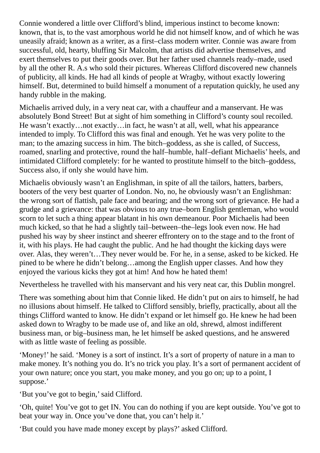Connie wondered a little over Clifford's blind, imperious instinct to become known: known, that is, to the vast amorphous world he did not himself know, and of which he was uneasily afraid; known as a writer, as a first–class modern writer. Connie was aware from successful, old, hearty, bluffing Sir Malcolm, that artists did advertise themselves, and exert themselves to put their goods over. But her father used channels ready–made, used by all the other R. A.s who sold their pictures. Whereas Clifford discovered new channels of publicity, all kinds. He had all kinds of people at Wragby, without exactly lowering himself. But, determined to build himself a monument of a reputation quickly, he used any handy rubble in the making.

Michaelis arrived duly, in a very neat car, with a chauffeur and a manservant. He was absolutely Bond Street! But at sight of him something in Clifford's county soul recoiled. He wasn't exactly…not exactly…in fact, he wasn't at all, well, what his appearance intended to imply. To Clifford this was final and enough. Yet he was very polite to the man; to the amazing success in him. The bitch–goddess, as she is called, of Success, roamed, snarling and protective, round the half–humble, half–defiant Michaelis' heels, and intimidated Clifford completely: for he wanted to prostitute himself to the bitch–goddess, Success also, if only she would have him.

Michaelis obviously wasn't an Englishman, in spite of all the tailors, hatters, barbers, booters of the very best quarter of London. No, no, he obviously wasn't an Englishman: the wrong sort of flattish, pale face and bearing; and the wrong sort of grievance. He had a grudge and a grievance: that was obvious to any true–born English gentleman, who would scorn to let such a thing appear blatant in his own demeanour. Poor Michaelis had been much kicked, so that he had a slightly tail–between–the–legs look even now. He had pushed his way by sheer instinct and sheerer effrontery on to the stage and to the front of it, with his plays. He had caught the public. And he had thought the kicking days were over. Alas, they weren't…They never would be. For he, in a sense, asked to be kicked. He pined to be where he didn't belong…among the English upper classes. And how they enjoyed the various kicks they got at him! And how he hated them!

Nevertheless he travelled with his manservant and his very neat car, this Dublin mongrel.

There was something about him that Connie liked. He didn't put on airs to himself, he had no illusions about himself. He talked to Clifford sensibly, briefly, practically, about all the things Clifford wanted to know. He didn't expand or let himself go. He knew he had been asked down to Wragby to be made use of, and like an old, shrewd, almost indifferent business man, or big–business man, he let himself be asked questions, and he answered with as little waste of feeling as possible.

'Money!' he said. 'Money is a sort of instinct. It's a sort of property of nature in a man to make money. It's nothing you do. It's no trick you play. It's a sort of permanent accident of your own nature; once you start, you make money, and you go on; up to a point, I suppose.'

'But you've got to begin,'said Clifford.

'Oh, quite! You've got to get IN. You can do nothing if you are kept outside. You've got to beat your way in. Once you've done that, you can't help it.'

'But could you have made money except by plays?' asked Clifford.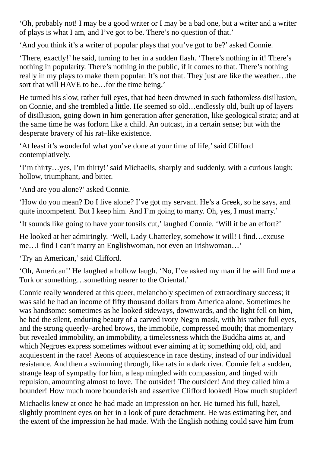'Oh, probably not! I may be a good writer or I may be a bad one, but a writer and a writer of plays is what I am, and I've got to be. There's no question of that.'

'And you think it's a writer of popular plays that you've got to be?' asked Connie.

'There, exactly!' he said, turning to her in a sudden flash. 'There's nothing in it! There's nothing in popularity. There's nothing in the public, if it comes to that. There's nothing really in my plays to make them popular. It's not that. They just are like the weather…the sort that will HAVE to be…for the time being.'

He turned his slow, rather full eyes, that had been drowned in such fathomless disillusion, on Connie, and she trembled a little. He seemed so old…endlessly old, built up of layers of disillusion, going down in him generation after generation, like geological strata; and at the same time he was forlorn like a child. An outcast, in a certain sense; but with the desperate bravery of his rat–like existence.

'At least it's wonderful what you've done at your time of life,'said Clifford contemplatively.

'I'm thirty…yes, I'm thirty!'said Michaelis, sharply and suddenly, with a curious laugh; hollow, triumphant, and bitter.

'And are you alone?' asked Connie.

'How do you mean? Do I live alone? I've got my servant. He's a Greek, so he says, and quite incompetent. But I keep him. And I'm going to marry. Oh, yes, I must marry.'

'It sounds like going to have your tonsils cut,' laughed Connie. 'Will it be an effort?'

He looked at her admiringly. 'Well, Lady Chatterley, somehow it will! I find…excuse me…I find I can't marry an Englishwoman, not even an Irishwoman…'

'Try an American,'said Clifford.

'Oh, American!' He laughed a hollow laugh. 'No, I've asked my man if he will find me a Turk or something…something nearer to the Oriental.'

Connie really wondered at this queer, melancholy specimen of extraordinary success; it was said he had an income of fifty thousand dollars from America alone. Sometimes he was handsome: sometimes as he looked sideways, downwards, and the light fell on him, he had the silent, enduring beauty of a carved ivory Negro mask, with his rather full eyes, and the strong queerly–arched brows, the immobile, compressed mouth; that momentary but revealed immobility, an immobility, a timelessness which the Buddha aims at, and which Negroes express sometimes without ever aiming at it; something old, old, and acquiescent in the race! Aeons of acquiescence in race destiny, instead of our individual resistance. And then a swimming through, like rats in a dark river. Connie felt a sudden, strange leap of sympathy for him, a leap mingled with compassion, and tinged with repulsion, amounting almost to love. The outsider! The outsider! And they called him a bounder! How much more bounderish and assertive Clifford looked! How much stupider!

Michaelis knew at once he had made an impression on her. He turned his full, hazel, slightly prominent eyes on her in a look of pure detachment. He was estimating her, and the extent of the impression he had made. With the English nothing could save him from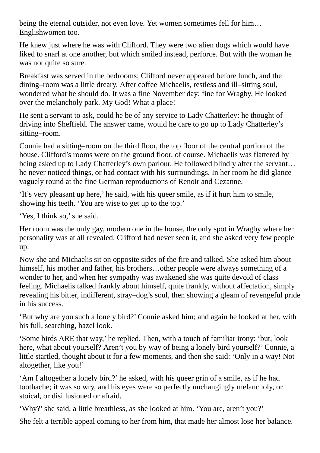being the eternal outsider, not even love. Yet women sometimes fell for him… Englishwomen too.

He knew just where he was with Clifford. They were two alien dogs which would have liked to snarl at one another, but which smiled instead, perforce. But with the woman he was not quite so sure.

Breakfast was served in the bedrooms; Clifford never appeared before lunch, and the dining–room was a little dreary. After coffee Michaelis, restless and ill–sitting soul, wondered what he should do. It was a fine November day; fine for Wragby. He looked over the melancholy park. My God! What a place!

He sent a servant to ask, could he be of any service to Lady Chatterley: he thought of driving into Sheffield. The answer came, would he care to go up to Lady Chatterley's sitting–room.

Connie had a sitting–room on the third floor, the top floor of the central portion of the house. Clifford's rooms were on the ground floor, of course. Michaelis was flattered by being asked up to Lady Chatterley's own parlour. He followed blindly after the servant… he never noticed things, or had contact with his surroundings. In her room he did glance vaguely round at the fine German reproductions of Renoir and Cezanne.

'It's very pleasant up here,' he said, with his queer smile, as if it hurt him to smile, showing his teeth. 'You are wise to get up to the top.'

'Yes, I think so,' she said.

Her room was the only gay, modern one in the house, the only spot in Wragby where her personality was at all revealed. Clifford had never seen it, and she asked very few people up.

Now she and Michaelis sit on opposite sides of the fire and talked. She asked him about himself, his mother and father, his brothers…other people were always something of a wonder to her, and when her sympathy was awakened she was quite devoid of class feeling. Michaelis talked frankly about himself, quite frankly, without affectation, simply revealing his bitter, indifferent, stray–dog's soul, then showing a gleam of revengeful pride in his success.

'But why are you such a lonely bird?' Connie asked him; and again he looked at her, with his full, searching, hazel look.

'Some birds ARE that way,' he replied. Then, with a touch of familiar irony: 'but, look here, what about yourself? Aren't you by way of being a lonely bird yourself?' Connie, a little startled, thought about it for a few moments, and then she said: 'Only in a way! Not altogether, like you!'

'Am I altogether a lonely bird?' he asked, with his queer grin of a smile, as if he had toothache; it was so wry, and his eyes were so perfectly unchangingly melancholy, or stoical, or disillusioned or afraid.

'Why?'she said, a little breathless, as she looked at him. 'You are, aren't you?'

She felt a terrible appeal coming to her from him, that made her almost lose her balance.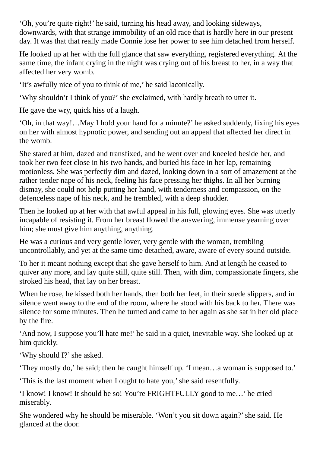'Oh, you're quite right!' he said, turning his head away, and looking sideways, downwards, with that strange immobility of an old race that is hardly here in our present day. It was that that really made Connie lose her power to see him detached from herself.

He looked up at her with the full glance that saw everything, registered everything. At the same time, the infant crying in the night was crying out of his breast to her, in a way that affected her very womb.

'It's awfully nice of you to think of me,' he said laconically.

'Why shouldn't I think of you?'she exclaimed, with hardly breath to utter it.

He gave the wry, quick hiss of a laugh.

'Oh, in that way!…May I hold your hand for a minute?' he asked suddenly, fixing his eyes on her with almost hypnotic power, and sending out an appeal that affected her direct in the womb.

She stared at him, dazed and transfixed, and he went over and kneeled beside her, and took her two feet close in his two hands, and buried his face in her lap, remaining motionless. She was perfectly dim and dazed, looking down in a sort of amazement at the rather tender nape of his neck, feeling his face pressing her thighs. In all her burning dismay, she could not help putting her hand, with tenderness and compassion, on the defenceless nape of his neck, and he trembled, with a deep shudder.

Then he looked up at her with that awful appeal in his full, glowing eyes. She was utterly incapable of resisting it. From her breast flowed the answering, immense yearning over him; she must give him anything, anything.

He was a curious and very gentle lover, very gentle with the woman, trembling uncontrollably, and yet at the same time detached, aware, aware of every sound outside.

To her it meant nothing except that she gave herself to him. And at length he ceased to quiver any more, and lay quite still, quite still. Then, with dim, compassionate fingers, she stroked his head, that lay on her breast.

When he rose, he kissed both her hands, then both her feet, in their suede slippers, and in silence went away to the end of the room, where he stood with his back to her. There was silence for some minutes. Then he turned and came to her again as she sat in her old place by the fire.

'And now, I suppose you'll hate me!' he said in a quiet, inevitable way. She looked up at him quickly.

'Why should I?'she asked.

'They mostly do,' he said; then he caught himself up. 'I mean…a woman is supposed to.'

'This is the last moment when I ought to hate you,'she said resentfully.

'I know! I know! It should be so! You're FRIGHTFULLY good to me…' he cried miserably.

She wondered why he should be miserable. 'Won't you sit down again?' she said. He glanced at the door.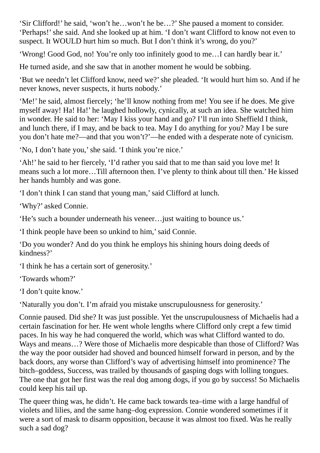'Sir Clifford!' he said, 'won't he…won't he be…?' She paused a moment to consider. 'Perhaps!'she said. And she looked up at him. 'I don't want Clifford to know not even to suspect. It WOULD hurt him so much. But I don't think it's wrong, do you?'

'Wrong! Good God, no! You're only too infinitely good to me…I can hardly bear it.'

He turned aside, and she saw that in another moment he would be sobbing.

'But we needn't let Clifford know, need we?'she pleaded. 'It would hurt him so. And if he never knows, never suspects, it hurts nobody.'

'Me!' he said, almost fiercely; 'he'll know nothing from me! You see if he does. Me give myself away! Ha! Ha!' he laughed hollowly, cynically, at such an idea. She watched him in wonder. He said to her: 'May I kiss your hand and go? I'll run into Sheffield I think, and lunch there, if I may, and be back to tea. May I do anything for you? May I be sure you don't hate me?—and that you won't?'—he ended with a desperate note of cynicism.

'No, I don't hate you,'she said. 'I think you're nice.'

'Ah!' he said to her fiercely, 'I'd rather you said that to me than said you love me! It means such a lot more…Till afternoon then. I've plenty to think about till then.' He kissed her hands humbly and was gone.

'I don't think I can stand that young man,'said Clifford at lunch.

'Why?' asked Connie.

'He's such a bounder underneath his veneer…just waiting to bounce us.'

'I think people have been so unkind to him,'said Connie.

'Do you wonder? And do you think he employs his shining hours doing deeds of kindness?'

'I think he has a certain sort of generosity.'

'Towards whom?'

'I don't quite know.'

'Naturally you don't. I'm afraid you mistake unscrupulousness for generosity.'

Connie paused. Did she? It was just possible. Yet the unscrupulousness of Michaelis had a certain fascination for her. He went whole lengths where Clifford only crept a few timid paces. In his way he had conquered the world, which was what Clifford wanted to do. Ways and means…? Were those of Michaelis more despicable than those of Clifford? Was the way the poor outsider had shoved and bounced himself forward in person, and by the back doors, any worse than Clifford's way of advertising himself into prominence? The bitch–goddess, Success, was trailed by thousands of gasping dogs with lolling tongues. The one that got her first was the real dog among dogs, if you go by success! So Michaelis could keep his tail up.

The queer thing was, he didn't. He came back towards tea–time with a large handful of violets and lilies, and the same hang–dog expression. Connie wondered sometimes if it were a sort of mask to disarm opposition, because it was almost too fixed. Was he really such a sad dog?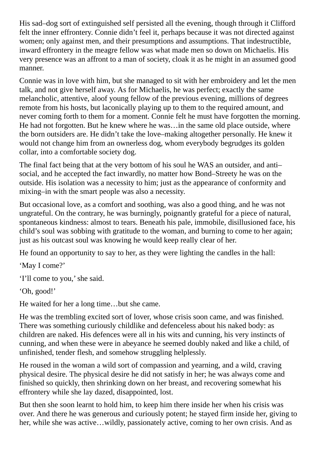His sad–dog sort of extinguished self persisted all the evening, though through it Clifford felt the inner effrontery. Connie didn't feel it, perhaps because it was not directed against women; only against men, and their presumptions and assumptions. That indestructible, inward effrontery in the meagre fellow was what made men so down on Michaelis. His very presence was an affront to a man of society, cloak it as he might in an assumed good manner.

Connie was in love with him, but she managed to sit with her embroidery and let the men talk, and not give herself away. As for Michaelis, he was perfect; exactly the same melancholic, attentive, aloof young fellow of the previous evening, millions of degrees remote from his hosts, but laconically playing up to them to the required amount, and never coming forth to them for a moment. Connie felt he must have forgotten the morning. He had not forgotten. But he knew where he was…in the same old place outside, where the born outsiders are. He didn't take the love–making altogether personally. He knew it would not change him from an ownerless dog, whom everybody begrudges its golden collar, into a comfortable society dog.

The final fact being that at the very bottom of his soul he WAS an outsider, and anti– social, and he accepted the fact inwardly, no matter how Bond–Streety he was on the outside. His isolation was a necessity to him; just as the appearance of conformity and mixing–in with the smart people was also a necessity.

But occasional love, as a comfort and soothing, was also a good thing, and he was not ungrateful. On the contrary, he was burningly, poignantly grateful for a piece of natural, spontaneous kindness: almost to tears. Beneath his pale, immobile, disillusioned face, his child's soul was sobbing with gratitude to the woman, and burning to come to her again; just as his outcast soul was knowing he would keep really clear of her.

He found an opportunity to say to her, as they were lighting the candles in the hall:

'May I come?'

'I'll come to you,'she said.

'Oh, good!'

He waited for her a long time…but she came.

He was the trembling excited sort of lover, whose crisis soon came, and was finished. There was something curiously childlike and defenceless about his naked body: as children are naked. His defences were all in his wits and cunning, his very instincts of cunning, and when these were in abeyance he seemed doubly naked and like a child, of unfinished, tender flesh, and somehow struggling helplessly.

He roused in the woman a wild sort of compassion and yearning, and a wild, craving physical desire. The physical desire he did not satisfy in her; he was always come and finished so quickly, then shrinking down on her breast, and recovering somewhat his effrontery while she lay dazed, disappointed, lost.

But then she soon learnt to hold him, to keep him there inside her when his crisis was over. And there he was generous and curiously potent; he stayed firm inside her, giving to her, while she was active…wildly, passionately active, coming to her own crisis. And as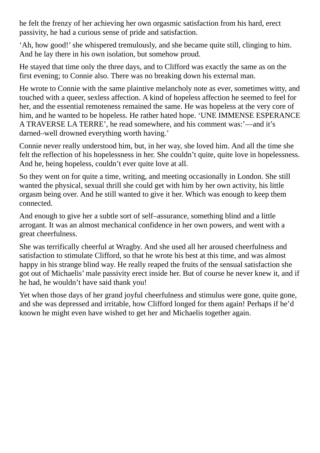he felt the frenzy of her achieving her own orgasmic satisfaction from his hard, erect passivity, he had a curious sense of pride and satisfaction.

'Ah, how good!'she whispered tremulously, and she became quite still, clinging to him. And he lay there in his own isolation, but somehow proud.

He stayed that time only the three days, and to Clifford was exactly the same as on the first evening; to Connie also. There was no breaking down his external man.

He wrote to Connie with the same plaintive melancholy note as ever, sometimes witty, and touched with a queer, sexless affection. A kind of hopeless affection he seemed to feel for her, and the essential remoteness remained the same. He was hopeless at the very core of him, and he wanted to be hopeless. He rather hated hope. 'UNE IMMENSE ESPERANCE A TRAVERSE LA TERRE', he read somewhere, and his comment was:'—and it's darned–well drowned everything worth having.'

Connie never really understood him, but, in her way, she loved him. And all the time she felt the reflection of his hopelessness in her. She couldn't quite, quite love in hopelessness. And he, being hopeless, couldn't ever quite love at all.

So they went on for quite a time, writing, and meeting occasionally in London. She still wanted the physical, sexual thrill she could get with him by her own activity, his little orgasm being over. And he still wanted to give it her. Which was enough to keep them connected.

And enough to give her a subtle sort of self–assurance, something blind and a little arrogant. It was an almost mechanical confidence in her own powers, and went with a great cheerfulness.

She was terrifically cheerful at Wragby. And she used all her aroused cheerfulness and satisfaction to stimulate Clifford, so that he wrote his best at this time, and was almost happy in his strange blind way. He really reaped the fruits of the sensual satisfaction she got out of Michaelis' male passivity erect inside her. But of course he never knew it, and if he had, he wouldn't have said thank you!

Yet when those days of her grand joyful cheerfulness and stimulus were gone, quite gone, and she was depressed and irritable, how Clifford longed for them again! Perhaps if he'd known he might even have wished to get her and Michaelis together again.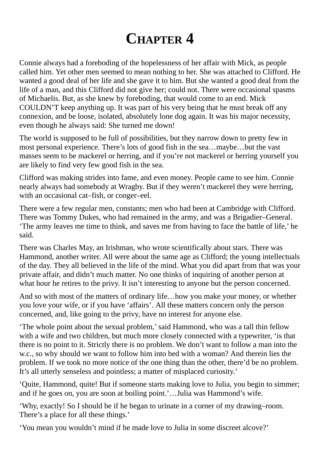#### **CHAPTER 4**

<span id="page-21-0"></span>Connie always had a foreboding of the hopelessness of her affair with Mick, as people called him. Yet other men seemed to mean nothing to her. She was attached to Clifford. He wanted a good deal of her life and she gave it to him. But she wanted a good deal from the life of a man, and this Clifford did not give her; could not. There were occasional spasms of Michaelis. But, as she knew by foreboding, that would come to an end. Mick COULDN'T keep anything up. It was part of his very being that he must break off any connexion, and be loose, isolated, absolutely lone dog again. It was his major necessity, even though he always said: She turned me down!

The world is supposed to be full of possibilities, but they narrow down to pretty few in most personal experience. There's lots of good fish in the sea…maybe…but the vast masses seem to be mackerel or herring, and if you're not mackerel or herring yourself you are likely to find very few good fish in the sea.

Clifford was making strides into fame, and even money. People came to see him. Connie nearly always had somebody at Wragby. But if they weren't mackerel they were herring, with an occasional cat–fish, or conger–eel.

There were a few regular men, constants; men who had been at Cambridge with Clifford. There was Tommy Dukes, who had remained in the army, and was a Brigadier–General. 'The army leaves me time to think, and saves me from having to face the battle of life,' he said.

There was Charles May, an Irishman, who wrote scientifically about stars. There was Hammond, another writer. All were about the same age as Clifford; the young intellectuals of the day. They all believed in the life of the mind. What you did apart from that was your private affair, and didn't much matter. No one thinks of inquiring of another person at what hour he retires to the privy. It isn't interesting to anyone but the person concerned.

And so with most of the matters of ordinary life…how you make your money, or whether you love your wife, or if you have 'affairs'. All these matters concern only the person concerned, and, like going to the privy, have no interest for anyone else.

'The whole point about the sexual problem,'said Hammond, who was a tall thin fellow with a wife and two children, but much more closely connected with a typewriter, 'is that there is no point to it. Strictly there is no problem. We don't want to follow a man into the w.c., so why should we want to follow him into bed with a woman? And therein lies the problem. If we took no more notice of the one thing than the other, there'd be no problem. It's all utterly senseless and pointless; a matter of misplaced curiosity.'

'Quite, Hammond, quite! But if someone starts making love to Julia, you begin to simmer; and if he goes on, you are soon at boiling point.'…Julia was Hammond's wife.

'Why, exactly! So I should be if he began to urinate in a corner of my drawing–room. There's a place for all these things.'

'You mean you wouldn't mind if he made love to Julia in some discreet alcove?'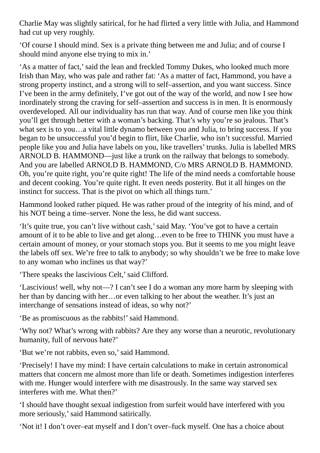Charlie May was slightly satirical, for he had flirted a very little with Julia, and Hammond had cut up very roughly.

'Of course I should mind. Sex is a private thing between me and Julia; and of course I should mind anyone else trying to mix in.'

'As a matter of fact,'said the lean and freckled Tommy Dukes, who looked much more Irish than May, who was pale and rather fat: 'As a matter of fact, Hammond, you have a strong property instinct, and a strong will to self–assertion, and you want success. Since I've been in the army definitely, I've got out of the way of the world, and now I see how inordinately strong the craving for self–assertion and success is in men. It is enormously overdeveloped. All our individuality has run that way. And of course men like you think you'll get through better with a woman's backing. That's why you're so jealous. That's what sex is to you…a vital little dynamo between you and Julia, to bring success. If you began to be unsuccessful you'd begin to flirt, like Charlie, who isn't successful. Married people like you and Julia have labels on you, like travellers' trunks. Julia is labelled MRS ARNOLD B. HAMMOND—just like a trunk on the railway that belongs to somebody. And you are labelled ARNOLD B. HAMMOND, C/o MRS ARNOLD B. HAMMOND. Oh, you're quite right, you're quite right! The life of the mind needs a comfortable house and decent cooking. You're quite right. It even needs posterity. But it all hinges on the instinct for success. That is the pivot on which all things turn.'

Hammond looked rather piqued. He was rather proud of the integrity of his mind, and of his NOT being a time–server. None the less, he did want success.

'It's quite true, you can't live without cash,'said May. 'You've got to have a certain amount of it to be able to live and get along…even to be free to THINK you must have a certain amount of money, or your stomach stops you. But it seems to me you might leave the labels off sex. We're free to talk to anybody; so why shouldn't we be free to make love to any woman who inclines us that way?'

'There speaks the lascivious Celt,' said Clifford.

'Lascivious! well, why not—? I can't see I do a woman any more harm by sleeping with her than by dancing with her…or even talking to her about the weather. It's just an interchange of sensations instead of ideas, so why not?'

'Be as promiscuous as the rabbits!'said Hammond.

'Why not? What's wrong with rabbits? Are they any worse than a neurotic, revolutionary humanity, full of nervous hate?'

'But we're not rabbits, even so,'said Hammond.

'Precisely! I have my mind: I have certain calculations to make in certain astronomical matters that concern me almost more than life or death. Sometimes indigestion interferes with me. Hunger would interfere with me disastrously. In the same way starved sex interferes with me. What then?'

'I should have thought sexual indigestion from surfeit would have interfered with you more seriously,' said Hammond satirically.

'Not it! I don't over–eat myself and I don't over–fuck myself. One has a choice about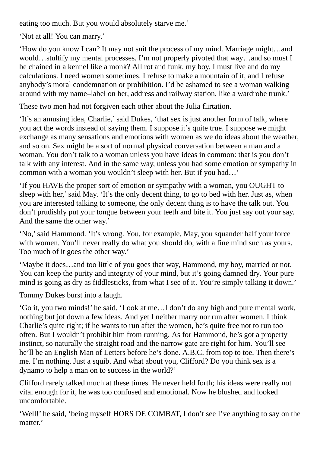eating too much. But you would absolutely starve me.'

'Not at all! You can marry.'

'How do you know I can? It may not suit the process of my mind. Marriage might…and would…stultify my mental processes. I'm not properly pivoted that way…and so must I be chained in a kennel like a monk? All rot and funk, my boy. I must live and do my calculations. I need women sometimes. I refuse to make a mountain of it, and I refuse anybody's moral condemnation or prohibition. I'd be ashamed to see a woman walking around with my name–label on her, address and railway station, like a wardrobe trunk.'

These two men had not forgiven each other about the Julia flirtation.

'It's an amusing idea, Charlie,'said Dukes, 'that sex is just another form of talk, where you act the words instead of saying them. I suppose it's quite true. I suppose we might exchange as many sensations and emotions with women as we do ideas about the weather, and so on. Sex might be a sort of normal physical conversation between a man and a woman. You don't talk to a woman unless you have ideas in common: that is you don't talk with any interest. And in the same way, unless you had some emotion or sympathy in common with a woman you wouldn't sleep with her. But if you had…'

'If you HAVE the proper sort of emotion or sympathy with a woman, you OUGHT to sleep with her,' said May. 'It's the only decent thing, to go to bed with her. Just as, when you are interested talking to someone, the only decent thing is to have the talk out. You don't prudishly put your tongue between your teeth and bite it. You just say out your say. And the same the other way.'

'No,'said Hammond. 'It's wrong. You, for example, May, you squander half your force with women. You'll never really do what you should do, with a fine mind such as yours. Too much of it goes the other way.'

'Maybe it does…and too little of you goes that way, Hammond, my boy, married or not. You can keep the purity and integrity of your mind, but it's going damned dry. Your pure mind is going as dry as fiddlesticks, from what I see of it. You're simply talking it down.'

Tommy Dukes burst into a laugh.

'Go it, you two minds!' he said. 'Look at me…I don't do any high and pure mental work, nothing but jot down a few ideas. And yet I neither marry nor run after women. I think Charlie's quite right; if he wants to run after the women, he's quite free not to run too often. But I wouldn't prohibit him from running. As for Hammond, he's got a property instinct, so naturally the straight road and the narrow gate are right for him. You'll see he'll be an English Man of Letters before he's done. A.B.C. from top to toe. Then there's me. I'm nothing. Just a squib. And what about you, Clifford? Do you think sex is a dynamo to help a man on to success in the world?'

Clifford rarely talked much at these times. He never held forth; his ideas were really not vital enough for it, he was too confused and emotional. Now he blushed and looked uncomfortable.

'Well!' he said, 'being myself HORS DE COMBAT, I don't see I've anything to say on the matter.'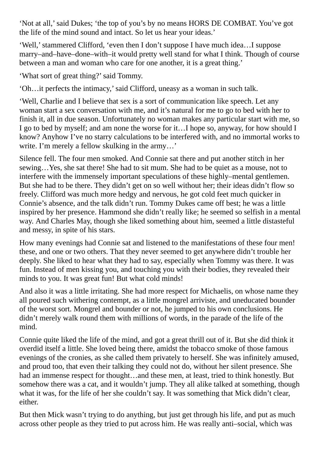'Not at all,'said Dukes; 'the top of you's by no means HORS DE COMBAT. You've got the life of the mind sound and intact. So let us hear your ideas.'

'Well,'stammered Clifford, 'even then I don't suppose I have much idea…I suppose marry–and–have–done–with–it would pretty well stand for what I think. Though of course between a man and woman who care for one another, it is a great thing.'

'What sort of great thing?' said Tommy.

'Oh…it perfects the intimacy,'said Clifford, uneasy as a woman in such talk.

'Well, Charlie and I believe that sex is a sort of communication like speech. Let any woman start a sex conversation with me, and it's natural for me to go to bed with her to finish it, all in due season. Unfortunately no woman makes any particular start with me, so I go to bed by myself; and am none the worse for it…I hope so, anyway, for how should I know? Anyhow I've no starry calculations to be interfered with, and no immortal works to write. I'm merely a fellow skulking in the army…'

Silence fell. The four men smoked. And Connie sat there and put another stitch in her sewing…Yes, she sat there! She had to sit mum. She had to be quiet as a mouse, not to interfere with the immensely important speculations of these highly–mental gentlemen. But she had to be there. They didn't get on so well without her; their ideas didn't flow so freely. Clifford was much more hedgy and nervous, he got cold feet much quicker in Connie's absence, and the talk didn't run. Tommy Dukes came off best; he was a little inspired by her presence. Hammond she didn't really like; he seemed so selfish in a mental way. And Charles May, though she liked something about him, seemed a little distasteful and messy, in spite of his stars.

How many evenings had Connie sat and listened to the manifestations of these four men! these, and one or two others. That they never seemed to get anywhere didn't trouble her deeply. She liked to hear what they had to say, especially when Tommy was there. It was fun. Instead of men kissing you, and touching you with their bodies, they revealed their minds to you. It was great fun! But what cold minds!

And also it was a little irritating. She had more respect for Michaelis, on whose name they all poured such withering contempt, as a little mongrel arriviste, and uneducated bounder of the worst sort. Mongrel and bounder or not, he jumped to his own conclusions. He didn't merely walk round them with millions of words, in the parade of the life of the mind.

Connie quite liked the life of the mind, and got a great thrill out of it. But she did think it overdid itself a little. She loved being there, amidst the tobacco smoke of those famous evenings of the cronies, as she called them privately to herself. She was infinitely amused, and proud too, that even their talking they could not do, without her silent presence. She had an immense respect for thought...and these men, at least, tried to think honestly. But somehow there was a cat, and it wouldn't jump. They all alike talked at something, though what it was, for the life of her she couldn't say. It was something that Mick didn't clear, either.

But then Mick wasn't trying to do anything, but just get through his life, and put as much across other people as they tried to put across him. He was really anti–social, which was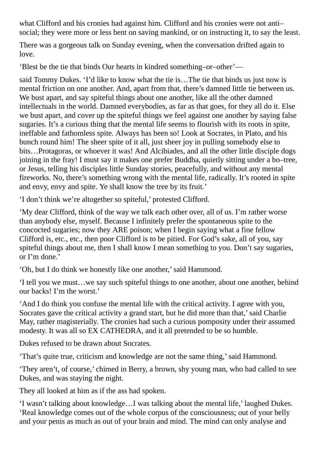what Clifford and his cronies had against him. Clifford and his cronies were not anti– social; they were more or less bent on saving mankind, or on instructing it, to say the least.

There was a gorgeous talk on Sunday evening, when the conversation drifted again to love.

'Blest be the tie that binds Our hearts in kindred something–or–other'—

said Tommy Dukes. 'I'd like to know what the tie is…The tie that binds us just now is mental friction on one another. And, apart from that, there's damned little tie between us. We bust apart, and say spiteful things about one another, like all the other damned intellectuals in the world. Damned everybodies, as far as that goes, for they all do it. Else we bust apart, and cover up the spiteful things we feel against one another by saying false sugaries. It's a curious thing that the mental life seems to flourish with its roots in spite, ineffable and fathomless spite. Always has been so! Look at Socrates, in Plato, and his bunch round him! The sheer spite of it all, just sheer joy in pulling somebody else to bits…Protagoras, or whoever it was! And Alcibiades, and all the other little disciple dogs joining in the fray! I must say it makes one prefer Buddha, quietly sitting under a bo–tree, or Jesus, telling his disciples little Sunday stories, peacefully, and without any mental fireworks. No, there's something wrong with the mental life, radically. It's rooted in spite and envy, envy and spite. Ye shall know the tree by its fruit.'

'I don't think we're altogether so spiteful,' protested Clifford.

'My dear Clifford, think of the way we talk each other over, all of us. I'm rather worse than anybody else, myself. Because I infinitely prefer the spontaneous spite to the concocted sugaries; now they ARE poison; when I begin saying what a fine fellow Clifford is, etc., etc., then poor Clifford is to be pitied. For God's sake, all of you, say spiteful things about me, then I shall know I mean something to you. Don't say sugaries, or I'm done.'

'Oh, but I do think we honestly like one another,'said Hammond.

'I tell you we must…we say such spiteful things to one another, about one another, behind our backs! I'm the worst.'

'And I do think you confuse the mental life with the critical activity. I agree with you, Socrates gave the critical activity a grand start, but he did more than that,' said Charlie May, rather magisterially. The cronies had such a curious pomposity under their assumed modesty. It was all so EX CATHEDRA, and it all pretended to be so humble.

Dukes refused to be drawn about Socrates.

'That's quite true, criticism and knowledge are not the same thing,'said Hammond.

'They aren't, of course,' chimed in Berry, a brown, shy young man, who had called to see Dukes, and was staying the night.

They all looked at him as if the ass had spoken.

'I wasn't talking about knowledge…I was talking about the mental life,' laughed Dukes. 'Real knowledge comes out of the whole corpus of the consciousness; out of your belly and your penis as much as out of your brain and mind. The mind can only analyse and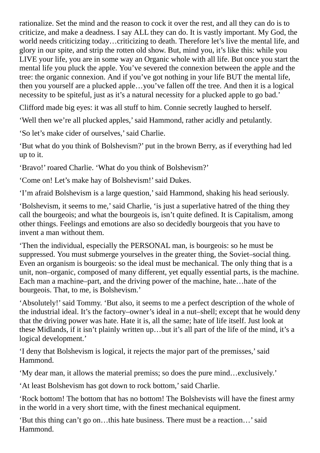rationalize. Set the mind and the reason to cock it over the rest, and all they can do is to criticize, and make a deadness. I say ALL they can do. It is vastly important. My God, the world needs criticizing today…criticizing to death. Therefore let's live the mental life, and glory in our spite, and strip the rotten old show. But, mind you, it's like this: while you LIVE your life, you are in some way an Organic whole with all life. But once you start the mental life you pluck the apple. You've severed the connexion between the apple and the tree: the organic connexion. And if you've got nothing in your life BUT the mental life, then you yourself are a plucked apple…you've fallen off the tree. And then it is a logical necessity to be spiteful, just as it's a natural necessity for a plucked apple to go bad.'

Clifford made big eyes: it was all stuff to him. Connie secretly laughed to herself.

'Well then we're all plucked apples,'said Hammond, rather acidly and petulantly.

'So let's make cider of ourselves,'said Charlie.

'But what do you think of Bolshevism?' put in the brown Berry, as if everything had led up to it.

'Bravo!' roared Charlie. 'What do you think of Bolshevism?'

'Come on! Let's make hay of Bolshevism!'said Dukes.

'I'm afraid Bolshevism is a large question,'said Hammond, shaking his head seriously.

'Bolshevism, it seems to me,'said Charlie, 'is just a superlative hatred of the thing they call the bourgeois; and what the bourgeois is, isn't quite defined. It is Capitalism, among other things. Feelings and emotions are also so decidedly bourgeois that you have to invent a man without them.

'Then the individual, especially the PERSONAL man, is bourgeois: so he must be suppressed. You must submerge yourselves in the greater thing, the Soviet–social thing. Even an organism is bourgeois: so the ideal must be mechanical. The only thing that is a unit, non–organic, composed of many different, yet equally essential parts, is the machine. Each man a machine–part, and the driving power of the machine, hate…hate of the bourgeois. That, to me, is Bolshevism.'

'Absolutely!'said Tommy. 'But also, it seems to me a perfect description of the whole of the industrial ideal. It's the factory–owner's ideal in a nut–shell; except that he would deny that the driving power was hate. Hate it is, all the same; hate of life itself. Just look at these Midlands, if it isn't plainly written up…but it's all part of the life of the mind, it's a logical development.'

'I deny that Bolshevism is logical, it rejects the major part of the premisses,'said Hammond.

'My dear man, it allows the material premiss; so does the pure mind…exclusively.'

'At least Bolshevism has got down to rock bottom,'said Charlie.

'Rock bottom! The bottom that has no bottom! The Bolshevists will have the finest army in the world in a very short time, with the finest mechanical equipment.

'But this thing can't go on…this hate business. There must be a reaction…'said Hammond.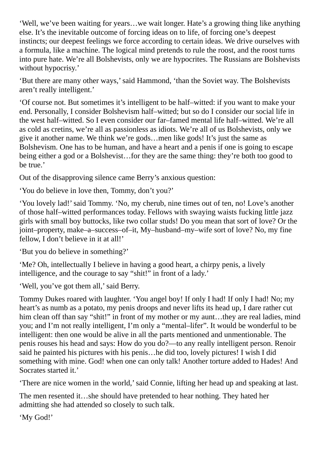'Well, we've been waiting for years…we wait longer. Hate's a growing thing like anything else. It's the inevitable outcome of forcing ideas on to life, of forcing one's deepest instincts; our deepest feelings we force according to certain ideas. We drive ourselves with a formula, like a machine. The logical mind pretends to rule the roost, and the roost turns into pure hate. We're all Bolshevists, only we are hypocrites. The Russians are Bolshevists without hypocrisy.'

'But there are many other ways,'said Hammond, 'than the Soviet way. The Bolshevists aren't really intelligent.'

'Of course not. But sometimes it's intelligent to be half–witted: if you want to make your end. Personally, I consider Bolshevism half–witted; but so do I consider our social life in the west half–witted. So I even consider our far–famed mental life half–witted. We're all as cold as cretins, we're all as passionless as idiots. We're all of us Bolshevists, only we give it another name. We think we're gods…men like gods! It's just the same as Bolshevism. One has to be human, and have a heart and a penis if one is going to escape being either a god or a Bolshevist…for they are the same thing: they're both too good to be true.'

Out of the disapproving silence came Berry's anxious question:

'You do believe in love then, Tommy, don't you?'

'You lovely lad!'said Tommy. 'No, my cherub, nine times out of ten, no! Love's another of those half–witted performances today. Fellows with swaying waists fucking little jazz girls with small boy buttocks, like two collar studs! Do you mean that sort of love? Or the joint–property, make–a–success–of–it, My–husband–my–wife sort of love? No, my fine fellow, I don't believe in it at all!'

'But you do believe in something?'

'Me? Oh, intellectually I believe in having a good heart, a chirpy penis, a lively intelligence, and the courage to say "shit!" in front of a lady.'

'Well, you've got them all,' said Berry.

Tommy Dukes roared with laughter. 'You angel boy! If only I had! If only I had! No; my heart's as numb as a potato, my penis droops and never lifts its head up, I dare rather cut him clean off than say "shit!" in front of my mother or my aunt...they are real ladies, mind you; and I'm not really intelligent, I'm only a "mental–lifer". It would be wonderful to be intelligent: then one would be alive in all the parts mentioned and unmentionable. The penis rouses his head and says: How do you do?—to any really intelligent person. Renoir said he painted his pictures with his penis…he did too, lovely pictures! I wish I did something with mine. God! when one can only talk! Another torture added to Hades! And Socrates started it.'

'There are nice women in the world,'said Connie, lifting her head up and speaking at last.

The men resented it…she should have pretended to hear nothing. They hated her admitting she had attended so closely to such talk.

'My God!'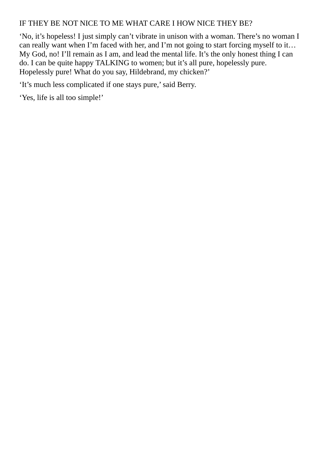#### IF THEY BE NOT NICE TO ME WHAT CARE I HOW NICE THEY BE?

'No, it's hopeless! I just simply can't vibrate in unison with a woman. There's no woman I can really want when I'm faced with her, and I'm not going to start forcing myself to it… My God, no! I'll remain as I am, and lead the mental life. It's the only honest thing I can do. I can be quite happy TALKING to women; but it's all pure, hopelessly pure. Hopelessly pure! What do you say, Hildebrand, my chicken?'

'It's much less complicated if one stays pure,'said Berry.

'Yes, life is all too simple!'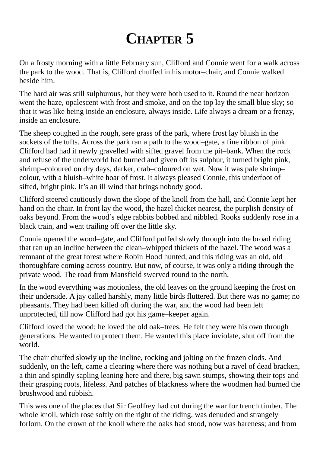## **CHAPTER 5**

<span id="page-29-0"></span>On a frosty morning with a little February sun, Clifford and Connie went for a walk across the park to the wood. That is, Clifford chuffed in his motor–chair, and Connie walked beside him.

The hard air was still sulphurous, but they were both used to it. Round the near horizon went the haze, opalescent with frost and smoke, and on the top lay the small blue sky; so that it was like being inside an enclosure, always inside. Life always a dream or a frenzy, inside an enclosure.

The sheep coughed in the rough, sere grass of the park, where frost lay bluish in the sockets of the tufts. Across the park ran a path to the wood–gate, a fine ribbon of pink. Clifford had had it newly gravelled with sifted gravel from the pit–bank. When the rock and refuse of the underworld had burned and given off its sulphur, it turned bright pink, shrimp–coloured on dry days, darker, crab–coloured on wet. Now it was pale shrimp– colour, with a bluish–white hoar of frost. It always pleased Connie, this underfoot of sifted, bright pink. It's an ill wind that brings nobody good.

Clifford steered cautiously down the slope of the knoll from the hall, and Connie kept her hand on the chair. In front lay the wood, the hazel thicket nearest, the purplish density of oaks beyond. From the wood's edge rabbits bobbed and nibbled. Rooks suddenly rose in a black train, and went trailing off over the little sky.

Connie opened the wood–gate, and Clifford puffed slowly through into the broad riding that ran up an incline between the clean–whipped thickets of the hazel. The wood was a remnant of the great forest where Robin Hood hunted, and this riding was an old, old thoroughfare coming across country. But now, of course, it was only a riding through the private wood. The road from Mansfield swerved round to the north.

In the wood everything was motionless, the old leaves on the ground keeping the frost on their underside. A jay called harshly, many little birds fluttered. But there was no game; no pheasants. They had been killed off during the war, and the wood had been left unprotected, till now Clifford had got his game–keeper again.

Clifford loved the wood; he loved the old oak–trees. He felt they were his own through generations. He wanted to protect them. He wanted this place inviolate, shut off from the world.

The chair chuffed slowly up the incline, rocking and jolting on the frozen clods. And suddenly, on the left, came a clearing where there was nothing but a ravel of dead bracken, a thin and spindly sapling leaning here and there, big sawn stumps, showing their tops and their grasping roots, lifeless. And patches of blackness where the woodmen had burned the brushwood and rubbish.

This was one of the places that Sir Geoffrey had cut during the war for trench timber. The whole knoll, which rose softly on the right of the riding, was denuded and strangely forlorn. On the crown of the knoll where the oaks had stood, now was bareness; and from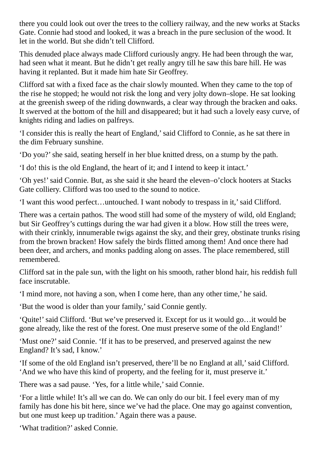there you could look out over the trees to the colliery railway, and the new works at Stacks Gate. Connie had stood and looked, it was a breach in the pure seclusion of the wood. It let in the world. But she didn't tell Clifford.

This denuded place always made Clifford curiously angry. He had been through the war, had seen what it meant. But he didn't get really angry till he saw this bare hill. He was having it replanted. But it made him hate Sir Geoffrey.

Clifford sat with a fixed face as the chair slowly mounted. When they came to the top of the rise he stopped; he would not risk the long and very jolty down–slope. He sat looking at the greenish sweep of the riding downwards, a clear way through the bracken and oaks. It swerved at the bottom of the hill and disappeared; but it had such a lovely easy curve, of knights riding and ladies on palfreys.

'I consider this is really the heart of England,'said Clifford to Connie, as he sat there in the dim February sunshine.

'Do you?'she said, seating herself in her blue knitted dress, on a stump by the path.

'I do! this is the old England, the heart of it; and I intend to keep it intact.'

'Oh yes!'said Connie. But, as she said it she heard the eleven–o'clock hooters at Stacks Gate colliery. Clifford was too used to the sound to notice.

'I want this wood perfect…untouched. I want nobody to trespass in it,'said Clifford.

There was a certain pathos. The wood still had some of the mystery of wild, old England; but Sir Geoffrey's cuttings during the war had given it a blow. How still the trees were, with their crinkly, innumerable twigs against the sky, and their grey, obstinate trunks rising from the brown bracken! How safely the birds flitted among them! And once there had been deer, and archers, and monks padding along on asses. The place remembered, still remembered.

Clifford sat in the pale sun, with the light on his smooth, rather blond hair, his reddish full face inscrutable.

'I mind more, not having a son, when I come here, than any other time,' he said.

'But the wood is older than your family,'said Connie gently.

'Quite!'said Clifford. 'But we've preserved it. Except for us it would go…it would be gone already, like the rest of the forest. One must preserve some of the old England!'

'Must one?'said Connie. 'If it has to be preserved, and preserved against the new England? It's sad, I know.'

'If some of the old England isn't preserved, there'll be no England at all,'said Clifford. 'And we who have this kind of property, and the feeling for it, must preserve it.'

There was a sad pause. 'Yes, for a little while,' said Connie.

'For a little while! It's all we can do. We can only do our bit. I feel every man of my family has done his bit here, since we've had the place. One may go against convention, but one must keep up tradition.' Again there was a pause.

'What tradition?' asked Connie.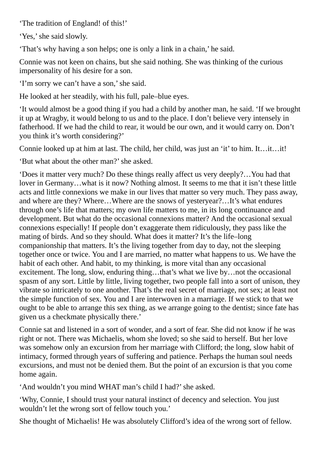'The tradition of England! of this!'

'Yes,' she said slowly.

'That's why having a son helps; one is only a link in a chain,' he said.

Connie was not keen on chains, but she said nothing. She was thinking of the curious impersonality of his desire for a son.

'I'm sorry we can't have a son,'she said.

He looked at her steadily, with his full, pale–blue eyes.

'It would almost be a good thing if you had a child by another man, he said. 'If we brought it up at Wragby, it would belong to us and to the place. I don't believe very intensely in fatherhood. If we had the child to rear, it would be our own, and it would carry on. Don't you think it's worth considering?'

Connie looked up at him at last. The child, her child, was just an 'it' to him. It…it…it!

'But what about the other man?'she asked.

'Does it matter very much? Do these things really affect us very deeply?…You had that lover in Germany…what is it now? Nothing almost. It seems to me that it isn't these little acts and little connexions we make in our lives that matter so very much. They pass away, and where are they? Where…Where are the snows of yesteryear?…It's what endures through one's life that matters; my own life matters to me, in its long continuance and development. But what do the occasional connexions matter? And the occasional sexual connexions especially! If people don't exaggerate them ridiculously, they pass like the mating of birds. And so they should. What does it matter? It's the life–long companionship that matters. It's the living together from day to day, not the sleeping together once or twice. You and I are married, no matter what happens to us. We have the habit of each other. And habit, to my thinking, is more vital than any occasional excitement. The long, slow, enduring thing…that's what we live by…not the occasional spasm of any sort. Little by little, living together, two people fall into a sort of unison, they vibrate so intricately to one another. That's the real secret of marriage, not sex; at least not the simple function of sex. You and I are interwoven in a marriage. If we stick to that we ought to be able to arrange this sex thing, as we arrange going to the dentist; since fate has given us a checkmate physically there.'

Connie sat and listened in a sort of wonder, and a sort of fear. She did not know if he was right or not. There was Michaelis, whom she loved; so she said to herself. But her love was somehow only an excursion from her marriage with Clifford; the long, slow habit of intimacy, formed through years of suffering and patience. Perhaps the human soul needs excursions, and must not be denied them. But the point of an excursion is that you come home again.

'And wouldn't you mind WHAT man's child I had?'she asked.

'Why, Connie, I should trust your natural instinct of decency and selection. You just wouldn't let the wrong sort of fellow touch you.'

She thought of Michaelis! He was absolutely Clifford's idea of the wrong sort of fellow.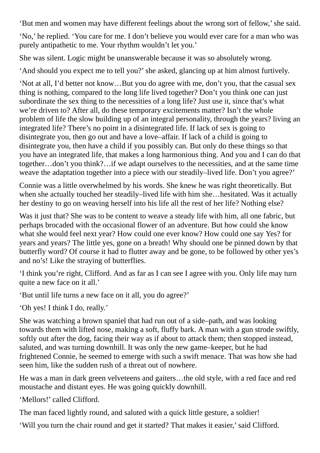'But men and women may have different feelings about the wrong sort of fellow,'she said.

'No,' he replied. 'You care for me. I don't believe you would ever care for a man who was purely antipathetic to me. Your rhythm wouldn't let you.'

She was silent. Logic might be unanswerable because it was so absolutely wrong.

'And should you expect me to tell you?'she asked, glancing up at him almost furtively.

'Not at all, I'd better not know…But you do agree with me, don't you, that the casual sex thing is nothing, compared to the long life lived together? Don't you think one can just subordinate the sex thing to the necessities of a long life? Just use it, since that's what we're driven to? After all, do these temporary excitements matter? Isn't the whole problem of life the slow building up of an integral personality, through the years? living an integrated life? There's no point in a disintegrated life. If lack of sex is going to disintegrate you, then go out and have a love–affair. If lack of a child is going to disintegrate you, then have a child if you possibly can. But only do these things so that you have an integrated life, that makes a long harmonious thing. And you and I can do that together…don't you think?…if we adapt ourselves to the necessities, and at the same time weave the adaptation together into a piece with our steadily–lived life. Don't you agree?'

Connie was a little overwhelmed by his words. She knew he was right theoretically. But when she actually touched her steadily–lived life with him she…hesitated. Was it actually her destiny to go on weaving herself into his life all the rest of her life? Nothing else?

Was it just that? She was to be content to weave a steady life with him, all one fabric, but perhaps brocaded with the occasional flower of an adventure. But how could she know what she would feel next year? How could one ever know? How could one say Yes? for years and years? The little yes, gone on a breath! Why should one be pinned down by that butterfly word? Of course it had to flutter away and be gone, to be followed by other yes's and no's! Like the straying of butterflies.

'I think you're right, Clifford. And as far as I can see I agree with you. Only life may turn quite a new face on it all.'

'But until life turns a new face on it all, you do agree?'

'Oh yes! I think I do, really.'

She was watching a brown spaniel that had run out of a side–path, and was looking towards them with lifted nose, making a soft, fluffy bark. A man with a gun strode swiftly, softly out after the dog, facing their way as if about to attack them; then stopped instead, saluted, and was turning downhill. It was only the new game–keeper, but he had frightened Connie, he seemed to emerge with such a swift menace. That was how she had seen him, like the sudden rush of a threat out of nowhere.

He was a man in dark green velveteens and gaiters…the old style, with a red face and red moustache and distant eyes. He was going quickly downhill.

'Mellors!' called Clifford.

The man faced lightly round, and saluted with a quick little gesture, a soldier!

'Will you turn the chair round and get it started? That makes it easier,'said Clifford.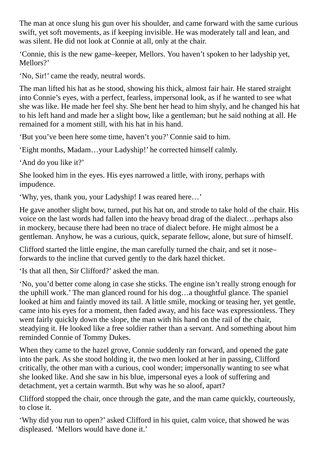The man at once slung his gun over his shoulder, and came forward with the same curious swift, yet soft movements, as if keeping invisible. He was moderately tall and lean, and was silent. He did not look at Connie at all, only at the chair.

'Connie, this is the new game–keeper, Mellors. You haven't spoken to her ladyship yet, Mellors?'

'No, Sir!' came the ready, neutral words.

The man lifted his hat as he stood, showing his thick, almost fair hair. He stared straight into Connie's eyes, with a perfect, fearless, impersonal look, as if he wanted to see what she was like. He made her feel shy. She bent her head to him shyly, and he changed his hat to his left hand and made her a slight bow, like a gentleman; but he said nothing at all. He remained for a moment still, with his hat in his hand.

'But you've been here some time, haven't you?' Connie said to him.

'Eight months, Madam…your Ladyship!' he corrected himself calmly.

'And do you like it?'

She looked him in the eyes. His eyes narrowed a little, with irony, perhaps with impudence.

'Why, yes, thank you, your Ladyship! I was reared here…'

He gave another slight bow, turned, put his hat on, and strode to take hold of the chair. His voice on the last words had fallen into the heavy broad drag of the dialect…perhaps also in mockery, because there had been no trace of dialect before. He might almost be a gentleman. Anyhow, he was a curious, quick, separate fellow, alone, but sure of himself.

Clifford started the little engine, the man carefully turned the chair, and set it nose– forwards to the incline that curved gently to the dark hazel thicket.

'Is that all then, Sir Clifford?' asked the man.

'No, you'd better come along in case she sticks. The engine isn't really strong enough for the uphill work.' The man glanced round for his dog…a thoughtful glance. The spaniel looked at him and faintly moved its tail. A little smile, mocking or teasing her, yet gentle, came into his eyes for a moment, then faded away, and his face was expressionless. They went fairly quickly down the slope, the man with his hand on the rail of the chair, steadying it. He looked like a free soldier rather than a servant. And something about him reminded Connie of Tommy Dukes.

When they came to the hazel grove, Connie suddenly ran forward, and opened the gate into the park. As she stood holding it, the two men looked at her in passing, Clifford critically, the other man with a curious, cool wonder; impersonally wanting to see what she looked like. And she saw in his blue, impersonal eyes a look of suffering and detachment, yet a certain warmth. But why was he so aloof, apart?

Clifford stopped the chair, once through the gate, and the man came quickly, courteously, to close it.

'Why did you run to open?' asked Clifford in his quiet, calm voice, that showed he was displeased. 'Mellors would have done it.'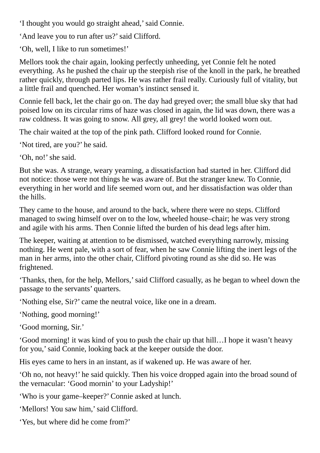'I thought you would go straight ahead,'said Connie.

'And leave you to run after us?' said Clifford.

'Oh, well, I like to run sometimes!'

Mellors took the chair again, looking perfectly unheeding, yet Connie felt he noted everything. As he pushed the chair up the steepish rise of the knoll in the park, he breathed rather quickly, through parted lips. He was rather frail really. Curiously full of vitality, but a little frail and quenched. Her woman's instinct sensed it.

Connie fell back, let the chair go on. The day had greyed over; the small blue sky that had poised low on its circular rims of haze was closed in again, the lid was down, there was a raw coldness. It was going to snow. All grey, all grey! the world looked worn out.

The chair waited at the top of the pink path. Clifford looked round for Connie.

'Not tired, are you?' he said.

'Oh, no!' she said.

But she was. A strange, weary yearning, a dissatisfaction had started in her. Clifford did not notice: those were not things he was aware of. But the stranger knew. To Connie, everything in her world and life seemed worn out, and her dissatisfaction was older than the hills.

They came to the house, and around to the back, where there were no steps. Clifford managed to swing himself over on to the low, wheeled house–chair; he was very strong and agile with his arms. Then Connie lifted the burden of his dead legs after him.

The keeper, waiting at attention to be dismissed, watched everything narrowly, missing nothing. He went pale, with a sort of fear, when he saw Connie lifting the inert legs of the man in her arms, into the other chair, Clifford pivoting round as she did so. He was frightened.

'Thanks, then, for the help, Mellors,'said Clifford casually, as he began to wheel down the passage to the servants' quarters.

'Nothing else, Sir?' came the neutral voice, like one in a dream.

'Nothing, good morning!'

'Good morning, Sir.'

'Good morning! it was kind of you to push the chair up that hill…I hope it wasn't heavy for you,'said Connie, looking back at the keeper outside the door.

His eyes came to hers in an instant, as if wakened up. He was aware of her.

'Oh no, not heavy!' he said quickly. Then his voice dropped again into the broad sound of the vernacular: 'Good mornin' to your Ladyship!'

'Who is your game–keeper?' Connie asked at lunch.

'Mellors! You saw him,' said Clifford.

'Yes, but where did he come from?'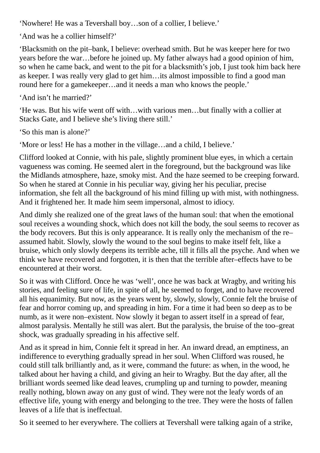'Nowhere! He was a Tevershall boy…son of a collier, I believe.'

'And was he a collier himself?'

'Blacksmith on the pit–bank, I believe: overhead smith. But he was keeper here for two years before the war…before he joined up. My father always had a good opinion of him, so when he came back, and went to the pit for a blacksmith's job, I just took him back here as keeper. I was really very glad to get him…its almost impossible to find a good man round here for a gamekeeper…and it needs a man who knows the people.'

'And isn't he married?'

'He was. But his wife went off with…with various men…but finally with a collier at Stacks Gate, and I believe she's living there still.'

'So this man is alone?'

'More or less! He has a mother in the village…and a child, I believe.'

Clifford looked at Connie, with his pale, slightly prominent blue eyes, in which a certain vagueness was coming. He seemed alert in the foreground, but the background was like the Midlands atmosphere, haze, smoky mist. And the haze seemed to be creeping forward. So when he stared at Connie in his peculiar way, giving her his peculiar, precise information, she felt all the background of his mind filling up with mist, with nothingness. And it frightened her. It made him seem impersonal, almost to idiocy.

And dimly she realized one of the great laws of the human soul: that when the emotional soul receives a wounding shock, which does not kill the body, the soul seems to recover as the body recovers. But this is only appearance. It is really only the mechanism of the re– assumed habit. Slowly, slowly the wound to the soul begins to make itself felt, like a bruise, which only slowly deepens its terrible ache, till it fills all the psyche. And when we think we have recovered and forgotten, it is then that the terrible after–effects have to be encountered at their worst.

So it was with Clifford. Once he was 'well', once he was back at Wragby, and writing his stories, and feeling sure of life, in spite of all, he seemed to forget, and to have recovered all his equanimity. But now, as the years went by, slowly, slowly, Connie felt the bruise of fear and horror coming up, and spreading in him. For a time it had been so deep as to be numb, as it were non–existent. Now slowly it began to assert itself in a spread of fear, almost paralysis. Mentally he still was alert. But the paralysis, the bruise of the too–great shock, was gradually spreading in his affective self.

And as it spread in him, Connie felt it spread in her. An inward dread, an emptiness, an indifference to everything gradually spread in her soul. When Clifford was roused, he could still talk brilliantly and, as it were, command the future: as when, in the wood, he talked about her having a child, and giving an heir to Wragby. But the day after, all the brilliant words seemed like dead leaves, crumpling up and turning to powder, meaning really nothing, blown away on any gust of wind. They were not the leafy words of an effective life, young with energy and belonging to the tree. They were the hosts of fallen leaves of a life that is ineffectual.

So it seemed to her everywhere. The colliers at Tevershall were talking again of a strike,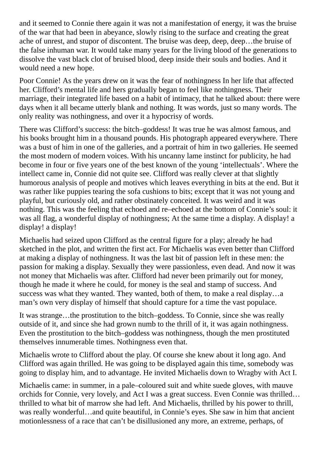and it seemed to Connie there again it was not a manifestation of energy, it was the bruise of the war that had been in abeyance, slowly rising to the surface and creating the great ache of unrest, and stupor of discontent. The bruise was deep, deep, deep…the bruise of the false inhuman war. It would take many years for the living blood of the generations to dissolve the vast black clot of bruised blood, deep inside their souls and bodies. And it would need a new hope.

Poor Connie! As the years drew on it was the fear of nothingness In her life that affected her. Clifford's mental life and hers gradually began to feel like nothingness. Their marriage, their integrated life based on a habit of intimacy, that he talked about: there were days when it all became utterly blank and nothing. It was words, just so many words. The only reality was nothingness, and over it a hypocrisy of words.

There was Clifford's success: the bitch–goddess! It was true he was almost famous, and his books brought him in a thousand pounds. His photograph appeared everywhere. There was a bust of him in one of the galleries, and a portrait of him in two galleries. He seemed the most modern of modern voices. With his uncanny lame instinct for publicity, he had become in four or five years one of the best known of the young 'intellectuals'. Where the intellect came in, Connie did not quite see. Clifford was really clever at that slightly humorous analysis of people and motives which leaves everything in bits at the end. But it was rather like puppies tearing the sofa cushions to bits; except that it was not young and playful, but curiously old, and rather obstinately conceited. It was weird and it was nothing. This was the feeling that echoed and re–echoed at the bottom of Connie's soul: it was all flag, a wonderful display of nothingness; At the same time a display. A display! a display! a display!

Michaelis had seized upon Clifford as the central figure for a play; already he had sketched in the plot, and written the first act. For Michaelis was even better than Clifford at making a display of nothingness. It was the last bit of passion left in these men: the passion for making a display. Sexually they were passionless, even dead. And now it was not money that Michaelis was after. Clifford had never been primarily out for money, though he made it where he could, for money is the seal and stamp of success. And success was what they wanted. They wanted, both of them, to make a real display…a man's own very display of himself that should capture for a time the vast populace.

It was strange…the prostitution to the bitch–goddess. To Connie, since she was really outside of it, and since she had grown numb to the thrill of it, it was again nothingness. Even the prostitution to the bitch–goddess was nothingness, though the men prostituted themselves innumerable times. Nothingness even that.

Michaelis wrote to Clifford about the play. Of course she knew about it long ago. And Clifford was again thrilled. He was going to be displayed again this time, somebody was going to display him, and to advantage. He invited Michaelis down to Wragby with Act I.

Michaelis came: in summer, in a pale–coloured suit and white suede gloves, with mauve orchids for Connie, very lovely, and Act I was a great success. Even Connie was thrilled… thrilled to what bit of marrow she had left. And Michaelis, thrilled by his power to thrill, was really wonderful…and quite beautiful, in Connie's eyes. She saw in him that ancient motionlessness of a race that can't be disillusioned any more, an extreme, perhaps, of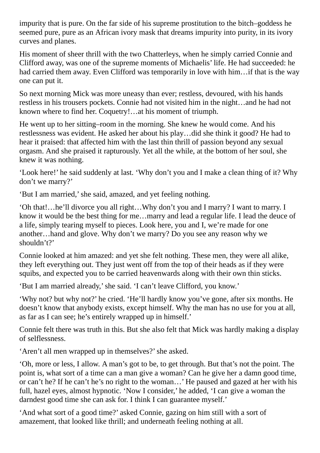impurity that is pure. On the far side of his supreme prostitution to the bitch–goddess he seemed pure, pure as an African ivory mask that dreams impurity into purity, in its ivory curves and planes.

His moment of sheer thrill with the two Chatterleys, when he simply carried Connie and Clifford away, was one of the supreme moments of Michaelis' life. He had succeeded: he had carried them away. Even Clifford was temporarily in love with him...if that is the way one can put it.

So next morning Mick was more uneasy than ever; restless, devoured, with his hands restless in his trousers pockets. Connie had not visited him in the night…and he had not known where to find her. Coquetry!…at his moment of triumph.

He went up to her sitting–room in the morning. She knew he would come. And his restlessness was evident. He asked her about his play…did she think it good? He had to hear it praised: that affected him with the last thin thrill of passion beyond any sexual orgasm. And she praised it rapturously. Yet all the while, at the bottom of her soul, she knew it was nothing.

'Look here!' he said suddenly at last. 'Why don't you and I make a clean thing of it? Why don't we marry?'

'But I am married,'she said, amazed, and yet feeling nothing.

'Oh that!…he'll divorce you all right…Why don't you and I marry? I want to marry. I know it would be the best thing for me…marry and lead a regular life. I lead the deuce of a life, simply tearing myself to pieces. Look here, you and I, we're made for one another…hand and glove. Why don't we marry? Do you see any reason why we shouldn't?'

Connie looked at him amazed: and yet she felt nothing. These men, they were all alike, they left everything out. They just went off from the top of their heads as if they were squibs, and expected you to be carried heavenwards along with their own thin sticks.

'But I am married already,'she said. 'I can't leave Clifford, you know.'

'Why not? but why not?' he cried. 'He'll hardly know you've gone, after six months. He doesn't know that anybody exists, except himself. Why the man has no use for you at all, as far as I can see; he's entirely wrapped up in himself.'

Connie felt there was truth in this. But she also felt that Mick was hardly making a display of selflessness.

'Aren't all men wrapped up in themselves?'she asked.

'Oh, more or less, I allow. A man's got to be, to get through. But that's not the point. The point is, what sort of a time can a man give a woman? Can he give her a damn good time, or can't he? If he can't he's no right to the woman…' He paused and gazed at her with his full, hazel eyes, almost hypnotic. 'Now I consider,' he added, 'I can give a woman the darndest good time she can ask for. I think I can guarantee myself.'

'And what sort of a good time?' asked Connie, gazing on him still with a sort of amazement, that looked like thrill; and underneath feeling nothing at all.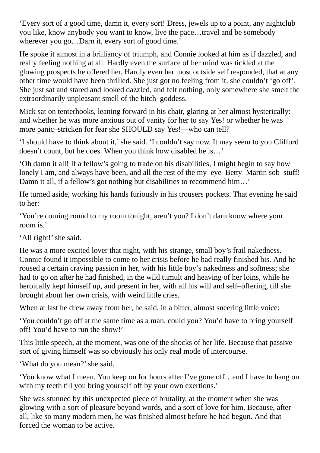'Every sort of a good time, damn it, every sort! Dress, jewels up to a point, any nightclub you like, know anybody you want to know, live the pace…travel and be somebody wherever you go…Darn it, every sort of good time.'

He spoke it almost in a brilliancy of triumph, and Connie looked at him as if dazzled, and really feeling nothing at all. Hardly even the surface of her mind was tickled at the glowing prospects he offered her. Hardly even her most outside self responded, that at any other time would have been thrilled. She just got no feeling from it, she couldn't 'go off'. She just sat and stared and looked dazzled, and felt nothing, only somewhere she smelt the extraordinarily unpleasant smell of the bitch–goddess.

Mick sat on tenterhooks, leaning forward in his chair, glaring at her almost hysterically: and whether he was more anxious out of vanity for her to say Yes! or whether he was more panic–stricken for fear she SHOULD say Yes!—who can tell?

'I should have to think about it,'she said. 'I couldn't say now. It may seem to you Clifford doesn't count, but he does. When you think how disabled he is…'

'Oh damn it all! If a fellow's going to trade on his disabilities, I might begin to say how lonely I am, and always have been, and all the rest of the my–eye–Betty–Martin sob–stuff! Damn it all, if a fellow's got nothing but disabilities to recommend him…'

He turned aside, working his hands furiously in his trousers pockets. That evening he said to her:

'You're coming round to my room tonight, aren't you? I don't darn know where your room is.'

'All right!' she said.

He was a more excited lover that night, with his strange, small boy's frail nakedness. Connie found it impossible to come to her crisis before he had really finished his. And he roused a certain craving passion in her, with his little boy's nakedness and softness; she had to go on after he had finished, in the wild tumult and heaving of her loins, while he heroically kept himself up, and present in her, with all his will and self–offering, till she brought about her own crisis, with weird little cries.

When at last he drew away from her, he said, in a bitter, almost sneering little voice:

'You couldn't go off at the same time as a man, could you? You'd have to bring yourself off! You'd have to run the show!'

This little speech, at the moment, was one of the shocks of her life. Because that passive sort of giving himself was so obviously his only real mode of intercourse.

'What do you mean?'she said.

'You know what I mean. You keep on for hours after I've gone off…and I have to hang on with my teeth till you bring yourself off by your own exertions.'

She was stunned by this unexpected piece of brutality, at the moment when she was glowing with a sort of pleasure beyond words, and a sort of love for him. Because, after all, like so many modern men, he was finished almost before he had begun. And that forced the woman to be active.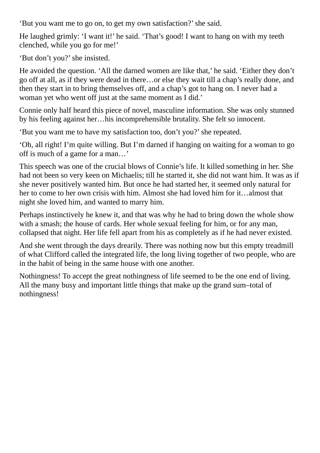'But you want me to go on, to get my own satisfaction?'she said.

He laughed grimly: 'I want it!' he said. 'That's good! I want to hang on with my teeth clenched, while you go for me!'

'But don't you?'she insisted.

He avoided the question. 'All the darned women are like that,' he said. 'Either they don't go off at all, as if they were dead in there…or else they wait till a chap's really done, and then they start in to bring themselves off, and a chap's got to hang on. I never had a woman yet who went off just at the same moment as I did.'

Connie only half heard this piece of novel, masculine information. She was only stunned by his feeling against her…his incomprehensible brutality. She felt so innocent.

'But you want me to have my satisfaction too, don't you?'she repeated.

'Oh, all right! I'm quite willing. But I'm darned if hanging on waiting for a woman to go off is much of a game for a man…'

This speech was one of the crucial blows of Connie's life. It killed something in her. She had not been so very keen on Michaelis; till he started it, she did not want him. It was as if she never positively wanted him. But once he had started her, it seemed only natural for her to come to her own crisis with him. Almost she had loved him for it…almost that night she loved him, and wanted to marry him.

Perhaps instinctively he knew it, and that was why he had to bring down the whole show with a smash; the house of cards. Her whole sexual feeling for him, or for any man, collapsed that night. Her life fell apart from his as completely as if he had never existed.

And she went through the days drearily. There was nothing now but this empty treadmill of what Clifford called the integrated life, the long living together of two people, who are in the habit of being in the same house with one another.

Nothingness! To accept the great nothingness of life seemed to be the one end of living. All the many busy and important little things that make up the grand sum–total of nothingness!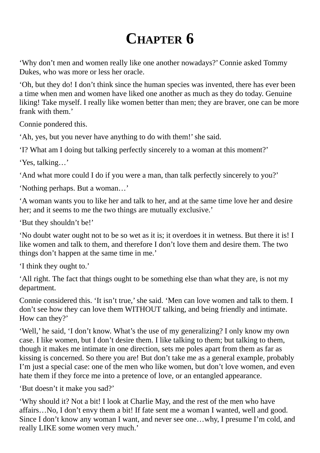## **CHAPTER 6**

'Why don't men and women really like one another nowadays?' Connie asked Tommy Dukes, who was more or less her oracle.

'Oh, but they do! I don't think since the human species was invented, there has ever been a time when men and women have liked one another as much as they do today. Genuine liking! Take myself. I really like women better than men; they are braver, one can be more frank with them.'

Connie pondered this.

'Ah, yes, but you never have anything to do with them!' she said.

'I? What am I doing but talking perfectly sincerely to a woman at this moment?'

'Yes, talking…'

'And what more could I do if you were a man, than talk perfectly sincerely to you?'

'Nothing perhaps. But a woman…'

'A woman wants you to like her and talk to her, and at the same time love her and desire her; and it seems to me the two things are mutually exclusive.'

'But they shouldn't be!'

'No doubt water ought not to be so wet as it is; it overdoes it in wetness. But there it is! I like women and talk to them, and therefore I don't love them and desire them. The two things don't happen at the same time in me.'

'I think they ought to.'

'All right. The fact that things ought to be something else than what they are, is not my department.

Connie considered this. 'It isn't true,'she said. 'Men can love women and talk to them. I don't see how they can love them WITHOUT talking, and being friendly and intimate. How can they?'

'Well,' he said, 'I don't know. What's the use of my generalizing? I only know my own case. I like women, but I don't desire them. I like talking to them; but talking to them, though it makes me intimate in one direction, sets me poles apart from them as far as kissing is concerned. So there you are! But don't take me as a general example, probably I'm just a special case: one of the men who like women, but don't love women, and even hate them if they force me into a pretence of love, or an entangled appearance.

'But doesn't it make you sad?'

'Why should it? Not a bit! I look at Charlie May, and the rest of the men who have affairs…No, I don't envy them a bit! If fate sent me a woman I wanted, well and good. Since I don't know any woman I want, and never see one…why, I presume I'm cold, and really LIKE some women very much.'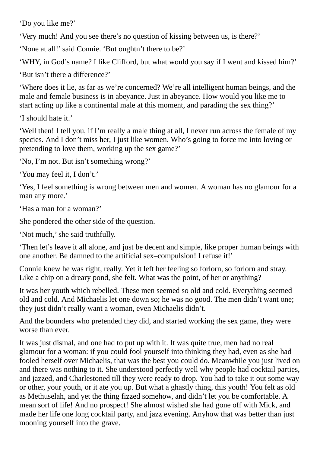'Do you like me?'

'Very much! And you see there's no question of kissing between us, is there?'

'None at all!'said Connie. 'But oughtn't there to be?'

'WHY, in God's name? I like Clifford, but what would you say if I went and kissed him?'

'But isn't there a difference?'

'Where does it lie, as far as we're concerned? We're all intelligent human beings, and the male and female business is in abeyance. Just in abeyance. How would you like me to start acting up like a continental male at this moment, and parading the sex thing?'

'I should hate it.'

'Well then! I tell you, if I'm really a male thing at all, I never run across the female of my species. And I don't miss her, I just like women. Who's going to force me into loving or pretending to love them, working up the sex game?'

'No, I'm not. But isn't something wrong?'

'You may feel it, I don't.'

'Yes, I feel something is wrong between men and women. A woman has no glamour for a man any more.'

'Has a man for a woman?'

She pondered the other side of the question.

'Not much,'she said truthfully.

'Then let's leave it all alone, and just be decent and simple, like proper human beings with one another. Be damned to the artificial sex–compulsion! I refuse it!'

Connie knew he was right, really. Yet it left her feeling so forlorn, so forlorn and stray. Like a chip on a dreary pond, she felt. What was the point, of her or anything?

It was her youth which rebelled. These men seemed so old and cold. Everything seemed old and cold. And Michaelis let one down so; he was no good. The men didn't want one; they just didn't really want a woman, even Michaelis didn't.

And the bounders who pretended they did, and started working the sex game, they were worse than ever.

It was just dismal, and one had to put up with it. It was quite true, men had no real glamour for a woman: if you could fool yourself into thinking they had, even as she had fooled herself over Michaelis, that was the best you could do. Meanwhile you just lived on and there was nothing to it. She understood perfectly well why people had cocktail parties, and jazzed, and Charlestoned till they were ready to drop. You had to take it out some way or other, your youth, or it ate you up. But what a ghastly thing, this youth! You felt as old as Methuselah, and yet the thing fizzed somehow, and didn't let you be comfortable. A mean sort of life! And no prospect! She almost wished she had gone off with Mick, and made her life one long cocktail party, and jazz evening. Anyhow that was better than just mooning yourself into the grave.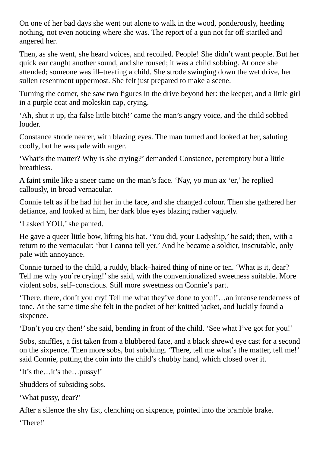On one of her bad days she went out alone to walk in the wood, ponderously, heeding nothing, not even noticing where she was. The report of a gun not far off startled and angered her.

Then, as she went, she heard voices, and recoiled. People! She didn't want people. But her quick ear caught another sound, and she roused; it was a child sobbing. At once she attended; someone was ill–treating a child. She strode swinging down the wet drive, her sullen resentment uppermost. She felt just prepared to make a scene.

Turning the corner, she saw two figures in the drive beyond her: the keeper, and a little girl in a purple coat and moleskin cap, crying.

'Ah, shut it up, tha false little bitch!' came the man's angry voice, and the child sobbed louder.

Constance strode nearer, with blazing eyes. The man turned and looked at her, saluting coolly, but he was pale with anger.

'What's the matter? Why is she crying?' demanded Constance, peremptory but a little breathless.

A faint smile like a sneer came on the man's face. 'Nay, yo mun ax 'er,' he replied callously, in broad vernacular.

Connie felt as if he had hit her in the face, and she changed colour. Then she gathered her defiance, and looked at him, her dark blue eyes blazing rather vaguely.

'I asked YOU,'she panted.

He gave a queer little bow, lifting his hat. 'You did, your Ladyship,' he said; then, with a return to the vernacular: 'but I canna tell yer.' And he became a soldier, inscrutable, only pale with annoyance.

Connie turned to the child, a ruddy, black–haired thing of nine or ten. 'What is it, dear? Tell me why you're crying!' she said, with the conventionalized sweetness suitable. More violent sobs, self–conscious. Still more sweetness on Connie's part.

'There, there, don't you cry! Tell me what they've done to you!'…an intense tenderness of tone. At the same time she felt in the pocket of her knitted jacket, and luckily found a sixpence.

'Don't you cry then!' she said, bending in front of the child. 'See what I've got for you!'

Sobs, snuffles, a fist taken from a blubbered face, and a black shrewd eye cast for a second on the sixpence. Then more sobs, but subduing. 'There, tell me what's the matter, tell me!' said Connie, putting the coin into the child's chubby hand, which closed over it.

'It's the…it's the…pussy!'

Shudders of subsiding sobs.

'What pussy, dear?'

After a silence the shy fist, clenching on sixpence, pointed into the bramble brake.

'There!'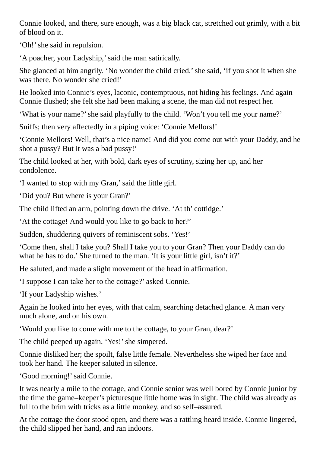Connie looked, and there, sure enough, was a big black cat, stretched out grimly, with a bit of blood on it.

'Oh!' she said in repulsion.

'A poacher, your Ladyship,'said the man satirically.

She glanced at him angrily. 'No wonder the child cried,' she said, 'if you shot it when she was there. No wonder she cried!'

He looked into Connie's eyes, laconic, contemptuous, not hiding his feelings. And again Connie flushed; she felt she had been making a scene, the man did not respect her.

'What is your name?'she said playfully to the child. 'Won't you tell me your name?'

Sniffs; then very affectedly in a piping voice: 'Connie Mellors!'

'Connie Mellors! Well, that's a nice name! And did you come out with your Daddy, and he shot a pussy? But it was a bad pussy!'

The child looked at her, with bold, dark eyes of scrutiny, sizing her up, and her condolence.

'I wanted to stop with my Gran,'said the little girl.

'Did you? But where is your Gran?'

The child lifted an arm, pointing down the drive. 'At th' cottidge.'

'At the cottage! And would you like to go back to her?'

Sudden, shuddering quivers of reminiscent sobs. 'Yes!'

'Come then, shall I take you? Shall I take you to your Gran? Then your Daddy can do what he has to do.' She turned to the man. 'It is your little girl, isn't it?'

He saluted, and made a slight movement of the head in affirmation.

'I suppose I can take her to the cottage?' asked Connie.

'If your Ladyship wishes.'

Again he looked into her eyes, with that calm, searching detached glance. A man very much alone, and on his own.

'Would you like to come with me to the cottage, to your Gran, dear?'

The child peeped up again. 'Yes!' she simpered.

Connie disliked her; the spoilt, false little female. Nevertheless she wiped her face and took her hand. The keeper saluted in silence.

'Good morning!'said Connie.

It was nearly a mile to the cottage, and Connie senior was well bored by Connie junior by the time the game–keeper's picturesque little home was in sight. The child was already as full to the brim with tricks as a little monkey, and so self–assured.

At the cottage the door stood open, and there was a rattling heard inside. Connie lingered, the child slipped her hand, and ran indoors.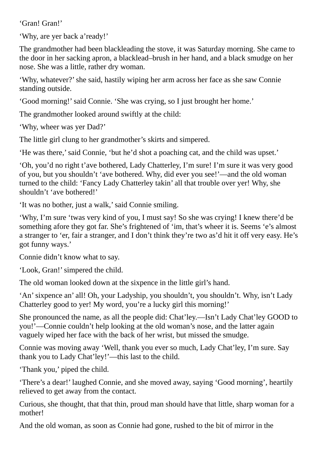'Gran! Gran!'

'Why, are yer back a'ready!'

The grandmother had been blackleading the stove, it was Saturday morning. She came to the door in her sacking apron, a blacklead–brush in her hand, and a black smudge on her nose. She was a little, rather dry woman.

'Why, whatever?'she said, hastily wiping her arm across her face as she saw Connie standing outside.

'Good morning!'said Connie. 'She was crying, so I just brought her home.'

The grandmother looked around swiftly at the child:

'Why, wheer was yer Dad?'

The little girl clung to her grandmother's skirts and simpered.

'He was there,'said Connie, 'but he'd shot a poaching cat, and the child was upset.'

'Oh, you'd no right t'ave bothered, Lady Chatterley, I'm sure! I'm sure it was very good of you, but you shouldn't 'ave bothered. Why, did ever you see!'—and the old woman turned to the child: 'Fancy Lady Chatterley takin' all that trouble over yer! Why, she shouldn't 'ave bothered!'

'It was no bother, just a walk,'said Connie smiling.

'Why, I'm sure 'twas very kind of you, I must say! So she was crying! I knew there'd be something afore they got far. She's frightened of 'im, that's wheer it is. Seems 'e's almost a stranger to 'er, fair a stranger, and I don't think they're two as'd hit it off very easy. He's got funny ways.'

Connie didn't know what to say.

'Look, Gran!'simpered the child.

The old woman looked down at the sixpence in the little girl's hand.

'An'sixpence an' all! Oh, your Ladyship, you shouldn't, you shouldn't. Why, isn't Lady Chatterley good to yer! My word, you're a lucky girl this morning!'

She pronounced the name, as all the people did: Chat'ley.—Isn't Lady Chat'ley GOOD to you!'—Connie couldn't help looking at the old woman's nose, and the latter again vaguely wiped her face with the back of her wrist, but missed the smudge.

Connie was moving away 'Well, thank you ever so much, Lady Chat'ley, I'm sure. Say thank you to Lady Chat'ley!'—this last to the child.

'Thank you,' piped the child.

'There's a dear!' laughed Connie, and she moved away, saying 'Good morning', heartily relieved to get away from the contact.

Curious, she thought, that that thin, proud man should have that little, sharp woman for a mother!

And the old woman, as soon as Connie had gone, rushed to the bit of mirror in the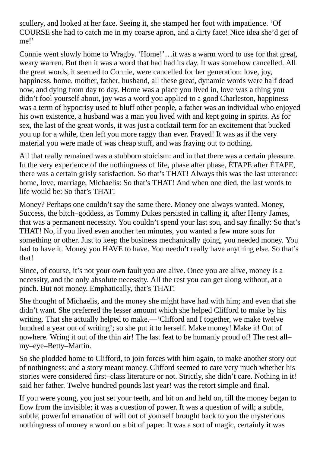scullery, and looked at her face. Seeing it, she stamped her foot with impatience. 'Of COURSE she had to catch me in my coarse apron, and a dirty face! Nice idea she'd get of me!'

Connie went slowly home to Wragby. 'Home!'…it was a warm word to use for that great, weary warren. But then it was a word that had had its day. It was somehow cancelled. All the great words, it seemed to Connie, were cancelled for her generation: love, joy, happiness, home, mother, father, husband, all these great, dynamic words were half dead now, and dying from day to day. Home was a place you lived in, love was a thing you didn't fool yourself about, joy was a word you applied to a good Charleston, happiness was a term of hypocrisy used to bluff other people, a father was an individual who enjoyed his own existence, a husband was a man you lived with and kept going in spirits. As for sex, the last of the great words, it was just a cocktail term for an excitement that bucked you up for a while, then left you more raggy than ever. Frayed! It was as if the very material you were made of was cheap stuff, and was fraying out to nothing.

All that really remained was a stubborn stoicism: and in that there was a certain pleasure. In the very experience of the nothingness of life, phase after phase, ÉTAPE after ÉTAPE, there was a certain grisly satisfaction. So that's THAT! Always this was the last utterance: home, love, marriage, Michaelis: So that's THAT! And when one died, the last words to life would be: So that's THAT!

Money? Perhaps one couldn't say the same there. Money one always wanted. Money, Success, the bitch–goddess, as Tommy Dukes persisted in calling it, after Henry James, that was a permanent necessity. You couldn't spend your last sou, and say finally: So that's THAT! No, if you lived even another ten minutes, you wanted a few more sous for something or other. Just to keep the business mechanically going, you needed money. You had to have it. Money you HAVE to have. You needn't really have anything else. So that's that!

Since, of course, it's not your own fault you are alive. Once you are alive, money is a necessity, and the only absolute necessity. All the rest you can get along without, at a pinch. But not money. Emphatically, that's THAT!

She thought of Michaelis, and the money she might have had with him; and even that she didn't want. She preferred the lesser amount which she helped Clifford to make by his writing. That she actually helped to make.—'Clifford and I together, we make twelve hundred a year out of writing'; so she put it to herself. Make money! Make it! Out of nowhere. Wring it out of the thin air! The last feat to be humanly proud of! The rest all– my–eye–Betty–Martin.

So she plodded home to Clifford, to join forces with him again, to make another story out of nothingness: and a story meant money. Clifford seemed to care very much whether his stories were considered first–class literature or not. Strictly, she didn't care. Nothing in it! said her father. Twelve hundred pounds last year! was the retort simple and final.

If you were young, you just set your teeth, and bit on and held on, till the money began to flow from the invisible; it was a question of power. It was a question of will; a subtle, subtle, powerful emanation of will out of yourself brought back to you the mysterious nothingness of money a word on a bit of paper. It was a sort of magic, certainly it was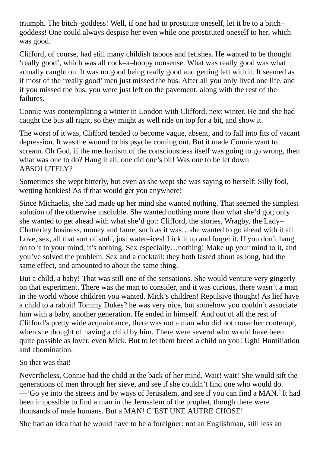triumph. The bitch–goddess! Well, if one had to prostitute oneself, let it be to a bitch– goddess! One could always despise her even while one prostituted oneself to her, which was good.

Clifford, of course, had still many childish taboos and fetishes. He wanted to be thought 'really good', which was all cock–a–hoopy nonsense. What was really good was what actually caught on. It was no good being really good and getting left with it. It seemed as if most of the 'really good' men just missed the bus. After all you only lived one life, and if you missed the bus, you were just left on the pavement, along with the rest of the failures.

Connie was contemplating a winter in London with Clifford, next winter. He and she had caught the bus all right, so they might as well ride on top for a bit, and show it.

The worst of it was, Clifford tended to become vague, absent, and to fall into fits of vacant depression. It was the wound to his psyche coming out. But it made Connie want to scream. Oh God, if the mechanism of the consciousness itself was going to go wrong, then what was one to do? Hang it all, one did one's bit! Was one to be let down ABSOLUTELY?

Sometimes she wept bitterly, but even as she wept she was saying to herself: Silly fool, wetting hankies! As if that would get you anywhere!

Since Michaelis, she had made up her mind she wanted nothing. That seemed the simplest solution of the otherwise insoluble. She wanted nothing more than what she'd got; only she wanted to get ahead with what she'd got: Clifford, the stories, Wragby, the Lady– Chatterley business, money and fame, such as it was…she wanted to go ahead with it all. Love, sex, all that sort of stuff, just water–ices! Lick it up and forget it. If you don't hang on to it in your mind, it's nothing. Sex especially…nothing! Make up your mind to it, and you've solved the problem. Sex and a cocktail: they both lasted about as long, had the same effect, and amounted to about the same thing.

But a child, a baby! That was still one of the sensations. She would venture very gingerly on that experiment. There was the man to consider, and it was curious, there wasn't a man in the world whose children you wanted. Mick's children! Repulsive thought! As lief have a child to a rabbit! Tommy Dukes? he was very nice, but somehow you couldn't associate him with a baby, another generation. He ended in himself. And out of all the rest of Clifford's pretty wide acquaintance, there was not a man who did not rouse her contempt, when she thought of having a child by him. There were several who would have been quite possible as lover, even Mick. But to let them breed a child on you! Ugh! Humiliation and abomination.

## So that was that!

Nevertheless, Connie had the child at the back of her mind. Wait! wait! She would sift the generations of men through her sieve, and see if she couldn't find one who would do. —'Go ye into the streets and by ways of Jerusalem, and see if you can find a MAN.' It had been impossible to find a man in the Jerusalem of the prophet, though there were thousands of male humans. But a MAN! C'EST UNE AUTRE CHOSE!

She had an idea that he would have to be a foreigner: not an Englishman, still less an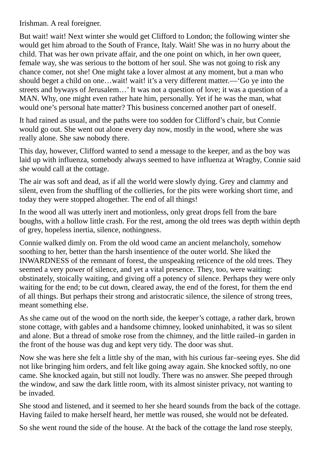Irishman. A real foreigner.

But wait! wait! Next winter she would get Clifford to London; the following winter she would get him abroad to the South of France, Italy. Wait! She was in no hurry about the child. That was her own private affair, and the one point on which, in her own queer, female way, she was serious to the bottom of her soul. She was not going to risk any chance comer, not she! One might take a lover almost at any moment, but a man who should beget a child on one…wait! wait! it's a very different matter.—'Go ye into the streets and byways of Jerusalem…' It was not a question of love; it was a question of a MAN. Why, one might even rather hate him, personally. Yet if he was the man, what would one's personal hate matter? This business concerned another part of oneself.

It had rained as usual, and the paths were too sodden for Clifford's chair, but Connie would go out. She went out alone every day now, mostly in the wood, where she was really alone. She saw nobody there.

This day, however, Clifford wanted to send a message to the keeper, and as the boy was laid up with influenza, somebody always seemed to have influenza at Wragby, Connie said she would call at the cottage.

The air was soft and dead, as if all the world were slowly dying. Grey and clammy and silent, even from the shuffling of the collieries, for the pits were working short time, and today they were stopped altogether. The end of all things!

In the wood all was utterly inert and motionless, only great drops fell from the bare boughs, with a hollow little crash. For the rest, among the old trees was depth within depth of grey, hopeless inertia, silence, nothingness.

Connie walked dimly on. From the old wood came an ancient melancholy, somehow soothing to her, better than the harsh insentience of the outer world. She liked the INWARDNESS of the remnant of forest, the unspeaking reticence of the old trees. They seemed a very power of silence, and yet a vital presence. They, too, were waiting: obstinately, stoically waiting, and giving off a potency of silence. Perhaps they were only waiting for the end; to be cut down, cleared away, the end of the forest, for them the end of all things. But perhaps their strong and aristocratic silence, the silence of strong trees, meant something else.

As she came out of the wood on the north side, the keeper's cottage, a rather dark, brown stone cottage, with gables and a handsome chimney, looked uninhabited, it was so silent and alone. But a thread of smoke rose from the chimney, and the little railed–in garden in the front of the house was dug and kept very tidy. The door was shut.

Now she was here she felt a little shy of the man, with his curious far–seeing eyes. She did not like bringing him orders, and felt like going away again. She knocked softly, no one came. She knocked again, but still not loudly. There was no answer. She peeped through the window, and saw the dark little room, with its almost sinister privacy, not wanting to be invaded.

She stood and listened, and it seemed to her she heard sounds from the back of the cottage. Having failed to make herself heard, her mettle was roused, she would not be defeated.

So she went round the side of the house. At the back of the cottage the land rose steeply,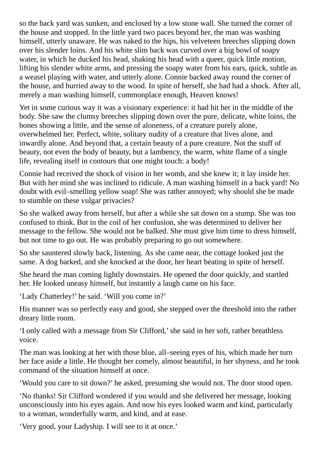so the back yard was sunken, and enclosed by a low stone wall. She turned the corner of the house and stopped. In the little yard two paces beyond her, the man was washing himself, utterly unaware. He was naked to the hips, his velveteen breeches slipping down over his slender loins. And his white slim back was curved over a big bowl of soapy water, in which he ducked his head, shaking his head with a queer, quick little motion, lifting his slender white arms, and pressing the soapy water from his ears, quick, subtle as a weasel playing with water, and utterly alone. Connie backed away round the corner of the house, and hurried away to the wood. In spite of herself, she had had a shock. After all, merely a man washing himself, commonplace enough, Heaven knows!

Yet in some curious way it was a visionary experience: it had hit her in the middle of the body. She saw the clumsy breeches slipping down over the pure, delicate, white loins, the bones showing a little, and the sense of aloneness, of a creature purely alone, overwhelmed her. Perfect, white, solitary nudity of a creature that lives alone, and inwardly alone. And beyond that, a certain beauty of a pure creature. Not the stuff of beauty, not even the body of beauty, but a lambency, the warm, white flame of a single life, revealing itself in contours that one might touch: a body!

Connie had received the shock of vision in her womb, and she knew it; it lay inside her. But with her mind she was inclined to ridicule. A man washing himself in a back yard! No doubt with evil–smelling yellow soap! She was rather annoyed; why should she be made to stumble on these vulgar privacies?

So she walked away from herself, but after a while she sat down on a stump. She was too confused to think. But in the coil of her confusion, she was determined to deliver her message to the fellow. She would not be balked. She must give him time to dress himself, but not time to go out. He was probably preparing to go out somewhere.

So she sauntered slowly back, listening. As she came near, the cottage looked just the same. A dog barked, and she knocked at the door, her heart beating in spite of herself.

She heard the man coming lightly downstairs. He opened the door quickly, and startled her. He looked uneasy himself, but instantly a laugh came on his face.

'Lady Chatterley!' he said. 'Will you come in?'

His manner was so perfectly easy and good, she stepped over the threshold into the rather dreary little room.

'I only called with a message from Sir Clifford,'she said in her soft, rather breathless voice.

The man was looking at her with those blue, all–seeing eyes of his, which made her turn her face aside a little. He thought her comely, almost beautiful, in her shyness, and he took command of the situation himself at once.

'Would you care to sit down?' he asked, presuming she would not. The door stood open.

'No thanks! Sir Clifford wondered if you would and she delivered her message, looking unconsciously into his eyes again. And now his eyes looked warm and kind, particularly to a woman, wonderfully warm, and kind, and at ease.

'Very good, your Ladyship. I will see to it at once.'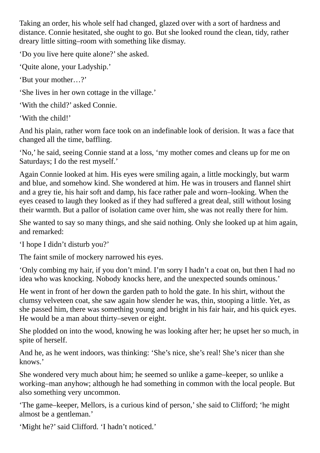Taking an order, his whole self had changed, glazed over with a sort of hardness and distance. Connie hesitated, she ought to go. But she looked round the clean, tidy, rather dreary little sitting–room with something like dismay.

'Do you live here quite alone?'she asked.

'Quite alone, your Ladyship.'

'But your mother…?'

'She lives in her own cottage in the village.'

'With the child?' asked Connie.

'With the child!'

And his plain, rather worn face took on an indefinable look of derision. It was a face that changed all the time, baffling.

'No,' he said, seeing Connie stand at a loss, 'my mother comes and cleans up for me on Saturdays; I do the rest myself.'

Again Connie looked at him. His eyes were smiling again, a little mockingly, but warm and blue, and somehow kind. She wondered at him. He was in trousers and flannel shirt and a grey tie, his hair soft and damp, his face rather pale and worn–looking. When the eyes ceased to laugh they looked as if they had suffered a great deal, still without losing their warmth. But a pallor of isolation came over him, she was not really there for him.

She wanted to say so many things, and she said nothing. Only she looked up at him again, and remarked:

'I hope I didn't disturb you?'

The faint smile of mockery narrowed his eyes.

'Only combing my hair, if you don't mind. I'm sorry I hadn't a coat on, but then I had no idea who was knocking. Nobody knocks here, and the unexpected sounds ominous.'

He went in front of her down the garden path to hold the gate. In his shirt, without the clumsy velveteen coat, she saw again how slender he was, thin, stooping a little. Yet, as she passed him, there was something young and bright in his fair hair, and his quick eyes. He would be a man about thirty–seven or eight.

She plodded on into the wood, knowing he was looking after her; he upset her so much, in spite of herself.

And he, as he went indoors, was thinking: 'She's nice, she's real! She's nicer than she knows.'

She wondered very much about him; he seemed so unlike a game–keeper, so unlike a working–man anyhow; although he had something in common with the local people. But also something very uncommon.

'The game–keeper, Mellors, is a curious kind of person,'she said to Clifford; 'he might almost be a gentleman.'

'Might he?'said Clifford. 'I hadn't noticed.'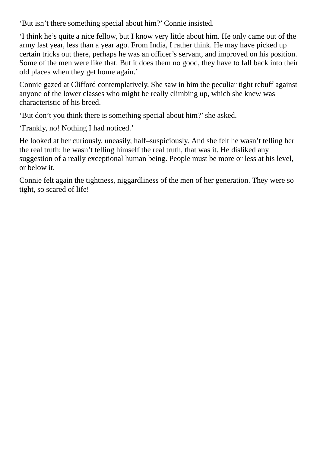'But isn't there something special about him?' Connie insisted.

'I think he's quite a nice fellow, but I know very little about him. He only came out of the army last year, less than a year ago. From India, I rather think. He may have picked up certain tricks out there, perhaps he was an officer's servant, and improved on his position. Some of the men were like that. But it does them no good, they have to fall back into their old places when they get home again.'

Connie gazed at Clifford contemplatively. She saw in him the peculiar tight rebuff against anyone of the lower classes who might be really climbing up, which she knew was characteristic of his breed.

'But don't you think there is something special about him?'she asked.

'Frankly, no! Nothing I had noticed.'

He looked at her curiously, uneasily, half–suspiciously. And she felt he wasn't telling her the real truth; he wasn't telling himself the real truth, that was it. He disliked any suggestion of a really exceptional human being. People must be more or less at his level, or below it.

Connie felt again the tightness, niggardliness of the men of her generation. They were so tight, so scared of life!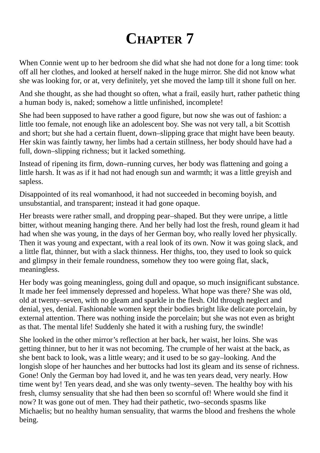## **CHAPTER 7**

When Connie went up to her bedroom she did what she had not done for a long time: took off all her clothes, and looked at herself naked in the huge mirror. She did not know what she was looking for, or at, very definitely, yet she moved the lamp till it shone full on her.

And she thought, as she had thought so often, what a frail, easily hurt, rather pathetic thing a human body is, naked; somehow a little unfinished, incomplete!

She had been supposed to have rather a good figure, but now she was out of fashion: a little too female, not enough like an adolescent boy. She was not very tall, a bit Scottish and short; but she had a certain fluent, down–slipping grace that might have been beauty. Her skin was faintly tawny, her limbs had a certain stillness, her body should have had a full, down–slipping richness; but it lacked something.

Instead of ripening its firm, down–running curves, her body was flattening and going a little harsh. It was as if it had not had enough sun and warmth; it was a little greyish and sapless.

Disappointed of its real womanhood, it had not succeeded in becoming boyish, and unsubstantial, and transparent; instead it had gone opaque.

Her breasts were rather small, and dropping pear–shaped. But they were unripe, a little bitter, without meaning hanging there. And her belly had lost the fresh, round gleam it had had when she was young, in the days of her German boy, who really loved her physically. Then it was young and expectant, with a real look of its own. Now it was going slack, and a little flat, thinner, but with a slack thinness. Her thighs, too, they used to look so quick and glimpsy in their female roundness, somehow they too were going flat, slack, meaningless.

Her body was going meaningless, going dull and opaque, so much insignificant substance. It made her feel immensely depressed and hopeless. What hope was there? She was old, old at twenty–seven, with no gleam and sparkle in the flesh. Old through neglect and denial, yes, denial. Fashionable women kept their bodies bright like delicate porcelain, by external attention. There was nothing inside the porcelain; but she was not even as bright as that. The mental life! Suddenly she hated it with a rushing fury, the swindle!

She looked in the other mirror's reflection at her back, her waist, her loins. She was getting thinner, but to her it was not becoming. The crumple of her waist at the back, as she bent back to look, was a little weary; and it used to be so gay–looking. And the longish slope of her haunches and her buttocks had lost its gleam and its sense of richness. Gone! Only the German boy had loved it, and he was ten years dead, very nearly. How time went by! Ten years dead, and she was only twenty–seven. The healthy boy with his fresh, clumsy sensuality that she had then been so scornful of! Where would she find it now? It was gone out of men. They had their pathetic, two–seconds spasms like Michaelis; but no healthy human sensuality, that warms the blood and freshens the whole being.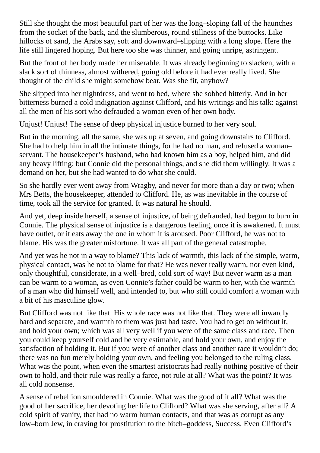Still she thought the most beautiful part of her was the long–sloping fall of the haunches from the socket of the back, and the slumberous, round stillness of the buttocks. Like hillocks of sand, the Arabs say, soft and downward–slipping with a long slope. Here the life still lingered hoping. But here too she was thinner, and going unripe, astringent.

But the front of her body made her miserable. It was already beginning to slacken, with a slack sort of thinness, almost withered, going old before it had ever really lived. She thought of the child she might somehow bear. Was she fit, anyhow?

She slipped into her nightdress, and went to bed, where she sobbed bitterly. And in her bitterness burned a cold indignation against Clifford, and his writings and his talk: against all the men of his sort who defrauded a woman even of her own body.

Unjust! Unjust! The sense of deep physical injustice burned to her very soul.

But in the morning, all the same, she was up at seven, and going downstairs to Clifford. She had to help him in all the intimate things, for he had no man, and refused a woman– servant. The housekeeper's husband, who had known him as a boy, helped him, and did any heavy lifting; but Connie did the personal things, and she did them willingly. It was a demand on her, but she had wanted to do what she could.

So she hardly ever went away from Wragby, and never for more than a day or two; when Mrs Betts, the housekeeper, attended to Clifford. He, as was inevitable in the course of time, took all the service for granted. It was natural he should.

And yet, deep inside herself, a sense of injustice, of being defrauded, had begun to burn in Connie. The physical sense of injustice is a dangerous feeling, once it is awakened. It must have outlet, or it eats away the one in whom it is aroused. Poor Clifford, he was not to blame. His was the greater misfortune. It was all part of the general catastrophe.

And yet was he not in a way to blame? This lack of warmth, this lack of the simple, warm, physical contact, was he not to blame for that? He was never really warm, nor even kind, only thoughtful, considerate, in a well–bred, cold sort of way! But never warm as a man can be warm to a woman, as even Connie's father could be warm to her, with the warmth of a man who did himself well, and intended to, but who still could comfort a woman with a bit of his masculine glow.

But Clifford was not like that. His whole race was not like that. They were all inwardly hard and separate, and warmth to them was just bad taste. You had to get on without it, and hold your own; which was all very well if you were of the same class and race. Then you could keep yourself cold and be very estimable, and hold your own, and enjoy the satisfaction of holding it. But if you were of another class and another race it wouldn't do; there was no fun merely holding your own, and feeling you belonged to the ruling class. What was the point, when even the smartest aristocrats had really nothing positive of their own to hold, and their rule was really a farce, not rule at all? What was the point? It was all cold nonsense.

A sense of rebellion smouldered in Connie. What was the good of it all? What was the good of her sacrifice, her devoting her life to Clifford? What was she serving, after all? A cold spirit of vanity, that had no warm human contacts, and that was as corrupt as any low–born Jew, in craving for prostitution to the bitch–goddess, Success. Even Clifford's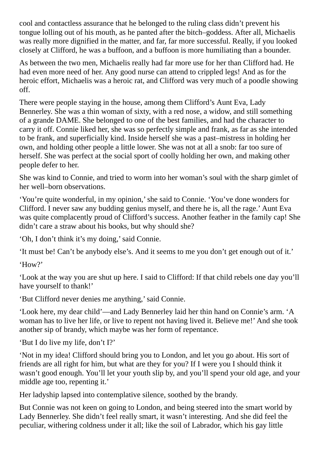cool and contactless assurance that he belonged to the ruling class didn't prevent his tongue lolling out of his mouth, as he panted after the bitch–goddess. After all, Michaelis was really more dignified in the matter, and far, far more successful. Really, if you looked closely at Clifford, he was a buffoon, and a buffoon is more humiliating than a bounder.

As between the two men, Michaelis really had far more use for her than Clifford had. He had even more need of her. Any good nurse can attend to crippled legs! And as for the heroic effort, Michaelis was a heroic rat, and Clifford was very much of a poodle showing off.

There were people staying in the house, among them Clifford's Aunt Eva, Lady Bennerley. She was a thin woman of sixty, with a red nose, a widow, and still something of a grande DAME. She belonged to one of the best families, and had the character to carry it off. Connie liked her, she was so perfectly simple and frank, as far as she intended to be frank, and superficially kind. Inside herself she was a past–mistress in holding her own, and holding other people a little lower. She was not at all a snob: far too sure of herself. She was perfect at the social sport of coolly holding her own, and making other people defer to her.

She was kind to Connie, and tried to worm into her woman's soul with the sharp gimlet of her well–born observations.

'You're quite wonderful, in my opinion,'she said to Connie. 'You've done wonders for Clifford. I never saw any budding genius myself, and there he is, all the rage.' Aunt Eva was quite complacently proud of Clifford's success. Another feather in the family cap! She didn't care a straw about his books, but why should she?

'Oh, I don't think it's my doing,'said Connie.

'It must be! Can't be anybody else's. And it seems to me you don't get enough out of it.'

'How?'

'Look at the way you are shut up here. I said to Clifford: If that child rebels one day you'll have yourself to thank!'

'But Clifford never denies me anything,'said Connie.

'Look here, my dear child'—and Lady Bennerley laid her thin hand on Connie's arm. 'A woman has to live her life, or live to repent not having lived it. Believe me!' And she took another sip of brandy, which maybe was her form of repentance.

'But I do live my life, don't I?'

'Not in my idea! Clifford should bring you to London, and let you go about. His sort of friends are all right for him, but what are they for you? If I were you I should think it wasn't good enough. You'll let your youth slip by, and you'll spend your old age, and your middle age too, repenting it.'

Her ladyship lapsed into contemplative silence, soothed by the brandy.

But Connie was not keen on going to London, and being steered into the smart world by Lady Bennerley. She didn't feel really smart, it wasn't interesting. And she did feel the peculiar, withering coldness under it all; like the soil of Labrador, which his gay little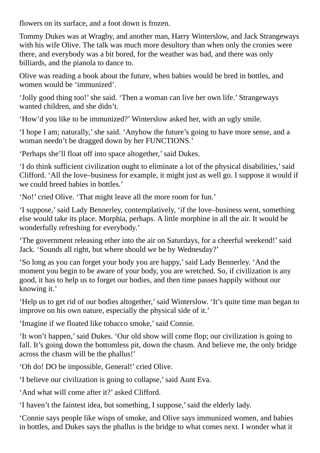flowers on its surface, and a foot down is frozen.

Tommy Dukes was at Wragby, and another man, Harry Winterslow, and Jack Strangeways with his wife Olive. The talk was much more desultory than when only the cronies were there, and everybody was a bit bored, for the weather was bad, and there was only billiards, and the pianola to dance to.

Olive was reading a book about the future, when babies would be bred in bottles, and women would be 'immunized'.

'Jolly good thing too!'she said. 'Then a woman can live her own life.' Strangeways wanted children, and she didn't.

'How'd you like to be immunized?' Winterslow asked her, with an ugly smile.

'I hope I am; naturally,'she said. 'Anyhow the future's going to have more sense, and a woman needn't be dragged down by her FUNCTIONS.'

'Perhaps she'll float off into space altogether,'said Dukes.

'I do think sufficient civilization ought to eliminate a lot of the physical disabilities,'said Clifford. 'All the love–business for example, it might just as well go. I suppose it would if we could breed babies in bottles.'

'No!' cried Olive. 'That might leave all the more room for fun.'

'I suppose,'said Lady Bennerley, contemplatively, 'if the love–business went, something else would take its place. Morphia, perhaps. A little morphine in all the air. It would be wonderfully refreshing for everybody.'

'The government releasing ether into the air on Saturdays, for a cheerful weekend!'said Jack. 'Sounds all right, but where should we be by Wednesday?'

'So long as you can forget your body you are happy,'said Lady Bennerley. 'And the moment you begin to be aware of your body, you are wretched. So, if civilization is any good, it has to help us to forget our bodies, and then time passes happily without our knowing it.'

'Help us to get rid of our bodies altogether,'said Winterslow. 'It's quite time man began to improve on his own nature, especially the physical side of it.'

'Imagine if we floated like tobacco smoke,'said Connie.

'It won't happen,'said Dukes. 'Our old show will come flop; our civilization is going to fall. It's going down the bottomless pit, down the chasm. And believe me, the only bridge across the chasm will be the phallus!'

'Oh do! DO be impossible, General!' cried Olive.

'I believe our civilization is going to collapse,'said Aunt Eva.

'And what will come after it?' asked Clifford.

'I haven't the faintest idea, but something, I suppose,'said the elderly lady.

'Connie says people like wisps of smoke, and Olive says immunized women, and babies in bottles, and Dukes says the phallus is the bridge to what comes next. I wonder what it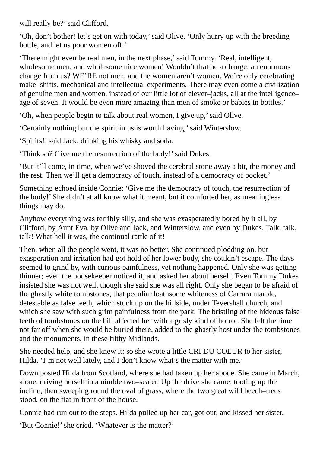will really be?' said Clifford.

'Oh, don't bother! let's get on with today,'said Olive. 'Only hurry up with the breeding bottle, and let us poor women off.'

'There might even be real men, in the next phase,'said Tommy. 'Real, intelligent, wholesome men, and wholesome nice women! Wouldn't that be a change, an enormous change from us? WE'RE not men, and the women aren't women. We're only cerebrating make–shifts, mechanical and intellectual experiments. There may even come a civilization of genuine men and women, instead of our little lot of clever–jacks, all at the intelligence– age of seven. It would be even more amazing than men of smoke or babies in bottles.'

'Oh, when people begin to talk about real women, I give up,'said Olive.

'Certainly nothing but the spirit in us is worth having,'said Winterslow.

'Spirits!'said Jack, drinking his whisky and soda.

'Think so? Give me the resurrection of the body!' said Dukes.

'But it'll come, in time, when we've shoved the cerebral stone away a bit, the money and the rest. Then we'll get a democracy of touch, instead of a democracy of pocket.'

Something echoed inside Connie: 'Give me the democracy of touch, the resurrection of the body!' She didn't at all know what it meant, but it comforted her, as meaningless things may do.

Anyhow everything was terribly silly, and she was exasperatedly bored by it all, by Clifford, by Aunt Eva, by Olive and Jack, and Winterslow, and even by Dukes. Talk, talk, talk! What hell it was, the continual rattle of it!

Then, when all the people went, it was no better. She continued plodding on, but exasperation and irritation had got hold of her lower body, she couldn't escape. The days seemed to grind by, with curious painfulness, yet nothing happened. Only she was getting thinner; even the housekeeper noticed it, and asked her about herself. Even Tommy Dukes insisted she was not well, though she said she was all right. Only she began to be afraid of the ghastly white tombstones, that peculiar loathsome whiteness of Carrara marble, detestable as false teeth, which stuck up on the hillside, under Tevershall church, and which she saw with such grim painfulness from the park. The bristling of the hideous false teeth of tombstones on the hill affected her with a grisly kind of horror. She felt the time not far off when she would be buried there, added to the ghastly host under the tombstones and the monuments, in these filthy Midlands.

She needed help, and she knew it: so she wrote a little CRI DU COEUR to her sister, Hilda. 'I'm not well lately, and I don't know what's the matter with me.'

Down posted Hilda from Scotland, where she had taken up her abode. She came in March, alone, driving herself in a nimble two–seater. Up the drive she came, tooting up the incline, then sweeping round the oval of grass, where the two great wild beech–trees stood, on the flat in front of the house.

Connie had run out to the steps. Hilda pulled up her car, got out, and kissed her sister.

'But Connie!' she cried. 'Whatever is the matter?'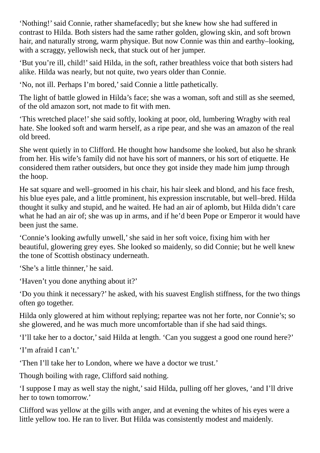'Nothing!'said Connie, rather shamefacedly; but she knew how she had suffered in contrast to Hilda. Both sisters had the same rather golden, glowing skin, and soft brown hair, and naturally strong, warm physique. But now Connie was thin and earthy–looking, with a scraggy, yellowish neck, that stuck out of her jumper.

'But you're ill, child!'said Hilda, in the soft, rather breathless voice that both sisters had alike. Hilda was nearly, but not quite, two years older than Connie.

'No, not ill. Perhaps I'm bored,'said Connie a little pathetically.

The light of battle glowed in Hilda's face; she was a woman, soft and still as she seemed, of the old amazon sort, not made to fit with men.

'This wretched place!'she said softly, looking at poor, old, lumbering Wragby with real hate. She looked soft and warm herself, as a ripe pear, and she was an amazon of the real old breed.

She went quietly in to Clifford. He thought how handsome she looked, but also he shrank from her. His wife's family did not have his sort of manners, or his sort of etiquette. He considered them rather outsiders, but once they got inside they made him jump through the hoop.

He sat square and well–groomed in his chair, his hair sleek and blond, and his face fresh, his blue eyes pale, and a little prominent, his expression inscrutable, but well–bred. Hilda thought it sulky and stupid, and he waited. He had an air of aplomb, but Hilda didn't care what he had an air of; she was up in arms, and if he'd been Pope or Emperor it would have been just the same.

'Connie's looking awfully unwell,'she said in her soft voice, fixing him with her beautiful, glowering grey eyes. She looked so maidenly, so did Connie; but he well knew the tone of Scottish obstinacy underneath.

'She's a little thinner,' he said.

'Haven't you done anything about it?'

'Do you think it necessary?' he asked, with his suavest English stiffness, for the two things often go together.

Hilda only glowered at him without replying; repartee was not her forte, nor Connie's; so she glowered, and he was much more uncomfortable than if she had said things.

'I'll take her to a doctor,'said Hilda at length. 'Can you suggest a good one round here?'

'I'm afraid I can't.'

'Then I'll take her to London, where we have a doctor we trust.'

Though boiling with rage, Clifford said nothing.

'I suppose I may as well stay the night,'said Hilda, pulling off her gloves, 'and I'll drive her to town tomorrow.'

Clifford was yellow at the gills with anger, and at evening the whites of his eyes were a little yellow too. He ran to liver. But Hilda was consistently modest and maidenly.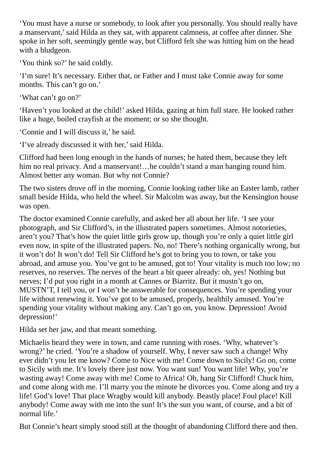'You must have a nurse or somebody, to look after you personally. You should really have a manservant,'said Hilda as they sat, with apparent calmness, at coffee after dinner. She spoke in her soft, seemingly gentle way, but Clifford felt she was hitting him on the head with a bludgeon.

'You think so?' he said coldly.

'I'm sure! It's necessary. Either that, or Father and I must take Connie away for some months. This can't go on.'

'What can't go on?'

'Haven't you looked at the child!' asked Hilda, gazing at him full stare. He looked rather like a huge, boiled crayfish at the moment; or so she thought.

'Connie and I will discuss it,' he said.

'I've already discussed it with her,'said Hilda.

Clifford had been long enough in the hands of nurses; he hated them, because they left him no real privacy. And a manservant!...he couldn't stand a man hanging round him. Almost better any woman. But why not Connie?

The two sisters drove off in the morning, Connie looking rather like an Easter lamb, rather small beside Hilda, who held the wheel. Sir Malcolm was away, but the Kensington house was open.

The doctor examined Connie carefully, and asked her all about her life. 'I see your photograph, and Sir Clifford's, in the illustrated papers sometimes. Almost notorieties, aren't you? That's how the quiet little girls grow up, though you're only a quiet little girl even now, in spite of the illustrated papers. No, no! There's nothing organically wrong, but it won't do! It won't do! Tell Sir Clifford he's got to bring you to town, or take you abroad, and amuse you. You've got to be amused, got to! Your vitality is much too low; no reserves, no reserves. The nerves of the heart a bit queer already: oh, yes! Nothing but nerves; I'd put you right in a month at Cannes or Biarritz. But it mustn't go on, MUSTN'T, I tell you, or I won't be answerable for consequences. You're spending your life without renewing it. You've got to be amused, properly, healthily amused. You're spending your vitality without making any. Can't go on, you know. Depression! Avoid depression!'

Hilda set her jaw, and that meant something.

Michaelis heard they were in town, and came running with roses. 'Why, whatever's wrong?' he cried. 'You're a shadow of yourself. Why, I never saw such a change! Why ever didn't you let me know? Come to Nice with me! Come down to Sicily! Go on, come to Sicily with me. It's lovely there just now. You want sun! You want life! Why, you're wasting away! Come away with me! Come to Africa! Oh, hang Sir Clifford! Chuck him, and come along with me. I'll marry you the minute he divorces you. Come along and try a life! God's love! That place Wragby would kill anybody. Beastly place! Foul place! Kill anybody! Come away with me into the sun! It's the sun you want, of course, and a bit of normal life.'

But Connie's heart simply stood still at the thought of abandoning Clifford there and then.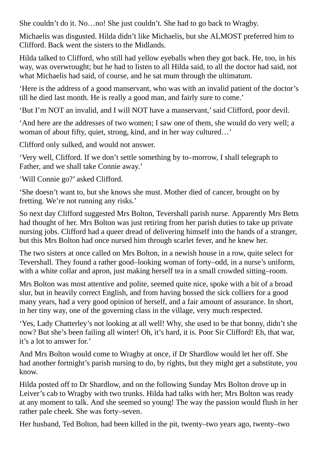She couldn't do it. No…no! She just couldn't. She had to go back to Wragby.

Michaelis was disgusted. Hilda didn't like Michaelis, but she ALMOST preferred him to Clifford. Back went the sisters to the Midlands.

Hilda talked to Clifford, who still had yellow eyeballs when they got back. He, too, in his way, was overwrought; but he had to listen to all Hilda said, to all the doctor had said, not what Michaelis had said, of course, and he sat mum through the ultimatum.

'Here is the address of a good manservant, who was with an invalid patient of the doctor's till he died last month. He is really a good man, and fairly sure to come.'

'But I'm NOT an invalid, and I will NOT have a manservant,'said Clifford, poor devil.

'And here are the addresses of two women; I saw one of them, she would do very well; a woman of about fifty, quiet, strong, kind, and in her way cultured…'

Clifford only sulked, and would not answer.

'Very well, Clifford. If we don't settle something by to–morrow, I shall telegraph to Father, and we shall take Connie away.'

'Will Connie go?' asked Clifford.

'She doesn't want to, but she knows she must. Mother died of cancer, brought on by fretting. We're not running any risks.'

So next day Clifford suggested Mrs Bolton, Tevershall parish nurse. Apparently Mrs Betts had thought of her. Mrs Bolton was just retiring from her parish duties to take up private nursing jobs. Clifford had a queer dread of delivering himself into the hands of a stranger, but this Mrs Bolton had once nursed him through scarlet fever, and he knew her.

The two sisters at once called on Mrs Bolton, in a newish house in a row, quite select for Tevershall. They found a rather good–looking woman of forty–odd, in a nurse's uniform, with a white collar and apron, just making herself tea in a small crowded sitting–room.

Mrs Bolton was most attentive and polite, seemed quite nice, spoke with a bit of a broad slur, but in heavily correct English, and from having bossed the sick colliers for a good many years, had a very good opinion of herself, and a fair amount of assurance. In short, in her tiny way, one of the governing class in the village, very much respected.

'Yes, Lady Chatterley's not looking at all well! Why, she used to be that bonny, didn't she now? But she's been failing all winter! Oh, it's hard, it is. Poor Sir Clifford! Eh, that war, it's a lot to answer for.'

And Mrs Bolton would come to Wragby at once, if Dr Shardlow would let her off. She had another fortnight's parish nursing to do, by rights, but they might get a substitute, you know.

Hilda posted off to Dr Shardlow, and on the following Sunday Mrs Bolton drove up in Leiver's cab to Wragby with two trunks. Hilda had talks with her; Mrs Bolton was ready at any moment to talk. And she seemed so young! The way the passion would flush in her rather pale cheek. She was forty–seven.

Her husband, Ted Bolton, had been killed in the pit, twenty–two years ago, twenty–two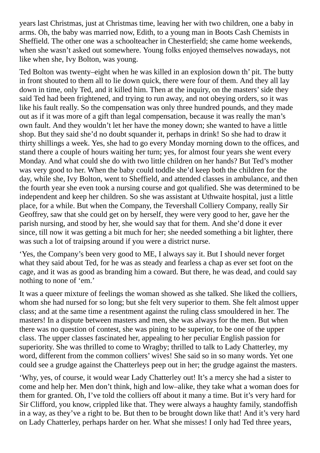years last Christmas, just at Christmas time, leaving her with two children, one a baby in arms. Oh, the baby was married now, Edith, to a young man in Boots Cash Chemists in Sheffield. The other one was a schoolteacher in Chesterfield; she came home weekends, when she wasn't asked out somewhere. Young folks enjoyed themselves nowadays, not like when she, Ivy Bolton, was young.

Ted Bolton was twenty–eight when he was killed in an explosion down th' pit. The butty in front shouted to them all to lie down quick, there were four of them. And they all lay down in time, only Ted, and it killed him. Then at the inquiry, on the masters' side they said Ted had been frightened, and trying to run away, and not obeying orders, so it was like his fault really. So the compensation was only three hundred pounds, and they made out as if it was more of a gift than legal compensation, because it was really the man's own fault. And they wouldn't let her have the money down; she wanted to have a little shop. But they said she'd no doubt squander it, perhaps in drink! So she had to draw it thirty shillings a week. Yes, she had to go every Monday morning down to the offices, and stand there a couple of hours waiting her turn; yes, for almost four years she went every Monday. And what could she do with two little children on her hands? But Ted's mother was very good to her. When the baby could toddle she'd keep both the children for the day, while she, Ivy Bolton, went to Sheffield, and attended classes in ambulance, and then the fourth year she even took a nursing course and got qualified. She was determined to be independent and keep her children. So she was assistant at Uthwaite hospital, just a little place, for a while. But when the Company, the Tevershall Colliery Company, really Sir Geoffrey, saw that she could get on by herself, they were very good to her, gave her the parish nursing, and stood by her, she would say that for them. And she'd done it ever since, till now it was getting a bit much for her; she needed something a bit lighter, there was such a lot of traipsing around if you were a district nurse.

'Yes, the Company's been very good to ME, I always say it. But I should never forget what they said about Ted, for he was as steady and fearless a chap as ever set foot on the cage, and it was as good as branding him a coward. But there, he was dead, and could say nothing to none of 'em.'

It was a queer mixture of feelings the woman showed as she talked. She liked the colliers, whom she had nursed for so long; but she felt very superior to them. She felt almost upper class; and at the same time a resentment against the ruling class smouldered in her. The masters! In a dispute between masters and men, she was always for the men. But when there was no question of contest, she was pining to be superior, to be one of the upper class. The upper classes fascinated her, appealing to her peculiar English passion for superiority. She was thrilled to come to Wragby; thrilled to talk to Lady Chatterley, my word, different from the common colliers' wives! She said so in so many words. Yet one could see a grudge against the Chatterleys peep out in her; the grudge against the masters.

'Why, yes, of course, it would wear Lady Chatterley out! It's a mercy she had a sister to come and help her. Men don't think, high and low–alike, they take what a woman does for them for granted. Oh, I've told the colliers off about it many a time. But it's very hard for Sir Clifford, you know, crippled like that. They were always a haughty family, standoffish in a way, as they've a right to be. But then to be brought down like that! And it's very hard on Lady Chatterley, perhaps harder on her. What she misses! I only had Ted three years,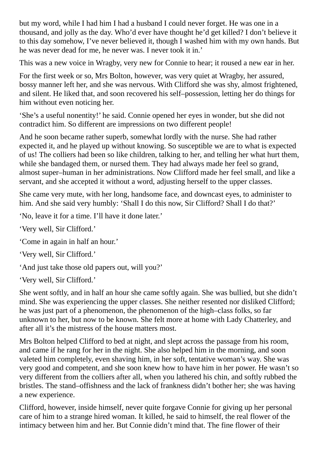but my word, while I had him I had a husband I could never forget. He was one in a thousand, and jolly as the day. Who'd ever have thought he'd get killed? I don't believe it to this day somehow, I've never believed it, though I washed him with my own hands. But he was never dead for me, he never was. I never took it in.'

This was a new voice in Wragby, very new for Connie to hear; it roused a new ear in her.

For the first week or so, Mrs Bolton, however, was very quiet at Wragby, her assured, bossy manner left her, and she was nervous. With Clifford she was shy, almost frightened, and silent. He liked that, and soon recovered his self–possession, letting her do things for him without even noticing her.

'She's a useful nonentity!' he said. Connie opened her eyes in wonder, but she did not contradict him. So different are impressions on two different people!

And he soon became rather superb, somewhat lordly with the nurse. She had rather expected it, and he played up without knowing. So susceptible we are to what is expected of us! The colliers had been so like children, talking to her, and telling her what hurt them, while she bandaged them, or nursed them. They had always made her feel so grand, almost super–human in her administrations. Now Clifford made her feel small, and like a servant, and she accepted it without a word, adjusting herself to the upper classes.

She came very mute, with her long, handsome face, and downcast eyes, to administer to him. And she said very humbly: 'Shall I do this now, Sir Clifford? Shall I do that?'

'No, leave it for a time. I'll have it done later.'

'Very well, Sir Clifford.'

'Come in again in half an hour.'

'Very well, Sir Clifford.'

'And just take those old papers out, will you?'

'Very well, Sir Clifford.'

She went softly, and in half an hour she came softly again. She was bullied, but she didn't mind. She was experiencing the upper classes. She neither resented nor disliked Clifford; he was just part of a phenomenon, the phenomenon of the high–class folks, so far unknown to her, but now to be known. She felt more at home with Lady Chatterley, and after all it's the mistress of the house matters most.

Mrs Bolton helped Clifford to bed at night, and slept across the passage from his room, and came if he rang for her in the night. She also helped him in the morning, and soon valeted him completely, even shaving him, in her soft, tentative woman's way. She was very good and competent, and she soon knew how to have him in her power. He wasn't so very different from the colliers after all, when you lathered his chin, and softly rubbed the bristles. The stand–offishness and the lack of frankness didn't bother her; she was having a new experience.

Clifford, however, inside himself, never quite forgave Connie for giving up her personal care of him to a strange hired woman. It killed, he said to himself, the real flower of the intimacy between him and her. But Connie didn't mind that. The fine flower of their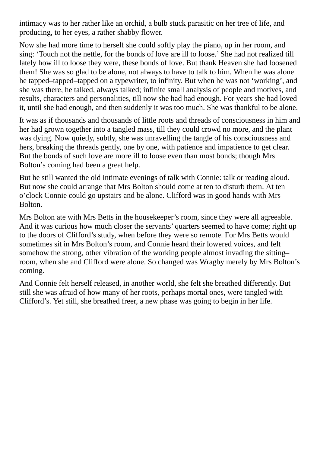intimacy was to her rather like an orchid, a bulb stuck parasitic on her tree of life, and producing, to her eyes, a rather shabby flower.

Now she had more time to herself she could softly play the piano, up in her room, and sing: 'Touch not the nettle, for the bonds of love are ill to loose.' She had not realized till lately how ill to loose they were, these bonds of love. But thank Heaven she had loosened them! She was so glad to be alone, not always to have to talk to him. When he was alone he tapped–tapped–tapped on a typewriter, to infinity. But when he was not 'working', and she was there, he talked, always talked; infinite small analysis of people and motives, and results, characters and personalities, till now she had had enough. For years she had loved it, until she had enough, and then suddenly it was too much. She was thankful to be alone.

It was as if thousands and thousands of little roots and threads of consciousness in him and her had grown together into a tangled mass, till they could crowd no more, and the plant was dying. Now quietly, subtly, she was unravelling the tangle of his consciousness and hers, breaking the threads gently, one by one, with patience and impatience to get clear. But the bonds of such love are more ill to loose even than most bonds; though Mrs Bolton's coming had been a great help.

But he still wanted the old intimate evenings of talk with Connie: talk or reading aloud. But now she could arrange that Mrs Bolton should come at ten to disturb them. At ten o'clock Connie could go upstairs and be alone. Clifford was in good hands with Mrs Bolton.

Mrs Bolton ate with Mrs Betts in the housekeeper's room, since they were all agreeable. And it was curious how much closer the servants' quarters seemed to have come; right up to the doors of Clifford's study, when before they were so remote. For Mrs Betts would sometimes sit in Mrs Bolton's room, and Connie heard their lowered voices, and felt somehow the strong, other vibration of the working people almost invading the sitting– room, when she and Clifford were alone. So changed was Wragby merely by Mrs Bolton's coming.

And Connie felt herself released, in another world, she felt she breathed differently. But still she was afraid of how many of her roots, perhaps mortal ones, were tangled with Clifford's. Yet still, she breathed freer, a new phase was going to begin in her life.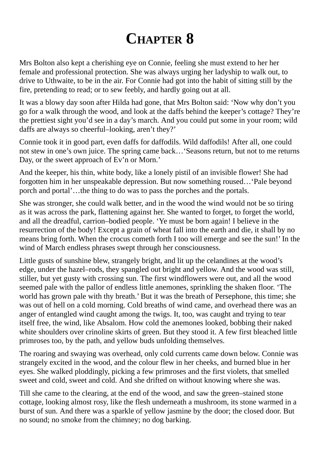## **CHAPTER 8**

Mrs Bolton also kept a cherishing eye on Connie, feeling she must extend to her her female and professional protection. She was always urging her ladyship to walk out, to drive to Uthwaite, to be in the air. For Connie had got into the habit of sitting still by the fire, pretending to read; or to sew feebly, and hardly going out at all.

It was a blowy day soon after Hilda had gone, that Mrs Bolton said: 'Now why don't you go for a walk through the wood, and look at the daffs behind the keeper's cottage? They're the prettiest sight you'd see in a day's march. And you could put some in your room; wild daffs are always so cheerful–looking, aren't they?'

Connie took it in good part, even daffs for daffodils. Wild daffodils! After all, one could not stew in one's own juice. The spring came back…'Seasons return, but not to me returns Day, or the sweet approach of Ev'n or Morn.'

And the keeper, his thin, white body, like a lonely pistil of an invisible flower! She had forgotten him in her unspeakable depression. But now something roused…'Pale beyond porch and portal'…the thing to do was to pass the porches and the portals.

She was stronger, she could walk better, and in the wood the wind would not be so tiring as it was across the park, flattening against her. She wanted to forget, to forget the world, and all the dreadful, carrion–bodied people. 'Ye must be born again! I believe in the resurrection of the body! Except a grain of wheat fall into the earth and die, it shall by no means bring forth. When the crocus cometh forth I too will emerge and see the sun!' In the wind of March endless phrases swept through her consciousness.

Little gusts of sunshine blew, strangely bright, and lit up the celandines at the wood's edge, under the hazel–rods, they spangled out bright and yellow. And the wood was still, stiller, but yet gusty with crossing sun. The first windflowers were out, and all the wood seemed pale with the pallor of endless little anemones, sprinkling the shaken floor. 'The world has grown pale with thy breath.' But it was the breath of Persephone, this time; she was out of hell on a cold morning. Cold breaths of wind came, and overhead there was an anger of entangled wind caught among the twigs. It, too, was caught and trying to tear itself free, the wind, like Absalom. How cold the anemones looked, bobbing their naked white shoulders over crinoline skirts of green. But they stood it. A few first bleached little primroses too, by the path, and yellow buds unfolding themselves.

The roaring and swaying was overhead, only cold currents came down below. Connie was strangely excited in the wood, and the colour flew in her cheeks, and burned blue in her eyes. She walked ploddingly, picking a few primroses and the first violets, that smelled sweet and cold, sweet and cold. And she drifted on without knowing where she was.

Till she came to the clearing, at the end of the wood, and saw the green–stained stone cottage, looking almost rosy, like the flesh underneath a mushroom, its stone warmed in a burst of sun. And there was a sparkle of yellow jasmine by the door; the closed door. But no sound; no smoke from the chimney; no dog barking.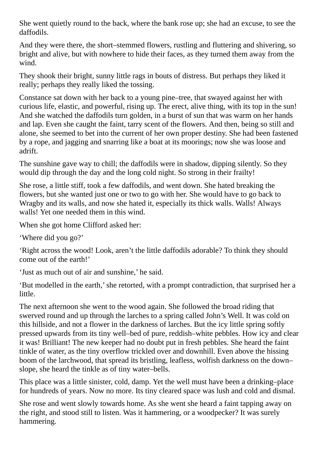She went quietly round to the back, where the bank rose up; she had an excuse, to see the daffodils.

And they were there, the short–stemmed flowers, rustling and fluttering and shivering, so bright and alive, but with nowhere to hide their faces, as they turned them away from the wind.

They shook their bright, sunny little rags in bouts of distress. But perhaps they liked it really; perhaps they really liked the tossing.

Constance sat down with her back to a young pine–tree, that swayed against her with curious life, elastic, and powerful, rising up. The erect, alive thing, with its top in the sun! And she watched the daffodils turn golden, in a burst of sun that was warm on her hands and lap. Even she caught the faint, tarry scent of the flowers. And then, being so still and alone, she seemed to bet into the current of her own proper destiny. She had been fastened by a rope, and jagging and snarring like a boat at its moorings; now she was loose and adrift.

The sunshine gave way to chill; the daffodils were in shadow, dipping silently. So they would dip through the day and the long cold night. So strong in their frailty!

She rose, a little stiff, took a few daffodils, and went down. She hated breaking the flowers, but she wanted just one or two to go with her. She would have to go back to Wragby and its walls, and now she hated it, especially its thick walls. Walls! Always walls! Yet one needed them in this wind.

When she got home Clifford asked her:

'Where did you go?'

'Right across the wood! Look, aren't the little daffodils adorable? To think they should come out of the earth!'

'Just as much out of air and sunshine,' he said.

'But modelled in the earth,'she retorted, with a prompt contradiction, that surprised her a little.

The next afternoon she went to the wood again. She followed the broad riding that swerved round and up through the larches to a spring called John's Well. It was cold on this hillside, and not a flower in the darkness of larches. But the icy little spring softly pressed upwards from its tiny well–bed of pure, reddish–white pebbles. How icy and clear it was! Brilliant! The new keeper had no doubt put in fresh pebbles. She heard the faint tinkle of water, as the tiny overflow trickled over and downhill. Even above the hissing boom of the larchwood, that spread its bristling, leafless, wolfish darkness on the down– slope, she heard the tinkle as of tiny water–bells.

This place was a little sinister, cold, damp. Yet the well must have been a drinking–place for hundreds of years. Now no more. Its tiny cleared space was lush and cold and dismal.

She rose and went slowly towards home. As she went she heard a faint tapping away on the right, and stood still to listen. Was it hammering, or a woodpecker? It was surely hammering.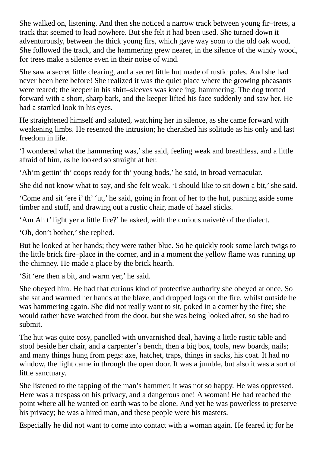She walked on, listening. And then she noticed a narrow track between young fir–trees, a track that seemed to lead nowhere. But she felt it had been used. She turned down it adventurously, between the thick young firs, which gave way soon to the old oak wood. She followed the track, and the hammering grew nearer, in the silence of the windy wood, for trees make a silence even in their noise of wind.

She saw a secret little clearing, and a secret little hut made of rustic poles. And she had never been here before! She realized it was the quiet place where the growing pheasants were reared; the keeper in his shirt–sleeves was kneeling, hammering. The dog trotted forward with a short, sharp bark, and the keeper lifted his face suddenly and saw her. He had a startled look in his eyes.

He straightened himself and saluted, watching her in silence, as she came forward with weakening limbs. He resented the intrusion; he cherished his solitude as his only and last freedom in life.

'I wondered what the hammering was,'she said, feeling weak and breathless, and a little afraid of him, as he looked so straight at her.

'Ah'm gettin' th' coops ready for th' young bods,' he said, in broad vernacular.

She did not know what to say, and she felt weak. 'I should like to sit down a bit,' she said.

'Come and sit 'ere i' th' 'ut,' he said, going in front of her to the hut, pushing aside some timber and stuff, and drawing out a rustic chair, made of hazel sticks.

'Am Ah t' light yer a little fire?' he asked, with the curious naiveté of the dialect.

'Oh, don't bother,' she replied.

But he looked at her hands; they were rather blue. So he quickly took some larch twigs to the little brick fire–place in the corner, and in a moment the yellow flame was running up the chimney. He made a place by the brick hearth.

'Sit 'ere then a bit, and warm yer,' he said.

She obeyed him. He had that curious kind of protective authority she obeyed at once. So she sat and warmed her hands at the blaze, and dropped logs on the fire, whilst outside he was hammering again. She did not really want to sit, poked in a corner by the fire; she would rather have watched from the door, but she was being looked after, so she had to submit.

The hut was quite cosy, panelled with unvarnished deal, having a little rustic table and stool beside her chair, and a carpenter's bench, then a big box, tools, new boards, nails; and many things hung from pegs: axe, hatchet, traps, things in sacks, his coat. It had no window, the light came in through the open door. It was a jumble, but also it was a sort of little sanctuary.

She listened to the tapping of the man's hammer; it was not so happy. He was oppressed. Here was a trespass on his privacy, and a dangerous one! A woman! He had reached the point where all he wanted on earth was to be alone. And yet he was powerless to preserve his privacy; he was a hired man, and these people were his masters.

Especially he did not want to come into contact with a woman again. He feared it; for he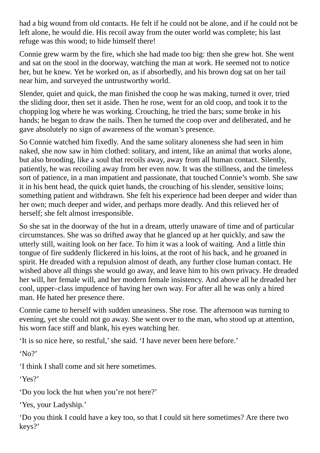had a big wound from old contacts. He felt if he could not be alone, and if he could not be left alone, he would die. His recoil away from the outer world was complete; his last refuge was this wood; to hide himself there!

Connie grew warm by the fire, which she had made too big: then she grew hot. She went and sat on the stool in the doorway, watching the man at work. He seemed not to notice her, but he knew. Yet he worked on, as if absorbedly, and his brown dog sat on her tail near him, and surveyed the untrustworthy world.

Slender, quiet and quick, the man finished the coop he was making, turned it over, tried the sliding door, then set it aside. Then he rose, went for an old coop, and took it to the chopping log where he was working. Crouching, he tried the bars; some broke in his hands; he began to draw the nails. Then he turned the coop over and deliberated, and he gave absolutely no sign of awareness of the woman's presence.

So Connie watched him fixedly. And the same solitary aloneness she had seen in him naked, she now saw in him clothed: solitary, and intent, like an animal that works alone, but also brooding, like a soul that recoils away, away from all human contact. Silently, patiently, he was recoiling away from her even now. It was the stillness, and the timeless sort of patience, in a man impatient and passionate, that touched Connie's womb. She saw it in his bent head, the quick quiet hands, the crouching of his slender, sensitive loins; something patient and withdrawn. She felt his experience had been deeper and wider than her own; much deeper and wider, and perhaps more deadly. And this relieved her of herself; she felt almost irresponsible.

So she sat in the doorway of the hut in a dream, utterly unaware of time and of particular circumstances. She was so drifted away that he glanced up at her quickly, and saw the utterly still, waiting look on her face. To him it was a look of waiting. And a little thin tongue of fire suddenly flickered in his loins, at the root of his back, and he groaned in spirit. He dreaded with a repulsion almost of death, any further close human contact. He wished above all things she would go away, and leave him to his own privacy. He dreaded her will, her female will, and her modern female insistency. And above all he dreaded her cool, upper–class impudence of having her own way. For after all he was only a hired man. He hated her presence there.

Connie came to herself with sudden uneasiness. She rose. The afternoon was turning to evening, yet she could not go away. She went over to the man, who stood up at attention, his worn face stiff and blank, his eyes watching her.

'It is so nice here, so restful,'she said. 'I have never been here before.'

'No?'

'I think I shall come and sit here sometimes.

'Yes?'

'Do you lock the hut when you're not here?'

'Yes, your Ladyship.'

'Do you think I could have a key too, so that I could sit here sometimes? Are there two keys?'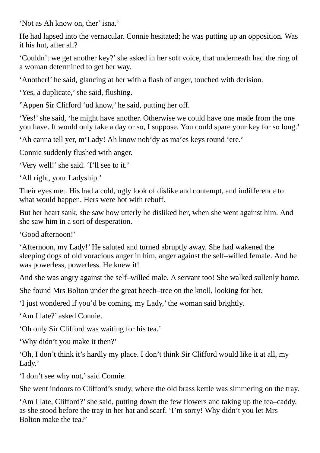'Not as Ah know on, ther' isna.'

He had lapsed into the vernacular. Connie hesitated; he was putting up an opposition. Was it his hut, after all?

'Couldn't we get another key?'she asked in her soft voice, that underneath had the ring of a woman determined to get her way.

'Another!' he said, glancing at her with a flash of anger, touched with derision.

'Yes, a duplicate,' she said, flushing.

"Appen Sir Clifford 'ud know,' he said, putting her off.

'Yes!' she said, 'he might have another. Otherwise we could have one made from the one you have. It would only take a day or so, I suppose. You could spare your key for so long.'

'Ah canna tell yer, m'Lady! Ah know nob'dy as ma'es keys round 'ere.'

Connie suddenly flushed with anger.

'Very well!' she said. 'I'll see to it.'

'All right, your Ladyship.'

Their eyes met. His had a cold, ugly look of dislike and contempt, and indifference to what would happen. Hers were hot with rebuff.

But her heart sank, she saw how utterly he disliked her, when she went against him. And she saw him in a sort of desperation.

'Good afternoon!'

'Afternoon, my Lady!' He saluted and turned abruptly away. She had wakened the sleeping dogs of old voracious anger in him, anger against the self–willed female. And he was powerless, powerless. He knew it!

And she was angry against the self–willed male. A servant too! She walked sullenly home.

She found Mrs Bolton under the great beech–tree on the knoll, looking for her.

'I just wondered if you'd be coming, my Lady,' the woman said brightly.

'Am I late?' asked Connie.

'Oh only Sir Clifford was waiting for his tea.'

'Why didn't you make it then?'

'Oh, I don't think it's hardly my place. I don't think Sir Clifford would like it at all, my Lady.'

'I don't see why not,' said Connie.

She went indoors to Clifford's study, where the old brass kettle was simmering on the tray.

'Am I late, Clifford?'she said, putting down the few flowers and taking up the tea–caddy, as she stood before the tray in her hat and scarf. 'I'm sorry! Why didn't you let Mrs Bolton make the tea?'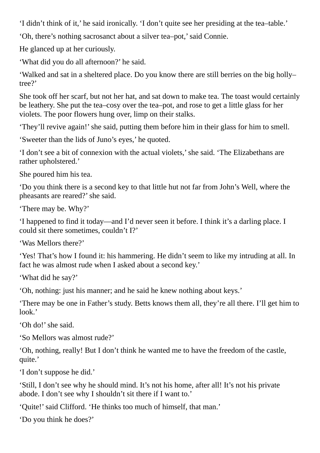'I didn't think of it,' he said ironically. 'I don't quite see her presiding at the tea–table.'

'Oh, there's nothing sacrosanct about a silver tea–pot,'said Connie.

He glanced up at her curiously.

'What did you do all afternoon?' he said.

'Walked and sat in a sheltered place. Do you know there are still berries on the big holly– tree?'

She took off her scarf, but not her hat, and sat down to make tea. The toast would certainly be leathery. She put the tea–cosy over the tea–pot, and rose to get a little glass for her violets. The poor flowers hung over, limp on their stalks.

'They'll revive again!'she said, putting them before him in their glass for him to smell.

'Sweeter than the lids of Juno's eyes,' he quoted.

'I don't see a bit of connexion with the actual violets,'she said. 'The Elizabethans are rather upholstered.'

She poured him his tea.

'Do you think there is a second key to that little hut not far from John's Well, where the pheasants are reared?'she said.

'There may be. Why?'

'I happened to find it today—and I'd never seen it before. I think it's a darling place. I could sit there sometimes, couldn't I?'

'Was Mellors there?'

'Yes! That's how I found it: his hammering. He didn't seem to like my intruding at all. In fact he was almost rude when I asked about a second key.'

'What did he say?'

'Oh, nothing: just his manner; and he said he knew nothing about keys.'

'There may be one in Father's study. Betts knows them all, they're all there. I'll get him to look.'

'Oh do!' she said.

'So Mellors was almost rude?'

'Oh, nothing, really! But I don't think he wanted me to have the freedom of the castle, quite.'

'I don't suppose he did.'

'Still, I don't see why he should mind. It's not his home, after all! It's not his private abode. I don't see why I shouldn't sit there if I want to.'

'Quite!'said Clifford. 'He thinks too much of himself, that man.'

'Do you think he does?'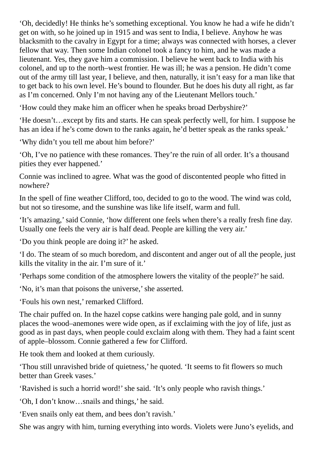'Oh, decidedly! He thinks he's something exceptional. You know he had a wife he didn't get on with, so he joined up in 1915 and was sent to India, I believe. Anyhow he was blacksmith to the cavalry in Egypt for a time; always was connected with horses, a clever fellow that way. Then some Indian colonel took a fancy to him, and he was made a lieutenant. Yes, they gave him a commission. I believe he went back to India with his colonel, and up to the north–west frontier. He was ill; he was a pension. He didn't come out of the army till last year, I believe, and then, naturally, it isn't easy for a man like that to get back to his own level. He's bound to flounder. But he does his duty all right, as far as I'm concerned. Only I'm not having any of the Lieutenant Mellors touch.'

'How could they make him an officer when he speaks broad Derbyshire?'

'He doesn't…except by fits and starts. He can speak perfectly well, for him. I suppose he has an idea if he's come down to the ranks again, he'd better speak as the ranks speak.'

'Why didn't you tell me about him before?'

'Oh, I've no patience with these romances. They're the ruin of all order. It's a thousand pities they ever happened.'

Connie was inclined to agree. What was the good of discontented people who fitted in nowhere?

In the spell of fine weather Clifford, too, decided to go to the wood. The wind was cold, but not so tiresome, and the sunshine was like life itself, warm and full.

'It's amazing,'said Connie, 'how different one feels when there's a really fresh fine day. Usually one feels the very air is half dead. People are killing the very air.'

'Do you think people are doing it?' he asked.

'I do. The steam of so much boredom, and discontent and anger out of all the people, just kills the vitality in the air. I'm sure of it.'

'Perhaps some condition of the atmosphere lowers the vitality of the people?' he said.

'No, it's man that poisons the universe,'she asserted.

'Fouls his own nest,' remarked Clifford.

The chair puffed on. In the hazel copse catkins were hanging pale gold, and in sunny places the wood–anemones were wide open, as if exclaiming with the joy of life, just as good as in past days, when people could exclaim along with them. They had a faint scent of apple–blossom. Connie gathered a few for Clifford.

He took them and looked at them curiously.

'Thou still unravished bride of quietness,' he quoted. 'It seems to fit flowers so much better than Greek vases.'

'Ravished is such a horrid word!' she said. 'It's only people who ravish things.'

'Oh, I don't know…snails and things,' he said.

'Even snails only eat them, and bees don't ravish.'

She was angry with him, turning everything into words. Violets were Juno's eyelids, and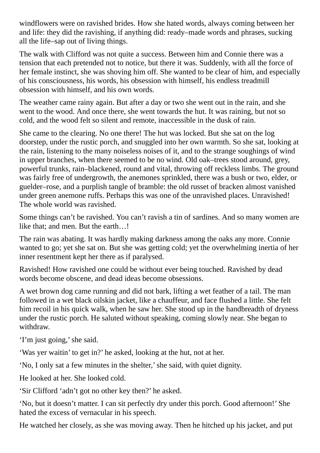windflowers were on ravished brides. How she hated words, always coming between her and life: they did the ravishing, if anything did: ready–made words and phrases, sucking all the life–sap out of living things.

The walk with Clifford was not quite a success. Between him and Connie there was a tension that each pretended not to notice, but there it was. Suddenly, with all the force of her female instinct, she was shoving him off. She wanted to be clear of him, and especially of his consciousness, his words, his obsession with himself, his endless treadmill obsession with himself, and his own words.

The weather came rainy again. But after a day or two she went out in the rain, and she went to the wood. And once there, she went towards the hut. It was raining, but not so cold, and the wood felt so silent and remote, inaccessible in the dusk of rain.

She came to the clearing. No one there! The hut was locked. But she sat on the log doorstep, under the rustic porch, and snuggled into her own warmth. So she sat, looking at the rain, listening to the many noiseless noises of it, and to the strange soughings of wind in upper branches, when there seemed to be no wind. Old oak–trees stood around, grey, powerful trunks, rain–blackened, round and vital, throwing off reckless limbs. The ground was fairly free of undergrowth, the anemones sprinkled, there was a bush or two, elder, or guelder–rose, and a purplish tangle of bramble: the old russet of bracken almost vanished under green anemone ruffs. Perhaps this was one of the unravished places. Unravished! The whole world was ravished.

Some things can't be ravished. You can't ravish a tin of sardines. And so many women are like that; and men. But the earth…!

The rain was abating. It was hardly making darkness among the oaks any more. Connie wanted to go; yet she sat on. But she was getting cold; yet the overwhelming inertia of her inner resentment kept her there as if paralysed.

Ravished! How ravished one could be without ever being touched. Ravished by dead words become obscene, and dead ideas become obsessions.

A wet brown dog came running and did not bark, lifting a wet feather of a tail. The man followed in a wet black oilskin jacket, like a chauffeur, and face flushed a little. She felt him recoil in his quick walk, when he saw her. She stood up in the handbreadth of dryness under the rustic porch. He saluted without speaking, coming slowly near. She began to withdraw.

'I'm just going,'she said.

'Was yer waitin' to get in?' he asked, looking at the hut, not at her.

'No, I only sat a few minutes in the shelter,'she said, with quiet dignity.

He looked at her. She looked cold.

'Sir Clifford 'adn't got no other key then?' he asked.

'No, but it doesn't matter. I can sit perfectly dry under this porch. Good afternoon!' She hated the excess of vernacular in his speech.

He watched her closely, as she was moving away. Then he hitched up his jacket, and put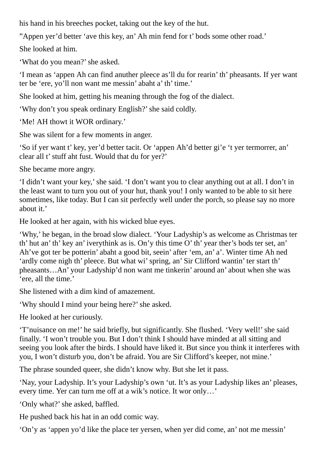his hand in his breeches pocket, taking out the key of the hut.

"Appen yer'd better 'ave this key, an' Ah min fend for t' bods some other road.'

She looked at him.

'What do you mean?' she asked.

'I mean as 'appen Ah can find anuther pleece as'll du for rearin' th' pheasants. If yer want ter be 'ere, yo'll non want me messin' abaht a' th' time.'

She looked at him, getting his meaning through the fog of the dialect.

'Why don't you speak ordinary English?'she said coldly.

'Me! AH thowt it WOR ordinary.'

She was silent for a few moments in anger.

'So if yer want t' key, yer'd better tacit. Or 'appen Ah'd better gi'e 't yer termorrer, an' clear all t'stuff aht fust. Would that du for yer?'

She became more angry.

'I didn't want your key,'she said. 'I don't want you to clear anything out at all. I don't in the least want to turn you out of your hut, thank you! I only wanted to be able to sit here sometimes, like today. But I can sit perfectly well under the porch, so please say no more about it.'

He looked at her again, with his wicked blue eyes.

'Why,' he began, in the broad slow dialect. 'Your Ladyship's as welcome as Christmas ter th' hut an' th' key an' iverythink as is. On'y this time O' th' year ther's bods ter set, an' Ah've got ter be potterin' abaht a good bit, seein' after 'em, an' a'. Winter time Ah ned 'ardly come nigh th' pleece. But what wi'spring, an' Sir Clifford wantin' ter start th' pheasants…An' your Ladyship'd non want me tinkerin' around an' about when she was 'ere, all the time.'

She listened with a dim kind of amazement.

'Why should I mind your being here?' she asked.

He looked at her curiously.

'T'nuisance on me!' he said briefly, but significantly. She flushed. 'Very well!'she said finally. 'I won't trouble you. But I don't think I should have minded at all sitting and seeing you look after the birds. I should have liked it. But since you think it interferes with you, I won't disturb you, don't be afraid. You are Sir Clifford's keeper, not mine.'

The phrase sounded queer, she didn't know why. But she let it pass.

'Nay, your Ladyship. It's your Ladyship's own 'ut. It's as your Ladyship likes an' pleases, every time. Yer can turn me off at a wik's notice. It wor only…'

'Only what?' she asked, baffled.

He pushed back his hat in an odd comic way.

'On'y as 'appen yo'd like the place ter yersen, when yer did come, an' not me messin'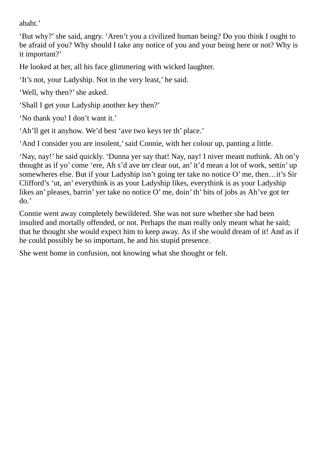abaht.'

'But why?'she said, angry. 'Aren't you a civilized human being? Do you think I ought to be afraid of you? Why should I take any notice of you and your being here or not? Why is it important?'

He looked at her, all his face glimmering with wicked laughter.

'It's not, your Ladyship. Not in the very least,' he said.

'Well, why then?'she asked.

'Shall I get your Ladyship another key then?'

'No thank you! I don't want it.'

'Ah'll get it anyhow. We'd best 'ave two keys ter th' place.'

'And I consider you are insolent,'said Connie, with her colour up, panting a little.

'Nay, nay!' he said quickly. 'Dunna yer say that! Nay, nay! I niver meant nuthink. Ah on'y thought as if yo' come 'ere, Ah s'd ave ter clear out, an' it'd mean a lot of work, settin' up somewheres else. But if your Ladyship isn't going ter take no notice O' me, then…it's Sir Clifford's 'ut, an' everythink is as your Ladyship likes, everythink is as your Ladyship likes an' pleases, barrin' yer take no notice O' me, doin' th' bits of jobs as Ah've got ter do.'

Connie went away completely bewildered. She was not sure whether she had been insulted and mortally offended, or not. Perhaps the man really only meant what he said; that he thought she would expect him to keep away. As if she would dream of it! And as if he could possibly be so important, he and his stupid presence.

She went home in confusion, not knowing what she thought or felt.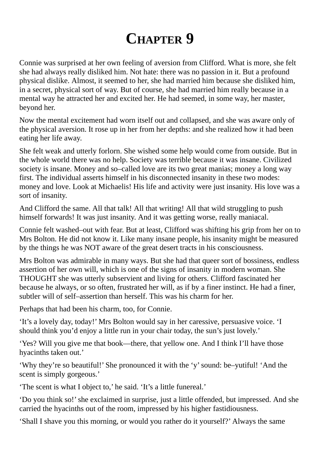## **CHAPTER 9**

Connie was surprised at her own feeling of aversion from Clifford. What is more, she felt she had always really disliked him. Not hate: there was no passion in it. But a profound physical dislike. Almost, it seemed to her, she had married him because she disliked him, in a secret, physical sort of way. But of course, she had married him really because in a mental way he attracted her and excited her. He had seemed, in some way, her master, beyond her.

Now the mental excitement had worn itself out and collapsed, and she was aware only of the physical aversion. It rose up in her from her depths: and she realized how it had been eating her life away.

She felt weak and utterly forlorn. She wished some help would come from outside. But in the whole world there was no help. Society was terrible because it was insane. Civilized society is insane. Money and so–called love are its two great manias; money a long way first. The individual asserts himself in his disconnected insanity in these two modes: money and love. Look at Michaelis! His life and activity were just insanity. His love was a sort of insanity.

And Clifford the same. All that talk! All that writing! All that wild struggling to push himself forwards! It was just insanity. And it was getting worse, really maniacal.

Connie felt washed–out with fear. But at least, Clifford was shifting his grip from her on to Mrs Bolton. He did not know it. Like many insane people, his insanity might be measured by the things he was NOT aware of the great desert tracts in his consciousness.

Mrs Bolton was admirable in many ways. But she had that queer sort of bossiness, endless assertion of her own will, which is one of the signs of insanity in modern woman. She THOUGHT she was utterly subservient and living for others. Clifford fascinated her because he always, or so often, frustrated her will, as if by a finer instinct. He had a finer, subtler will of self–assertion than herself. This was his charm for her.

Perhaps that had been his charm, too, for Connie.

'It's a lovely day, today!' Mrs Bolton would say in her caressive, persuasive voice. 'I should think you'd enjoy a little run in your chair today, the sun's just lovely.'

'Yes? Will you give me that book—there, that yellow one. And I think I'll have those hyacinths taken out.'

'Why they're so beautiful!' She pronounced it with the 'y'sound: be–yutiful! 'And the scent is simply gorgeous.'

'The scent is what I object to,' he said. 'It's a little funereal.'

'Do you think so!'she exclaimed in surprise, just a little offended, but impressed. And she carried the hyacinths out of the room, impressed by his higher fastidiousness.

'Shall I shave you this morning, or would you rather do it yourself?' Always the same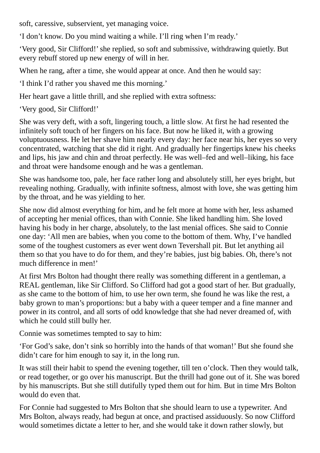soft, caressive, subservient, yet managing voice.

'I don't know. Do you mind waiting a while. I'll ring when I'm ready.'

'Very good, Sir Clifford!' she replied, so soft and submissive, withdrawing quietly. But every rebuff stored up new energy of will in her.

When he rang, after a time, she would appear at once. And then he would say:

'I think I'd rather you shaved me this morning.'

Her heart gave a little thrill, and she replied with extra softness:

'Very good, Sir Clifford!'

She was very deft, with a soft, lingering touch, a little slow. At first he had resented the infinitely soft touch of her fingers on his face. But now he liked it, with a growing voluptuousness. He let her shave him nearly every day: her face near his, her eyes so very concentrated, watching that she did it right. And gradually her fingertips knew his cheeks and lips, his jaw and chin and throat perfectly. He was well–fed and well–liking, his face and throat were handsome enough and he was a gentleman.

She was handsome too, pale, her face rather long and absolutely still, her eyes bright, but revealing nothing. Gradually, with infinite softness, almost with love, she was getting him by the throat, and he was yielding to her.

She now did almost everything for him, and he felt more at home with her, less ashamed of accepting her menial offices, than with Connie. She liked handling him. She loved having his body in her charge, absolutely, to the last menial offices. She said to Connie one day: 'All men are babies, when you come to the bottom of them. Why, I've handled some of the toughest customers as ever went down Tevershall pit. But let anything ail them so that you have to do for them, and they're babies, just big babies. Oh, there's not much difference in men!'

At first Mrs Bolton had thought there really was something different in a gentleman, a REAL gentleman, like Sir Clifford. So Clifford had got a good start of her. But gradually, as she came to the bottom of him, to use her own term, she found he was like the rest, a baby grown to man's proportions: but a baby with a queer temper and a fine manner and power in its control, and all sorts of odd knowledge that she had never dreamed of, with which he could still bully her.

Connie was sometimes tempted to say to him:

'For God's sake, don't sink so horribly into the hands of that woman!' But she found she didn't care for him enough to say it, in the long run.

It was still their habit to spend the evening together, till ten o'clock. Then they would talk, or read together, or go over his manuscript. But the thrill had gone out of it. She was bored by his manuscripts. But she still dutifully typed them out for him. But in time Mrs Bolton would do even that.

For Connie had suggested to Mrs Bolton that she should learn to use a typewriter. And Mrs Bolton, always ready, had begun at once, and practised assiduously. So now Clifford would sometimes dictate a letter to her, and she would take it down rather slowly, but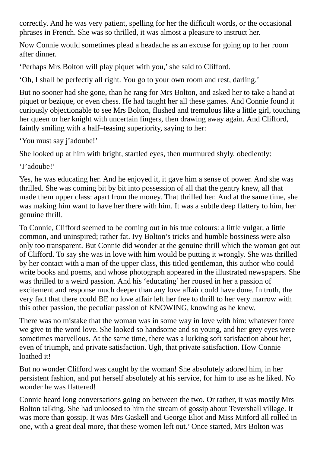correctly. And he was very patient, spelling for her the difficult words, or the occasional phrases in French. She was so thrilled, it was almost a pleasure to instruct her.

Now Connie would sometimes plead a headache as an excuse for going up to her room after dinner.

'Perhaps Mrs Bolton will play piquet with you,'she said to Clifford.

'Oh, I shall be perfectly all right. You go to your own room and rest, darling.'

But no sooner had she gone, than he rang for Mrs Bolton, and asked her to take a hand at piquet or bezique, or even chess. He had taught her all these games. And Connie found it curiously objectionable to see Mrs Bolton, flushed and tremulous like a little girl, touching her queen or her knight with uncertain fingers, then drawing away again. And Clifford, faintly smiling with a half–teasing superiority, saying to her:

'You must say j'adoube!'

She looked up at him with bright, startled eyes, then murmured shyly, obediently:

'J'adoube!'

Yes, he was educating her. And he enjoyed it, it gave him a sense of power. And she was thrilled. She was coming bit by bit into possession of all that the gentry knew, all that made them upper class: apart from the money. That thrilled her. And at the same time, she was making him want to have her there with him. It was a subtle deep flattery to him, her genuine thrill.

To Connie, Clifford seemed to be coming out in his true colours: a little vulgar, a little common, and uninspired; rather fat. Ivy Bolton's tricks and humble bossiness were also only too transparent. But Connie did wonder at the genuine thrill which the woman got out of Clifford. To say she was in love with him would be putting it wrongly. She was thrilled by her contact with a man of the upper class, this titled gentleman, this author who could write books and poems, and whose photograph appeared in the illustrated newspapers. She was thrilled to a weird passion. And his 'educating' her roused in her a passion of excitement and response much deeper than any love affair could have done. In truth, the very fact that there could BE no love affair left her free to thrill to her very marrow with this other passion, the peculiar passion of KNOWING, knowing as he knew.

There was no mistake that the woman was in some way in love with him: whatever force we give to the word love. She looked so handsome and so young, and her grey eyes were sometimes marvellous. At the same time, there was a lurking soft satisfaction about her, even of triumph, and private satisfaction. Ugh, that private satisfaction. How Connie loathed it!

But no wonder Clifford was caught by the woman! She absolutely adored him, in her persistent fashion, and put herself absolutely at his service, for him to use as he liked. No wonder he was flattered!

Connie heard long conversations going on between the two. Or rather, it was mostly Mrs Bolton talking. She had unloosed to him the stream of gossip about Tevershall village. It was more than gossip. It was Mrs Gaskell and George Eliot and Miss Mitford all rolled in one, with a great deal more, that these women left out.' Once started, Mrs Bolton was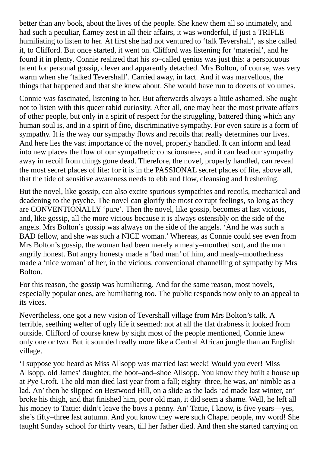better than any book, about the lives of the people. She knew them all so intimately, and had such a peculiar, flamey zest in all their affairs, it was wonderful, if just a TRIFLE humiliating to listen to her. At first she had not ventured to 'talk Tevershall', as she called it, to Clifford. But once started, it went on. Clifford was listening for 'material', and he found it in plenty. Connie realized that his so–called genius was just this: a perspicuous talent for personal gossip, clever and apparently detached. Mrs Bolton, of course, was very warm when she 'talked Tevershall'. Carried away, in fact. And it was marvellous, the things that happened and that she knew about. She would have run to dozens of volumes.

Connie was fascinated, listening to her. But afterwards always a little ashamed. She ought not to listen with this queer rabid curiosity. After all, one may hear the most private affairs of other people, but only in a spirit of respect for the struggling, battered thing which any human soul is, and in a spirit of fine, discriminative sympathy. For even satire is a form of sympathy. It is the way our sympathy flows and recoils that really determines our lives. And here lies the vast importance of the novel, properly handled. It can inform and lead into new places the flow of our sympathetic consciousness, and it can lead our sympathy away in recoil from things gone dead. Therefore, the novel, properly handled, can reveal the most secret places of life: for it is in the PASSIONAL secret places of life, above all, that the tide of sensitive awareness needs to ebb and flow, cleansing and freshening.

But the novel, like gossip, can also excite spurious sympathies and recoils, mechanical and deadening to the psyche. The novel can glorify the most corrupt feelings, so long as they are CONVENTIONALLY 'pure'. Then the novel, like gossip, becomes at last vicious, and, like gossip, all the more vicious because it is always ostensibly on the side of the angels. Mrs Bolton's gossip was always on the side of the angels. 'And he was such a BAD fellow, and she was such a NICE woman.' Whereas, as Connie could see even from Mrs Bolton's gossip, the woman had been merely a mealy–mouthed sort, and the man angrily honest. But angry honesty made a 'bad man' of him, and mealy–mouthedness made a 'nice woman' of her, in the vicious, conventional channelling of sympathy by Mrs Bolton.

For this reason, the gossip was humiliating. And for the same reason, most novels, especially popular ones, are humiliating too. The public responds now only to an appeal to its vices.

Nevertheless, one got a new vision of Tevershall village from Mrs Bolton's talk. A terrible, seething welter of ugly life it seemed: not at all the flat drabness it looked from outside. Clifford of course knew by sight most of the people mentioned, Connie knew only one or two. But it sounded really more like a Central African jungle than an English village.

'I suppose you heard as Miss Allsopp was married last week! Would you ever! Miss Allsopp, old James' daughter, the boot–and–shoe Allsopp. You know they built a house up at Pye Croft. The old man died last year from a fall; eighty–three, he was, an' nimble as a lad. An' then he slipped on Bestwood Hill, on a slide as the lads 'ad made last winter, an' broke his thigh, and that finished him, poor old man, it did seem a shame. Well, he left all his money to Tattie: didn't leave the boys a penny. An' Tattie, I know, is five years—yes, she's fifty–three last autumn. And you know they were such Chapel people, my word! She taught Sunday school for thirty years, till her father died. And then she started carrying on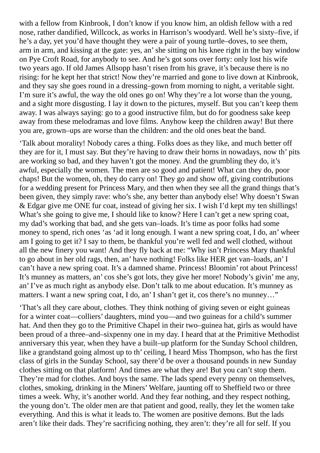with a fellow from Kinbrook, I don't know if you know him, an oldish fellow with a red nose, rather dandified, Willcock, as works in Harrison's woodyard. Well he's sixty–five, if he's a day, yet you'd have thought they were a pair of young turtle–doves, to see them, arm in arm, and kissing at the gate: yes, an'she sitting on his knee right in the bay window on Pye Croft Road, for anybody to see. And he's got sons over forty: only lost his wife two years ago. If old James Allsopp hasn't risen from his grave, it's because there is no rising: for he kept her that strict! Now they're married and gone to live down at Kinbrook, and they say she goes round in a dressing–gown from morning to night, a veritable sight. I'm sure it's awful, the way the old ones go on! Why they're a lot worse than the young, and a sight more disgusting. I lay it down to the pictures, myself. But you can't keep them away. I was always saying: go to a good instructive film, but do for goodness sake keep away from these melodramas and love films. Anyhow keep the children away! But there you are, grown–ups are worse than the children: and the old ones beat the band.

'Talk about morality! Nobody cares a thing. Folks does as they like, and much better off they are for it, I must say. But they're having to draw their horns in nowadays, now th' pits are working so bad, and they haven't got the money. And the grumbling they do, it's awful, especially the women. The men are so good and patient! What can they do, poor chaps! But the women, oh, they do carry on! They go and show off, giving contributions for a wedding present for Princess Mary, and then when they see all the grand things that's been given, they simply rave: who's she, any better than anybody else! Why doesn't Swan & Edgar give me ONE fur coat, instead of giving her six. I wish I'd kept my ten shillings! What's she going to give me, I should like to know? Here I can't get a new spring coat, my dad's working that bad, and she gets van–loads. It's time as poor folks had some money to spend, rich ones 'as 'ad it long enough. I want a new spring coat, I do, an' wheer am I going to get it? I say to them, be thankful you're well fed and well clothed, without all the new finery you want! And they fly back at me: "Why isn't Princess Mary thankful to go about in her old rags, then, an' have nothing! Folks like HER get van–loads, an' I can't have a new spring coat. It's a damned shame. Princess! Bloomin' rot about Princess! It's munney as matters, an' cos she's got lots, they give her more! Nobody's givin' me any, an' I've as much right as anybody else. Don't talk to me about education. It's munney as matters. I want a new spring coat, I do, an' I shan't get it, cos there's no munney…"

'That's all they care about, clothes. They think nothing of giving seven or eight guineas for a winter coat—colliers' daughters, mind you—and two guineas for a child's summer hat. And then they go to the Primitive Chapel in their two–guinea hat, girls as would have been proud of a three–and–sixpenny one in my day. I heard that at the Primitive Methodist anniversary this year, when they have a built–up platform for the Sunday School children, like a grandstand going almost up to th' ceiling, I heard Miss Thompson, who has the first class of girls in the Sunday School, say there'd be over a thousand pounds in new Sunday clothes sitting on that platform! And times are what they are! But you can't stop them. They're mad for clothes. And boys the same. The lads spend every penny on themselves, clothes, smoking, drinking in the Miners' Welfare, jaunting off to Sheffield two or three times a week. Why, it's another world. And they fear nothing, and they respect nothing, the young don't. The older men are that patient and good, really, they let the women take everything. And this is what it leads to. The women are positive demons. But the lads aren't like their dads. They're sacrificing nothing, they aren't: they're all for self. If you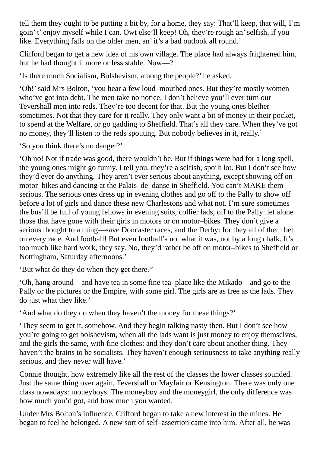tell them they ought to be putting a bit by, for a home, they say: That'll keep, that will, I'm goin' t' enjoy myself while I can. Owt else'll keep! Oh, they're rough an'selfish, if you like. Everything falls on the older men, an' it's a bad outlook all round.'

Clifford began to get a new idea of his own village. The place had always frightened him, but he had thought it more or less stable. Now—?

'Is there much Socialism, Bolshevism, among the people?' he asked.

'Oh!'said Mrs Bolton, 'you hear a few loud–mouthed ones. But they're mostly women who've got into debt. The men take no notice. I don't believe you'll ever turn our Tevershall men into reds. They're too decent for that. But the young ones blether sometimes. Not that they care for it really. They only want a bit of money in their pocket, to spend at the Welfare, or go gadding to Sheffield. That's all they care. When they've got no money, they'll listen to the reds spouting. But nobody believes in it, really.'

'So you think there's no danger?'

'Oh no! Not if trade was good, there wouldn't be. But if things were bad for a long spell, the young ones might go funny. I tell you, they're a selfish, spoilt lot. But I don't see how they'd ever do anything. They aren't ever serious about anything, except showing off on motor–bikes and dancing at the Palais–de–danse in Sheffield. You can't MAKE them serious. The serious ones dress up in evening clothes and go off to the Pally to show off before a lot of girls and dance these new Charlestons and what not. I'm sure sometimes the bus'll be full of young fellows in evening suits, collier lads, off to the Pally: let alone those that have gone with their girls in motors or on motor–bikes. They don't give a serious thought to a thing—save Doncaster races, and the Derby: for they all of them bet on every race. And football! But even football's not what it was, not by a long chalk. It's too much like hard work, they say. No, they'd rather be off on motor–bikes to Sheffield or Nottingham, Saturday afternoons.'

'But what do they do when they get there?'

'Oh, hang around—and have tea in some fine tea–place like the Mikado—and go to the Pally or the pictures or the Empire, with some girl. The girls are as free as the lads. They do just what they like.'

'And what do they do when they haven't the money for these things?'

'They seem to get it, somehow. And they begin talking nasty then. But I don't see how you're going to get bolshevism, when all the lads want is just money to enjoy themselves, and the girls the same, with fine clothes: and they don't care about another thing. They haven't the brains to be socialists. They haven't enough seriousness to take anything really serious, and they never will have.'

Connie thought, how extremely like all the rest of the classes the lower classes sounded. Just the same thing over again, Tevershall or Mayfair or Kensington. There was only one class nowadays: moneyboys. The moneyboy and the moneygirl, the only difference was how much you'd got, and how much you wanted.

Under Mrs Bolton's influence, Clifford began to take a new interest in the mines. He began to feel he belonged. A new sort of self–assertion came into him. After all, he was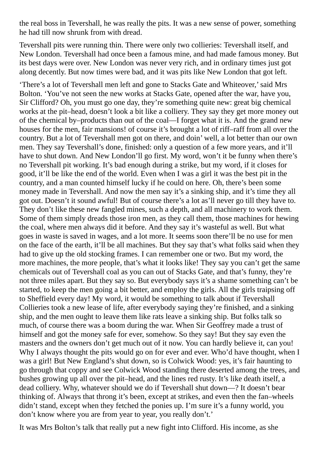the real boss in Tevershall, he was really the pits. It was a new sense of power, something he had till now shrunk from with dread.

Tevershall pits were running thin. There were only two collieries: Tevershall itself, and New London. Tevershall had once been a famous mine, and had made famous money. But its best days were over. New London was never very rich, and in ordinary times just got along decently. But now times were bad, and it was pits like New London that got left.

'There's a lot of Tevershall men left and gone to Stacks Gate and Whiteover,'said Mrs Bolton. 'You've not seen the new works at Stacks Gate, opened after the war, have you, Sir Clifford? Oh, you must go one day, they're something quite new: great big chemical works at the pit–head, doesn't look a bit like a colliery. They say they get more money out of the chemical by–products than out of the coal—I forget what it is. And the grand new houses for the men, fair mansions! of course it's brought a lot of riff–raff from all over the country. But a lot of Tevershall men got on there, and doin' well, a lot better than our own men. They say Tevershall's done, finished: only a question of a few more years, and it'll have to shut down. And New London'll go first. My word, won't it be funny when there's no Tevershall pit working. It's bad enough during a strike, but my word, if it closes for good, it'll be like the end of the world. Even when I was a girl it was the best pit in the country, and a man counted himself lucky if he could on here. Oh, there's been some money made in Tevershall. And now the men say it's a sinking ship, and it's time they all got out. Doesn't it sound awful! But of course there's a lot as'll never go till they have to. They don't like these new fangled mines, such a depth, and all machinery to work them. Some of them simply dreads those iron men, as they call them, those machines for hewing the coal, where men always did it before. And they say it's wasteful as well. But what goes in waste is saved in wages, and a lot more. It seems soon there'll be no use for men on the face of the earth, it'll be all machines. But they say that's what folks said when they had to give up the old stocking frames. I can remember one or two. But my word, the more machines, the more people, that's what it looks like! They say you can't get the same chemicals out of Tevershall coal as you can out of Stacks Gate, and that's funny, they're not three miles apart. But they say so. But everybody says it's a shame something can't be started, to keep the men going a bit better, and employ the girls. All the girls traipsing off to Sheffield every day! My word, it would be something to talk about if Tevershall Collieries took a new lease of life, after everybody saying they're finished, and a sinking ship, and the men ought to leave them like rats leave a sinking ship. But folks talk so much, of course there was a boom during the war. When Sir Geoffrey made a trust of himself and got the money safe for ever, somehow. So they say! But they say even the masters and the owners don't get much out of it now. You can hardly believe it, can you! Why I always thought the pits would go on for ever and ever. Who'd have thought, when I was a girl! But New England's shut down, so is Colwick Wood: yes, it's fair haunting to go through that coppy and see Colwick Wood standing there deserted among the trees, and bushes growing up all over the pit–head, and the lines red rusty. It's like death itself, a dead colliery. Why, whatever should we do if Tevershall shut down—? It doesn't bear thinking of. Always that throng it's been, except at strikes, and even then the fan–wheels didn't stand, except when they fetched the ponies up. I'm sure it's a funny world, you don't know where you are from year to year, you really don't.'

It was Mrs Bolton's talk that really put a new fight into Clifford. His income, as she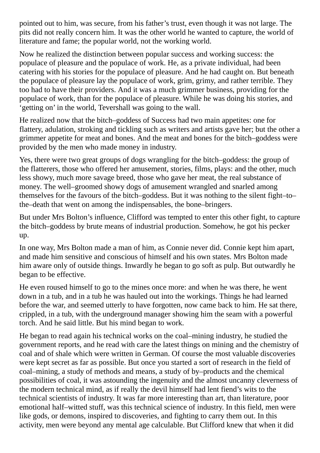pointed out to him, was secure, from his father's trust, even though it was not large. The pits did not really concern him. It was the other world he wanted to capture, the world of literature and fame; the popular world, not the working world.

Now he realized the distinction between popular success and working success: the populace of pleasure and the populace of work. He, as a private individual, had been catering with his stories for the populace of pleasure. And he had caught on. But beneath the populace of pleasure lay the populace of work, grim, grimy, and rather terrible. They too had to have their providers. And it was a much grimmer business, providing for the populace of work, than for the populace of pleasure. While he was doing his stories, and 'getting on' in the world, Tevershall was going to the wall.

He realized now that the bitch–goddess of Success had two main appetites: one for flattery, adulation, stroking and tickling such as writers and artists gave her; but the other a grimmer appetite for meat and bones. And the meat and bones for the bitch–goddess were provided by the men who made money in industry.

Yes, there were two great groups of dogs wrangling for the bitch–goddess: the group of the flatterers, those who offered her amusement, stories, films, plays: and the other, much less showy, much more savage breed, those who gave her meat, the real substance of money. The well–groomed showy dogs of amusement wrangled and snarled among themselves for the favours of the bitch–goddess. But it was nothing to the silent fight–to– the–death that went on among the indispensables, the bone–bringers.

But under Mrs Bolton's influence, Clifford was tempted to enter this other fight, to capture the bitch–goddess by brute means of industrial production. Somehow, he got his pecker up.

In one way, Mrs Bolton made a man of him, as Connie never did. Connie kept him apart, and made him sensitive and conscious of himself and his own states. Mrs Bolton made him aware only of outside things. Inwardly he began to go soft as pulp. But outwardly he began to be effective.

He even roused himself to go to the mines once more: and when he was there, he went down in a tub, and in a tub he was hauled out into the workings. Things he had learned before the war, and seemed utterly to have forgotten, now came back to him. He sat there, crippled, in a tub, with the underground manager showing him the seam with a powerful torch. And he said little. But his mind began to work.

He began to read again his technical works on the coal–mining industry, he studied the government reports, and he read with care the latest things on mining and the chemistry of coal and of shale which were written in German. Of course the most valuable discoveries were kept secret as far as possible. But once you started a sort of research in the field of coal–mining, a study of methods and means, a study of by–products and the chemical possibilities of coal, it was astounding the ingenuity and the almost uncanny cleverness of the modern technical mind, as if really the devil himself had lent fiend's wits to the technical scientists of industry. It was far more interesting than art, than literature, poor emotional half–witted stuff, was this technical science of industry. In this field, men were like gods, or demons, inspired to discoveries, and fighting to carry them out. In this activity, men were beyond any mental age calculable. But Clifford knew that when it did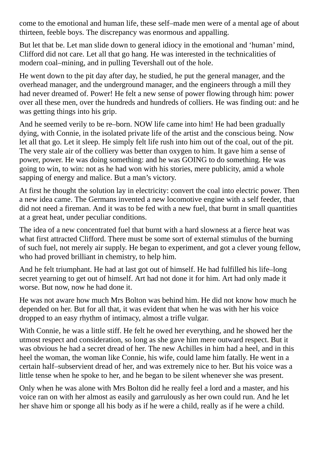come to the emotional and human life, these self–made men were of a mental age of about thirteen, feeble boys. The discrepancy was enormous and appalling.

But let that be. Let man slide down to general idiocy in the emotional and 'human' mind, Clifford did not care. Let all that go hang. He was interested in the technicalities of modern coal–mining, and in pulling Tevershall out of the hole.

He went down to the pit day after day, he studied, he put the general manager, and the overhead manager, and the underground manager, and the engineers through a mill they had never dreamed of. Power! He felt a new sense of power flowing through him: power over all these men, over the hundreds and hundreds of colliers. He was finding out: and he was getting things into his grip.

And he seemed verily to be re–born. NOW life came into him! He had been gradually dying, with Connie, in the isolated private life of the artist and the conscious being. Now let all that go. Let it sleep. He simply felt life rush into him out of the coal, out of the pit. The very stale air of the colliery was better than oxygen to him. It gave him a sense of power, power. He was doing something: and he was GOING to do something. He was going to win, to win: not as he had won with his stories, mere publicity, amid a whole sapping of energy and malice. But a man's victory.

At first he thought the solution lay in electricity: convert the coal into electric power. Then a new idea came. The Germans invented a new locomotive engine with a self feeder, that did not need a fireman. And it was to be fed with a new fuel, that burnt in small quantities at a great heat, under peculiar conditions.

The idea of a new concentrated fuel that burnt with a hard slowness at a fierce heat was what first attracted Clifford. There must be some sort of external stimulus of the burning of such fuel, not merely air supply. He began to experiment, and got a clever young fellow, who had proved brilliant in chemistry, to help him.

And he felt triumphant. He had at last got out of himself. He had fulfilled his life–long secret yearning to get out of himself. Art had not done it for him. Art had only made it worse. But now, now he had done it.

He was not aware how much Mrs Bolton was behind him. He did not know how much he depended on her. But for all that, it was evident that when he was with her his voice dropped to an easy rhythm of intimacy, almost a trifle vulgar.

With Connie, he was a little stiff. He felt he owed her everything, and he showed her the utmost respect and consideration, so long as she gave him mere outward respect. But it was obvious he had a secret dread of her. The new Achilles in him had a heel, and in this heel the woman, the woman like Connie, his wife, could lame him fatally. He went in a certain half–subservient dread of her, and was extremely nice to her. But his voice was a little tense when he spoke to her, and he began to be silent whenever she was present.

Only when he was alone with Mrs Bolton did he really feel a lord and a master, and his voice ran on with her almost as easily and garrulously as her own could run. And he let her shave him or sponge all his body as if he were a child, really as if he were a child.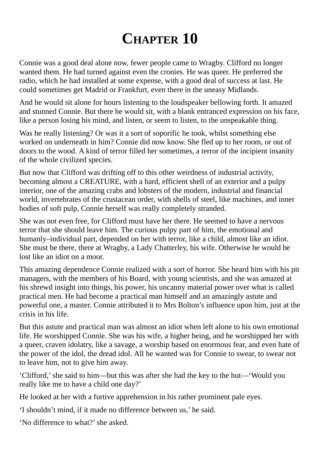## **CHAPTER 10**

Connie was a good deal alone now, fewer people came to Wragby. Clifford no longer wanted them. He had turned against even the cronies. He was queer. He preferred the radio, which he had installed at some expense, with a good deal of success at last. He could sometimes get Madrid or Frankfurt, even there in the uneasy Midlands.

And he would sit alone for hours listening to the loudspeaker bellowing forth. It amazed and stunned Connie. But there he would sit, with a blank entranced expression on his face, like a person losing his mind, and listen, or seem to listen, to the unspeakable thing.

Was he really listening? Or was it a sort of soporific he took, whilst something else worked on underneath in him? Connie did now know. She fled up to her room, or out of doors to the wood. A kind of terror filled her sometimes, a terror of the incipient insanity of the whole civilized species.

But now that Clifford was drifting off to this other weirdness of industrial activity, becoming almost a CREATURE, with a hard, efficient shell of an exterior and a pulpy interior, one of the amazing crabs and lobsters of the modern, industrial and financial world, invertebrates of the crustacean order, with shells of steel, like machines, and inner bodies of soft pulp, Connie herself was really completely stranded.

She was not even free, for Clifford must have her there. He seemed to have a nervous terror that she should leave him. The curious pulpy part of him, the emotional and humanly–individual part, depended on her with terror, like a child, almost like an idiot. She must be there, there at Wragby, a Lady Chatterley, his wife. Otherwise he would be lost like an idiot on a moor.

This amazing dependence Connie realized with a sort of horror. She heard him with his pit managers, with the members of his Board, with young scientists, and she was amazed at his shrewd insight into things, his power, his uncanny material power over what is called practical men. He had become a practical man himself and an amazingly astute and powerful one, a master. Connie attributed it to Mrs Bolton's influence upon him, just at the crisis in his life.

But this astute and practical man was almost an idiot when left alone to his own emotional life. He worshipped Connie. She was his wife, a higher being, and he worshipped her with a queer, craven idolatry, like a savage, a worship based on enormous fear, and even hate of the power of the idol, the dread idol. All he wanted was for Connie to swear, to swear not to leave him, not to give him away.

'Clifford,'she said to him—but this was after she had the key to the hut—'Would you really like me to have a child one day?'

He looked at her with a furtive apprehension in his rather prominent pale eyes.

'I shouldn't mind, if it made no difference between us,' he said.

'No difference to what?'she asked.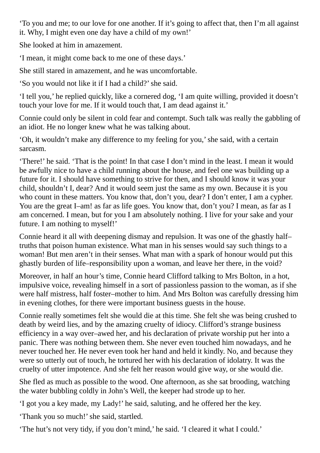'To you and me; to our love for one another. If it's going to affect that, then I'm all against it. Why, I might even one day have a child of my own!'

She looked at him in amazement.

'I mean, it might come back to me one of these days.'

She still stared in amazement, and he was uncomfortable.

'So you would not like it if I had a child?'she said.

'I tell you,' he replied quickly, like a cornered dog, 'I am quite willing, provided it doesn't touch your love for me. If it would touch that, I am dead against it.'

Connie could only be silent in cold fear and contempt. Such talk was really the gabbling of an idiot. He no longer knew what he was talking about.

'Oh, it wouldn't make any difference to my feeling for you,'she said, with a certain sarcasm.

'There!' he said. 'That is the point! In that case I don't mind in the least. I mean it would be awfully nice to have a child running about the house, and feel one was building up a future for it. I should have something to strive for then, and I should know it was your child, shouldn't I, dear? And it would seem just the same as my own. Because it is you who count in these matters. You know that, don't you, dear? I don't enter, I am a cypher. You are the great I–am! as far as life goes. You know that, don't you? I mean, as far as I am concerned. I mean, but for you I am absolutely nothing. I live for your sake and your future. I am nothing to myself!'

Connie heard it all with deepening dismay and repulsion. It was one of the ghastly half– truths that poison human existence. What man in his senses would say such things to a woman! But men aren't in their senses. What man with a spark of honour would put this ghastly burden of life–responsibility upon a woman, and leave her there, in the void?

Moreover, in half an hour's time, Connie heard Clifford talking to Mrs Bolton, in a hot, impulsive voice, revealing himself in a sort of passionless passion to the woman, as if she were half mistress, half foster–mother to him. And Mrs Bolton was carefully dressing him in evening clothes, for there were important business guests in the house.

Connie really sometimes felt she would die at this time. She felt she was being crushed to death by weird lies, and by the amazing cruelty of idiocy. Clifford's strange business efficiency in a way over–awed her, and his declaration of private worship put her into a panic. There was nothing between them. She never even touched him nowadays, and he never touched her. He never even took her hand and held it kindly. No, and because they were so utterly out of touch, he tortured her with his declaration of idolatry. It was the cruelty of utter impotence. And she felt her reason would give way, or she would die.

She fled as much as possible to the wood. One afternoon, as she sat brooding, watching the water bubbling coldly in John's Well, the keeper had strode up to her.

'I got you a key made, my Lady!' he said, saluting, and he offered her the key.

'Thank you so much!' she said, startled.

'The hut's not very tidy, if you don't mind,' he said. 'I cleared it what I could.'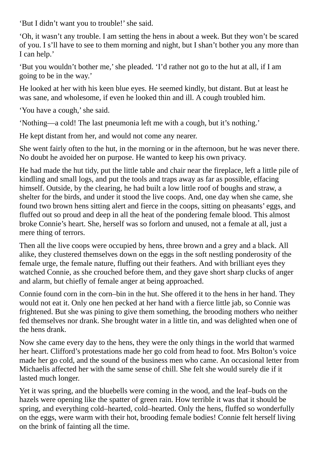'But I didn't want you to trouble!' she said.

'Oh, it wasn't any trouble. I am setting the hens in about a week. But they won't be scared of you. I s'll have to see to them morning and night, but I shan't bother you any more than I can help.'

'But you wouldn't bother me,'she pleaded. 'I'd rather not go to the hut at all, if I am going to be in the way.'

He looked at her with his keen blue eyes. He seemed kindly, but distant. But at least he was sane, and wholesome, if even he looked thin and ill. A cough troubled him.

'You have a cough,'she said.

'Nothing—a cold! The last pneumonia left me with a cough, but it's nothing.'

He kept distant from her, and would not come any nearer.

She went fairly often to the hut, in the morning or in the afternoon, but he was never there. No doubt he avoided her on purpose. He wanted to keep his own privacy.

He had made the hut tidy, put the little table and chair near the fireplace, left a little pile of kindling and small logs, and put the tools and traps away as far as possible, effacing himself. Outside, by the clearing, he had built a low little roof of boughs and straw, a shelter for the birds, and under it stood the live coops. And, one day when she came, she found two brown hens sitting alert and fierce in the coops, sitting on pheasants' eggs, and fluffed out so proud and deep in all the heat of the pondering female blood. This almost broke Connie's heart. She, herself was so forlorn and unused, not a female at all, just a mere thing of terrors.

Then all the live coops were occupied by hens, three brown and a grey and a black. All alike, they clustered themselves down on the eggs in the soft nestling ponderosity of the female urge, the female nature, fluffing out their feathers. And with brilliant eyes they watched Connie, as she crouched before them, and they gave short sharp clucks of anger and alarm, but chiefly of female anger at being approached.

Connie found corn in the corn–bin in the hut. She offered it to the hens in her hand. They would not eat it. Only one hen pecked at her hand with a fierce little jab, so Connie was frightened. But she was pining to give them something, the brooding mothers who neither fed themselves nor drank. She brought water in a little tin, and was delighted when one of the hens drank.

Now she came every day to the hens, they were the only things in the world that warmed her heart. Clifford's protestations made her go cold from head to foot. Mrs Bolton's voice made her go cold, and the sound of the business men who came. An occasional letter from Michaelis affected her with the same sense of chill. She felt she would surely die if it lasted much longer.

Yet it was spring, and the bluebells were coming in the wood, and the leaf–buds on the hazels were opening like the spatter of green rain. How terrible it was that it should be spring, and everything cold–hearted, cold–hearted. Only the hens, fluffed so wonderfully on the eggs, were warm with their hot, brooding female bodies! Connie felt herself living on the brink of fainting all the time.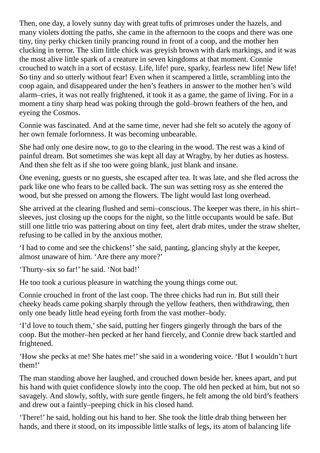Then, one day, a lovely sunny day with great tufts of primroses under the hazels, and many violets dotting the paths, she came in the afternoon to the coops and there was one tiny, tiny perky chicken tinily prancing round in front of a coop, and the mother hen clucking in terror. The slim little chick was greyish brown with dark markings, and it was the most alive little spark of a creature in seven kingdoms at that moment. Connie crouched to watch in a sort of ecstasy. Life, life! pure, sparky, fearless new life! New life! So tiny and so utterly without fear! Even when it scampered a little, scrambling into the coop again, and disappeared under the hen's feathers in answer to the mother hen's wild alarm–cries, it was not really frightened, it took it as a game, the game of living. For in a moment a tiny sharp head was poking through the gold–brown feathers of the hen, and eyeing the Cosmos.

Connie was fascinated. And at the same time, never had she felt so acutely the agony of her own female forlornness. It was becoming unbearable.

She had only one desire now, to go to the clearing in the wood. The rest was a kind of painful dream. But sometimes she was kept all day at Wragby, by her duties as hostess. And then she felt as if she too were going blank, just blank and insane.

One evening, guests or no guests, she escaped after tea. It was late, and she fled across the park like one who fears to be called back. The sun was setting rosy as she entered the wood, but she pressed on among the flowers. The light would last long overhead.

She arrived at the clearing flushed and semi–conscious. The keeper was there, in his shirt– sleeves, just closing up the coops for the night, so the little occupants would be safe. But still one little trio was pattering about on tiny feet, alert drab mites, under the straw shelter, refusing to be called in by the anxious mother.

'I had to come and see the chickens!'she said, panting, glancing shyly at the keeper, almost unaware of him. 'Are there any more?'

'Thurty–six so far!' he said. 'Not bad!'

He too took a curious pleasure in watching the young things come out.

Connie crouched in front of the last coop. The three chicks had run in. But still their cheeky heads came poking sharply through the yellow feathers, then withdrawing, then only one beady little head eyeing forth from the vast mother–body.

'I'd love to touch them,'she said, putting her fingers gingerly through the bars of the coop. But the mother–hen pecked at her hand fiercely, and Connie drew back startled and frightened.

'How she pecks at me! She hates me!'she said in a wondering voice. 'But I wouldn't hurt them!'

The man standing above her laughed, and crouched down beside her, knees apart, and put his hand with quiet confidence slowly into the coop. The old hen pecked at him, but not so savagely. And slowly, softly, with sure gentle fingers, he felt among the old bird's feathers and drew out a faintly–peeping chick in his closed hand.

'There!' he said, holding out his hand to her. She took the little drab thing between her hands, and there it stood, on its impossible little stalks of legs, its atom of balancing life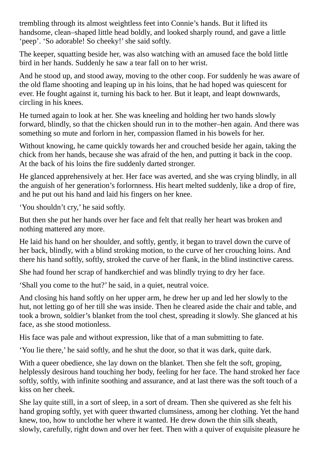trembling through its almost weightless feet into Connie's hands. But it lifted its handsome, clean–shaped little head boldly, and looked sharply round, and gave a little 'peep'. 'So adorable! So cheeky!' she said softly.

The keeper, squatting beside her, was also watching with an amused face the bold little bird in her hands. Suddenly he saw a tear fall on to her wrist.

And he stood up, and stood away, moving to the other coop. For suddenly he was aware of the old flame shooting and leaping up in his loins, that he had hoped was quiescent for ever. He fought against it, turning his back to her. But it leapt, and leapt downwards, circling in his knees.

He turned again to look at her. She was kneeling and holding her two hands slowly forward, blindly, so that the chicken should run in to the mother–hen again. And there was something so mute and forlorn in her, compassion flamed in his bowels for her.

Without knowing, he came quickly towards her and crouched beside her again, taking the chick from her hands, because she was afraid of the hen, and putting it back in the coop. At the back of his loins the fire suddenly darted stronger.

He glanced apprehensively at her. Her face was averted, and she was crying blindly, in all the anguish of her generation's forlornness. His heart melted suddenly, like a drop of fire, and he put out his hand and laid his fingers on her knee.

'You shouldn't cry,' he said softly.

But then she put her hands over her face and felt that really her heart was broken and nothing mattered any more.

He laid his hand on her shoulder, and softly, gently, it began to travel down the curve of her back, blindly, with a blind stroking motion, to the curve of her crouching loins. And there his hand softly, softly, stroked the curve of her flank, in the blind instinctive caress.

She had found her scrap of handkerchief and was blindly trying to dry her face.

'Shall you come to the hut?' he said, in a quiet, neutral voice.

And closing his hand softly on her upper arm, he drew her up and led her slowly to the hut, not letting go of her till she was inside. Then he cleared aside the chair and table, and took a brown, soldier's blanket from the tool chest, spreading it slowly. She glanced at his face, as she stood motionless.

His face was pale and without expression, like that of a man submitting to fate.

'You lie there,' he said softly, and he shut the door, so that it was dark, quite dark.

With a queer obedience, she lay down on the blanket. Then she felt the soft, groping, helplessly desirous hand touching her body, feeling for her face. The hand stroked her face softly, softly, with infinite soothing and assurance, and at last there was the soft touch of a kiss on her cheek.

She lay quite still, in a sort of sleep, in a sort of dream. Then she quivered as she felt his hand groping softly, yet with queer thwarted clumsiness, among her clothing. Yet the hand knew, too, how to unclothe her where it wanted. He drew down the thin silk sheath, slowly, carefully, right down and over her feet. Then with a quiver of exquisite pleasure he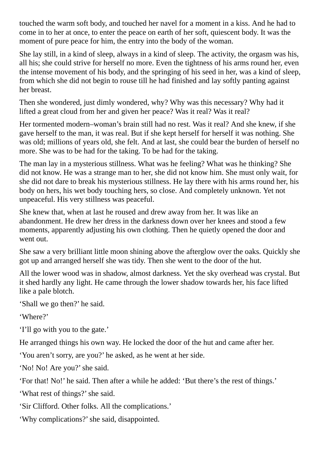touched the warm soft body, and touched her navel for a moment in a kiss. And he had to come in to her at once, to enter the peace on earth of her soft, quiescent body. It was the moment of pure peace for him, the entry into the body of the woman.

She lay still, in a kind of sleep, always in a kind of sleep. The activity, the orgasm was his, all his; she could strive for herself no more. Even the tightness of his arms round her, even the intense movement of his body, and the springing of his seed in her, was a kind of sleep, from which she did not begin to rouse till he had finished and lay softly panting against her breast.

Then she wondered, just dimly wondered, why? Why was this necessary? Why had it lifted a great cloud from her and given her peace? Was it real? Was it real?

Her tormented modern–woman's brain still had no rest. Was it real? And she knew, if she gave herself to the man, it was real. But if she kept herself for herself it was nothing. She was old; millions of years old, she felt. And at last, she could bear the burden of herself no more. She was to be had for the taking. To be had for the taking.

The man lay in a mysterious stillness. What was he feeling? What was he thinking? She did not know. He was a strange man to her, she did not know him. She must only wait, for she did not dare to break his mysterious stillness. He lay there with his arms round her, his body on hers, his wet body touching hers, so close. And completely unknown. Yet not unpeaceful. His very stillness was peaceful.

She knew that, when at last he roused and drew away from her. It was like an abandonment. He drew her dress in the darkness down over her knees and stood a few moments, apparently adjusting his own clothing. Then he quietly opened the door and went out.

She saw a very brilliant little moon shining above the afterglow over the oaks. Quickly she got up and arranged herself she was tidy. Then she went to the door of the hut.

All the lower wood was in shadow, almost darkness. Yet the sky overhead was crystal. But it shed hardly any light. He came through the lower shadow towards her, his face lifted like a pale blotch.

'Shall we go then?' he said.

'Where?'

'I'll go with you to the gate.'

He arranged things his own way. He locked the door of the hut and came after her.

'You aren't sorry, are you?' he asked, as he went at her side.

'No! No! Are you?'she said.

'For that! No!' he said. Then after a while he added: 'But there's the rest of things.'

'What rest of things?'she said.

'Sir Clifford. Other folks. All the complications.'

'Why complications?'she said, disappointed.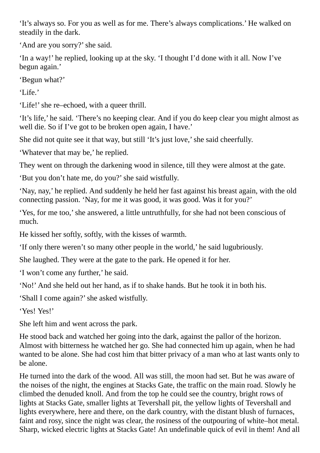'It's always so. For you as well as for me. There's always complications.' He walked on steadily in the dark.

'And are you sorry?' she said.

'In a way!' he replied, looking up at the sky. 'I thought I'd done with it all. Now I've begun again.'

'Begun what?'

'Life.'

'Life!'she re–echoed, with a queer thrill.

'It's life,' he said. 'There's no keeping clear. And if you do keep clear you might almost as well die. So if I've got to be broken open again, I have.'

She did not quite see it that way, but still 'It's just love,'she said cheerfully.

'Whatever that may be,' he replied.

They went on through the darkening wood in silence, till they were almost at the gate.

'But you don't hate me, do you?'she said wistfully.

'Nay, nay,' he replied. And suddenly he held her fast against his breast again, with the old connecting passion. 'Nay, for me it was good, it was good. Was it for you?'

'Yes, for me too,'she answered, a little untruthfully, for she had not been conscious of much.

He kissed her softly, softly, with the kisses of warmth.

'If only there weren't so many other people in the world,' he said lugubriously.

She laughed. They were at the gate to the park. He opened it for her.

'I won't come any further,' he said.

'No!' And she held out her hand, as if to shake hands. But he took it in both his.

'Shall I come again?'she asked wistfully.

'Yes! Yes!'

She left him and went across the park.

He stood back and watched her going into the dark, against the pallor of the horizon. Almost with bitterness he watched her go. She had connected him up again, when he had wanted to be alone. She had cost him that bitter privacy of a man who at last wants only to be alone.

He turned into the dark of the wood. All was still, the moon had set. But he was aware of the noises of the night, the engines at Stacks Gate, the traffic on the main road. Slowly he climbed the denuded knoll. And from the top he could see the country, bright rows of lights at Stacks Gate, smaller lights at Tevershall pit, the yellow lights of Tevershall and lights everywhere, here and there, on the dark country, with the distant blush of furnaces, faint and rosy, since the night was clear, the rosiness of the outpouring of white–hot metal. Sharp, wicked electric lights at Stacks Gate! An undefinable quick of evil in them! And all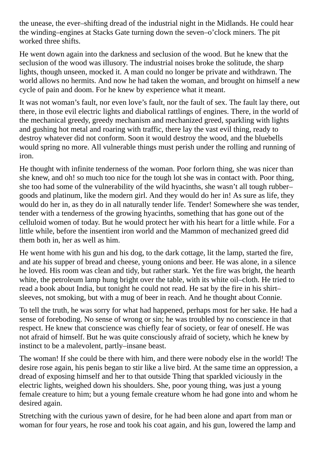the unease, the ever–shifting dread of the industrial night in the Midlands. He could hear the winding–engines at Stacks Gate turning down the seven–o'clock miners. The pit worked three shifts.

He went down again into the darkness and seclusion of the wood. But he knew that the seclusion of the wood was illusory. The industrial noises broke the solitude, the sharp lights, though unseen, mocked it. A man could no longer be private and withdrawn. The world allows no hermits. And now he had taken the woman, and brought on himself a new cycle of pain and doom. For he knew by experience what it meant.

It was not woman's fault, nor even love's fault, nor the fault of sex. The fault lay there, out there, in those evil electric lights and diabolical rattlings of engines. There, in the world of the mechanical greedy, greedy mechanism and mechanized greed, sparkling with lights and gushing hot metal and roaring with traffic, there lay the vast evil thing, ready to destroy whatever did not conform. Soon it would destroy the wood, and the bluebells would spring no more. All vulnerable things must perish under the rolling and running of iron.

He thought with infinite tenderness of the woman. Poor forlorn thing, she was nicer than she knew, and oh! so much too nice for the tough lot she was in contact with. Poor thing, she too had some of the vulnerability of the wild hyacinths, she wasn't all tough rubber– goods and platinum, like the modern girl. And they would do her in! As sure as life, they would do her in, as they do in all naturally tender life. Tender! Somewhere she was tender, tender with a tenderness of the growing hyacinths, something that has gone out of the celluloid women of today. But he would protect her with his heart for a little while. For a little while, before the insentient iron world and the Mammon of mechanized greed did them both in, her as well as him.

He went home with his gun and his dog, to the dark cottage, lit the lamp, started the fire, and ate his supper of bread and cheese, young onions and beer. He was alone, in a silence he loved. His room was clean and tidy, but rather stark. Yet the fire was bright, the hearth white, the petroleum lamp hung bright over the table, with its white oil–cloth. He tried to read a book about India, but tonight he could not read. He sat by the fire in his shirt– sleeves, not smoking, but with a mug of beer in reach. And he thought about Connie.

To tell the truth, he was sorry for what had happened, perhaps most for her sake. He had a sense of foreboding. No sense of wrong or sin; he was troubled by no conscience in that respect. He knew that conscience was chiefly fear of society, or fear of oneself. He was not afraid of himself. But he was quite consciously afraid of society, which he knew by instinct to be a malevolent, partly–insane beast.

The woman! If she could be there with him, and there were nobody else in the world! The desire rose again, his penis began to stir like a live bird. At the same time an oppression, a dread of exposing himself and her to that outside Thing that sparkled viciously in the electric lights, weighed down his shoulders. She, poor young thing, was just a young female creature to him; but a young female creature whom he had gone into and whom he desired again.

Stretching with the curious yawn of desire, for he had been alone and apart from man or woman for four years, he rose and took his coat again, and his gun, lowered the lamp and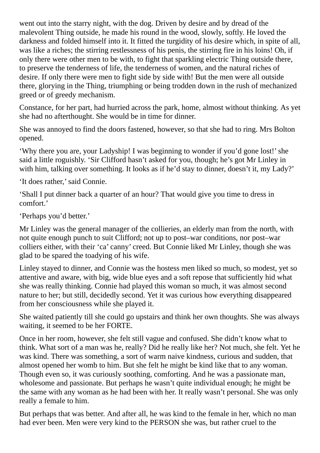went out into the starry night, with the dog. Driven by desire and by dread of the malevolent Thing outside, he made his round in the wood, slowly, softly. He loved the darkness and folded himself into it. It fitted the turgidity of his desire which, in spite of all, was like a riches; the stirring restlessness of his penis, the stirring fire in his loins! Oh, if only there were other men to be with, to fight that sparkling electric Thing outside there, to preserve the tenderness of life, the tenderness of women, and the natural riches of desire. If only there were men to fight side by side with! But the men were all outside there, glorying in the Thing, triumphing or being trodden down in the rush of mechanized greed or of greedy mechanism.

Constance, for her part, had hurried across the park, home, almost without thinking. As yet she had no afterthought. She would be in time for dinner.

She was annoyed to find the doors fastened, however, so that she had to ring. Mrs Bolton opened.

'Why there you are, your Ladyship! I was beginning to wonder if you'd gone lost!'she said a little roguishly. 'Sir Clifford hasn't asked for you, though; he's got Mr Linley in with him, talking over something. It looks as if he'd stay to dinner, doesn't it, my Lady?'

'It does rather,'said Connie.

'Shall I put dinner back a quarter of an hour? That would give you time to dress in comfort.'

'Perhaps you'd better.'

Mr Linley was the general manager of the collieries, an elderly man from the north, with not quite enough punch to suit Clifford; not up to post–war conditions, nor post–war colliers either, with their 'ca' canny' creed. But Connie liked Mr Linley, though she was glad to be spared the toadying of his wife.

Linley stayed to dinner, and Connie was the hostess men liked so much, so modest, yet so attentive and aware, with big, wide blue eyes and a soft repose that sufficiently hid what she was really thinking. Connie had played this woman so much, it was almost second nature to her; but still, decidedly second. Yet it was curious how everything disappeared from her consciousness while she played it.

She waited patiently till she could go upstairs and think her own thoughts. She was always waiting, it seemed to be her FORTE.

Once in her room, however, she felt still vague and confused. She didn't know what to think. What sort of a man was he, really? Did he really like her? Not much, she felt. Yet he was kind. There was something, a sort of warm naive kindness, curious and sudden, that almost opened her womb to him. But she felt he might be kind like that to any woman. Though even so, it was curiously soothing, comforting. And he was a passionate man, wholesome and passionate. But perhaps he wasn't quite individual enough; he might be the same with any woman as he had been with her. It really wasn't personal. She was only really a female to him.

But perhaps that was better. And after all, he was kind to the female in her, which no man had ever been. Men were very kind to the PERSON she was, but rather cruel to the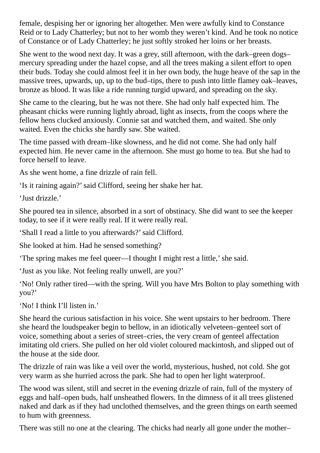female, despising her or ignoring her altogether. Men were awfully kind to Constance Reid or to Lady Chatterley; but not to her womb they weren't kind. And he took no notice of Constance or of Lady Chatterley; he just softly stroked her loins or her breasts.

She went to the wood next day. It was a grey, still afternoon, with the dark–green dogs– mercury spreading under the hazel copse, and all the trees making a silent effort to open their buds. Today she could almost feel it in her own body, the huge heave of the sap in the massive trees, upwards, up, up to the bud–tips, there to push into little flamey oak–leaves, bronze as blood. It was like a ride running turgid upward, and spreading on the sky.

She came to the clearing, but he was not there. She had only half expected him. The pheasant chicks were running lightly abroad, light as insects, from the coops where the fellow hens clucked anxiously. Connie sat and watched them, and waited. She only waited. Even the chicks she hardly saw. She waited.

The time passed with dream–like slowness, and he did not come. She had only half expected him. He never came in the afternoon. She must go home to tea. But she had to force herself to leave.

As she went home, a fine drizzle of rain fell.

'Is it raining again?'said Clifford, seeing her shake her hat.

'Just drizzle.'

She poured tea in silence, absorbed in a sort of obstinacy. She did want to see the keeper today, to see if it were really real. If it were really real.

'Shall I read a little to you afterwards?'said Clifford.

She looked at him. Had he sensed something?

'The spring makes me feel queer—I thought I might rest a little,'she said.

'Just as you like. Not feeling really unwell, are you?'

'No! Only rather tired—with the spring. Will you have Mrs Bolton to play something with you?'

'No! I think I'll listen in.'

She heard the curious satisfaction in his voice. She went upstairs to her bedroom. There she heard the loudspeaker begin to bellow, in an idiotically velveteen–genteel sort of voice, something about a series of street–cries, the very cream of genteel affectation imitating old criers. She pulled on her old violet coloured mackintosh, and slipped out of the house at the side door.

The drizzle of rain was like a veil over the world, mysterious, hushed, not cold. She got very warm as she hurried across the park. She had to open her light waterproof.

The wood was silent, still and secret in the evening drizzle of rain, full of the mystery of eggs and half–open buds, half unsheathed flowers. In the dimness of it all trees glistened naked and dark as if they had unclothed themselves, and the green things on earth seemed to hum with greenness.

There was still no one at the clearing. The chicks had nearly all gone under the mother–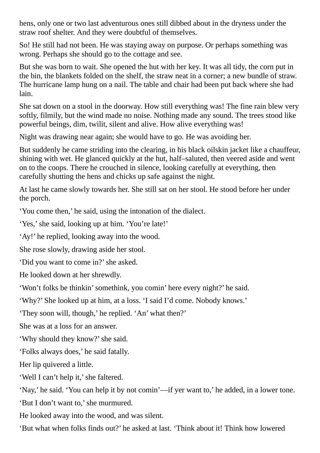hens, only one or two last adventurous ones still dibbed about in the dryness under the straw roof shelter. And they were doubtful of themselves.

So! He still had not been. He was staying away on purpose. Or perhaps something was wrong. Perhaps she should go to the cottage and see.

But she was born to wait. She opened the hut with her key. It was all tidy, the corn put in the bin, the blankets folded on the shelf, the straw neat in a corner; a new bundle of straw. The hurricane lamp hung on a nail. The table and chair had been put back where she had lain.

She sat down on a stool in the doorway. How still everything was! The fine rain blew very softly, filmily, but the wind made no noise. Nothing made any sound. The trees stood like powerful beings, dim, twilit, silent and alive. How alive everything was!

Night was drawing near again; she would have to go. He was avoiding her.

But suddenly he came striding into the clearing, in his black oilskin jacket like a chauffeur, shining with wet. He glanced quickly at the hut, half–saluted, then veered aside and went on to the coops. There he crouched in silence, looking carefully at everything, then carefully shutting the hens and chicks up safe against the night.

At last he came slowly towards her. She still sat on her stool. He stood before her under the porch.

'You come then,' he said, using the intonation of the dialect.

'Yes,'she said, looking up at him. 'You're late!'

'Ay!' he replied, looking away into the wood.

She rose slowly, drawing aside her stool.

'Did you want to come in?'she asked.

He looked down at her shrewdly.

'Won't folks be thinkin'somethink, you comin' here every night?' he said.

'Why?' She looked up at him, at a loss. 'I said I'd come. Nobody knows.'

'They soon will, though,' he replied. 'An' what then?'

She was at a loss for an answer.

'Why should they know?'she said.

'Folks always does,' he said fatally.

Her lip quivered a little.

'Well I can't help it,' she faltered.

'Nay,' he said. 'You can help it by not comin'—if yer want to,' he added, in a lower tone. 'But I don't want to,'she murmured.

He looked away into the wood, and was silent.

'But what when folks finds out?' he asked at last. 'Think about it! Think how lowered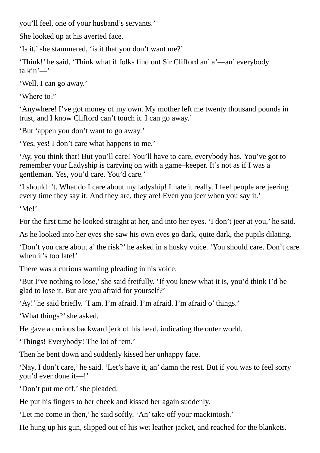you'll feel, one of your husband's servants.'

She looked up at his averted face.

'Is it,'she stammered, 'is it that you don't want me?'

'Think!' he said. 'Think what if folks find out Sir Clifford an' a'—an' everybody talkin'—'

'Well, I can go away.'

'Where to?'

'Anywhere! I've got money of my own. My mother left me twenty thousand pounds in trust, and I know Clifford can't touch it. I can go away.'

'But 'appen you don't want to go away.'

'Yes, yes! I don't care what happens to me.'

'Ay, you think that! But you'll care! You'll have to care, everybody has. You've got to remember your Ladyship is carrying on with a game–keeper. It's not as if I was a gentleman. Yes, you'd care. You'd care.'

'I shouldn't. What do I care about my ladyship! I hate it really. I feel people are jeering every time they say it. And they are, they are! Even you jeer when you say it.'

'Me!'

For the first time he looked straight at her, and into her eyes. 'I don't jeer at you,' he said.

As he looked into her eyes she saw his own eyes go dark, quite dark, the pupils dilating.

'Don't you care about a' the risk?' he asked in a husky voice. 'You should care. Don't care when it's too late!'

There was a curious warning pleading in his voice.

'But I've nothing to lose,'she said fretfully. 'If you knew what it is, you'd think I'd be glad to lose it. But are you afraid for yourself?'

'Ay!' he said briefly. 'I am. I'm afraid. I'm afraid. I'm afraid o' things.'

'What things?'she asked.

He gave a curious backward jerk of his head, indicating the outer world.

'Things! Everybody! The lot of 'em.'

Then he bent down and suddenly kissed her unhappy face.

'Nay, I don't care,' he said. 'Let's have it, an' damn the rest. But if you was to feel sorry you'd ever done it—!'

'Don't put me off,' she pleaded.

He put his fingers to her cheek and kissed her again suddenly.

'Let me come in then,' he said softly. 'An' take off your mackintosh.'

He hung up his gun, slipped out of his wet leather jacket, and reached for the blankets.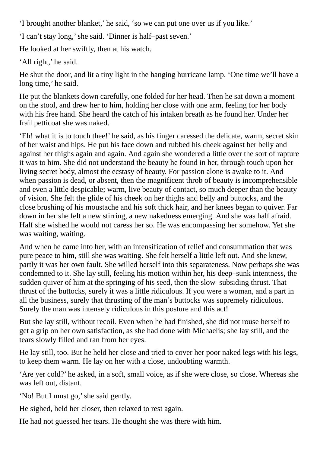'I brought another blanket,' he said, 'so we can put one over us if you like.'

'I can't stay long,'she said. 'Dinner is half–past seven.'

He looked at her swiftly, then at his watch.

'All right,' he said.

He shut the door, and lit a tiny light in the hanging hurricane lamp. 'One time we'll have a long time,' he said.

He put the blankets down carefully, one folded for her head. Then he sat down a moment on the stool, and drew her to him, holding her close with one arm, feeling for her body with his free hand. She heard the catch of his intaken breath as he found her. Under her frail petticoat she was naked.

'Eh! what it is to touch thee!' he said, as his finger caressed the delicate, warm, secret skin of her waist and hips. He put his face down and rubbed his cheek against her belly and against her thighs again and again. And again she wondered a little over the sort of rapture it was to him. She did not understand the beauty he found in her, through touch upon her living secret body, almost the ecstasy of beauty. For passion alone is awake to it. And when passion is dead, or absent, then the magnificent throb of beauty is incomprehensible and even a little despicable; warm, live beauty of contact, so much deeper than the beauty of vision. She felt the glide of his cheek on her thighs and belly and buttocks, and the close brushing of his moustache and his soft thick hair, and her knees began to quiver. Far down in her she felt a new stirring, a new nakedness emerging. And she was half afraid. Half she wished he would not caress her so. He was encompassing her somehow. Yet she was waiting, waiting.

And when he came into her, with an intensification of relief and consummation that was pure peace to him, still she was waiting. She felt herself a little left out. And she knew, partly it was her own fault. She willed herself into this separateness. Now perhaps she was condemned to it. She lay still, feeling his motion within her, his deep–sunk intentness, the sudden quiver of him at the springing of his seed, then the slow–subsiding thrust. That thrust of the buttocks, surely it was a little ridiculous. If you were a woman, and a part in all the business, surely that thrusting of the man's buttocks was supremely ridiculous. Surely the man was intensely ridiculous in this posture and this act!

But she lay still, without recoil. Even when he had finished, she did not rouse herself to get a grip on her own satisfaction, as she had done with Michaelis; she lay still, and the tears slowly filled and ran from her eyes.

He lay still, too. But he held her close and tried to cover her poor naked legs with his legs, to keep them warm. He lay on her with a close, undoubting warmth.

'Are yer cold?' he asked, in a soft, small voice, as if she were close, so close. Whereas she was left out, distant.

'No! But I must go,'she said gently.

He sighed, held her closer, then relaxed to rest again.

He had not guessed her tears. He thought she was there with him.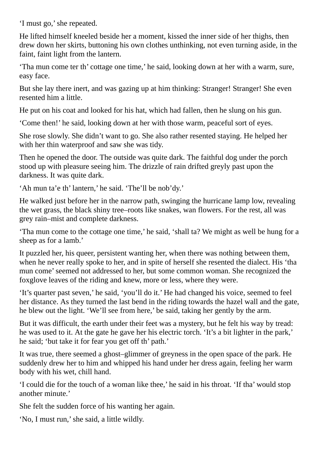'I must go,'she repeated.

He lifted himself kneeled beside her a moment, kissed the inner side of her thighs, then drew down her skirts, buttoning his own clothes unthinking, not even turning aside, in the faint, faint light from the lantern.

'Tha mun come ter th' cottage one time,' he said, looking down at her with a warm, sure, easy face.

But she lay there inert, and was gazing up at him thinking: Stranger! Stranger! She even resented him a little.

He put on his coat and looked for his hat, which had fallen, then he slung on his gun.

'Come then!' he said, looking down at her with those warm, peaceful sort of eyes.

She rose slowly. She didn't want to go. She also rather resented staying. He helped her with her thin waterproof and saw she was tidy.

Then he opened the door. The outside was quite dark. The faithful dog under the porch stood up with pleasure seeing him. The drizzle of rain drifted greyly past upon the darkness. It was quite dark.

'Ah mun ta'e th' lantern,' he said. 'The'll be nob'dy.'

He walked just before her in the narrow path, swinging the hurricane lamp low, revealing the wet grass, the black shiny tree–roots like snakes, wan flowers. For the rest, all was grey rain–mist and complete darkness.

'Tha mun come to the cottage one time,' he said, 'shall ta? We might as well be hung for a sheep as for a lamb.'

It puzzled her, his queer, persistent wanting her, when there was nothing between them, when he never really spoke to her, and in spite of herself she resented the dialect. His 'tha mun come'seemed not addressed to her, but some common woman. She recognized the foxglove leaves of the riding and knew, more or less, where they were.

'It's quarter past seven,' he said, 'you'll do it.' He had changed his voice, seemed to feel her distance. As they turned the last bend in the riding towards the hazel wall and the gate, he blew out the light. 'We'll see from here,' be said, taking her gently by the arm.

But it was difficult, the earth under their feet was a mystery, but he felt his way by tread: he was used to it. At the gate he gave her his electric torch. 'It's a bit lighter in the park,' he said; 'but take it for fear you get off th' path.'

It was true, there seemed a ghost–glimmer of greyness in the open space of the park. He suddenly drew her to him and whipped his hand under her dress again, feeling her warm body with his wet, chill hand.

'I could die for the touch of a woman like thee,' he said in his throat. 'If tha' would stop another minute.'

She felt the sudden force of his wanting her again.

'No, I must run,'she said, a little wildly.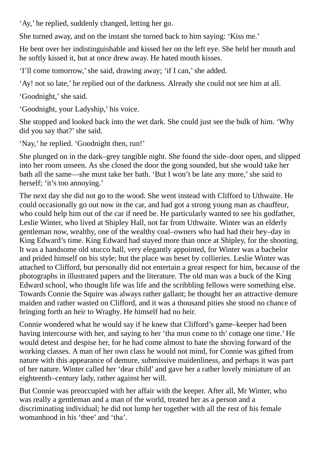'Ay,' he replied, suddenly changed, letting her go.

She turned away, and on the instant she turned back to him saying: 'Kiss me.'

He bent over her indistinguishable and kissed her on the left eye. She held her mouth and he softly kissed it, but at once drew away. He hated mouth kisses.

'I'll come tomorrow,'she said, drawing away; 'if I can,'she added.

'Ay! not so late,' he replied out of the darkness. Already she could not see him at all.

'Goodnight,' she said.

'Goodnight, your Ladyship,' his voice.

She stopped and looked back into the wet dark. She could just see the bulk of him. 'Why did you say that?' she said.

'Nay,' he replied. 'Goodnight then, run!'

She plunged on in the dark–grey tangible night. She found the side–door open, and slipped into her room unseen. As she closed the door the gong sounded, but she would take her bath all the same—she must take her bath. 'But I won't be late any more,'she said to herself; 'it's too annoying.'

The next day she did not go to the wood. She went instead with Clifford to Uthwaite. He could occasionally go out now in the car, and had got a strong young man as chauffeur, who could help him out of the car if need be. He particularly wanted to see his godfather, Leslie Winter, who lived at Shipley Hall, not far from Uthwaite. Winter was an elderly gentleman now, wealthy, one of the wealthy coal–owners who had had their hey–day in King Edward's time. King Edward had stayed more than once at Shipley, for the shooting. It was a handsome old stucco hall, very elegantly appointed, for Winter was a bachelor and prided himself on his style; but the place was beset by collieries. Leslie Winter was attached to Clifford, but personally did not entertain a great respect for him, because of the photographs in illustrated papers and the literature. The old man was a buck of the King Edward school, who thought life was life and the scribbling fellows were something else. Towards Connie the Squire was always rather gallant; he thought her an attractive demure maiden and rather wasted on Clifford, and it was a thousand pities she stood no chance of bringing forth an heir to Wragby. He himself had no heir.

Connie wondered what he would say if he knew that Clifford's game–keeper had been having intercourse with her, and saying to her 'tha mun come to th' cottage one time.' He would detest and despise her, for he had come almost to hate the shoving forward of the working classes. A man of her own class he would not mind, for Connie was gifted from nature with this appearance of demure, submissive maidenliness, and perhaps it was part of her nature. Winter called her 'dear child' and gave her a rather lovely miniature of an eighteenth–century lady, rather against her will.

But Connie was preoccupied with her affair with the keeper. After all, Mr Winter, who was really a gentleman and a man of the world, treated her as a person and a discriminating individual; he did not lump her together with all the rest of his female womanhood in his 'thee' and 'tha'.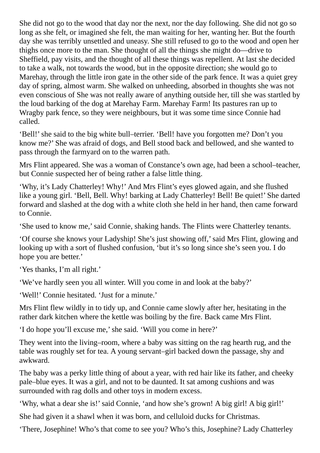She did not go to the wood that day nor the next, nor the day following. She did not go so long as she felt, or imagined she felt, the man waiting for her, wanting her. But the fourth day she was terribly unsettled and uneasy. She still refused to go to the wood and open her thighs once more to the man. She thought of all the things she might do—drive to Sheffield, pay visits, and the thought of all these things was repellent. At last she decided to take a walk, not towards the wood, but in the opposite direction; she would go to Marehay, through the little iron gate in the other side of the park fence. It was a quiet grey day of spring, almost warm. She walked on unheeding, absorbed in thoughts she was not even conscious of She was not really aware of anything outside her, till she was startled by the loud barking of the dog at Marehay Farm. Marehay Farm! Its pastures ran up to Wragby park fence, so they were neighbours, but it was some time since Connie had called.

'Bell!'she said to the big white bull–terrier. 'Bell! have you forgotten me? Don't you know me?' She was afraid of dogs, and Bell stood back and bellowed, and she wanted to pass through the farmyard on to the warren path.

Mrs Flint appeared. She was a woman of Constance's own age, had been a school–teacher, but Connie suspected her of being rather a false little thing.

'Why, it's Lady Chatterley! Why!' And Mrs Flint's eyes glowed again, and she flushed like a young girl. 'Bell, Bell. Why! barking at Lady Chatterley! Bell! Be quiet!' She darted forward and slashed at the dog with a white cloth she held in her hand, then came forward to Connie.

'She used to know me,'said Connie, shaking hands. The Flints were Chatterley tenants.

'Of course she knows your Ladyship! She's just showing off,'said Mrs Flint, glowing and looking up with a sort of flushed confusion, 'but it's so long since she's seen you. I do hope you are better.'

'Yes thanks, I'm all right.'

'We've hardly seen you all winter. Will you come in and look at the baby?'

'Well!' Connie hesitated. 'Just for a minute.'

Mrs Flint flew wildly in to tidy up, and Connie came slowly after her, hesitating in the rather dark kitchen where the kettle was boiling by the fire. Back came Mrs Flint.

'I do hope you'll excuse me,'she said. 'Will you come in here?'

They went into the living–room, where a baby was sitting on the rag hearth rug, and the table was roughly set for tea. A young servant–girl backed down the passage, shy and awkward.

The baby was a perky little thing of about a year, with red hair like its father, and cheeky pale–blue eyes. It was a girl, and not to be daunted. It sat among cushions and was surrounded with rag dolls and other toys in modern excess.

'Why, what a dear she is!'said Connie, 'and how she's grown! A big girl! A big girl!'

She had given it a shawl when it was born, and celluloid ducks for Christmas.

'There, Josephine! Who's that come to see you? Who's this, Josephine? Lady Chatterley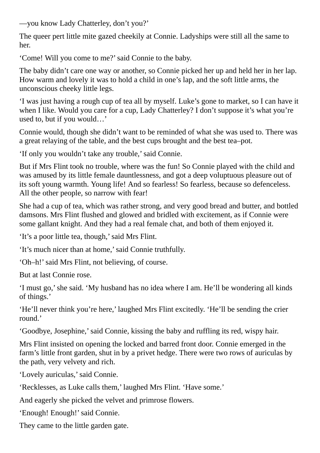—you know Lady Chatterley, don't you?'

The queer pert little mite gazed cheekily at Connie. Ladyships were still all the same to her.

'Come! Will you come to me?'said Connie to the baby.

The baby didn't care one way or another, so Connie picked her up and held her in her lap. How warm and lovely it was to hold a child in one's lap, and the soft little arms, the unconscious cheeky little legs.

'I was just having a rough cup of tea all by myself. Luke's gone to market, so I can have it when I like. Would you care for a cup, Lady Chatterley? I don't suppose it's what you're used to, but if you would…'

Connie would, though she didn't want to be reminded of what she was used to. There was a great relaying of the table, and the best cups brought and the best tea–pot.

'If only you wouldn't take any trouble,'said Connie.

But if Mrs Flint took no trouble, where was the fun! So Connie played with the child and was amused by its little female dauntlessness, and got a deep voluptuous pleasure out of its soft young warmth. Young life! And so fearless! So fearless, because so defenceless. All the other people, so narrow with fear!

She had a cup of tea, which was rather strong, and very good bread and butter, and bottled damsons. Mrs Flint flushed and glowed and bridled with excitement, as if Connie were some gallant knight. And they had a real female chat, and both of them enjoyed it.

'It's a poor little tea, though,'said Mrs Flint.

'It's much nicer than at home,'said Connie truthfully.

'Oh–h!'said Mrs Flint, not believing, of course.

But at last Connie rose.

'I must go,'she said. 'My husband has no idea where I am. He'll be wondering all kinds of things.'

'He'll never think you're here,' laughed Mrs Flint excitedly. 'He'll be sending the crier round.'

'Goodbye, Josephine,'said Connie, kissing the baby and ruffling its red, wispy hair.

Mrs Flint insisted on opening the locked and barred front door. Connie emerged in the farm's little front garden, shut in by a privet hedge. There were two rows of auriculas by the path, very velvety and rich.

'Lovely auriculas,' said Connie.

'Recklesses, as Luke calls them,' laughed Mrs Flint. 'Have some.'

And eagerly she picked the velvet and primrose flowers.

'Enough! Enough!' said Connie.

They came to the little garden gate.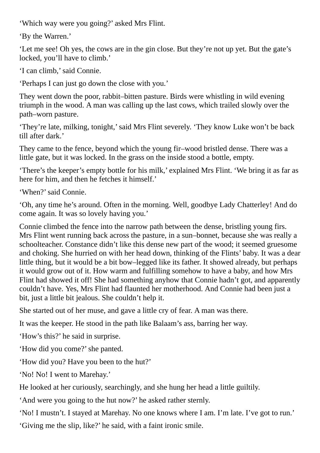'Which way were you going?' asked Mrs Flint.

'By the Warren.'

'Let me see! Oh yes, the cows are in the gin close. But they're not up yet. But the gate's locked, you'll have to climb.'

'I can climb,'said Connie.

'Perhaps I can just go down the close with you.'

They went down the poor, rabbit–bitten pasture. Birds were whistling in wild evening triumph in the wood. A man was calling up the last cows, which trailed slowly over the path–worn pasture.

'They're late, milking, tonight,'said Mrs Flint severely. 'They know Luke won't be back till after dark.'

They came to the fence, beyond which the young fir–wood bristled dense. There was a little gate, but it was locked. In the grass on the inside stood a bottle, empty.

'There's the keeper's empty bottle for his milk,' explained Mrs Flint. 'We bring it as far as here for him, and then he fetches it himself.'

'When?'said Connie.

'Oh, any time he's around. Often in the morning. Well, goodbye Lady Chatterley! And do come again. It was so lovely having you.'

Connie climbed the fence into the narrow path between the dense, bristling young firs. Mrs Flint went running back across the pasture, in a sun–bonnet, because she was really a schoolteacher. Constance didn't like this dense new part of the wood; it seemed gruesome and choking. She hurried on with her head down, thinking of the Flints' baby. It was a dear little thing, but it would be a bit bow–legged like its father. It showed already, but perhaps it would grow out of it. How warm and fulfilling somehow to have a baby, and how Mrs Flint had showed it off! She had something anyhow that Connie hadn't got, and apparently couldn't have. Yes, Mrs Flint had flaunted her motherhood. And Connie had been just a bit, just a little bit jealous. She couldn't help it.

She started out of her muse, and gave a little cry of fear. A man was there.

It was the keeper. He stood in the path like Balaam's ass, barring her way.

'How's this?' he said in surprise.

'How did you come?' she panted.

'How did you? Have you been to the hut?'

'No! No! I went to Marehay.'

He looked at her curiously, searchingly, and she hung her head a little guiltily.

'And were you going to the hut now?' he asked rather sternly.

'No! I mustn't. I stayed at Marehay. No one knows where I am. I'm late. I've got to run.'

'Giving me the slip, like?' he said, with a faint ironic smile.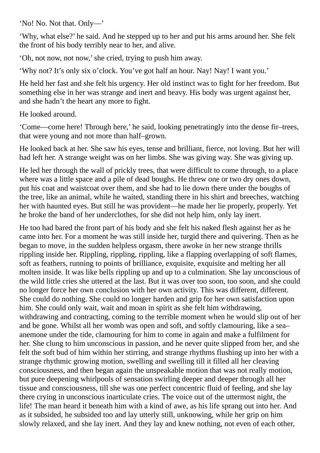'No! No. Not that. Only—'

'Why, what else?' he said. And he stepped up to her and put his arms around her. She felt the front of his body terribly near to her, and alive.

'Oh, not now, not now,'she cried, trying to push him away.

'Why not? It's only six o'clock. You've got half an hour. Nay! Nay! I want you.'

He held her fast and she felt his urgency. Her old instinct was to fight for her freedom. But something else in her was strange and inert and heavy. His body was urgent against her, and she hadn't the heart any more to fight.

He looked around.

'Come—come here! Through here,' he said, looking penetratingly into the dense fir–trees, that were young and not more than half–grown.

He looked back at her. She saw his eyes, tense and brilliant, fierce, not loving. But her will had left her. A strange weight was on her limbs. She was giving way. She was giving up.

He led her through the wall of prickly trees, that were difficult to come through, to a place where was a little space and a pile of dead boughs. He threw one or two dry ones down, put his coat and waistcoat over them, and she had to lie down there under the boughs of the tree, like an animal, while he waited, standing there in his shirt and breeches, watching her with haunted eyes. But still he was provident—he made her lie properly, properly. Yet he broke the band of her underclothes, for she did not help him, only lay inert.

He too had bared the front part of his body and she felt his naked flesh against her as he came into her. For a moment he was still inside her, turgid there and quivering. Then as he began to move, in the sudden helpless orgasm, there awoke in her new strange thrills rippling inside her. Rippling, rippling, rippling, like a flapping overlapping of soft flames, soft as feathers, running to points of brilliance, exquisite, exquisite and melting her all molten inside. It was like bells rippling up and up to a culmination. She lay unconscious of the wild little cries she uttered at the last. But it was over too soon, too soon, and she could no longer force her own conclusion with her own activity. This was different, different. She could do nothing. She could no longer harden and grip for her own satisfaction upon him. She could only wait, wait and moan in spirit as she felt him withdrawing, withdrawing and contracting, coming to the terrible moment when he would slip out of her and be gone. Whilst all her womb was open and soft, and softly clamouring, like a sea– anemone under the tide, clamouring for him to come in again and make a fulfilment for her. She clung to him unconscious in passion, and he never quite slipped from her, and she felt the soft bud of him within her stirring, and strange rhythms flushing up into her with a strange rhythmic growing motion, swelling and swelling till it filled all her cleaving consciousness, and then began again the unspeakable motion that was not really motion, but pure deepening whirlpools of sensation swirling deeper and deeper through all her tissue and consciousness, till she was one perfect concentric fluid of feeling, and she lay there crying in unconscious inarticulate cries. The voice out of the uttermost night, the life! The man heard it beneath him with a kind of awe, as his life sprang out into her. And as it subsided, he subsided too and lay utterly still, unknowing, while her grip on him slowly relaxed, and she lay inert. And they lay and knew nothing, not even of each other,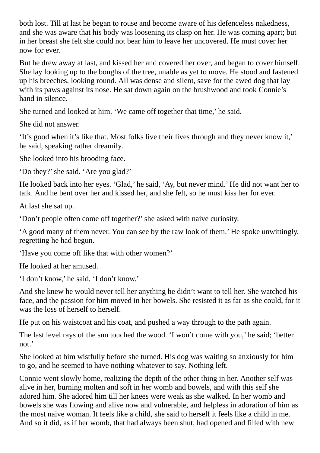both lost. Till at last he began to rouse and become aware of his defenceless nakedness, and she was aware that his body was loosening its clasp on her. He was coming apart; but in her breast she felt she could not bear him to leave her uncovered. He must cover her now for ever.

But he drew away at last, and kissed her and covered her over, and began to cover himself. She lay looking up to the boughs of the tree, unable as yet to move. He stood and fastened up his breeches, looking round. All was dense and silent, save for the awed dog that lay with its paws against its nose. He sat down again on the brushwood and took Connie's hand in silence.

She turned and looked at him. 'We came off together that time,' he said.

She did not answer.

'It's good when it's like that. Most folks live their lives through and they never know it,' he said, speaking rather dreamily.

She looked into his brooding face.

'Do they?'she said. 'Are you glad?'

He looked back into her eyes. 'Glad,' he said, 'Ay, but never mind.' He did not want her to talk. And he bent over her and kissed her, and she felt, so he must kiss her for ever.

At last she sat up.

'Don't people often come off together?'she asked with naive curiosity.

'A good many of them never. You can see by the raw look of them.' He spoke unwittingly, regretting he had begun.

'Have you come off like that with other women?'

He looked at her amused.

'I don't know,' he said, 'I don't know.'

And she knew he would never tell her anything he didn't want to tell her. She watched his face, and the passion for him moved in her bowels. She resisted it as far as she could, for it was the loss of herself to herself.

He put on his waistcoat and his coat, and pushed a way through to the path again.

The last level rays of the sun touched the wood. 'I won't come with you,' he said; 'better not.'

She looked at him wistfully before she turned. His dog was waiting so anxiously for him to go, and he seemed to have nothing whatever to say. Nothing left.

Connie went slowly home, realizing the depth of the other thing in her. Another self was alive in her, burning molten and soft in her womb and bowels, and with this self she adored him. She adored him till her knees were weak as she walked. In her womb and bowels she was flowing and alive now and vulnerable, and helpless in adoration of him as the most naive woman. It feels like a child, she said to herself it feels like a child in me. And so it did, as if her womb, that had always been shut, had opened and filled with new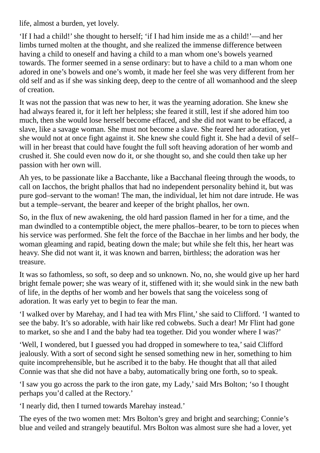life, almost a burden, yet lovely.

'If I had a child!'she thought to herself; 'if I had him inside me as a child!'—and her limbs turned molten at the thought, and she realized the immense difference between having a child to oneself and having a child to a man whom one's bowels yearned towards. The former seemed in a sense ordinary: but to have a child to a man whom one adored in one's bowels and one's womb, it made her feel she was very different from her old self and as if she was sinking deep, deep to the centre of all womanhood and the sleep of creation.

It was not the passion that was new to her, it was the yearning adoration. She knew she had always feared it, for it left her helpless; she feared it still, lest if she adored him too much, then she would lose herself become effaced, and she did not want to be effaced, a slave, like a savage woman. She must not become a slave. She feared her adoration, yet she would not at once fight against it. She knew she could fight it. She had a devil of self– will in her breast that could have fought the full soft heaving adoration of her womb and crushed it. She could even now do it, or she thought so, and she could then take up her passion with her own will.

Ah yes, to be passionate like a Bacchante, like a Bacchanal fleeing through the woods, to call on Iacchos, the bright phallos that had no independent personality behind it, but was pure god–servant to the woman! The man, the individual, let him not dare intrude. He was but a temple–servant, the bearer and keeper of the bright phallos, her own.

So, in the flux of new awakening, the old hard passion flamed in her for a time, and the man dwindled to a contemptible object, the mere phallos–bearer, to be torn to pieces when his service was performed. She felt the force of the Bacchae in her limbs and her body, the woman gleaming and rapid, beating down the male; but while she felt this, her heart was heavy. She did not want it, it was known and barren, birthless; the adoration was her treasure.

It was so fathomless, so soft, so deep and so unknown. No, no, she would give up her hard bright female power; she was weary of it, stiffened with it; she would sink in the new bath of life, in the depths of her womb and her bowels that sang the voiceless song of adoration. It was early yet to begin to fear the man.

'I walked over by Marehay, and I had tea with Mrs Flint,'she said to Clifford. 'I wanted to see the baby. It's so adorable, with hair like red cobwebs. Such a dear! Mr Flint had gone to market, so she and I and the baby had tea together. Did you wonder where I was?'

'Well, I wondered, but I guessed you had dropped in somewhere to tea,'said Clifford jealously. With a sort of second sight he sensed something new in her, something to him quite incomprehensible, but he ascribed it to the baby. He thought that all that ailed Connie was that she did not have a baby, automatically bring one forth, so to speak.

'I saw you go across the park to the iron gate, my Lady,'said Mrs Bolton; 'so I thought perhaps you'd called at the Rectory.'

'I nearly did, then I turned towards Marehay instead.'

The eyes of the two women met: Mrs Bolton's grey and bright and searching; Connie's blue and veiled and strangely beautiful. Mrs Bolton was almost sure she had a lover, yet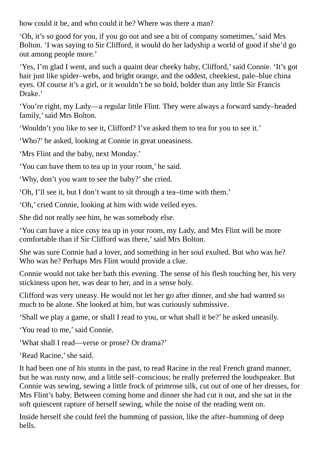how could it be, and who could it be? Where was there a man?

'Oh, it's so good for you, if you go out and see a bit of company sometimes,'said Mrs Bolton. 'I was saying to Sir Clifford, it would do her ladyship a world of good if she'd go out among people more.'

'Yes, I'm glad I went, and such a quaint dear cheeky baby, Clifford,'said Connie. 'It's got hair just like spider–webs, and bright orange, and the oddest, cheekiest, pale–blue china eyes. Of course it's a girl, or it wouldn't be so bold, bolder than any little Sir Francis Drake.'

'You're right, my Lady—a regular little Flint. They were always a forward sandy–headed family,' said Mrs Bolton.

'Wouldn't you like to see it, Clifford? I've asked them to tea for you to see it.'

'Who?' he asked, looking at Connie in great uneasiness.

'Mrs Flint and the baby, next Monday.'

'You can have them to tea up in your room,' he said.

'Why, don't you want to see the baby?'she cried.

'Oh, I'll see it, but I don't want to sit through a tea–time with them.'

'Oh,' cried Connie, looking at him with wide veiled eyes.

She did not really see him, he was somebody else.

'You can have a nice cosy tea up in your room, my Lady, and Mrs Flint will be more comfortable than if Sir Clifford was there,'said Mrs Bolton.

She was sure Connie had a lover, and something in her soul exulted. But who was he? Who was he? Perhaps Mrs Flint would provide a clue.

Connie would not take her bath this evening. The sense of his flesh touching her, his very stickiness upon her, was dear to her, and in a sense holy.

Clifford was very uneasy. He would not let her go after dinner, and she had wanted so much to be alone. She looked at him, but was curiously submissive.

'Shall we play a game, or shall I read to you, or what shall it be?' he asked uneasily.

'You read to me,'said Connie.

'What shall I read—verse or prose? Or drama?'

'Read Racine,'she said.

It had been one of his stunts in the past, to read Racine in the real French grand manner, but he was rusty now, and a little self–conscious; he really preferred the loudspeaker. But Connie was sewing, sewing a little frock of primrose silk, cut out of one of her dresses, for Mrs Flint's baby. Between coming home and dinner she had cut it out, and she sat in the soft quiescent rapture of herself sewing, while the noise of the reading went on.

Inside herself she could feel the humming of passion, like the after–humming of deep bells.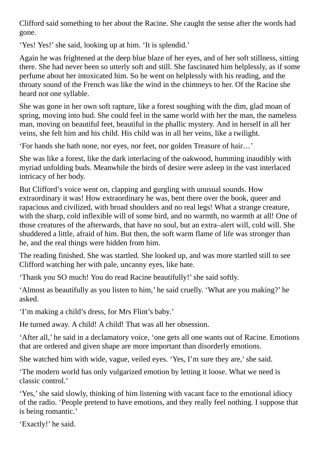Clifford said something to her about the Racine. She caught the sense after the words had gone.

'Yes! Yes!' she said, looking up at him. 'It is splendid.'

Again he was frightened at the deep blue blaze of her eyes, and of her soft stillness, sitting there. She had never been so utterly soft and still. She fascinated him helplessly, as if some perfume about her intoxicated him. So he went on helplessly with his reading, and the throaty sound of the French was like the wind in the chimneys to her. Of the Racine she heard not one syllable.

She was gone in her own soft rapture, like a forest soughing with the dim, glad moan of spring, moving into bud. She could feel in the same world with her the man, the nameless man, moving on beautiful feet, beautiful in the phallic mystery. And in herself in all her veins, she felt him and his child. His child was in all her veins, like a twilight.

'For hands she hath none, nor eyes, nor feet, nor golden Treasure of hair…'

She was like a forest, like the dark interlacing of the oakwood, humming inaudibly with myriad unfolding buds. Meanwhile the birds of desire were asleep in the vast interlaced intricacy of her body.

But Clifford's voice went on, clapping and gurgling with unusual sounds. How extraordinary it was! How extraordinary he was, bent there over the book, queer and rapacious and civilized, with broad shoulders and no real legs! What a strange creature, with the sharp, cold inflexible will of some bird, and no warmth, no warmth at all! One of those creatures of the afterwards, that have no soul, but an extra–alert will, cold will. She shuddered a little, afraid of him. But then, the soft warm flame of life was stronger than he, and the real things were hidden from him.

The reading finished. She was startled. She looked up, and was more startled still to see Clifford watching her with pale, uncanny eyes, like hate.

'Thank you SO much! You do read Racine beautifully!'she said softly.

'Almost as beautifully as you listen to him,' he said cruelly. 'What are you making?' he asked.

'I'm making a child's dress, for Mrs Flint's baby.'

He turned away. A child! A child! That was all her obsession.

'After all,' he said in a declamatory voice, 'one gets all one wants out of Racine. Emotions that are ordered and given shape are more important than disorderly emotions.

She watched him with wide, vague, veiled eyes. 'Yes, I'm sure they are,' she said.

'The modern world has only vulgarized emotion by letting it loose. What we need is classic control.'

'Yes,'she said slowly, thinking of him listening with vacant face to the emotional idiocy of the radio. 'People pretend to have emotions, and they really feel nothing. I suppose that is being romantic.'

'Exactly!' he said.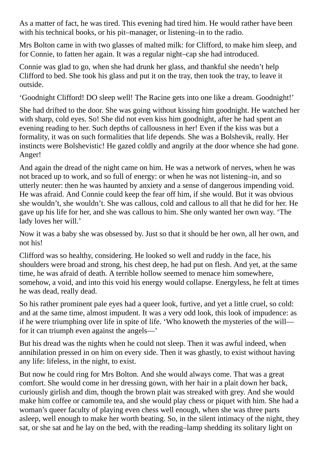As a matter of fact, he was tired. This evening had tired him. He would rather have been with his technical books, or his pit–manager, or listening–in to the radio.

Mrs Bolton came in with two glasses of malted milk: for Clifford, to make him sleep, and for Connie, to fatten her again. It was a regular night–cap she had introduced.

Connie was glad to go, when she had drunk her glass, and thankful she needn't help Clifford to bed. She took his glass and put it on the tray, then took the tray, to leave it outside.

'Goodnight Clifford! DO sleep well! The Racine gets into one like a dream. Goodnight!'

She had drifted to the door. She was going without kissing him goodnight. He watched her with sharp, cold eyes. So! She did not even kiss him goodnight, after he had spent an evening reading to her. Such depths of callousness in her! Even if the kiss was but a formality, it was on such formalities that life depends. She was a Bolshevik, really. Her instincts were Bolshevistic! He gazed coldly and angrily at the door whence she had gone. Anger!

And again the dread of the night came on him. He was a network of nerves, when he was not braced up to work, and so full of energy: or when he was not listening–in, and so utterly neuter: then he was haunted by anxiety and a sense of dangerous impending void. He was afraid. And Connie could keep the fear off him, if she would. But it was obvious she wouldn't, she wouldn't. She was callous, cold and callous to all that he did for her. He gave up his life for her, and she was callous to him. She only wanted her own way. 'The lady loves her will.'

Now it was a baby she was obsessed by. Just so that it should be her own, all her own, and not his!

Clifford was so healthy, considering. He looked so well and ruddy in the face, his shoulders were broad and strong, his chest deep, he had put on flesh. And yet, at the same time, he was afraid of death. A terrible hollow seemed to menace him somewhere, somehow, a void, and into this void his energy would collapse. Energyless, he felt at times he was dead, really dead.

So his rather prominent pale eyes had a queer look, furtive, and yet a little cruel, so cold: and at the same time, almost impudent. It was a very odd look, this look of impudence: as if he were triumphing over life in spite of life. 'Who knoweth the mysteries of the will for it can triumph even against the angels—'

But his dread was the nights when he could not sleep. Then it was awful indeed, when annihilation pressed in on him on every side. Then it was ghastly, to exist without having any life: lifeless, in the night, to exist.

But now he could ring for Mrs Bolton. And she would always come. That was a great comfort. She would come in her dressing gown, with her hair in a plait down her back, curiously girlish and dim, though the brown plait was streaked with grey. And she would make him coffee or camomile tea, and she would play chess or piquet with him. She had a woman's queer faculty of playing even chess well enough, when she was three parts asleep, well enough to make her worth beating. So, in the silent intimacy of the night, they sat, or she sat and he lay on the bed, with the reading–lamp shedding its solitary light on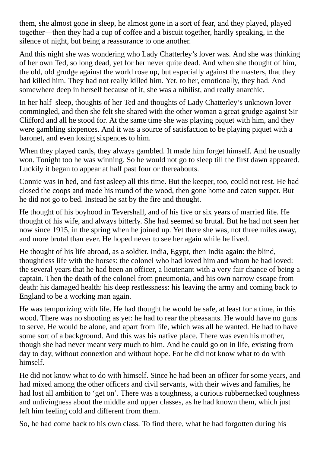them, she almost gone in sleep, he almost gone in a sort of fear, and they played, played together—then they had a cup of coffee and a biscuit together, hardly speaking, in the silence of night, but being a reassurance to one another.

And this night she was wondering who Lady Chatterley's lover was. And she was thinking of her own Ted, so long dead, yet for her never quite dead. And when she thought of him, the old, old grudge against the world rose up, but especially against the masters, that they had killed him. They had not really killed him. Yet, to her, emotionally, they had. And somewhere deep in herself because of it, she was a nihilist, and really anarchic.

In her half–sleep, thoughts of her Ted and thoughts of Lady Chatterley's unknown lover commingled, and then she felt she shared with the other woman a great grudge against Sir Clifford and all he stood for. At the same time she was playing piquet with him, and they were gambling sixpences. And it was a source of satisfaction to be playing piquet with a baronet, and even losing sixpences to him.

When they played cards, they always gambled. It made him forget himself. And he usually won. Tonight too he was winning. So he would not go to sleep till the first dawn appeared. Luckily it began to appear at half past four or thereabouts.

Connie was in bed, and fast asleep all this time. But the keeper, too, could not rest. He had closed the coops and made his round of the wood, then gone home and eaten supper. But he did not go to bed. Instead he sat by the fire and thought.

He thought of his boyhood in Tevershall, and of his five or six years of married life. He thought of his wife, and always bitterly. She had seemed so brutal. But he had not seen her now since 1915, in the spring when he joined up. Yet there she was, not three miles away, and more brutal than ever. He hoped never to see her again while he lived.

He thought of his life abroad, as a soldier. India, Egypt, then India again: the blind, thoughtless life with the horses: the colonel who had loved him and whom he had loved: the several years that he had been an officer, a lieutenant with a very fair chance of being a captain. Then the death of the colonel from pneumonia, and his own narrow escape from death: his damaged health: his deep restlessness: his leaving the army and coming back to England to be a working man again.

He was temporizing with life. He had thought he would be safe, at least for a time, in this wood. There was no shooting as yet: he had to rear the pheasants. He would have no guns to serve. He would be alone, and apart from life, which was all he wanted. He had to have some sort of a background. And this was his native place. There was even his mother, though she had never meant very much to him. And he could go on in life, existing from day to day, without connexion and without hope. For he did not know what to do with himself.

He did not know what to do with himself. Since he had been an officer for some years, and had mixed among the other officers and civil servants, with their wives and families, he had lost all ambition to 'get on'. There was a toughness, a curious rubbernecked toughness and unlivingness about the middle and upper classes, as he had known them, which just left him feeling cold and different from them.

So, he had come back to his own class. To find there, what he had forgotten during his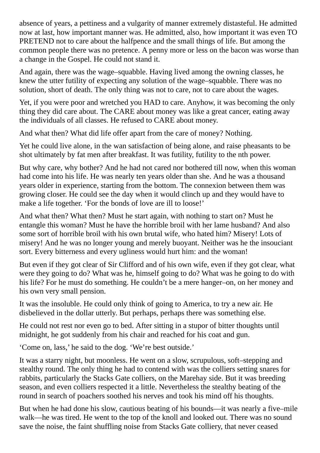absence of years, a pettiness and a vulgarity of manner extremely distasteful. He admitted now at last, how important manner was. He admitted, also, how important it was even TO PRETEND not to care about the halfpence and the small things of life. But among the common people there was no pretence. A penny more or less on the bacon was worse than a change in the Gospel. He could not stand it.

And again, there was the wage–squabble. Having lived among the owning classes, he knew the utter futility of expecting any solution of the wage–squabble. There was no solution, short of death. The only thing was not to care, not to care about the wages.

Yet, if you were poor and wretched you HAD to care. Anyhow, it was becoming the only thing they did care about. The CARE about money was like a great cancer, eating away the individuals of all classes. He refused to CARE about money.

And what then? What did life offer apart from the care of money? Nothing.

Yet he could live alone, in the wan satisfaction of being alone, and raise pheasants to be shot ultimately by fat men after breakfast. It was futility, futility to the nth power.

But why care, why bother? And he had not cared nor bothered till now, when this woman had come into his life. He was nearly ten years older than she. And he was a thousand years older in experience, starting from the bottom. The connexion between them was growing closer. He could see the day when it would clinch up and they would have to make a life together. 'For the bonds of love are ill to loose!'

And what then? What then? Must he start again, with nothing to start on? Must he entangle this woman? Must he have the horrible broil with her lame husband? And also some sort of horrible broil with his own brutal wife, who hated him? Misery! Lots of misery! And he was no longer young and merely buoyant. Neither was he the insouciant sort. Every bitterness and every ugliness would hurt him: and the woman!

But even if they got clear of Sir Clifford and of his own wife, even if they got clear, what were they going to do? What was he, himself going to do? What was he going to do with his life? For he must do something. He couldn't be a mere hanger–on, on her money and his own very small pension.

It was the insoluble. He could only think of going to America, to try a new air. He disbelieved in the dollar utterly. But perhaps, perhaps there was something else.

He could not rest nor even go to bed. After sitting in a stupor of bitter thoughts until midnight, he got suddenly from his chair and reached for his coat and gun.

'Come on, lass,' he said to the dog. 'We're best outside.'

It was a starry night, but moonless. He went on a slow, scrupulous, soft–stepping and stealthy round. The only thing he had to contend with was the colliers setting snares for rabbits, particularly the Stacks Gate colliers, on the Marehay side. But it was breeding season, and even colliers respected it a little. Nevertheless the stealthy beating of the round in search of poachers soothed his nerves and took his mind off his thoughts.

But when he had done his slow, cautious beating of his bounds—it was nearly a five–mile walk—he was tired. He went to the top of the knoll and looked out. There was no sound save the noise, the faint shuffling noise from Stacks Gate colliery, that never ceased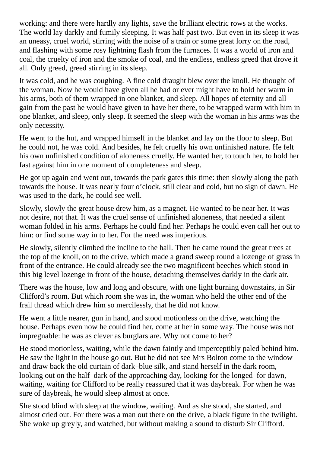working: and there were hardly any lights, save the brilliant electric rows at the works. The world lay darkly and fumily sleeping. It was half past two. But even in its sleep it was an uneasy, cruel world, stirring with the noise of a train or some great lorry on the road, and flashing with some rosy lightning flash from the furnaces. It was a world of iron and coal, the cruelty of iron and the smoke of coal, and the endless, endless greed that drove it all. Only greed, greed stirring in its sleep.

It was cold, and he was coughing. A fine cold draught blew over the knoll. He thought of the woman. Now he would have given all he had or ever might have to hold her warm in his arms, both of them wrapped in one blanket, and sleep. All hopes of eternity and all gain from the past he would have given to have her there, to be wrapped warm with him in one blanket, and sleep, only sleep. It seemed the sleep with the woman in his arms was the only necessity.

He went to the hut, and wrapped himself in the blanket and lay on the floor to sleep. But he could not, he was cold. And besides, he felt cruelly his own unfinished nature. He felt his own unfinished condition of aloneness cruelly. He wanted her, to touch her, to hold her fast against him in one moment of completeness and sleep.

He got up again and went out, towards the park gates this time: then slowly along the path towards the house. It was nearly four o'clock, still clear and cold, but no sign of dawn. He was used to the dark, he could see well.

Slowly, slowly the great house drew him, as a magnet. He wanted to be near her. It was not desire, not that. It was the cruel sense of unfinished aloneness, that needed a silent woman folded in his arms. Perhaps he could find her. Perhaps he could even call her out to him: or find some way in to her. For the need was imperious.

He slowly, silently climbed the incline to the hall. Then he came round the great trees at the top of the knoll, on to the drive, which made a grand sweep round a lozenge of grass in front of the entrance. He could already see the two magnificent beeches which stood in this big level lozenge in front of the house, detaching themselves darkly in the dark air.

There was the house, low and long and obscure, with one light burning downstairs, in Sir Clifford's room. But which room she was in, the woman who held the other end of the frail thread which drew him so mercilessly, that he did not know.

He went a little nearer, gun in hand, and stood motionless on the drive, watching the house. Perhaps even now he could find her, come at her in some way. The house was not impregnable: he was as clever as burglars are. Why not come to her?

He stood motionless, waiting, while the dawn faintly and imperceptibly paled behind him. He saw the light in the house go out. But he did not see Mrs Bolton come to the window and draw back the old curtain of dark–blue silk, and stand herself in the dark room, looking out on the half–dark of the approaching day, looking for the longed–for dawn, waiting, waiting for Clifford to be really reassured that it was daybreak. For when he was sure of daybreak, he would sleep almost at once.

She stood blind with sleep at the window, waiting. And as she stood, she started, and almost cried out. For there was a man out there on the drive, a black figure in the twilight. She woke up greyly, and watched, but without making a sound to disturb Sir Clifford.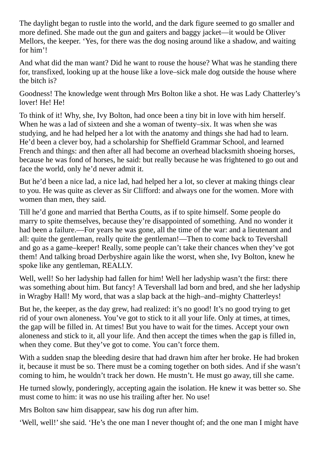The daylight began to rustle into the world, and the dark figure seemed to go smaller and more defined. She made out the gun and gaiters and baggy jacket—it would be Oliver Mellors, the keeper. 'Yes, for there was the dog nosing around like a shadow, and waiting for him'!

And what did the man want? Did he want to rouse the house? What was he standing there for, transfixed, looking up at the house like a love–sick male dog outside the house where the bitch is?

Goodness! The knowledge went through Mrs Bolton like a shot. He was Lady Chatterley's lover! He! He!

To think of it! Why, she, Ivy Bolton, had once been a tiny bit in love with him herself. When he was a lad of sixteen and she a woman of twenty–six. It was when she was studying, and he had helped her a lot with the anatomy and things she had had to learn. He'd been a clever boy, had a scholarship for Sheffield Grammar School, and learned French and things: and then after all had become an overhead blacksmith shoeing horses, because he was fond of horses, he said: but really because he was frightened to go out and face the world, only he'd never admit it.

But he'd been a nice lad, a nice lad, had helped her a lot, so clever at making things clear to you. He was quite as clever as Sir Clifford: and always one for the women. More with women than men, they said.

Till he'd gone and married that Bertha Coutts, as if to spite himself. Some people do marry to spite themselves, because they're disappointed of something. And no wonder it had been a failure.—For years he was gone, all the time of the war: and a lieutenant and all: quite the gentleman, really quite the gentleman!—Then to come back to Tevershall and go as a game–keeper! Really, some people can't take their chances when they've got them! And talking broad Derbyshire again like the worst, when she, Ivy Bolton, knew he spoke like any gentleman, REALLY.

Well, well! So her ladyship had fallen for him! Well her ladyship wasn't the first: there was something about him. But fancy! A Tevershall lad born and bred, and she her ladyship in Wragby Hall! My word, that was a slap back at the high–and–mighty Chatterleys!

But he, the keeper, as the day grew, had realized: it's no good! It's no good trying to get rid of your own aloneness. You've got to stick to it all your life. Only at times, at times, the gap will be filled in. At times! But you have to wait for the times. Accept your own aloneness and stick to it, all your life. And then accept the times when the gap is filled in, when they come. But they've got to come. You can't force them.

With a sudden snap the bleeding desire that had drawn him after her broke. He had broken it, because it must be so. There must be a coming together on both sides. And if she wasn't coming to him, he wouldn't track her down. He mustn't. He must go away, till she came.

He turned slowly, ponderingly, accepting again the isolation. He knew it was better so. She must come to him: it was no use his trailing after her. No use!

Mrs Bolton saw him disappear, saw his dog run after him.

'Well, well!' she said. 'He's the one man I never thought of; and the one man I might have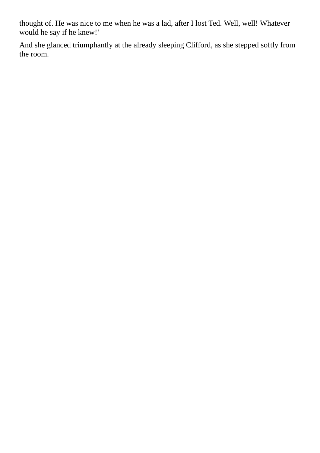thought of. He was nice to me when he was a lad, after I lost Ted. Well, well! Whatever would he say if he knew!'

And she glanced triumphantly at the already sleeping Clifford, as she stepped softly from the room.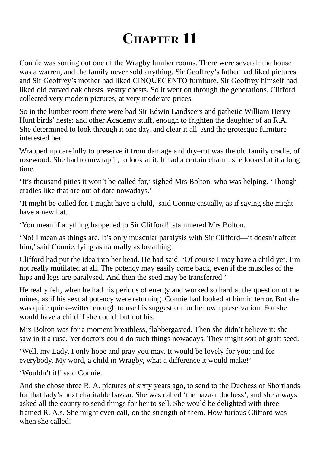## **CHAPTER 11**

Connie was sorting out one of the Wragby lumber rooms. There were several: the house was a warren, and the family never sold anything. Sir Geoffrey's father had liked pictures and Sir Geoffrey's mother had liked CINQUECENTO furniture. Sir Geoffrey himself had liked old carved oak chests, vestry chests. So it went on through the generations. Clifford collected very modern pictures, at very moderate prices.

So in the lumber room there were bad Sir Edwin Landseers and pathetic William Henry Hunt birds' nests: and other Academy stuff, enough to frighten the daughter of an R.A. She determined to look through it one day, and clear it all. And the grotesque furniture interested her.

Wrapped up carefully to preserve it from damage and dry–rot was the old family cradle, of rosewood. She had to unwrap it, to look at it. It had a certain charm: she looked at it a long time.

'It's thousand pities it won't be called for,'sighed Mrs Bolton, who was helping. 'Though cradles like that are out of date nowadays.'

'It might be called for. I might have a child,'said Connie casually, as if saying she might have a new hat.

'You mean if anything happened to Sir Clifford!'stammered Mrs Bolton.

'No! I mean as things are. It's only muscular paralysis with Sir Clifford—it doesn't affect him,' said Connie, lying as naturally as breathing.

Clifford had put the idea into her head. He had said: 'Of course I may have a child yet. I'm not really mutilated at all. The potency may easily come back, even if the muscles of the hips and legs are paralysed. And then the seed may be transferred.'

He really felt, when he had his periods of energy and worked so hard at the question of the mines, as if his sexual potency were returning. Connie had looked at him in terror. But she was quite quick–witted enough to use his suggestion for her own preservation. For she would have a child if she could: but not his.

Mrs Bolton was for a moment breathless, flabbergasted. Then she didn't believe it: she saw in it a ruse. Yet doctors could do such things nowadays. They might sort of graft seed.

'Well, my Lady, I only hope and pray you may. It would be lovely for you: and for everybody. My word, a child in Wragby, what a difference it would make!'

'Wouldn't it!' said Connie.

And she chose three R. A. pictures of sixty years ago, to send to the Duchess of Shortlands for that lady's next charitable bazaar. She was called 'the bazaar duchess', and she always asked all the county to send things for her to sell. She would be delighted with three framed R. A.s. She might even call, on the strength of them. How furious Clifford was when she called!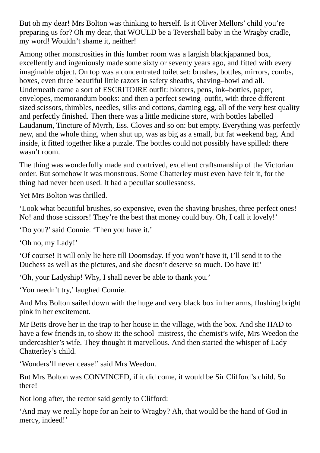But oh my dear! Mrs Bolton was thinking to herself. Is it Oliver Mellors' child you're preparing us for? Oh my dear, that WOULD be a Tevershall baby in the Wragby cradle, my word! Wouldn't shame it, neither!

Among other monstrosities in this lumber room was a largish blackjapanned box, excellently and ingeniously made some sixty or seventy years ago, and fitted with every imaginable object. On top was a concentrated toilet set: brushes, bottles, mirrors, combs, boxes, even three beautiful little razors in safety sheaths, shaving–bowl and all. Underneath came a sort of ESCRITOIRE outfit: blotters, pens, ink–bottles, paper, envelopes, memorandum books: and then a perfect sewing–outfit, with three different sized scissors, thimbles, needles, silks and cottons, darning egg, all of the very best quality and perfectly finished. Then there was a little medicine store, with bottles labelled Laudanum, Tincture of Myrrh, Ess. Cloves and so on: but empty. Everything was perfectly new, and the whole thing, when shut up, was as big as a small, but fat weekend bag. And inside, it fitted together like a puzzle. The bottles could not possibly have spilled: there wasn't room.

The thing was wonderfully made and contrived, excellent craftsmanship of the Victorian order. But somehow it was monstrous. Some Chatterley must even have felt it, for the thing had never been used. It had a peculiar soullessness.

Yet Mrs Bolton was thrilled.

'Look what beautiful brushes, so expensive, even the shaving brushes, three perfect ones! No! and those scissors! They're the best that money could buy. Oh, I call it lovely!'

'Do you?'said Connie. 'Then you have it.'

'Oh no, my Lady!'

'Of course! It will only lie here till Doomsday. If you won't have it, I'll send it to the Duchess as well as the pictures, and she doesn't deserve so much. Do have it!'

'Oh, your Ladyship! Why, I shall never be able to thank you.'

'You needn't try,' laughed Connie.

And Mrs Bolton sailed down with the huge and very black box in her arms, flushing bright pink in her excitement.

Mr Betts drove her in the trap to her house in the village, with the box. And she HAD to have a few friends in, to show it: the school–mistress, the chemist's wife, Mrs Weedon the undercashier's wife. They thought it marvellous. And then started the whisper of Lady Chatterley's child.

'Wonders'll never cease!'said Mrs Weedon.

But Mrs Bolton was CONVINCED, if it did come, it would be Sir Clifford's child. So there!

Not long after, the rector said gently to Clifford:

'And may we really hope for an heir to Wragby? Ah, that would be the hand of God in mercy, indeed!'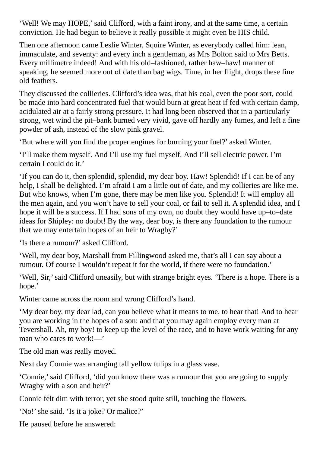'Well! We may HOPE,'said Clifford, with a faint irony, and at the same time, a certain conviction. He had begun to believe it really possible it might even be HIS child.

Then one afternoon came Leslie Winter, Squire Winter, as everybody called him: lean, immaculate, and seventy: and every inch a gentleman, as Mrs Bolton said to Mrs Betts. Every millimetre indeed! And with his old–fashioned, rather haw–haw! manner of speaking, he seemed more out of date than bag wigs. Time, in her flight, drops these fine old feathers.

They discussed the collieries. Clifford's idea was, that his coal, even the poor sort, could be made into hard concentrated fuel that would burn at great heat if fed with certain damp, acidulated air at a fairly strong pressure. It had long been observed that in a particularly strong, wet wind the pit–bank burned very vivid, gave off hardly any fumes, and left a fine powder of ash, instead of the slow pink gravel.

'But where will you find the proper engines for burning your fuel?' asked Winter.

'I'll make them myself. And I'll use my fuel myself. And I'll sell electric power. I'm certain I could do it.'

'If you can do it, then splendid, splendid, my dear boy. Haw! Splendid! If I can be of any help, I shall be delighted. I'm afraid I am a little out of date, and my collieries are like me. But who knows, when I'm gone, there may be men like you. Splendid! It will employ all the men again, and you won't have to sell your coal, or fail to sell it. A splendid idea, and I hope it will be a success. If I had sons of my own, no doubt they would have up–to–date ideas for Shipley: no doubt! By the way, dear boy, is there any foundation to the rumour that we may entertain hopes of an heir to Wragby?'

'Is there a rumour?' asked Clifford.

'Well, my dear boy, Marshall from Fillingwood asked me, that's all I can say about a rumour. Of course I wouldn't repeat it for the world, if there were no foundation.'

'Well, Sir,'said Clifford uneasily, but with strange bright eyes. 'There is a hope. There is a hope.'

Winter came across the room and wrung Clifford's hand.

'My dear boy, my dear lad, can you believe what it means to me, to hear that! And to hear you are working in the hopes of a son: and that you may again employ every man at Tevershall. Ah, my boy! to keep up the level of the race, and to have work waiting for any man who cares to work!—'

The old man was really moved.

Next day Connie was arranging tall yellow tulips in a glass vase.

'Connie,'said Clifford, 'did you know there was a rumour that you are going to supply Wragby with a son and heir?'

Connie felt dim with terror, yet she stood quite still, touching the flowers.

'No!'she said. 'Is it a joke? Or malice?'

He paused before he answered: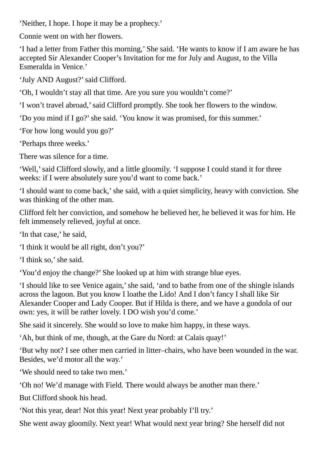'Neither, I hope. I hope it may be a prophecy.'

Connie went on with her flowers.

'I had a letter from Father this morning,' She said. 'He wants to know if I am aware he has accepted Sir Alexander Cooper's Invitation for me for July and August, to the Villa Esmeralda in Venice.'

'July AND August?'said Clifford.

'Oh, I wouldn't stay all that time. Are you sure you wouldn't come?'

'I won't travel abroad,'said Clifford promptly. She took her flowers to the window.

'Do you mind if I go?'she said. 'You know it was promised, for this summer.'

'For how long would you go?'

'Perhaps three weeks.'

There was silence for a time.

'Well,' said Clifford slowly, and a little gloomily. 'I suppose I could stand it for three weeks: if I were absolutely sure you'd want to come back.'

'I should want to come back,'she said, with a quiet simplicity, heavy with conviction. She was thinking of the other man.

Clifford felt her conviction, and somehow he believed her, he believed it was for him. He felt immensely relieved, joyful at once.

'In that case,' he said,

'I think it would be all right, don't you?'

'I think so,'she said.

'You'd enjoy the change?' She looked up at him with strange blue eyes.

'I should like to see Venice again,'she said, 'and to bathe from one of the shingle islands across the lagoon. But you know I loathe the Lido! And I don't fancy I shall like Sir Alexander Cooper and Lady Cooper. But if Hilda is there, and we have a gondola of our own: yes, it will be rather lovely. I DO wish you'd come.'

She said it sincerely. She would so love to make him happy, in these ways.

'Ah, but think of me, though, at the Gare du Nord: at Calais quay!'

'But why not? I see other men carried in litter–chairs, who have been wounded in the war. Besides, we'd motor all the way.'

'We should need to take two men.'

'Oh no! We'd manage with Field. There would always be another man there.'

But Clifford shook his head.

'Not this year, dear! Not this year! Next year probably I'll try.'

She went away gloomily. Next year! What would next year bring? She herself did not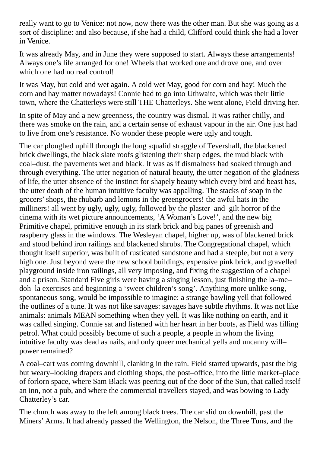really want to go to Venice: not now, now there was the other man. But she was going as a sort of discipline: and also because, if she had a child, Clifford could think she had a lover in Venice.

It was already May, and in June they were supposed to start. Always these arrangements! Always one's life arranged for one! Wheels that worked one and drove one, and over which one had no real control!

It was May, but cold and wet again. A cold wet May, good for corn and hay! Much the corn and hay matter nowadays! Connie had to go into Uthwaite, which was their little town, where the Chatterleys were still THE Chatterleys. She went alone, Field driving her.

In spite of May and a new greenness, the country was dismal. It was rather chilly, and there was smoke on the rain, and a certain sense of exhaust vapour in the air. One just had to live from one's resistance. No wonder these people were ugly and tough.

The car ploughed uphill through the long squalid straggle of Tevershall, the blackened brick dwellings, the black slate roofs glistening their sharp edges, the mud black with coal–dust, the pavements wet and black. It was as if dismalness had soaked through and through everything. The utter negation of natural beauty, the utter negation of the gladness of life, the utter absence of the instinct for shapely beauty which every bird and beast has, the utter death of the human intuitive faculty was appalling. The stacks of soap in the grocers'shops, the rhubarb and lemons in the greengrocers! the awful hats in the milliners! all went by ugly, ugly, ugly, followed by the plaster–and–gilt horror of the cinema with its wet picture announcements, 'A Woman's Love!', and the new big Primitive chapel, primitive enough in its stark brick and big panes of greenish and raspberry glass in the windows. The Wesleyan chapel, higher up, was of blackened brick and stood behind iron railings and blackened shrubs. The Congregational chapel, which thought itself superior, was built of rusticated sandstone and had a steeple, but not a very high one. Just beyond were the new school buildings, expensive pink brick, and gravelled playground inside iron railings, all very imposing, and fixing the suggestion of a chapel and a prison. Standard Five girls were having a singing lesson, just finishing the la–me– doh–la exercises and beginning a 'sweet children's song'. Anything more unlike song, spontaneous song, would be impossible to imagine: a strange bawling yell that followed the outlines of a tune. It was not like savages: savages have subtle rhythms. It was not like animals: animals MEAN something when they yell. It was like nothing on earth, and it was called singing. Connie sat and listened with her heart in her boots, as Field was filling petrol. What could possibly become of such a people, a people in whom the living intuitive faculty was dead as nails, and only queer mechanical yells and uncanny will– power remained?

A coal–cart was coming downhill, clanking in the rain. Field started upwards, past the big but weary–looking drapers and clothing shops, the post–office, into the little market–place of forlorn space, where Sam Black was peering out of the door of the Sun, that called itself an inn, not a pub, and where the commercial travellers stayed, and was bowing to Lady Chatterley's car.

The church was away to the left among black trees. The car slid on downhill, past the Miners' Arms. It had already passed the Wellington, the Nelson, the Three Tuns, and the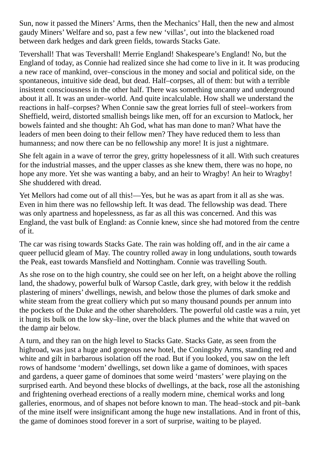Sun, now it passed the Miners' Arms, then the Mechanics' Hall, then the new and almost gaudy Miners' Welfare and so, past a few new 'villas', out into the blackened road between dark hedges and dark green fields, towards Stacks Gate.

Tevershall! That was Tevershall! Merrie England! Shakespeare's England! No, but the England of today, as Connie had realized since she had come to live in it. It was producing a new race of mankind, over–conscious in the money and social and political side, on the spontaneous, intuitive side dead, but dead. Half–corpses, all of them: but with a terrible insistent consciousness in the other half. There was something uncanny and underground about it all. It was an under–world. And quite incalculable. How shall we understand the reactions in half–corpses? When Connie saw the great lorries full of steel–workers from Sheffield, weird, distorted smallish beings like men, off for an excursion to Matlock, her bowels fainted and she thought: Ah God, what has man done to man? What have the leaders of men been doing to their fellow men? They have reduced them to less than humanness; and now there can be no fellowship any more! It is just a nightmare.

She felt again in a wave of terror the grey, gritty hopelessness of it all. With such creatures for the industrial masses, and the upper classes as she knew them, there was no hope, no hope any more. Yet she was wanting a baby, and an heir to Wragby! An heir to Wragby! She shuddered with dread.

Yet Mellors had come out of all this!—Yes, but he was as apart from it all as she was. Even in him there was no fellowship left. It was dead. The fellowship was dead. There was only apartness and hopelessness, as far as all this was concerned. And this was England, the vast bulk of England: as Connie knew, since she had motored from the centre of it.

The car was rising towards Stacks Gate. The rain was holding off, and in the air came a queer pellucid gleam of May. The country rolled away in long undulations, south towards the Peak, east towards Mansfield and Nottingham. Connie was travelling South.

As she rose on to the high country, she could see on her left, on a height above the rolling land, the shadowy, powerful bulk of Warsop Castle, dark grey, with below it the reddish plastering of miners' dwellings, newish, and below those the plumes of dark smoke and white steam from the great colliery which put so many thousand pounds per annum into the pockets of the Duke and the other shareholders. The powerful old castle was a ruin, yet it hung its bulk on the low sky–line, over the black plumes and the white that waved on the damp air below.

A turn, and they ran on the high level to Stacks Gate. Stacks Gate, as seen from the highroad, was just a huge and gorgeous new hotel, the Coningsby Arms, standing red and white and gilt in barbarous isolation off the road. But if you looked, you saw on the left rows of handsome 'modern' dwellings, set down like a game of dominoes, with spaces and gardens, a queer game of dominoes that some weird 'masters' were playing on the surprised earth. And beyond these blocks of dwellings, at the back, rose all the astonishing and frightening overhead erections of a really modern mine, chemical works and long galleries, enormous, and of shapes not before known to man. The head–stock and pit–bank of the mine itself were insignificant among the huge new installations. And in front of this, the game of dominoes stood forever in a sort of surprise, waiting to be played.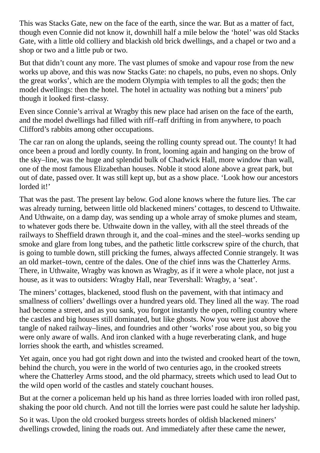This was Stacks Gate, new on the face of the earth, since the war. But as a matter of fact, though even Connie did not know it, downhill half a mile below the 'hotel' was old Stacks Gate, with a little old colliery and blackish old brick dwellings, and a chapel or two and a shop or two and a little pub or two.

But that didn't count any more. The vast plumes of smoke and vapour rose from the new works up above, and this was now Stacks Gate: no chapels, no pubs, even no shops. Only the great works', which are the modern Olympia with temples to all the gods; then the model dwellings: then the hotel. The hotel in actuality was nothing but a miners' pub though it looked first–classy.

Even since Connie's arrival at Wragby this new place had arisen on the face of the earth, and the model dwellings had filled with riff–raff drifting in from anywhere, to poach Clifford's rabbits among other occupations.

The car ran on along the uplands, seeing the rolling county spread out. The county! It had once been a proud and lordly county. In front, looming again and hanging on the brow of the sky–line, was the huge and splendid bulk of Chadwick Hall, more window than wall, one of the most famous Elizabethan houses. Noble it stood alone above a great park, but out of date, passed over. It was still kept up, but as a show place. 'Look how our ancestors lorded it!'

That was the past. The present lay below. God alone knows where the future lies. The car was already turning, between little old blackened miners' cottages, to descend to Uthwaite. And Uthwaite, on a damp day, was sending up a whole array of smoke plumes and steam, to whatever gods there be. Uthwaite down in the valley, with all the steel threads of the railways to Sheffield drawn through it, and the coal–mines and the steel–works sending up smoke and glare from long tubes, and the pathetic little corkscrew spire of the church, that is going to tumble down, still pricking the fumes, always affected Connie strangely. It was an old market–town, centre of the dales. One of the chief inns was the Chatterley Arms. There, in Uthwaite, Wragby was known as Wragby, as if it were a whole place, not just a house, as it was to outsiders: Wragby Hall, near Tevershall: Wragby, a 'seat'.

The miners' cottages, blackened, stood flush on the pavement, with that intimacy and smallness of colliers' dwellings over a hundred years old. They lined all the way. The road had become a street, and as you sank, you forgot instantly the open, rolling country where the castles and big houses still dominated, but like ghosts. Now you were just above the tangle of naked railway–lines, and foundries and other 'works' rose about you, so big you were only aware of walls. And iron clanked with a huge reverberating clank, and huge lorries shook the earth, and whistles screamed.

Yet again, once you had got right down and into the twisted and crooked heart of the town, behind the church, you were in the world of two centuries ago, in the crooked streets where the Chatterley Arms stood, and the old pharmacy, streets which used to lead Out to the wild open world of the castles and stately couchant houses.

But at the corner a policeman held up his hand as three lorries loaded with iron rolled past, shaking the poor old church. And not till the lorries were past could he salute her ladyship.

So it was. Upon the old crooked burgess streets hordes of oldish blackened miners' dwellings crowded, lining the roads out. And immediately after these came the newer,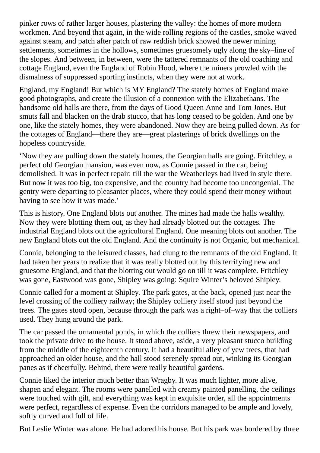pinker rows of rather larger houses, plastering the valley: the homes of more modern workmen. And beyond that again, in the wide rolling regions of the castles, smoke waved against steam, and patch after patch of raw reddish brick showed the newer mining settlements, sometimes in the hollows, sometimes gruesomely ugly along the sky–line of the slopes. And between, in between, were the tattered remnants of the old coaching and cottage England, even the England of Robin Hood, where the miners prowled with the dismalness of suppressed sporting instincts, when they were not at work.

England, my England! But which is MY England? The stately homes of England make good photographs, and create the illusion of a connexion with the Elizabethans. The handsome old halls are there, from the days of Good Queen Anne and Tom Jones. But smuts fall and blacken on the drab stucco, that has long ceased to be golden. And one by one, like the stately homes, they were abandoned. Now they are being pulled down. As for the cottages of England—there they are—great plasterings of brick dwellings on the hopeless countryside.

'Now they are pulling down the stately homes, the Georgian halls are going. Fritchley, a perfect old Georgian mansion, was even now, as Connie passed in the car, being demolished. It was in perfect repair: till the war the Weatherleys had lived in style there. But now it was too big, too expensive, and the country had become too uncongenial. The gentry were departing to pleasanter places, where they could spend their money without having to see how it was made.'

This is history. One England blots out another. The mines had made the halls wealthy. Now they were blotting them out, as they had already blotted out the cottages. The industrial England blots out the agricultural England. One meaning blots out another. The new England blots out the old England. And the continuity is not Organic, but mechanical.

Connie, belonging to the leisured classes, had clung to the remnants of the old England. It had taken her years to realize that it was really blotted out by this terrifying new and gruesome England, and that the blotting out would go on till it was complete. Fritchley was gone, Eastwood was gone, Shipley was going: Squire Winter's beloved Shipley.

Connie called for a moment at Shipley. The park gates, at the back, opened just near the level crossing of the colliery railway; the Shipley colliery itself stood just beyond the trees. The gates stood open, because through the park was a right–of–way that the colliers used. They hung around the park.

The car passed the ornamental ponds, in which the colliers threw their newspapers, and took the private drive to the house. It stood above, aside, a very pleasant stucco building from the middle of the eighteenth century. It had a beautiful alley of yew trees, that had approached an older house, and the hall stood serenely spread out, winking its Georgian panes as if cheerfully. Behind, there were really beautiful gardens.

Connie liked the interior much better than Wragby. It was much lighter, more alive, shapen and elegant. The rooms were panelled with creamy painted panelling, the ceilings were touched with gilt, and everything was kept in exquisite order, all the appointments were perfect, regardless of expense. Even the corridors managed to be ample and lovely, softly curved and full of life.

But Leslie Winter was alone. He had adored his house. But his park was bordered by three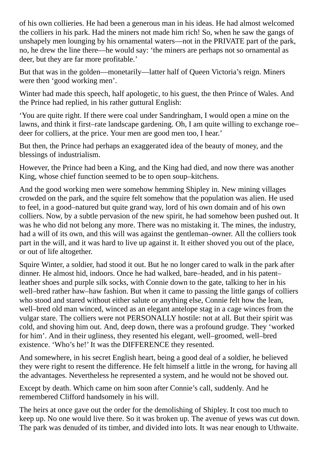of his own collieries. He had been a generous man in his ideas. He had almost welcomed the colliers in his park. Had the miners not made him rich! So, when he saw the gangs of unshapely men lounging by his ornamental waters—not in the PRIVATE part of the park, no, he drew the line there—he would say: 'the miners are perhaps not so ornamental as deer, but they are far more profitable.'

But that was in the golden—monetarily—latter half of Queen Victoria's reign. Miners were then 'good working men'.

Winter had made this speech, half apologetic, to his guest, the then Prince of Wales. And the Prince had replied, in his rather guttural English:

'You are quite right. If there were coal under Sandringham, I would open a mine on the lawns, and think it first–rate landscape gardening. Oh, I am quite willing to exchange roe– deer for colliers, at the price. Your men are good men too, I hear.'

But then, the Prince had perhaps an exaggerated idea of the beauty of money, and the blessings of industrialism.

However, the Prince had been a King, and the King had died, and now there was another King, whose chief function seemed to be to open soup–kitchens.

And the good working men were somehow hemming Shipley in. New mining villages crowded on the park, and the squire felt somehow that the population was alien. He used to feel, in a good–natured but quite grand way, lord of his own domain and of his own colliers. Now, by a subtle pervasion of the new spirit, he had somehow been pushed out. It was he who did not belong any more. There was no mistaking it. The mines, the industry, had a will of its own, and this will was against the gentleman–owner. All the colliers took part in the will, and it was hard to live up against it. It either shoved you out of the place, or out of life altogether.

Squire Winter, a soldier, had stood it out. But he no longer cared to walk in the park after dinner. He almost hid, indoors. Once he had walked, bare–headed, and in his patent– leather shoes and purple silk socks, with Connie down to the gate, talking to her in his well–bred rather haw–haw fashion. But when it came to passing the little gangs of colliers who stood and stared without either salute or anything else, Connie felt how the lean, well–bred old man winced, winced as an elegant antelope stag in a cage winces from the vulgar stare. The colliers were not PERSONALLY hostile: not at all. But their spirit was cold, and shoving him out. And, deep down, there was a profound grudge. They 'worked for him'. And in their ugliness, they resented his elegant, well–groomed, well–bred existence. 'Who's he!' It was the DIFFERENCE they resented.

And somewhere, in his secret English heart, being a good deal of a soldier, he believed they were right to resent the difference. He felt himself a little in the wrong, for having all the advantages. Nevertheless he represented a system, and he would not be shoved out.

Except by death. Which came on him soon after Connie's call, suddenly. And he remembered Clifford handsomely in his will.

The heirs at once gave out the order for the demolishing of Shipley. It cost too much to keep up. No one would live there. So it was broken up. The avenue of yews was cut down. The park was denuded of its timber, and divided into lots. It was near enough to Uthwaite.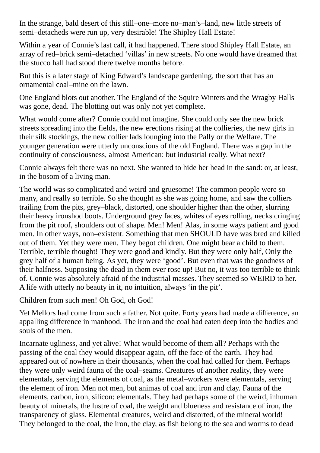In the strange, bald desert of this still–one–more no–man's–land, new little streets of semi–detacheds were run up, very desirable! The Shipley Hall Estate!

Within a year of Connie's last call, it had happened. There stood Shipley Hall Estate, an array of red–brick semi–detached 'villas' in new streets. No one would have dreamed that the stucco hall had stood there twelve months before.

But this is a later stage of King Edward's landscape gardening, the sort that has an ornamental coal–mine on the lawn.

One England blots out another. The England of the Squire Winters and the Wragby Halls was gone, dead. The blotting out was only not yet complete.

What would come after? Connie could not imagine. She could only see the new brick streets spreading into the fields, the new erections rising at the collieries, the new girls in their silk stockings, the new collier lads lounging into the Pally or the Welfare. The younger generation were utterly unconscious of the old England. There was a gap in the continuity of consciousness, almost American: but industrial really. What next?

Connie always felt there was no next. She wanted to hide her head in the sand: or, at least, in the bosom of a living man.

The world was so complicated and weird and gruesome! The common people were so many, and really so terrible. So she thought as she was going home, and saw the colliers trailing from the pits, grey–black, distorted, one shoulder higher than the other, slurring their heavy ironshod boots. Underground grey faces, whites of eyes rolling, necks cringing from the pit roof, shoulders out of shape. Men! Men! Alas, in some ways patient and good men. In other ways, non–existent. Something that men SHOULD have was bred and killed out of them. Yet they were men. They begot children. One might bear a child to them. Terrible, terrible thought! They were good and kindly. But they were only half, Only the grey half of a human being. As yet, they were 'good'. But even that was the goodness of their halfness. Supposing the dead in them ever rose up! But no, it was too terrible to think of. Connie was absolutely afraid of the industrial masses. They seemed so WEIRD to her. A life with utterly no beauty in it, no intuition, always 'in the pit'.

Children from such men! Oh God, oh God!

Yet Mellors had come from such a father. Not quite. Forty years had made a difference, an appalling difference in manhood. The iron and the coal had eaten deep into the bodies and souls of the men.

Incarnate ugliness, and yet alive! What would become of them all? Perhaps with the passing of the coal they would disappear again, off the face of the earth. They had appeared out of nowhere in their thousands, when the coal had called for them. Perhaps they were only weird fauna of the coal–seams. Creatures of another reality, they were elementals, serving the elements of coal, as the metal–workers were elementals, serving the element of iron. Men not men, but animas of coal and iron and clay. Fauna of the elements, carbon, iron, silicon: elementals. They had perhaps some of the weird, inhuman beauty of minerals, the lustre of coal, the weight and blueness and resistance of iron, the transparency of glass. Elemental creatures, weird and distorted, of the mineral world! They belonged to the coal, the iron, the clay, as fish belong to the sea and worms to dead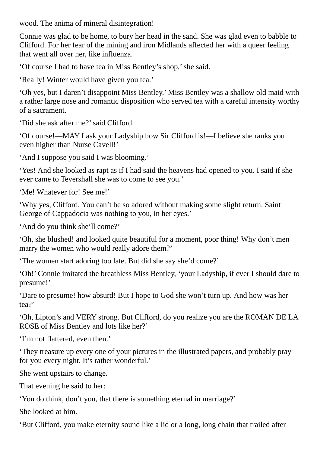wood. The anima of mineral disintegration!

Connie was glad to be home, to bury her head in the sand. She was glad even to babble to Clifford. For her fear of the mining and iron Midlands affected her with a queer feeling that went all over her, like influenza.

'Of course I had to have tea in Miss Bentley's shop,'she said.

'Really! Winter would have given you tea.'

'Oh yes, but I daren't disappoint Miss Bentley.' Miss Bentley was a shallow old maid with a rather large nose and romantic disposition who served tea with a careful intensity worthy of a sacrament.

'Did she ask after me?'said Clifford.

'Of course!—MAY I ask your Ladyship how Sir Clifford is!—I believe she ranks you even higher than Nurse Cavell!'

'And I suppose you said I was blooming.'

'Yes! And she looked as rapt as if I had said the heavens had opened to you. I said if she ever came to Tevershall she was to come to see you.'

'Me! Whatever for! See me!'

'Why yes, Clifford. You can't be so adored without making some slight return. Saint George of Cappadocia was nothing to you, in her eyes.'

'And do you think she'll come?'

'Oh, she blushed! and looked quite beautiful for a moment, poor thing! Why don't men marry the women who would really adore them?'

'The women start adoring too late. But did she say she'd come?'

'Oh!' Connie imitated the breathless Miss Bentley, 'your Ladyship, if ever I should dare to presume!'

'Dare to presume! how absurd! But I hope to God she won't turn up. And how was her tea?'

'Oh, Lipton's and VERY strong. But Clifford, do you realize you are the ROMAN DE LA ROSE of Miss Bentley and lots like her?'

'I'm not flattered, even then.'

'They treasure up every one of your pictures in the illustrated papers, and probably pray for you every night. It's rather wonderful.'

She went upstairs to change.

That evening he said to her:

'You do think, don't you, that there is something eternal in marriage?'

She looked at him.

'But Clifford, you make eternity sound like a lid or a long, long chain that trailed after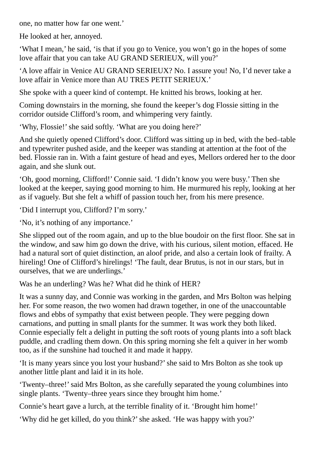one, no matter how far one went.'

He looked at her, annoyed.

'What I mean,' he said, 'is that if you go to Venice, you won't go in the hopes of some love affair that you can take AU GRAND SERIEUX, will you?'

'A love affair in Venice AU GRAND SERIEUX? No. I assure you! No, I'd never take a love affair in Venice more than AU TRES PETIT SERIEUX.'

She spoke with a queer kind of contempt. He knitted his brows, looking at her.

Coming downstairs in the morning, she found the keeper's dog Flossie sitting in the corridor outside Clifford's room, and whimpering very faintly.

'Why, Flossie!' she said softly. 'What are you doing here?'

And she quietly opened Clifford's door. Clifford was sitting up in bed, with the bed–table and typewriter pushed aside, and the keeper was standing at attention at the foot of the bed. Flossie ran in. With a faint gesture of head and eyes, Mellors ordered her to the door again, and she slunk out.

'Oh, good morning, Clifford!' Connie said. 'I didn't know you were busy.' Then she looked at the keeper, saying good morning to him. He murmured his reply, looking at her as if vaguely. But she felt a whiff of passion touch her, from his mere presence.

'Did I interrupt you, Clifford? I'm sorry.'

'No, it's nothing of any importance.'

She slipped out of the room again, and up to the blue boudoir on the first floor. She sat in the window, and saw him go down the drive, with his curious, silent motion, effaced. He had a natural sort of quiet distinction, an aloof pride, and also a certain look of frailty. A hireling! One of Clifford's hirelings! 'The fault, dear Brutus, is not in our stars, but in ourselves, that we are underlings.'

Was he an underling? Was he? What did he think of HER?

It was a sunny day, and Connie was working in the garden, and Mrs Bolton was helping her. For some reason, the two women had drawn together, in one of the unaccountable flows and ebbs of sympathy that exist between people. They were pegging down carnations, and putting in small plants for the summer. It was work they both liked. Connie especially felt a delight in putting the soft roots of young plants into a soft black puddle, and cradling them down. On this spring morning she felt a quiver in her womb too, as if the sunshine had touched it and made it happy.

'It is many years since you lost your husband?'she said to Mrs Bolton as she took up another little plant and laid it in its hole.

'Twenty–three!'said Mrs Bolton, as she carefully separated the young columbines into single plants. 'Twenty–three years since they brought him home.'

Connie's heart gave a lurch, at the terrible finality of it. 'Brought him home!'

'Why did he get killed, do you think?'she asked. 'He was happy with you?'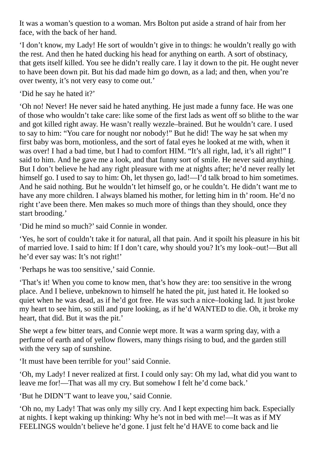It was a woman's question to a woman. Mrs Bolton put aside a strand of hair from her face, with the back of her hand.

'I don't know, my Lady! He sort of wouldn't give in to things: he wouldn't really go with the rest. And then he hated ducking his head for anything on earth. A sort of obstinacy, that gets itself killed. You see he didn't really care. I lay it down to the pit. He ought never to have been down pit. But his dad made him go down, as a lad; and then, when you're over twenty, it's not very easy to come out.'

'Did he say he hated it?'

'Oh no! Never! He never said he hated anything. He just made a funny face. He was one of those who wouldn't take care: like some of the first lads as went off so blithe to the war and got killed right away. He wasn't really wezzle–brained. But he wouldn't care. I used to say to him: "You care for nought nor nobody!" But he did! The way he sat when my first baby was born, motionless, and the sort of fatal eyes he looked at me with, when it was over! I had a bad time, but I had to comfort HIM. "It's all right, lad, it's all right!" I said to him. And he gave me a look, and that funny sort of smile. He never said anything. But I don't believe he had any right pleasure with me at nights after; he'd never really let himself go. I used to say to him: Oh, let thysen go, lad!—I'd talk broad to him sometimes. And he said nothing. But he wouldn't let himself go, or he couldn't. He didn't want me to have any more children. I always blamed his mother, for letting him in th' room. He'd no right t'ave been there. Men makes so much more of things than they should, once they start brooding.'

'Did he mind so much?'said Connie in wonder.

'Yes, he sort of couldn't take it for natural, all that pain. And it spoilt his pleasure in his bit of married love. I said to him: If I don't care, why should you? It's my look–out!—But all he'd ever say was: It's not right!'

'Perhaps he was too sensitive,' said Connie.

'That's it! When you come to know men, that's how they are: too sensitive in the wrong place. And I believe, unbeknown to himself he hated the pit, just hated it. He looked so quiet when he was dead, as if he'd got free. He was such a nice–looking lad. It just broke my heart to see him, so still and pure looking, as if he'd WANTED to die. Oh, it broke my heart, that did. But it was the pit.'

She wept a few bitter tears, and Connie wept more. It was a warm spring day, with a perfume of earth and of yellow flowers, many things rising to bud, and the garden still with the very sap of sunshine.

'It must have been terrible for you!' said Connie.

'Oh, my Lady! I never realized at first. I could only say: Oh my lad, what did you want to leave me for!—That was all my cry. But somehow I felt he'd come back.'

'But he DIDN'T want to leave you,'said Connie.

'Oh no, my Lady! That was only my silly cry. And I kept expecting him back. Especially at nights. I kept waking up thinking: Why he's not in bed with me!—It was as if MY FEELINGS wouldn't believe he'd gone. I just felt he'd HAVE to come back and lie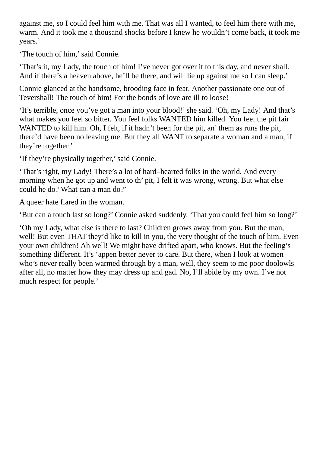against me, so I could feel him with me. That was all I wanted, to feel him there with me, warm. And it took me a thousand shocks before I knew he wouldn't come back, it took me years.'

'The touch of him,' said Connie.

'That's it, my Lady, the touch of him! I've never got over it to this day, and never shall. And if there's a heaven above, he'll be there, and will lie up against me so I can sleep.'

Connie glanced at the handsome, brooding face in fear. Another passionate one out of Tevershall! The touch of him! For the bonds of love are ill to loose!

'It's terrible, once you've got a man into your blood!'she said. 'Oh, my Lady! And that's what makes you feel so bitter. You feel folks WANTED him killed. You feel the pit fair WANTED to kill him. Oh, I felt, if it hadn't been for the pit, an' them as runs the pit, there'd have been no leaving me. But they all WANT to separate a woman and a man, if they're together.'

'If they're physically together,'said Connie.

'That's right, my Lady! There's a lot of hard–hearted folks in the world. And every morning when he got up and went to th' pit, I felt it was wrong, wrong. But what else could he do? What can a man do?'

A queer hate flared in the woman.

'But can a touch last so long?' Connie asked suddenly. 'That you could feel him so long?'

'Oh my Lady, what else is there to last? Children grows away from you. But the man, well! But even THAT they'd like to kill in you, the very thought of the touch of him. Even your own children! Ah well! We might have drifted apart, who knows. But the feeling's something different. It's 'appen better never to care. But there, when I look at women who's never really been warmed through by a man, well, they seem to me poor doolowls after all, no matter how they may dress up and gad. No, I'll abide by my own. I've not much respect for people.'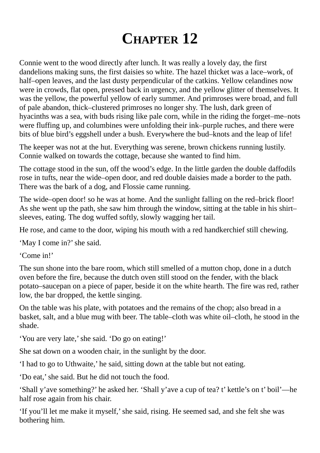## **CHAPTER 12**

Connie went to the wood directly after lunch. It was really a lovely day, the first dandelions making suns, the first daisies so white. The hazel thicket was a lace–work, of half–open leaves, and the last dusty perpendicular of the catkins. Yellow celandines now were in crowds, flat open, pressed back in urgency, and the yellow glitter of themselves. It was the yellow, the powerful yellow of early summer. And primroses were broad, and full of pale abandon, thick–clustered primroses no longer shy. The lush, dark green of hyacinths was a sea, with buds rising like pale corn, while in the riding the forget–me–nots were fluffing up, and columbines were unfolding their ink–purple ruches, and there were bits of blue bird's eggshell under a bush. Everywhere the bud–knots and the leap of life!

The keeper was not at the hut. Everything was serene, brown chickens running lustily. Connie walked on towards the cottage, because she wanted to find him.

The cottage stood in the sun, off the wood's edge. In the little garden the double daffodils rose in tufts, near the wide–open door, and red double daisies made a border to the path. There was the bark of a dog, and Flossie came running.

The wide–open door! so he was at home. And the sunlight falling on the red–brick floor! As she went up the path, she saw him through the window, sitting at the table in his shirt– sleeves, eating. The dog wuffed softly, slowly wagging her tail.

He rose, and came to the door, wiping his mouth with a red handkerchief still chewing.

'May I come in?'she said.

'Come in!'

The sun shone into the bare room, which still smelled of a mutton chop, done in a dutch oven before the fire, because the dutch oven still stood on the fender, with the black potato–saucepan on a piece of paper, beside it on the white hearth. The fire was red, rather low, the bar dropped, the kettle singing.

On the table was his plate, with potatoes and the remains of the chop; also bread in a basket, salt, and a blue mug with beer. The table–cloth was white oil–cloth, he stood in the shade.

'You are very late,' she said. 'Do go on eating!'

She sat down on a wooden chair, in the sunlight by the door.

'I had to go to Uthwaite,' he said, sitting down at the table but not eating.

'Do eat,'she said. But he did not touch the food.

'Shall y'ave something?' he asked her. 'Shall y'ave a cup of tea? t' kettle's on t' boil'—he half rose again from his chair.

'If you'll let me make it myself,'she said, rising. He seemed sad, and she felt she was bothering him.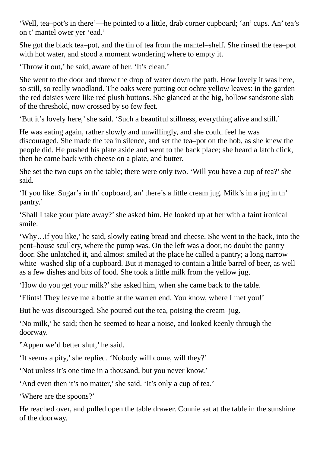'Well, tea–pot's in there'—he pointed to a little, drab corner cupboard; 'an' cups. An' tea's on t' mantel ower yer 'ead.'

She got the black tea–pot, and the tin of tea from the mantel–shelf. She rinsed the tea–pot with hot water, and stood a moment wondering where to empty it.

'Throw it out,' he said, aware of her. 'It's clean.'

She went to the door and threw the drop of water down the path. How lovely it was here, so still, so really woodland. The oaks were putting out ochre yellow leaves: in the garden the red daisies were like red plush buttons. She glanced at the big, hollow sandstone slab of the threshold, now crossed by so few feet.

'But it's lovely here,'she said. 'Such a beautiful stillness, everything alive and still.'

He was eating again, rather slowly and unwillingly, and she could feel he was discouraged. She made the tea in silence, and set the tea–pot on the hob, as she knew the people did. He pushed his plate aside and went to the back place; she heard a latch click, then he came back with cheese on a plate, and butter.

She set the two cups on the table; there were only two. 'Will you have a cup of tea?' she said.

'If you like. Sugar's in th' cupboard, an' there's a little cream jug. Milk's in a jug in th' pantry.'

'Shall I take your plate away?'she asked him. He looked up at her with a faint ironical smile.

'Why…if you like,' he said, slowly eating bread and cheese. She went to the back, into the pent–house scullery, where the pump was. On the left was a door, no doubt the pantry door. She unlatched it, and almost smiled at the place he called a pantry; a long narrow white–washed slip of a cupboard. But it managed to contain a little barrel of beer, as well as a few dishes and bits of food. She took a little milk from the yellow jug.

'How do you get your milk?'she asked him, when she came back to the table.

'Flints! They leave me a bottle at the warren end. You know, where I met you!'

But he was discouraged. She poured out the tea, poising the cream–jug.

'No milk,' he said; then he seemed to hear a noise, and looked keenly through the doorway.

"Appen we'd better shut,' he said.

'It seems a pity,'she replied. 'Nobody will come, will they?'

'Not unless it's one time in a thousand, but you never know.'

'And even then it's no matter,'she said. 'It's only a cup of tea.'

'Where are the spoons?'

He reached over, and pulled open the table drawer. Connie sat at the table in the sunshine of the doorway.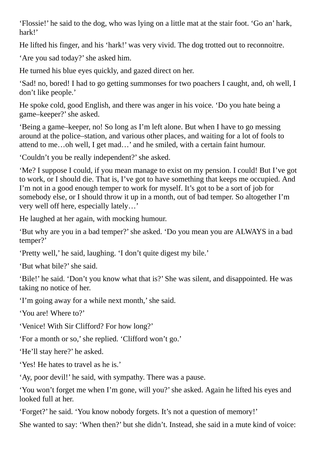'Flossie!' he said to the dog, who was lying on a little mat at the stair foot. 'Go an' hark, hark!'

He lifted his finger, and his 'hark!' was very vivid. The dog trotted out to reconnoitre.

'Are you sad today?'she asked him.

He turned his blue eyes quickly, and gazed direct on her.

'Sad! no, bored! I had to go getting summonses for two poachers I caught, and, oh well, I don't like people.'

He spoke cold, good English, and there was anger in his voice. 'Do you hate being a game–keeper?'she asked.

'Being a game–keeper, no! So long as I'm left alone. But when I have to go messing around at the police–station, and various other places, and waiting for a lot of fools to attend to me…oh well, I get mad…' and he smiled, with a certain faint humour.

'Couldn't you be really independent?'she asked.

'Me? I suppose I could, if you mean manage to exist on my pension. I could! But I've got to work, or I should die. That is, I've got to have something that keeps me occupied. And I'm not in a good enough temper to work for myself. It's got to be a sort of job for somebody else, or I should throw it up in a month, out of bad temper. So altogether I'm very well off here, especially lately…'

He laughed at her again, with mocking humour.

'But why are you in a bad temper?'she asked. 'Do you mean you are ALWAYS in a bad temper?'

'Pretty well,' he said, laughing. 'I don't quite digest my bile.'

'But what bile?'she said.

'Bile!' he said. 'Don't you know what that is?' She was silent, and disappointed. He was taking no notice of her.

'I'm going away for a while next month,'she said.

'You are! Where to?'

'Venice! With Sir Clifford? For how long?'

'For a month or so,'she replied. 'Clifford won't go.'

'He'll stay here?' he asked.

'Yes! He hates to travel as he is.'

'Ay, poor devil!' he said, with sympathy. There was a pause.

'You won't forget me when I'm gone, will you?'she asked. Again he lifted his eyes and looked full at her.

'Forget?' he said. 'You know nobody forgets. It's not a question of memory!'

She wanted to say: 'When then?' but she didn't. Instead, she said in a mute kind of voice: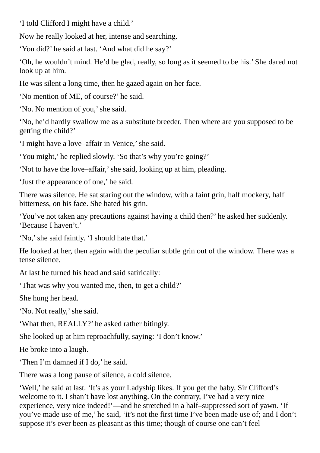'I told Clifford I might have a child.'

Now he really looked at her, intense and searching.

'You did?' he said at last. 'And what did he say?'

'Oh, he wouldn't mind. He'd be glad, really, so long as it seemed to be his.' She dared not look up at him.

He was silent a long time, then he gazed again on her face.

'No mention of ME, of course?' he said.

'No. No mention of you,'she said.

'No, he'd hardly swallow me as a substitute breeder. Then where are you supposed to be getting the child?'

'I might have a love–affair in Venice,'she said.

'You might,' he replied slowly. 'So that's why you're going?'

'Not to have the love–affair,'she said, looking up at him, pleading.

'Just the appearance of one,' he said.

There was silence. He sat staring out the window, with a faint grin, half mockery, half bitterness, on his face. She hated his grin.

'You've not taken any precautions against having a child then?' he asked her suddenly. 'Because I haven't.'

'No,'she said faintly. 'I should hate that.'

He looked at her, then again with the peculiar subtle grin out of the window. There was a tense silence.

At last he turned his head and said satirically:

'That was why you wanted me, then, to get a child?'

She hung her head.

'No. Not really,' she said.

'What then, REALLY?' he asked rather bitingly.

She looked up at him reproachfully, saying: 'I don't know.'

He broke into a laugh.

'Then I'm damned if I do,' he said.

There was a long pause of silence, a cold silence.

'Well,' he said at last. 'It's as your Ladyship likes. If you get the baby, Sir Clifford's welcome to it. I shan't have lost anything. On the contrary, I've had a very nice experience, very nice indeed!'—and he stretched in a half–suppressed sort of yawn. 'If you've made use of me,' he said, 'it's not the first time I've been made use of; and I don't suppose it's ever been as pleasant as this time; though of course one can't feel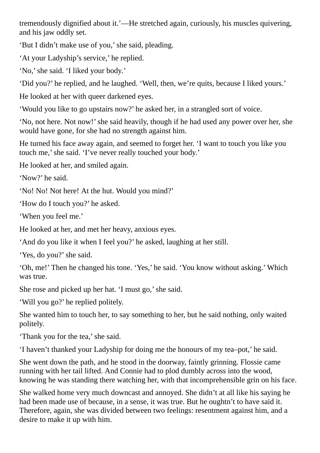tremendously dignified about it.'—He stretched again, curiously, his muscles quivering, and his jaw oddly set.

'But I didn't make use of you,'she said, pleading.

'At your Ladyship's service,' he replied.

'No,'she said. 'I liked your body.'

'Did you?' he replied, and he laughed. 'Well, then, we're quits, because I liked yours.'

He looked at her with queer darkened eyes.

'Would you like to go upstairs now?' he asked her, in a strangled sort of voice.

'No, not here. Not now!'she said heavily, though if he had used any power over her, she would have gone, for she had no strength against him.

He turned his face away again, and seemed to forget her. 'I want to touch you like you touch me,'she said. 'I've never really touched your body.'

He looked at her, and smiled again.

'Now?' he said.

'No! No! Not here! At the hut. Would you mind?'

'How do I touch you?' he asked.

'When you feel me.'

He looked at her, and met her heavy, anxious eyes.

'And do you like it when I feel you?' he asked, laughing at her still.

'Yes, do you?'she said.

'Oh, me!' Then he changed his tone. 'Yes,' he said. 'You know without asking.' Which was true.

She rose and picked up her hat. 'I must go,'she said.

'Will you go?' he replied politely.

She wanted him to touch her, to say something to her, but he said nothing, only waited politely.

'Thank you for the tea,' she said.

'I haven't thanked your Ladyship for doing me the honours of my tea–pot,' he said.

She went down the path, and he stood in the doorway, faintly grinning. Flossie came running with her tail lifted. And Connie had to plod dumbly across into the wood, knowing he was standing there watching her, with that incomprehensible grin on his face.

She walked home very much downcast and annoyed. She didn't at all like his saying he had been made use of because, in a sense, it was true. But he oughtn't to have said it. Therefore, again, she was divided between two feelings: resentment against him, and a desire to make it up with him.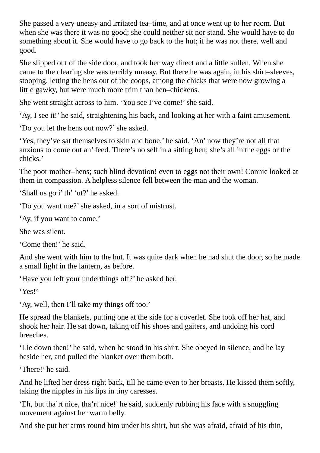She passed a very uneasy and irritated tea–time, and at once went up to her room. But when she was there it was no good; she could neither sit nor stand. She would have to do something about it. She would have to go back to the hut; if he was not there, well and good.

She slipped out of the side door, and took her way direct and a little sullen. When she came to the clearing she was terribly uneasy. But there he was again, in his shirt–sleeves, stooping, letting the hens out of the coops, among the chicks that were now growing a little gawky, but were much more trim than hen–chickens.

She went straight across to him. 'You see I've come!' she said.

'Ay, I see it!' he said, straightening his back, and looking at her with a faint amusement.

'Do you let the hens out now?'she asked.

'Yes, they've sat themselves to skin and bone,' he said. 'An' now they're not all that anxious to come out an' feed. There's no self in a sitting hen; she's all in the eggs or the chicks.'

The poor mother–hens; such blind devotion! even to eggs not their own! Connie looked at them in compassion. A helpless silence fell between the man and the woman.

'Shall us go i' th' 'ut?' he asked.

'Do you want me?'she asked, in a sort of mistrust.

'Ay, if you want to come.'

She was silent.

'Come then!' he said.

And she went with him to the hut. It was quite dark when he had shut the door, so he made a small light in the lantern, as before.

'Have you left your underthings off?' he asked her.

'Yes!'

'Ay, well, then I'll take my things off too.'

He spread the blankets, putting one at the side for a coverlet. She took off her hat, and shook her hair. He sat down, taking off his shoes and gaiters, and undoing his cord breeches.

'Lie down then!' he said, when he stood in his shirt. She obeyed in silence, and he lay beside her, and pulled the blanket over them both.

'There!' he said.

And he lifted her dress right back, till he came even to her breasts. He kissed them softly, taking the nipples in his lips in tiny caresses.

'Eh, but tha'rt nice, tha'rt nice!' he said, suddenly rubbing his face with a snuggling movement against her warm belly.

And she put her arms round him under his shirt, but she was afraid, afraid of his thin,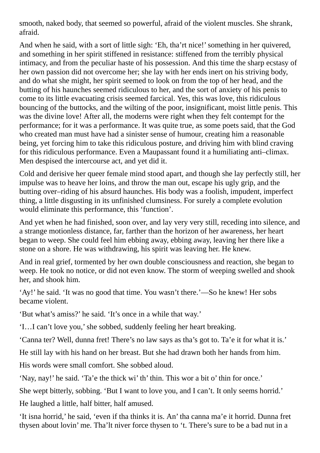smooth, naked body, that seemed so powerful, afraid of the violent muscles. She shrank, afraid.

And when he said, with a sort of little sigh: 'Eh, tha'rt nice!'something in her quivered, and something in her spirit stiffened in resistance: stiffened from the terribly physical intimacy, and from the peculiar haste of his possession. And this time the sharp ecstasy of her own passion did not overcome her; she lay with her ends inert on his striving body, and do what she might, her spirit seemed to look on from the top of her head, and the butting of his haunches seemed ridiculous to her, and the sort of anxiety of his penis to come to its little evacuating crisis seemed farcical. Yes, this was love, this ridiculous bouncing of the buttocks, and the wilting of the poor, insignificant, moist little penis. This was the divine love! After all, the moderns were right when they felt contempt for the performance; for it was a performance. It was quite true, as some poets said, that the God who created man must have had a sinister sense of humour, creating him a reasonable being, yet forcing him to take this ridiculous posture, and driving him with blind craving for this ridiculous performance. Even a Maupassant found it a humiliating anti–climax. Men despised the intercourse act, and yet did it.

Cold and derisive her queer female mind stood apart, and though she lay perfectly still, her impulse was to heave her loins, and throw the man out, escape his ugly grip, and the butting over–riding of his absurd haunches. His body was a foolish, impudent, imperfect thing, a little disgusting in its unfinished clumsiness. For surely a complete evolution would eliminate this performance, this 'function'.

And yet when he had finished, soon over, and lay very very still, receding into silence, and a strange motionless distance, far, farther than the horizon of her awareness, her heart began to weep. She could feel him ebbing away, ebbing away, leaving her there like a stone on a shore. He was withdrawing, his spirit was leaving her. He knew.

And in real grief, tormented by her own double consciousness and reaction, she began to weep. He took no notice, or did not even know. The storm of weeping swelled and shook her, and shook him.

'Ay!' he said. 'It was no good that time. You wasn't there.'—So he knew! Her sobs became violent.

'But what's amiss?' he said. 'It's once in a while that way.'

'I…I can't love you,'she sobbed, suddenly feeling her heart breaking.

'Canna ter? Well, dunna fret! There's no law says as tha's got to. Ta'e it for what it is.'

He still lay with his hand on her breast. But she had drawn both her hands from him.

His words were small comfort. She sobbed aloud.

'Nay, nay!' he said. 'Ta'e the thick wi' th' thin. This wor a bit o' thin for once.'

She wept bitterly, sobbing. 'But I want to love you, and I can't. It only seems horrid.'

He laughed a little, half bitter, half amused.

'It isna horrid,' he said, 'even if tha thinks it is. An' tha canna ma'e it horrid. Dunna fret thysen about lovin' me. Tha'lt niver force thysen to 't. There's sure to be a bad nut in a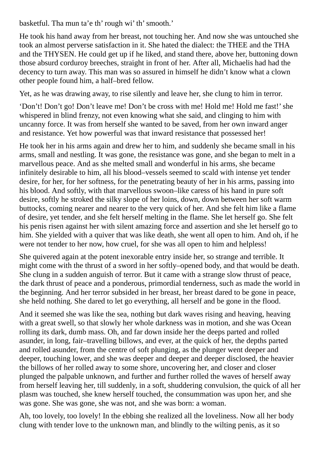basketful. Tha mun ta'e th' rough wi' th' smooth.'

He took his hand away from her breast, not touching her. And now she was untouched she took an almost perverse satisfaction in it. She hated the dialect: the THEE and the THA and the THYSEN. He could get up if he liked, and stand there, above her, buttoning down those absurd corduroy breeches, straight in front of her. After all, Michaelis had had the decency to turn away. This man was so assured in himself he didn't know what a clown other people found him, a half–bred fellow.

Yet, as he was drawing away, to rise silently and leave her, she clung to him in terror.

'Don't! Don't go! Don't leave me! Don't be cross with me! Hold me! Hold me fast!'she whispered in blind frenzy, not even knowing what she said, and clinging to him with uncanny force. It was from herself she wanted to be saved, from her own inward anger and resistance. Yet how powerful was that inward resistance that possessed her!

He took her in his arms again and drew her to him, and suddenly she became small in his arms, small and nestling. It was gone, the resistance was gone, and she began to melt in a marvellous peace. And as she melted small and wonderful in his arms, she became infinitely desirable to him, all his blood–vessels seemed to scald with intense yet tender desire, for her, for her softness, for the penetrating beauty of her in his arms, passing into his blood. And softly, with that marvellous swoon–like caress of his hand in pure soft desire, softly he stroked the silky slope of her loins, down, down between her soft warm buttocks, coming nearer and nearer to the very quick of her. And she felt him like a flame of desire, yet tender, and she felt herself melting in the flame. She let herself go. She felt his penis risen against her with silent amazing force and assertion and she let herself go to him. She yielded with a quiver that was like death, she went all open to him. And oh, if he were not tender to her now, how cruel, for she was all open to him and helpless!

She quivered again at the potent inexorable entry inside her, so strange and terrible. It might come with the thrust of a sword in her softly–opened body, and that would be death. She clung in a sudden anguish of terror. But it came with a strange slow thrust of peace, the dark thrust of peace and a ponderous, primordial tenderness, such as made the world in the beginning. And her terror subsided in her breast, her breast dared to be gone in peace, she held nothing. She dared to let go everything, all herself and be gone in the flood.

And it seemed she was like the sea, nothing but dark waves rising and heaving, heaving with a great swell, so that slowly her whole darkness was in motion, and she was Ocean rolling its dark, dumb mass. Oh, and far down inside her the deeps parted and rolled asunder, in long, fair–travelling billows, and ever, at the quick of her, the depths parted and rolled asunder, from the centre of soft plunging, as the plunger went deeper and deeper, touching lower, and she was deeper and deeper and deeper disclosed, the heavier the billows of her rolled away to some shore, uncovering her, and closer and closer plunged the palpable unknown, and further and further rolled the waves of herself away from herself leaving her, till suddenly, in a soft, shuddering convulsion, the quick of all her plasm was touched, she knew herself touched, the consummation was upon her, and she was gone. She was gone, she was not, and she was born: a woman.

Ah, too lovely, too lovely! In the ebbing she realized all the loveliness. Now all her body clung with tender love to the unknown man, and blindly to the wilting penis, as it so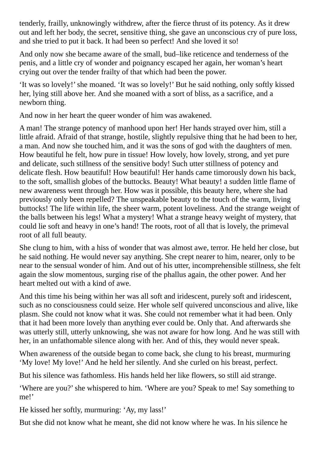tenderly, frailly, unknowingly withdrew, after the fierce thrust of its potency. As it drew out and left her body, the secret, sensitive thing, she gave an unconscious cry of pure loss, and she tried to put it back. It had been so perfect! And she loved it so!

And only now she became aware of the small, bud–like reticence and tenderness of the penis, and a little cry of wonder and poignancy escaped her again, her woman's heart crying out over the tender frailty of that which had been the power.

'It was so lovely!'she moaned. 'It was so lovely!' But he said nothing, only softly kissed her, lying still above her. And she moaned with a sort of bliss, as a sacrifice, and a newborn thing.

And now in her heart the queer wonder of him was awakened.

A man! The strange potency of manhood upon her! Her hands strayed over him, still a little afraid. Afraid of that strange, hostile, slightly repulsive thing that he had been to her, a man. And now she touched him, and it was the sons of god with the daughters of men. How beautiful he felt, how pure in tissue! How lovely, how lovely, strong, and yet pure and delicate, such stillness of the sensitive body! Such utter stillness of potency and delicate flesh. How beautiful! How beautiful! Her hands came timorously down his back, to the soft, smallish globes of the buttocks. Beauty! What beauty! a sudden little flame of new awareness went through her. How was it possible, this beauty here, where she had previously only been repelled? The unspeakable beauty to the touch of the warm, living buttocks! The life within life, the sheer warm, potent loveliness. And the strange weight of the balls between his legs! What a mystery! What a strange heavy weight of mystery, that could lie soft and heavy in one's hand! The roots, root of all that is lovely, the primeval root of all full beauty.

She clung to him, with a hiss of wonder that was almost awe, terror. He held her close, but he said nothing. He would never say anything. She crept nearer to him, nearer, only to be near to the sensual wonder of him. And out of his utter, incomprehensible stillness, she felt again the slow momentous, surging rise of the phallus again, the other power. And her heart melted out with a kind of awe.

And this time his being within her was all soft and iridescent, purely soft and iridescent, such as no consciousness could seize. Her whole self quivered unconscious and alive, like plasm. She could not know what it was. She could not remember what it had been. Only that it had been more lovely than anything ever could be. Only that. And afterwards she was utterly still, utterly unknowing, she was not aware for how long. And he was still with her, in an unfathomable silence along with her. And of this, they would never speak.

When awareness of the outside began to come back, she clung to his breast, murmuring 'My love! My love!' And he held her silently. And she curled on his breast, perfect.

But his silence was fathomless. His hands held her like flowers, so still aid strange.

'Where are you?'she whispered to him. 'Where are you? Speak to me! Say something to me!'

He kissed her softly, murmuring: 'Ay, my lass!'

But she did not know what he meant, she did not know where he was. In his silence he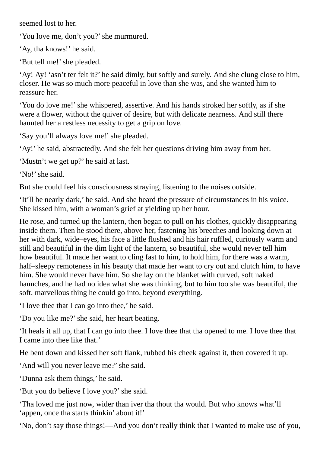seemed lost to her.

'You love me, don't you?'she murmured.

'Ay, tha knows!' he said.

'But tell me!' she pleaded.

'Ay! Ay! 'asn't ter felt it?' he said dimly, but softly and surely. And she clung close to him, closer. He was so much more peaceful in love than she was, and she wanted him to reassure her.

'You do love me!'she whispered, assertive. And his hands stroked her softly, as if she were a flower, without the quiver of desire, but with delicate nearness. And still there haunted her a restless necessity to get a grip on love.

'Say you'll always love me!' she pleaded.

'Ay!' he said, abstractedly. And she felt her questions driving him away from her.

'Mustn't we get up?' he said at last.

'No!' she said.

But she could feel his consciousness straying, listening to the noises outside.

'It'll be nearly dark,' he said. And she heard the pressure of circumstances in his voice. She kissed him, with a woman's grief at yielding up her hour.

He rose, and turned up the lantern, then began to pull on his clothes, quickly disappearing inside them. Then he stood there, above her, fastening his breeches and looking down at her with dark, wide–eyes, his face a little flushed and his hair ruffled, curiously warm and still and beautiful in the dim light of the lantern, so beautiful, she would never tell him how beautiful. It made her want to cling fast to him, to hold him, for there was a warm, half–sleepy remoteness in his beauty that made her want to cry out and clutch him, to have him. She would never have him. So she lay on the blanket with curved, soft naked haunches, and he had no idea what she was thinking, but to him too she was beautiful, the soft, marvellous thing he could go into, beyond everything.

'I love thee that I can go into thee,' he said.

'Do you like me?'she said, her heart beating.

'It heals it all up, that I can go into thee. I love thee that tha opened to me. I love thee that I came into thee like that.'

He bent down and kissed her soft flank, rubbed his cheek against it, then covered it up.

'And will you never leave me?'she said.

'Dunna ask them things,' he said.

'But you do believe I love you?'she said.

'Tha loved me just now, wider than iver tha thout tha would. But who knows what'll 'appen, once tha starts thinkin' about it!'

'No, don't say those things!—And you don't really think that I wanted to make use of you,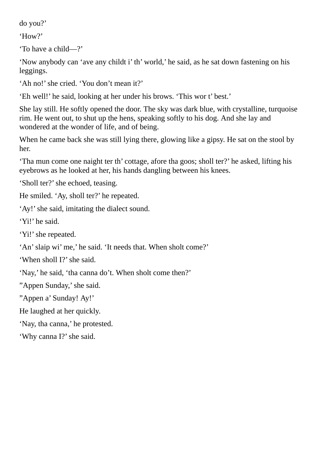do you?'

'How?'

'To have a child—?'

'Now anybody can 'ave any childt i' th' world,' he said, as he sat down fastening on his leggings.

'Ah no!'she cried. 'You don't mean it?'

'Eh well!' he said, looking at her under his brows. 'This wor t' best.'

She lay still. He softly opened the door. The sky was dark blue, with crystalline, turquoise rim. He went out, to shut up the hens, speaking softly to his dog. And she lay and wondered at the wonder of life, and of being.

When he came back she was still lying there, glowing like a gipsy. He sat on the stool by her.

'Tha mun come one naight ter th' cottage, afore tha goos; sholl ter?' he asked, lifting his eyebrows as he looked at her, his hands dangling between his knees.

'Sholl ter?' she echoed, teasing.

He smiled. 'Ay, sholl ter?' he repeated.

'Ay!'she said, imitating the dialect sound.

'Yi!' he said.

'Yi!' she repeated.

'An'slaip wi' me,' he said. 'It needs that. When sholt come?'

'When sholl I?' she said.

'Nay,' he said, 'tha canna do't. When sholt come then?'

"Appen Sunday,'she said.

"Appen a' Sunday! Ay!'

He laughed at her quickly.

'Nay, tha canna,' he protested.

'Why canna I?'she said.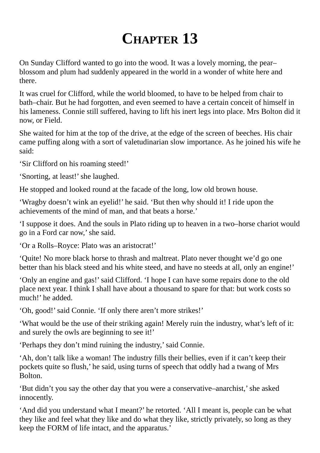## **CHAPTER 13**

On Sunday Clifford wanted to go into the wood. It was a lovely morning, the pear– blossom and plum had suddenly appeared in the world in a wonder of white here and there.

It was cruel for Clifford, while the world bloomed, to have to be helped from chair to bath–chair. But he had forgotten, and even seemed to have a certain conceit of himself in his lameness. Connie still suffered, having to lift his inert legs into place. Mrs Bolton did it now, or Field.

She waited for him at the top of the drive, at the edge of the screen of beeches. His chair came puffing along with a sort of valetudinarian slow importance. As he joined his wife he said:

'Sir Clifford on his roaming steed!'

'Snorting, at least!' she laughed.

He stopped and looked round at the facade of the long, low old brown house.

'Wragby doesn't wink an eyelid!' he said. 'But then why should it! I ride upon the achievements of the mind of man, and that beats a horse.'

'I suppose it does. And the souls in Plato riding up to heaven in a two–horse chariot would go in a Ford car now,'she said.

'Or a Rolls–Royce: Plato was an aristocrat!'

'Quite! No more black horse to thrash and maltreat. Plato never thought we'd go one better than his black steed and his white steed, and have no steeds at all, only an engine!'

'Only an engine and gas!'said Clifford. 'I hope I can have some repairs done to the old place next year. I think I shall have about a thousand to spare for that: but work costs so much!' he added.

'Oh, good!'said Connie. 'If only there aren't more strikes!'

'What would be the use of their striking again! Merely ruin the industry, what's left of it: and surely the owls are beginning to see it!'

'Perhaps they don't mind ruining the industry,'said Connie.

'Ah, don't talk like a woman! The industry fills their bellies, even if it can't keep their pockets quite so flush,' he said, using turns of speech that oddly had a twang of Mrs Bolton.

'But didn't you say the other day that you were a conservative–anarchist,'she asked innocently.

'And did you understand what I meant?' he retorted. 'All I meant is, people can be what they like and feel what they like and do what they like, strictly privately, so long as they keep the FORM of life intact, and the apparatus.'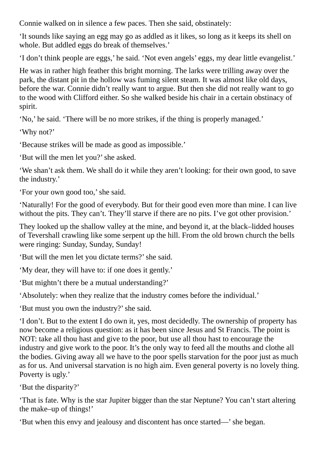Connie walked on in silence a few paces. Then she said, obstinately:

'It sounds like saying an egg may go as addled as it likes, so long as it keeps its shell on whole. But addled eggs do break of themselves.'

'I don't think people are eggs,' he said. 'Not even angels' eggs, my dear little evangelist.'

He was in rather high feather this bright morning. The larks were trilling away over the park, the distant pit in the hollow was fuming silent steam. It was almost like old days, before the war. Connie didn't really want to argue. But then she did not really want to go to the wood with Clifford either. So she walked beside his chair in a certain obstinacy of spirit.

'No,' he said. 'There will be no more strikes, if the thing is properly managed.'

'Why not?'

'Because strikes will be made as good as impossible.'

'But will the men let you?'she asked.

'We shan't ask them. We shall do it while they aren't looking: for their own good, to save the industry.'

'For your own good too,'she said.

'Naturally! For the good of everybody. But for their good even more than mine. I can live without the pits. They can't. They'll starve if there are no pits. I've got other provision.'

They looked up the shallow valley at the mine, and beyond it, at the black–lidded houses of Tevershall crawling like some serpent up the hill. From the old brown church the bells were ringing: Sunday, Sunday, Sunday!

'But will the men let you dictate terms?'she said.

'My dear, they will have to: if one does it gently.'

'But mightn't there be a mutual understanding?'

'Absolutely: when they realize that the industry comes before the individual.'

'But must you own the industry?'she said.

'I don't. But to the extent I do own it, yes, most decidedly. The ownership of property has now become a religious question: as it has been since Jesus and St Francis. The point is NOT: take all thou hast and give to the poor, but use all thou hast to encourage the industry and give work to the poor. It's the only way to feed all the mouths and clothe all the bodies. Giving away all we have to the poor spells starvation for the poor just as much as for us. And universal starvation is no high aim. Even general poverty is no lovely thing. Poverty is ugly.'

'But the disparity?'

'That is fate. Why is the star Jupiter bigger than the star Neptune? You can't start altering the make–up of things!'

'But when this envy and jealousy and discontent has once started—'she began.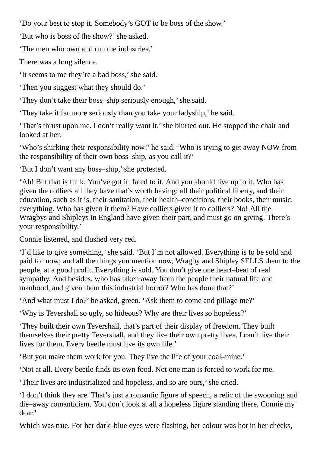'Do your best to stop it. Somebody's GOT to be boss of the show.'

'But who is boss of the show?'she asked.

'The men who own and run the industries.'

There was a long silence.

'It seems to me they're a bad boss,'she said.

'Then you suggest what they should do.'

'They don't take their boss–ship seriously enough,'she said.

'They take it far more seriously than you take your ladyship,' he said.

'That's thrust upon me. I don't really want it,'she blurted out. He stopped the chair and looked at her.

'Who's shirking their responsibility now!' he said. 'Who is trying to get away NOW from the responsibility of their own boss–ship, as you call it?'

'But I don't want any boss–ship,'she protested.

'Ah! But that is funk. You've got it: fated to it. And you should live up to it. Who has given the colliers all they have that's worth having: all their political liberty, and their education, such as it is, their sanitation, their health–conditions, their books, their music, everything. Who has given it them? Have colliers given it to colliers? No! All the Wragbys and Shipleys in England have given their part, and must go on giving. There's your responsibility.'

Connie listened, and flushed very red.

'I'd like to give something,'she said. 'But I'm not allowed. Everything is to be sold and paid for now; and all the things you mention now, Wragby and Shipley SELLS them to the people, at a good profit. Everything is sold. You don't give one heart–beat of real sympathy. And besides, who has taken away from the people their natural life and manhood, and given them this industrial horror? Who has done that?'

'And what must I do?' he asked, green. 'Ask them to come and pillage me?'

'Why is Tevershall so ugly, so hideous? Why are their lives so hopeless?'

'They built their own Tevershall, that's part of their display of freedom. They built themselves their pretty Tevershall, and they live their own pretty lives. I can't live their lives for them. Every beetle must live its own life.'

'But you make them work for you. They live the life of your coal–mine.'

'Not at all. Every beetle finds its own food. Not one man is forced to work for me.

'Their lives are industrialized and hopeless, and so are ours,'she cried.

'I don't think they are. That's just a romantic figure of speech, a relic of the swooning and die–away romanticism. You don't look at all a hopeless figure standing there, Connie my dear.'

Which was true. For her dark–blue eyes were flashing, her colour was hot in her cheeks,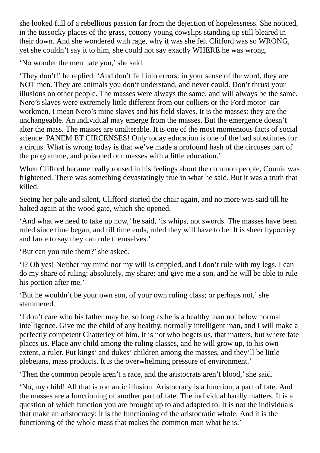she looked full of a rebellious passion far from the dejection of hopelessness. She noticed, in the tussocky places of the grass, cottony young cowslips standing up still bleared in their down. And she wondered with rage, why it was she felt Clifford was so WRONG, yet she couldn't say it to him, she could not say exactly WHERE he was wrong.

'No wonder the men hate you,'she said.

'They don't!' he replied. 'And don't fall into errors: in your sense of the word, they are NOT men. They are animals you don't understand, and never could. Don't thrust your illusions on other people. The masses were always the same, and will always be the same. Nero's slaves were extremely little different from our colliers or the Ford motor–car workmen. I mean Nero's mine slaves and his field slaves. It is the masses: they are the unchangeable. An individual may emerge from the masses. But the emergence doesn't alter the mass. The masses are unalterable. It is one of the most momentous facts of social science. PANEM ET CIRCENSES! Only today education is one of the bad substitutes for a circus. What is wrong today is that we've made a profound hash of the circuses part of the programme, and poisoned our masses with a little education.'

When Clifford became really roused in his feelings about the common people, Connie was frightened. There was something devastatingly true in what he said. But it was a truth that killed.

Seeing her pale and silent, Clifford started the chair again, and no more was said till he halted again at the wood gate, which she opened.

'And what we need to take up now,' he said, 'is whips, not swords. The masses have been ruled since time began, and till time ends, ruled they will have to be. It is sheer hypocrisy and farce to say they can rule themselves.'

'But can you rule them?'she asked.

'I? Oh yes! Neither my mind nor my will is crippled, and I don't rule with my legs. I can do my share of ruling: absolutely, my share; and give me a son, and he will be able to rule his portion after me.'

'But he wouldn't be your own son, of your own ruling class; or perhaps not,'she stammered.

'I don't care who his father may be, so long as he is a healthy man not below normal intelligence. Give me the child of any healthy, normally intelligent man, and I will make a perfectly competent Chatterley of him. It is not who begets us, that matters, but where fate places us. Place any child among the ruling classes, and he will grow up, to his own extent, a ruler. Put kings' and dukes' children among the masses, and they'll be little plebeians, mass products. It is the overwhelming pressure of environment.'

'Then the common people aren't a race, and the aristocrats aren't blood,'she said.

'No, my child! All that is romantic illusion. Aristocracy is a function, a part of fate. And the masses are a functioning of another part of fate. The individual hardly matters. It is a question of which function you are brought up to and adapted to. It is not the individuals that make an aristocracy: it is the functioning of the aristocratic whole. And it is the functioning of the whole mass that makes the common man what he is.'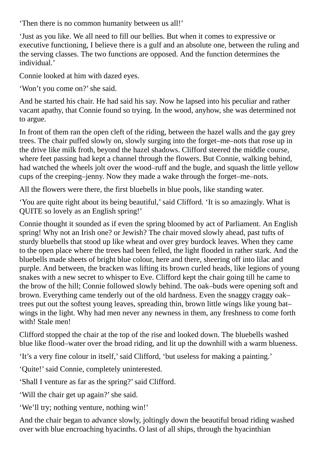'Then there is no common humanity between us all!'

'Just as you like. We all need to fill our bellies. But when it comes to expressive or executive functioning, I believe there is a gulf and an absolute one, between the ruling and the serving classes. The two functions are opposed. And the function determines the individual.'

Connie looked at him with dazed eyes.

'Won't you come on?'she said.

And he started his chair. He had said his say. Now he lapsed into his peculiar and rather vacant apathy, that Connie found so trying. In the wood, anyhow, she was determined not to argue.

In front of them ran the open cleft of the riding, between the hazel walls and the gay grey trees. The chair puffed slowly on, slowly surging into the forget–me–nots that rose up in the drive like milk froth, beyond the hazel shadows. Clifford steered the middle course, where feet passing had kept a channel through the flowers. But Connie, walking behind, had watched the wheels jolt over the wood–ruff and the bugle, and squash the little yellow cups of the creeping–jenny. Now they made a wake through the forget–me–nots.

All the flowers were there, the first bluebells in blue pools, like standing water.

'You are quite right about its being beautiful,'said Clifford. 'It is so amazingly. What is QUITE so lovely as an English spring!'

Connie thought it sounded as if even the spring bloomed by act of Parliament. An English spring! Why not an Irish one? or Jewish? The chair moved slowly ahead, past tufts of sturdy bluebells that stood up like wheat and over grey burdock leaves. When they came to the open place where the trees had been felled, the light flooded in rather stark. And the bluebells made sheets of bright blue colour, here and there, sheering off into lilac and purple. And between, the bracken was lifting its brown curled heads, like legions of young snakes with a new secret to whisper to Eve. Clifford kept the chair going till he came to the brow of the hill; Connie followed slowly behind. The oak–buds were opening soft and brown. Everything came tenderly out of the old hardness. Even the snaggy craggy oak– trees put out the softest young leaves, spreading thin, brown little wings like young bat– wings in the light. Why had men never any newness in them, any freshness to come forth with! Stale men!

Clifford stopped the chair at the top of the rise and looked down. The bluebells washed blue like flood–water over the broad riding, and lit up the downhill with a warm blueness.

'It's a very fine colour in itself,' said Clifford, 'but useless for making a painting.'

'Quite!' said Connie, completely uninterested.

'Shall I venture as far as the spring?'said Clifford.

'Will the chair get up again?'she said.

'We'll try; nothing venture, nothing win!'

And the chair began to advance slowly, joltingly down the beautiful broad riding washed over with blue encroaching hyacinths. O last of all ships, through the hyacinthian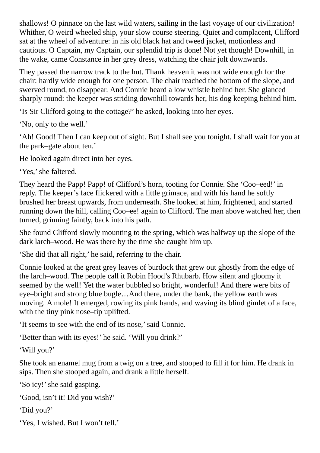shallows! O pinnace on the last wild waters, sailing in the last voyage of our civilization! Whither, O weird wheeled ship, your slow course steering. Quiet and complacent, Clifford sat at the wheel of adventure: in his old black hat and tweed jacket, motionless and cautious. O Captain, my Captain, our splendid trip is done! Not yet though! Downhill, in the wake, came Constance in her grey dress, watching the chair jolt downwards.

They passed the narrow track to the hut. Thank heaven it was not wide enough for the chair: hardly wide enough for one person. The chair reached the bottom of the slope, and swerved round, to disappear. And Connie heard a low whistle behind her. She glanced sharply round: the keeper was striding downhill towards her, his dog keeping behind him.

'Is Sir Clifford going to the cottage?' he asked, looking into her eyes.

'No, only to the well.'

'Ah! Good! Then I can keep out of sight. But I shall see you tonight. I shall wait for you at the park–gate about ten.'

He looked again direct into her eyes.

'Yes,'she faltered.

They heard the Papp! Papp! of Clifford's horn, tooting for Connie. She 'Coo–eed!' in reply. The keeper's face flickered with a little grimace, and with his hand he softly brushed her breast upwards, from underneath. She looked at him, frightened, and started running down the hill, calling Coo–ee! again to Clifford. The man above watched her, then turned, grinning faintly, back into his path.

She found Clifford slowly mounting to the spring, which was halfway up the slope of the dark larch–wood. He was there by the time she caught him up.

'She did that all right,' he said, referring to the chair.

Connie looked at the great grey leaves of burdock that grew out ghostly from the edge of the larch–wood. The people call it Robin Hood's Rhubarb. How silent and gloomy it seemed by the well! Yet the water bubbled so bright, wonderful! And there were bits of eye–bright and strong blue bugle…And there, under the bank, the yellow earth was moving. A mole! It emerged, rowing its pink hands, and waving its blind gimlet of a face, with the tiny pink nose–tip uplifted.

'It seems to see with the end of its nose,'said Connie.

'Better than with its eyes!' he said. 'Will you drink?'

'Will you?'

She took an enamel mug from a twig on a tree, and stooped to fill it for him. He drank in sips. Then she stooped again, and drank a little herself.

'So icy!'she said gasping.

```
'Good, isn't it! Did you wish?'
```
'Did you?'

'Yes, I wished. But I won't tell.'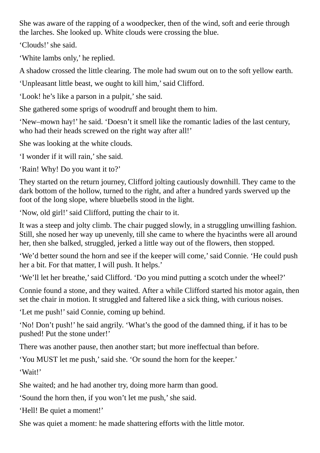She was aware of the rapping of a woodpecker, then of the wind, soft and eerie through the larches. She looked up. White clouds were crossing the blue.

'Clouds!'she said.

'White lambs only,' he replied.

A shadow crossed the little clearing. The mole had swum out on to the soft yellow earth.

'Unpleasant little beast, we ought to kill him,'said Clifford.

'Look! he's like a parson in a pulpit,' she said.

She gathered some sprigs of woodruff and brought them to him.

'New–mown hay!' he said. 'Doesn't it smell like the romantic ladies of the last century, who had their heads screwed on the right way after all!'

She was looking at the white clouds.

'I wonder if it will rain,'she said.

'Rain! Why! Do you want it to?'

They started on the return journey, Clifford jolting cautiously downhill. They came to the dark bottom of the hollow, turned to the right, and after a hundred yards swerved up the foot of the long slope, where bluebells stood in the light.

'Now, old girl!'said Clifford, putting the chair to it.

It was a steep and jolty climb. The chair pugged slowly, in a struggling unwilling fashion. Still, she nosed her way up unevenly, till she came to where the hyacinths were all around her, then she balked, struggled, jerked a little way out of the flowers, then stopped.

'We'd better sound the horn and see if the keeper will come,'said Connie. 'He could push her a bit. For that matter, I will push. It helps.'

'We'll let her breathe,'said Clifford. 'Do you mind putting a scotch under the wheel?'

Connie found a stone, and they waited. After a while Clifford started his motor again, then set the chair in motion. It struggled and faltered like a sick thing, with curious noises.

'Let me push!' said Connie, coming up behind.

'No! Don't push!' he said angrily. 'What's the good of the damned thing, if it has to be pushed! Put the stone under!'

There was another pause, then another start; but more ineffectual than before.

'You MUST let me push,'said she. 'Or sound the horn for the keeper.'

'Wait!'

She waited; and he had another try, doing more harm than good.

'Sound the horn then, if you won't let me push,'she said.

'Hell! Be quiet a moment!'

She was quiet a moment: he made shattering efforts with the little motor.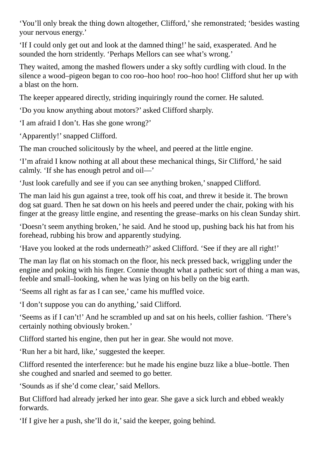'You'll only break the thing down altogether, Clifford,'she remonstrated; 'besides wasting your nervous energy.'

'If I could only get out and look at the damned thing!' he said, exasperated. And he sounded the horn stridently. 'Perhaps Mellors can see what's wrong.'

They waited, among the mashed flowers under a sky softly curdling with cloud. In the silence a wood–pigeon began to coo roo–hoo hoo! roo–hoo hoo! Clifford shut her up with a blast on the horn.

The keeper appeared directly, striding inquiringly round the corner. He saluted.

'Do you know anything about motors?' asked Clifford sharply.

'I am afraid I don't. Has she gone wrong?'

'Apparently!'snapped Clifford.

The man crouched solicitously by the wheel, and peered at the little engine.

'I'm afraid I know nothing at all about these mechanical things, Sir Clifford,' he said calmly. 'If she has enough petrol and oil—'

'Just look carefully and see if you can see anything broken,'snapped Clifford.

The man laid his gun against a tree, took off his coat, and threw it beside it. The brown dog sat guard. Then he sat down on his heels and peered under the chair, poking with his finger at the greasy little engine, and resenting the grease–marks on his clean Sunday shirt.

'Doesn't seem anything broken,' he said. And he stood up, pushing back his hat from his forehead, rubbing his brow and apparently studying.

'Have you looked at the rods underneath?' asked Clifford. 'See if they are all right!'

The man lay flat on his stomach on the floor, his neck pressed back, wriggling under the engine and poking with his finger. Connie thought what a pathetic sort of thing a man was, feeble and small–looking, when he was lying on his belly on the big earth.

'Seems all right as far as I can see,' came his muffled voice.

'I don't suppose you can do anything,'said Clifford.

'Seems as if I can't!' And he scrambled up and sat on his heels, collier fashion. 'There's certainly nothing obviously broken.'

Clifford started his engine, then put her in gear. She would not move.

'Run her a bit hard, like,'suggested the keeper.

Clifford resented the interference: but he made his engine buzz like a blue–bottle. Then she coughed and snarled and seemed to go better.

'Sounds as if she'd come clear,'said Mellors.

But Clifford had already jerked her into gear. She gave a sick lurch and ebbed weakly forwards.

'If I give her a push, she'll do it,'said the keeper, going behind.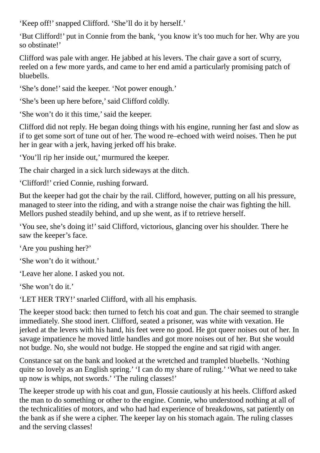'Keep off!' snapped Clifford. 'She'll do it by herself.'

'But Clifford!' put in Connie from the bank, 'you know it's too much for her. Why are you so obstinate!'

Clifford was pale with anger. He jabbed at his levers. The chair gave a sort of scurry, reeled on a few more yards, and came to her end amid a particularly promising patch of bluebells.

'She's done!' said the keeper. 'Not power enough.'

'She's been up here before,'said Clifford coldly.

'She won't do it this time,'said the keeper.

Clifford did not reply. He began doing things with his engine, running her fast and slow as if to get some sort of tune out of her. The wood re–echoed with weird noises. Then he put her in gear with a jerk, having jerked off his brake.

'You'll rip her inside out,' murmured the keeper.

The chair charged in a sick lurch sideways at the ditch.

'Clifford!' cried Connie, rushing forward.

But the keeper had got the chair by the rail. Clifford, however, putting on all his pressure, managed to steer into the riding, and with a strange noise the chair was fighting the hill. Mellors pushed steadily behind, and up she went, as if to retrieve herself.

'You see, she's doing it!'said Clifford, victorious, glancing over his shoulder. There he saw the keeper's face.

'Are you pushing her?'

'She won't do it without.'

'Leave her alone. I asked you not.

'She won't do it.'

'LET HER TRY!'snarled Clifford, with all his emphasis.

The keeper stood back: then turned to fetch his coat and gun. The chair seemed to strangle immediately. She stood inert. Clifford, seated a prisoner, was white with vexation. He jerked at the levers with his hand, his feet were no good. He got queer noises out of her. In savage impatience he moved little handles and got more noises out of her. But she would not budge. No, she would not budge. He stopped the engine and sat rigid with anger.

Constance sat on the bank and looked at the wretched and trampled bluebells. 'Nothing quite so lovely as an English spring.' 'I can do my share of ruling.' 'What we need to take up now is whips, not swords.' 'The ruling classes!'

The keeper strode up with his coat and gun, Flossie cautiously at his heels. Clifford asked the man to do something or other to the engine. Connie, who understood nothing at all of the technicalities of motors, and who had had experience of breakdowns, sat patiently on the bank as if she were a cipher. The keeper lay on his stomach again. The ruling classes and the serving classes!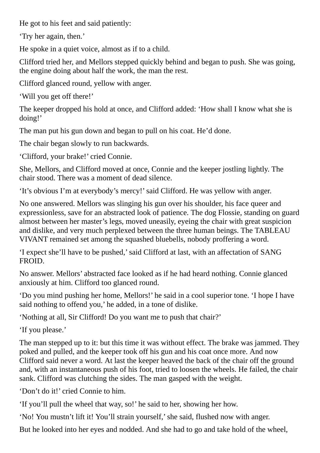He got to his feet and said patiently:

'Try her again, then.'

He spoke in a quiet voice, almost as if to a child.

Clifford tried her, and Mellors stepped quickly behind and began to push. She was going, the engine doing about half the work, the man the rest.

Clifford glanced round, yellow with anger.

'Will you get off there!'

The keeper dropped his hold at once, and Clifford added: 'How shall I know what she is doing!'

The man put his gun down and began to pull on his coat. He'd done.

The chair began slowly to run backwards.

'Clifford, your brake!' cried Connie.

She, Mellors, and Clifford moved at once, Connie and the keeper jostling lightly. The chair stood. There was a moment of dead silence.

'It's obvious I'm at everybody's mercy!'said Clifford. He was yellow with anger.

No one answered. Mellors was slinging his gun over his shoulder, his face queer and expressionless, save for an abstracted look of patience. The dog Flossie, standing on guard almost between her master's legs, moved uneasily, eyeing the chair with great suspicion and dislike, and very much perplexed between the three human beings. The TABLEAU VIVANT remained set among the squashed bluebells, nobody proffering a word.

'I expect she'll have to be pushed,'said Clifford at last, with an affectation of SANG FROID.

No answer. Mellors' abstracted face looked as if he had heard nothing. Connie glanced anxiously at him. Clifford too glanced round.

'Do you mind pushing her home, Mellors!' he said in a cool superior tone. 'I hope I have said nothing to offend you,' he added, in a tone of dislike.

'Nothing at all, Sir Clifford! Do you want me to push that chair?'

'If you please.'

The man stepped up to it: but this time it was without effect. The brake was jammed. They poked and pulled, and the keeper took off his gun and his coat once more. And now Clifford said never a word. At last the keeper heaved the back of the chair off the ground and, with an instantaneous push of his foot, tried to loosen the wheels. He failed, the chair sank. Clifford was clutching the sides. The man gasped with the weight.

'Don't do it!' cried Connie to him.

'If you'll pull the wheel that way, so!' he said to her, showing her how.

'No! You mustn't lift it! You'll strain yourself,'she said, flushed now with anger.

But he looked into her eyes and nodded. And she had to go and take hold of the wheel,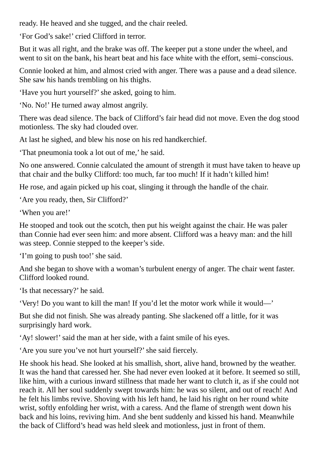ready. He heaved and she tugged, and the chair reeled.

'For God's sake!' cried Clifford in terror.

But it was all right, and the brake was off. The keeper put a stone under the wheel, and went to sit on the bank, his heart beat and his face white with the effort, semi–conscious.

Connie looked at him, and almost cried with anger. There was a pause and a dead silence. She saw his hands trembling on his thighs.

'Have you hurt yourself?'she asked, going to him.

'No. No!' He turned away almost angrily.

There was dead silence. The back of Clifford's fair head did not move. Even the dog stood motionless. The sky had clouded over.

At last he sighed, and blew his nose on his red handkerchief.

'That pneumonia took a lot out of me,' he said.

No one answered. Connie calculated the amount of strength it must have taken to heave up that chair and the bulky Clifford: too much, far too much! If it hadn't killed him!

He rose, and again picked up his coat, slinging it through the handle of the chair.

'Are you ready, then, Sir Clifford?'

'When you are!'

He stooped and took out the scotch, then put his weight against the chair. He was paler than Connie had ever seen him: and more absent. Clifford was a heavy man: and the hill was steep. Connie stepped to the keeper's side.

'I'm going to push too!'she said.

And she began to shove with a woman's turbulent energy of anger. The chair went faster. Clifford looked round.

'Is that necessary?' he said.

'Very! Do you want to kill the man! If you'd let the motor work while it would—'

But she did not finish. She was already panting. She slackened off a little, for it was surprisingly hard work.

'Ay! slower!' said the man at her side, with a faint smile of his eyes.

'Are you sure you've not hurt yourself?'she said fiercely.

He shook his head. She looked at his smallish, short, alive hand, browned by the weather. It was the hand that caressed her. She had never even looked at it before. It seemed so still, like him, with a curious inward stillness that made her want to clutch it, as if she could not reach it. All her soul suddenly swept towards him: he was so silent, and out of reach! And he felt his limbs revive. Shoving with his left hand, he laid his right on her round white wrist, softly enfolding her wrist, with a caress. And the flame of strength went down his back and his loins, reviving him. And she bent suddenly and kissed his hand. Meanwhile the back of Clifford's head was held sleek and motionless, just in front of them.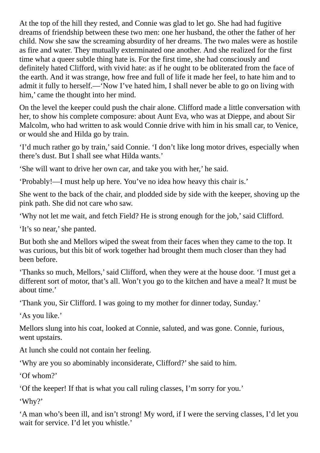At the top of the hill they rested, and Connie was glad to let go. She had had fugitive dreams of friendship between these two men: one her husband, the other the father of her child. Now she saw the screaming absurdity of her dreams. The two males were as hostile as fire and water. They mutually exterminated one another. And she realized for the first time what a queer subtle thing hate is. For the first time, she had consciously and definitely hated Clifford, with vivid hate: as if he ought to be obliterated from the face of the earth. And it was strange, how free and full of life it made her feel, to hate him and to admit it fully to herself.—'Now I've hated him, I shall never be able to go on living with him,' came the thought into her mind.

On the level the keeper could push the chair alone. Clifford made a little conversation with her, to show his complete composure: about Aunt Eva, who was at Dieppe, and about Sir Malcolm, who had written to ask would Connie drive with him in his small car, to Venice, or would she and Hilda go by train.

'I'd much rather go by train,'said Connie. 'I don't like long motor drives, especially when there's dust. But I shall see what Hilda wants.'

'She will want to drive her own car, and take you with her,' he said.

'Probably!—I must help up here. You've no idea how heavy this chair is.'

She went to the back of the chair, and plodded side by side with the keeper, shoving up the pink path. She did not care who saw.

'Why not let me wait, and fetch Field? He is strong enough for the job,'said Clifford.

'It's so near,' she panted.

But both she and Mellors wiped the sweat from their faces when they came to the top. It was curious, but this bit of work together had brought them much closer than they had been before.

'Thanks so much, Mellors,'said Clifford, when they were at the house door. 'I must get a different sort of motor, that's all. Won't you go to the kitchen and have a meal? It must be about time.'

'Thank you, Sir Clifford. I was going to my mother for dinner today, Sunday.'

'As you like.'

Mellors slung into his coat, looked at Connie, saluted, and was gone. Connie, furious, went upstairs.

At lunch she could not contain her feeling.

'Why are you so abominably inconsiderate, Clifford?'she said to him.

'Of whom?'

'Of the keeper! If that is what you call ruling classes, I'm sorry for you.'

'Why?'

'A man who's been ill, and isn't strong! My word, if I were the serving classes, I'd let you wait for service. I'd let you whistle.'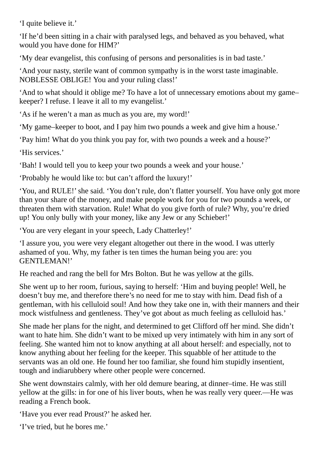'I quite believe it.'

'If he'd been sitting in a chair with paralysed legs, and behaved as you behaved, what would you have done for HIM?'

'My dear evangelist, this confusing of persons and personalities is in bad taste.'

'And your nasty, sterile want of common sympathy is in the worst taste imaginable. NOBLESSE OBLIGE! You and your ruling class!'

'And to what should it oblige me? To have a lot of unnecessary emotions about my game– keeper? I refuse. I leave it all to my evangelist.'

'As if he weren't a man as much as you are, my word!'

'My game–keeper to boot, and I pay him two pounds a week and give him a house.'

'Pay him! What do you think you pay for, with two pounds a week and a house?'

'His services.'

'Bah! I would tell you to keep your two pounds a week and your house.'

'Probably he would like to: but can't afford the luxury!'

'You, and RULE!'she said. 'You don't rule, don't flatter yourself. You have only got more than your share of the money, and make people work for you for two pounds a week, or threaten them with starvation. Rule! What do you give forth of rule? Why, you're dried up! You only bully with your money, like any Jew or any Schieber!'

'You are very elegant in your speech, Lady Chatterley!'

'I assure you, you were very elegant altogether out there in the wood. I was utterly ashamed of you. Why, my father is ten times the human being you are: you GENTLEMAN!'

He reached and rang the bell for Mrs Bolton. But he was yellow at the gills.

She went up to her room, furious, saying to herself: 'Him and buying people! Well, he doesn't buy me, and therefore there's no need for me to stay with him. Dead fish of a gentleman, with his celluloid soul! And how they take one in, with their manners and their mock wistfulness and gentleness. They've got about as much feeling as celluloid has.'

She made her plans for the night, and determined to get Clifford off her mind. She didn't want to hate him. She didn't want to be mixed up very intimately with him in any sort of feeling. She wanted him not to know anything at all about herself: and especially, not to know anything about her feeling for the keeper. This squabble of her attitude to the servants was an old one. He found her too familiar, she found him stupidly insentient, tough and indiarubbery where other people were concerned.

She went downstairs calmly, with her old demure bearing, at dinner–time. He was still yellow at the gills: in for one of his liver bouts, when he was really very queer.—He was reading a French book.

'Have you ever read Proust?' he asked her.

'I've tried, but he bores me.'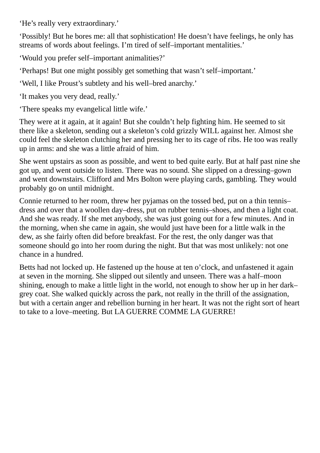'He's really very extraordinary.'

'Possibly! But he bores me: all that sophistication! He doesn't have feelings, he only has streams of words about feelings. I'm tired of self–important mentalities.'

'Would you prefer self–important animalities?'

'Perhaps! But one might possibly get something that wasn't self–important.'

'Well, I like Proust's subtlety and his well–bred anarchy.'

'It makes you very dead, really.'

'There speaks my evangelical little wife.'

They were at it again, at it again! But she couldn't help fighting him. He seemed to sit there like a skeleton, sending out a skeleton's cold grizzly WILL against her. Almost she could feel the skeleton clutching her and pressing her to its cage of ribs. He too was really up in arms: and she was a little afraid of him.

She went upstairs as soon as possible, and went to bed quite early. But at half past nine she got up, and went outside to listen. There was no sound. She slipped on a dressing–gown and went downstairs. Clifford and Mrs Bolton were playing cards, gambling. They would probably go on until midnight.

Connie returned to her room, threw her pyjamas on the tossed bed, put on a thin tennis– dress and over that a woollen day–dress, put on rubber tennis–shoes, and then a light coat. And she was ready. If she met anybody, she was just going out for a few minutes. And in the morning, when she came in again, she would just have been for a little walk in the dew, as she fairly often did before breakfast. For the rest, the only danger was that someone should go into her room during the night. But that was most unlikely: not one chance in a hundred.

Betts had not locked up. He fastened up the house at ten o'clock, and unfastened it again at seven in the morning. She slipped out silently and unseen. There was a half–moon shining, enough to make a little light in the world, not enough to show her up in her dark– grey coat. She walked quickly across the park, not really in the thrill of the assignation, but with a certain anger and rebellion burning in her heart. It was not the right sort of heart to take to a love–meeting. But LA GUERRE COMME LA GUERRE!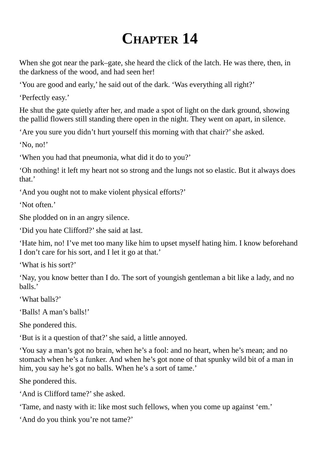## **CHAPTER 14**

When she got near the park–gate, she heard the click of the latch. He was there, then, in the darkness of the wood, and had seen her!

'You are good and early,' he said out of the dark. 'Was everything all right?'

'Perfectly easy.'

He shut the gate quietly after her, and made a spot of light on the dark ground, showing the pallid flowers still standing there open in the night. They went on apart, in silence.

'Are you sure you didn't hurt yourself this morning with that chair?' she asked.

'No, no!'

'When you had that pneumonia, what did it do to you?'

'Oh nothing! it left my heart not so strong and the lungs not so elastic. But it always does that.'

'And you ought not to make violent physical efforts?'

'Not often.'

She plodded on in an angry silence.

'Did you hate Clifford?'she said at last.

'Hate him, no! I've met too many like him to upset myself hating him. I know beforehand I don't care for his sort, and I let it go at that.'

'What is his sort?'

'Nay, you know better than I do. The sort of youngish gentleman a bit like a lady, and no balls.'

'What balls?'

'Balls! A man's balls!'

She pondered this.

'But is it a question of that?'she said, a little annoyed.

'You say a man's got no brain, when he's a fool: and no heart, when he's mean; and no stomach when he's a funker. And when he's got none of that spunky wild bit of a man in him, you say he's got no balls. When he's a sort of tame.'

She pondered this.

'And is Clifford tame?' she asked.

'Tame, and nasty with it: like most such fellows, when you come up against 'em.'

'And do you think you're not tame?'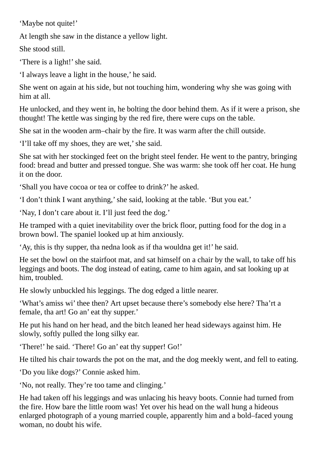'Maybe not quite!'

At length she saw in the distance a yellow light.

She stood still.

'There is a light!' she said.

'I always leave a light in the house,' he said.

She went on again at his side, but not touching him, wondering why she was going with him at all.

He unlocked, and they went in, he bolting the door behind them. As if it were a prison, she thought! The kettle was singing by the red fire, there were cups on the table.

She sat in the wooden arm–chair by the fire. It was warm after the chill outside.

'I'll take off my shoes, they are wet,' she said.

She sat with her stockinged feet on the bright steel fender. He went to the pantry, bringing food: bread and butter and pressed tongue. She was warm: she took off her coat. He hung it on the door.

'Shall you have cocoa or tea or coffee to drink?' he asked.

'I don't think I want anything,'she said, looking at the table. 'But you eat.'

'Nay, I don't care about it. I'll just feed the dog.'

He tramped with a quiet inevitability over the brick floor, putting food for the dog in a brown bowl. The spaniel looked up at him anxiously.

'Ay, this is thy supper, tha nedna look as if tha wouldna get it!' he said.

He set the bowl on the stairfoot mat, and sat himself on a chair by the wall, to take off his leggings and boots. The dog instead of eating, came to him again, and sat looking up at him, troubled.

He slowly unbuckled his leggings. The dog edged a little nearer.

'What's amiss wi' thee then? Art upset because there's somebody else here? Tha'rt a female, tha art! Go an' eat thy supper.'

He put his hand on her head, and the bitch leaned her head sideways against him. He slowly, softly pulled the long silky ear.

'There!' he said. 'There! Go an' eat thy supper! Go!'

He tilted his chair towards the pot on the mat, and the dog meekly went, and fell to eating.

'Do you like dogs?' Connie asked him.

'No, not really. They're too tame and clinging.'

He had taken off his leggings and was unlacing his heavy boots. Connie had turned from the fire. How bare the little room was! Yet over his head on the wall hung a hideous enlarged photograph of a young married couple, apparently him and a bold–faced young woman, no doubt his wife.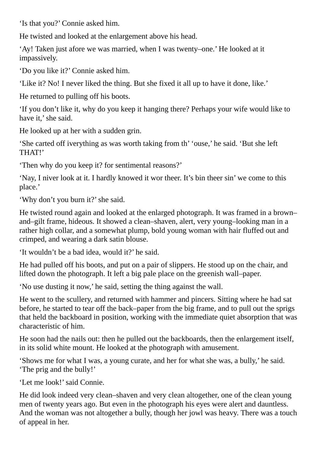'Is that you?' Connie asked him.

He twisted and looked at the enlargement above his head.

'Ay! Taken just afore we was married, when I was twenty–one.' He looked at it impassively.

'Do you like it?' Connie asked him.

'Like it? No! I never liked the thing. But she fixed it all up to have it done, like.'

He returned to pulling off his boots.

'If you don't like it, why do you keep it hanging there? Perhaps your wife would like to have it,' she said.

He looked up at her with a sudden grin.

'She carted off iverything as was worth taking from th' 'ouse,' he said. 'But she left THAT!'

'Then why do you keep it? for sentimental reasons?'

'Nay, I niver look at it. I hardly knowed it wor theer. It's bin theer sin' we come to this place.'

'Why don't you burn it?'she said.

He twisted round again and looked at the enlarged photograph. It was framed in a brown– and–gilt frame, hideous. It showed a clean–shaven, alert, very young–looking man in a rather high collar, and a somewhat plump, bold young woman with hair fluffed out and crimped, and wearing a dark satin blouse.

'It wouldn't be a bad idea, would it?' he said.

He had pulled off his boots, and put on a pair of slippers. He stood up on the chair, and lifted down the photograph. It left a big pale place on the greenish wall–paper.

'No use dusting it now,' he said, setting the thing against the wall.

He went to the scullery, and returned with hammer and pincers. Sitting where he had sat before, he started to tear off the back–paper from the big frame, and to pull out the sprigs that held the backboard in position, working with the immediate quiet absorption that was characteristic of him.

He soon had the nails out: then he pulled out the backboards, then the enlargement itself, in its solid white mount. He looked at the photograph with amusement.

'Shows me for what I was, a young curate, and her for what she was, a bully,' he said. 'The prig and the bully!'

'Let me look!'said Connie.

He did look indeed very clean–shaven and very clean altogether, one of the clean young men of twenty years ago. But even in the photograph his eyes were alert and dauntless. And the woman was not altogether a bully, though her jowl was heavy. There was a touch of appeal in her.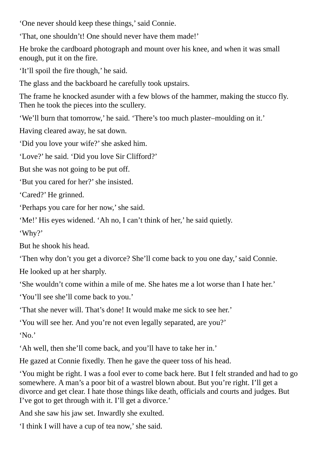'One never should keep these things,'said Connie.

'That, one shouldn't! One should never have them made!'

He broke the cardboard photograph and mount over his knee, and when it was small enough, put it on the fire.

'It'll spoil the fire though,' he said.

The glass and the backboard he carefully took upstairs.

The frame he knocked asunder with a few blows of the hammer, making the stucco fly. Then he took the pieces into the scullery.

'We'll burn that tomorrow,' he said. 'There's too much plaster–moulding on it.'

Having cleared away, he sat down.

'Did you love your wife?'she asked him.

'Love?' he said. 'Did you love Sir Clifford?'

But she was not going to be put off.

'But you cared for her?'she insisted.

'Cared?' He grinned.

'Perhaps you care for her now,'she said.

'Me!' His eyes widened. 'Ah no, I can't think of her,' he said quietly.

'Why?'

But he shook his head.

'Then why don't you get a divorce? She'll come back to you one day,'said Connie.

He looked up at her sharply.

'She wouldn't come within a mile of me. She hates me a lot worse than I hate her.'

'You'll see she'll come back to you.'

'That she never will. That's done! It would make me sick to see her.'

'You will see her. And you're not even legally separated, are you?'

'No.'

'Ah well, then she'll come back, and you'll have to take her in.'

He gazed at Connie fixedly. Then he gave the queer toss of his head.

'You might be right. I was a fool ever to come back here. But I felt stranded and had to go somewhere. A man's a poor bit of a wastrel blown about. But you're right. I'll get a divorce and get clear. I hate those things like death, officials and courts and judges. But I've got to get through with it. I'll get a divorce.'

And she saw his jaw set. Inwardly she exulted.

'I think I will have a cup of tea now,'she said.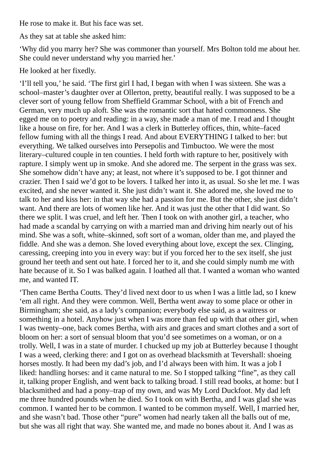He rose to make it. But his face was set.

As they sat at table she asked him:

'Why did you marry her? She was commoner than yourself. Mrs Bolton told me about her. She could never understand why you married her.'

He looked at her fixedly.

'I'll tell you,' he said. 'The first girl I had, I began with when I was sixteen. She was a school–master's daughter over at Ollerton, pretty, beautiful really. I was supposed to be a clever sort of young fellow from Sheffield Grammar School, with a bit of French and German, very much up aloft. She was the romantic sort that hated commonness. She egged me on to poetry and reading: in a way, she made a man of me. I read and I thought like a house on fire, for her. And I was a clerk in Butterley offices, thin, white–faced fellow fuming with all the things I read. And about EVERYTHING I talked to her: but everything. We talked ourselves into Persepolis and Timbuctoo. We were the most literary–cultured couple in ten counties. I held forth with rapture to her, positively with rapture. I simply went up in smoke. And she adored me. The serpent in the grass was sex. She somehow didn't have any; at least, not where it's supposed to be. I got thinner and crazier. Then I said we'd got to be lovers. I talked her into it, as usual. So she let me. I was excited, and she never wanted it. She just didn't want it. She adored me, she loved me to talk to her and kiss her: in that way she had a passion for me. But the other, she just didn't want. And there are lots of women like her. And it was just the other that I did want. So there we split. I was cruel, and left her. Then I took on with another girl, a teacher, who had made a scandal by carrying on with a married man and driving him nearly out of his mind. She was a soft, white–skinned, soft sort of a woman, older than me, and played the fiddle. And she was a demon. She loved everything about love, except the sex. Clinging, caressing, creeping into you in every way: but if you forced her to the sex itself, she just ground her teeth and sent out hate. I forced her to it, and she could simply numb me with hate because of it. So I was balked again. I loathed all that. I wanted a woman who wanted me, and wanted IT.

'Then came Bertha Coutts. They'd lived next door to us when I was a little lad, so I knew 'em all right. And they were common. Well, Bertha went away to some place or other in Birmingham; she said, as a lady's companion; everybody else said, as a waitress or something in a hotel. Anyhow just when I was more than fed up with that other girl, when I was twenty–one, back comes Bertha, with airs and graces and smart clothes and a sort of bloom on her: a sort of sensual bloom that you'd see sometimes on a woman, or on a trolly. Well, I was in a state of murder. I chucked up my job at Butterley because I thought I was a weed, clerking there: and I got on as overhead blacksmith at Tevershall: shoeing horses mostly. It had been my dad's job, and I'd always been with him. It was a job I liked: handling horses: and it came natural to me. So I stopped talking "fine", as they call it, talking proper English, and went back to talking broad. I still read books, at home: but I blacksmithed and had a pony–trap of my own, and was My Lord Duckfoot. My dad left me three hundred pounds when he died. So I took on with Bertha, and I was glad she was common. I wanted her to be common. I wanted to be common myself. Well, I married her, and she wasn't bad. Those other "pure" women had nearly taken all the balls out of me, but she was all right that way. She wanted me, and made no bones about it. And I was as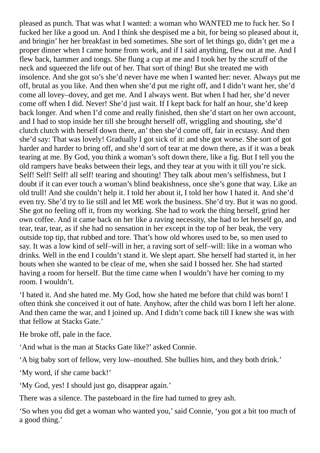pleased as punch. That was what I wanted: a woman who WANTED me to fuck her. So I fucked her like a good un. And I think she despised me a bit, for being so pleased about it, and bringin' her her breakfast in bed sometimes. She sort of let things go, didn't get me a proper dinner when I came home from work, and if I said anything, flew out at me. And I flew back, hammer and tongs. She flung a cup at me and I took her by the scruff of the neck and squeezed the life out of her. That sort of thing! But she treated me with insolence. And she got so's she'd never have me when I wanted her: never. Always put me off, brutal as you like. And then when she'd put me right off, and I didn't want her, she'd come all lovey–dovey, and get me. And I always went. But when I had her, she'd never come off when I did. Never! She'd just wait. If I kept back for half an hour, she'd keep back longer. And when I'd come and really finished, then she'd start on her own account, and I had to stop inside her till she brought herself off, wriggling and shouting, she'd clutch clutch with herself down there, an' then she'd come off, fair in ecstasy. And then she'd say: That was lovely! Gradually I got sick of it: and she got worse. She sort of got harder and harder to bring off, and she'd sort of tear at me down there, as if it was a beak tearing at me. By God, you think a woman's soft down there, like a fig. But I tell you the old rampers have beaks between their legs, and they tear at you with it till you're sick. Self! Self! Self! all self! tearing and shouting! They talk about men's selfishness, but I doubt if it can ever touch a woman's blind beakishness, once she's gone that way. Like an old trull! And she couldn't help it. I told her about it, I told her how I hated it. And she'd even try. She'd try to lie still and let ME work the business. She'd try. But it was no good. She got no feeling off it, from my working. She had to work the thing herself, grind her own coffee. And it came back on her like a raving necessity, she had to let herself go, and tear, tear, tear, as if she had no sensation in her except in the top of her beak, the very outside top tip, that rubbed and tore. That's how old whores used to be, so men used to say. It was a low kind of self–will in her, a raving sort of self–will: like in a woman who drinks. Well in the end I couldn't stand it. We slept apart. She herself had started it, in her bouts when she wanted to be clear of me, when she said I bossed her. She had started having a room for herself. But the time came when I wouldn't have her coming to my room. I wouldn't.

'I hated it. And she hated me. My God, how she hated me before that child was born! I often think she conceived it out of hate. Anyhow, after the child was born I left her alone. And then came the war, and I joined up. And I didn't come back till I knew she was with that fellow at Stacks Gate.'

He broke off, pale in the face.

'And what is the man at Stacks Gate like?' asked Connie.

'A big baby sort of fellow, very low–mouthed. She bullies him, and they both drink.'

'My word, if she came back!'

'My God, yes! I should just go, disappear again.'

There was a silence. The pasteboard in the fire had turned to grey ash.

'So when you did get a woman who wanted you,'said Connie, 'you got a bit too much of a good thing.'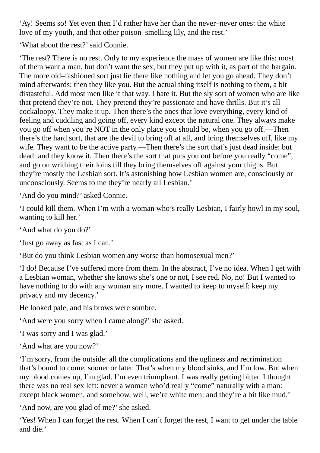'Ay! Seems so! Yet even then I'd rather have her than the never–never ones: the white love of my youth, and that other poison–smelling lily, and the rest.'

'What about the rest?'said Connie.

'The rest? There is no rest. Only to my experience the mass of women are like this: most of them want a man, but don't want the sex, but they put up with it, as part of the bargain. The more old–fashioned sort just lie there like nothing and let you go ahead. They don't mind afterwards: then they like you. But the actual thing itself is nothing to them, a bit distasteful. Add most men like it that way. I hate it. But the sly sort of women who are like that pretend they're not. They pretend they're passionate and have thrills. But it's all cockaloopy. They make it up. Then there's the ones that love everything, every kind of feeling and cuddling and going off, every kind except the natural one. They always make you go off when you're NOT in the only place you should be, when you go off.—Then there's the hard sort, that are the devil to bring off at all, and bring themselves off, like my wife. They want to be the active party.—Then there's the sort that's just dead inside: but dead: and they know it. Then there's the sort that puts you out before you really "come", and go on writhing their loins till they bring themselves off against your thighs. But they're mostly the Lesbian sort. It's astonishing how Lesbian women are, consciously or unconsciously. Seems to me they're nearly all Lesbian.'

'And do you mind?' asked Connie.

'I could kill them. When I'm with a woman who's really Lesbian, I fairly howl in my soul, wanting to kill her.'

'And what do you do?'

'Just go away as fast as I can.'

'But do you think Lesbian women any worse than homosexual men?'

'I do! Because I've suffered more from them. In the abstract, I've no idea. When I get with a Lesbian woman, whether she knows she's one or not, I see red. No, no! But I wanted to have nothing to do with any woman any more. I wanted to keep to myself: keep my privacy and my decency.'

He looked pale, and his brows were sombre.

'And were you sorry when I came along?'she asked.

'I was sorry and I was glad.'

'And what are you now?'

'I'm sorry, from the outside: all the complications and the ugliness and recrimination that's bound to come, sooner or later. That's when my blood sinks, and I'm low. But when my blood comes up, I'm glad. I'm even triumphant. I was really getting bitter. I thought there was no real sex left: never a woman who'd really "come" naturally with a man: except black women, and somehow, well, we're white men: and they're a bit like mud.'

'And now, are you glad of me?'she asked.

'Yes! When I can forget the rest. When I can't forget the rest, I want to get under the table and die.'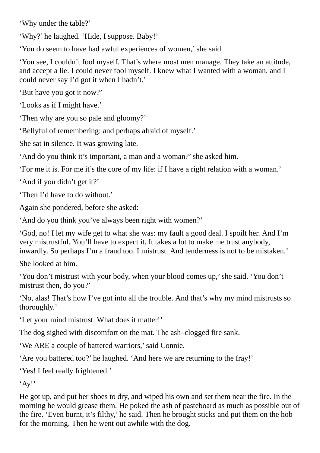'Why under the table?'

'Why?' he laughed. 'Hide, I suppose. Baby!'

'You do seem to have had awful experiences of women,'she said.

'You see, I couldn't fool myself. That's where most men manage. They take an attitude, and accept a lie. I could never fool myself. I knew what I wanted with a woman, and I could never say I'd got it when I hadn't.'

'But have you got it now?'

'Looks as if I might have.'

'Then why are you so pale and gloomy?'

'Bellyful of remembering: and perhaps afraid of myself.'

She sat in silence. It was growing late.

'And do you think it's important, a man and a woman?'she asked him.

'For me it is. For me it's the core of my life: if I have a right relation with a woman.'

'And if you didn't get it?'

'Then I'd have to do without.'

Again she pondered, before she asked:

'And do you think you've always been right with women?'

'God, no! I let my wife get to what she was: my fault a good deal. I spoilt her. And I'm very mistrustful. You'll have to expect it. It takes a lot to make me trust anybody, inwardly. So perhaps I'm a fraud too. I mistrust. And tenderness is not to be mistaken.'

She looked at him.

'You don't mistrust with your body, when your blood comes up,'she said. 'You don't mistrust then, do you?'

'No, alas! That's how I've got into all the trouble. And that's why my mind mistrusts so thoroughly.'

'Let your mind mistrust. What does it matter!'

The dog sighed with discomfort on the mat. The ash–clogged fire sank.

'We ARE a couple of battered warriors,'said Connie.

'Are you battered too?' he laughed. 'And here we are returning to the fray!'

'Yes! I feel really frightened.'

'Ay!'

He got up, and put her shoes to dry, and wiped his own and set them near the fire. In the morning he would grease them. He poked the ash of pasteboard as much as possible out of the fire. 'Even burnt, it's filthy,' he said. Then he brought sticks and put them on the hob for the morning. Then he went out awhile with the dog.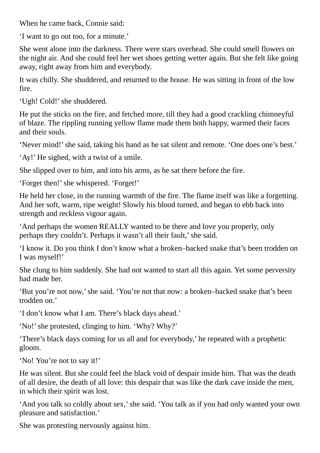When he came back, Connie said:

'I want to go out too, for a minute.'

She went alone into the darkness. There were stars overhead. She could smell flowers on the night air. And she could feel her wet shoes getting wetter again. But she felt like going away, right away from him and everybody.

It was chilly. She shuddered, and returned to the house. He was sitting in front of the low fire.

'Ugh! Cold!' she shuddered.

He put the sticks on the fire, and fetched more, till they had a good crackling chimneyful of blaze. The rippling running yellow flame made them both happy, warmed their faces and their souls.

'Never mind!'she said, taking his hand as he sat silent and remote. 'One does one's best.'

'Ay!' He sighed, with a twist of a smile.

She slipped over to him, and into his arms, as he sat there before the fire.

'Forget then!' she whispered. 'Forget!'

He held her close, in the running warmth of the fire. The flame itself was like a forgetting. And her soft, warm, ripe weight! Slowly his blood turned, and began to ebb back into strength and reckless vigour again.

'And perhaps the women REALLY wanted to be there and love you properly, only perhaps they couldn't. Perhaps it wasn't all their fault,'she said.

'I know it. Do you think I don't know what a broken–backed snake that's been trodden on I was myself!'

She clung to him suddenly. She had not wanted to start all this again. Yet some perversity had made her.

'But you're not now,'she said. 'You're not that now: a broken–backed snake that's been trodden on.'

'I don't know what I am. There's black days ahead.'

'No!'she protested, clinging to him. 'Why? Why?'

'There's black days coming for us all and for everybody,' he repeated with a prophetic gloom.

'No! You're not to say it!'

He was silent. But she could feel the black void of despair inside him. That was the death of all desire, the death of all love: this despair that was like the dark cave inside the men, in which their spirit was lost.

'And you talk so coldly about sex,'she said. 'You talk as if you had only wanted your own pleasure and satisfaction.'

She was protesting nervously against him.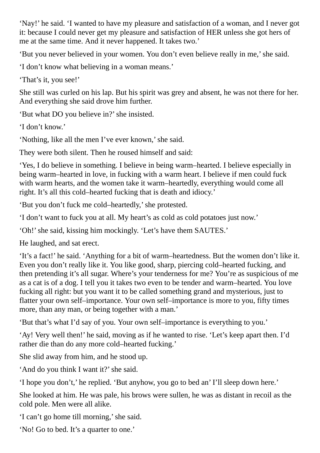'Nay!' he said. 'I wanted to have my pleasure and satisfaction of a woman, and I never got it: because I could never get my pleasure and satisfaction of HER unless she got hers of me at the same time. And it never happened. It takes two.'

'But you never believed in your women. You don't even believe really in me,'she said.

'I don't know what believing in a woman means.'

'That's it, you see!'

She still was curled on his lap. But his spirit was grey and absent, he was not there for her. And everything she said drove him further.

'But what DO you believe in?'she insisted.

'I don't know.'

'Nothing, like all the men I've ever known,'she said.

They were both silent. Then he roused himself and said:

'Yes, I do believe in something. I believe in being warm–hearted. I believe especially in being warm–hearted in love, in fucking with a warm heart. I believe if men could fuck with warm hearts, and the women take it warm–heartedly, everything would come all right. It's all this cold–hearted fucking that is death and idiocy.'

'But you don't fuck me cold–heartedly,'she protested.

'I don't want to fuck you at all. My heart's as cold as cold potatoes just now.'

'Oh!'she said, kissing him mockingly. 'Let's have them SAUTES.'

He laughed, and sat erect.

'It's a fact!' he said. 'Anything for a bit of warm–heartedness. But the women don't like it. Even you don't really like it. You like good, sharp, piercing cold–hearted fucking, and then pretending it's all sugar. Where's your tenderness for me? You're as suspicious of me as a cat is of a dog. I tell you it takes two even to be tender and warm–hearted. You love fucking all right: but you want it to be called something grand and mysterious, just to flatter your own self–importance. Your own self–importance is more to you, fifty times more, than any man, or being together with a man.'

'But that's what I'd say of you. Your own self–importance is everything to you.'

'Ay! Very well then!' he said, moving as if he wanted to rise. 'Let's keep apart then. I'd rather die than do any more cold–hearted fucking.'

She slid away from him, and he stood up.

'And do you think I want it?' she said.

'I hope you don't,' he replied. 'But anyhow, you go to bed an' I'll sleep down here.'

She looked at him. He was pale, his brows were sullen, he was as distant in recoil as the cold pole. Men were all alike.

'I can't go home till morning,'she said.

'No! Go to bed. It's a quarter to one.'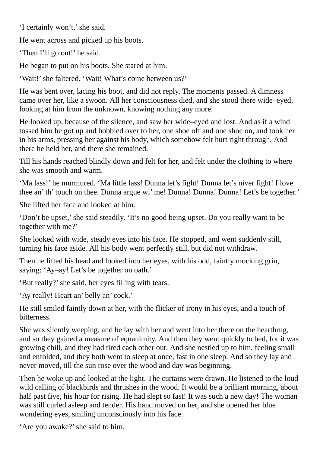'I certainly won't,' she said.

He went across and picked up his boots.

'Then I'll go out!' he said.

He began to put on his boots. She stared at him.

'Wait!'she faltered. 'Wait! What's come between us?'

He was bent over, lacing his boot, and did not reply. The moments passed. A dimness came over her, like a swoon. All her consciousness died, and she stood there wide–eyed, looking at him from the unknown, knowing nothing any more.

He looked up, because of the silence, and saw her wide–eyed and lost. And as if a wind tossed him he got up and hobbled over to her, one shoe off and one shoe on, and took her in his arms, pressing her against his body, which somehow felt hurt right through. And there he held her, and there she remained.

Till his hands reached blindly down and felt for her, and felt under the clothing to where she was smooth and warm.

'Ma lass!' he murmured. 'Ma little lass! Dunna let's fight! Dunna let's niver fight! I love thee an' th' touch on thee. Dunna argue wi' me! Dunna! Dunna! Dunna! Let's be together.'

She lifted her face and looked at him.

'Don't be upset,'she said steadily. 'It's no good being upset. Do you really want to be together with me?'

She looked with wide, steady eyes into his face. He stopped, and went suddenly still, turning his face aside. All his body went perfectly still, but did not withdraw.

Then he lifted his head and looked into her eyes, with his odd, faintly mocking grin, saying: 'Ay–ay! Let's be together on oath.'

'But really?'she said, her eyes filling with tears.

'Ay really! Heart an' belly an' cock.'

He still smiled faintly down at her, with the flicker of irony in his eyes, and a touch of bitterness.

She was silently weeping, and he lay with her and went into her there on the hearthrug, and so they gained a measure of equanimity. And then they went quickly to bed, for it was growing chill, and they had tired each other out. And she nestled up to him, feeling small and enfolded, and they both went to sleep at once, fast in one sleep. And so they lay and never moved, till the sun rose over the wood and day was beginning.

Then he woke up and looked at the light. The curtains were drawn. He listened to the loud wild calling of blackbirds and thrushes in the wood. It would be a brilliant morning, about half past five, his hour for rising. He had slept so fast! It was such a new day! The woman was still curled asleep and tender. His hand moved on her, and she opened her blue wondering eyes, smiling unconsciously into his face.

'Are you awake?'she said to him.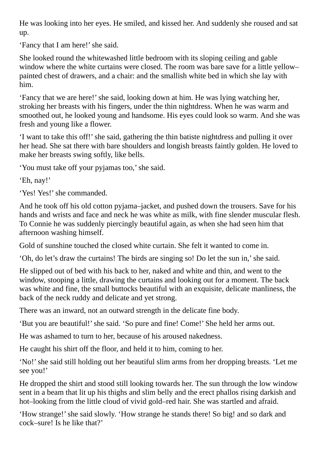He was looking into her eyes. He smiled, and kissed her. And suddenly she roused and sat up.

'Fancy that I am here!' she said.

She looked round the whitewashed little bedroom with its sloping ceiling and gable window where the white curtains were closed. The room was bare save for a little yellow– painted chest of drawers, and a chair: and the smallish white bed in which she lay with him.

'Fancy that we are here!'she said, looking down at him. He was lying watching her, stroking her breasts with his fingers, under the thin nightdress. When he was warm and smoothed out, he looked young and handsome. His eyes could look so warm. And she was fresh and young like a flower.

'I want to take this off!' she said, gathering the thin batiste nightdress and pulling it over her head. She sat there with bare shoulders and longish breasts faintly golden. He loved to make her breasts swing softly, like bells.

'You must take off your pyjamas too,'she said.

'Eh, nay!'

'Yes! Yes!' she commanded.

And he took off his old cotton pyjama–jacket, and pushed down the trousers. Save for his hands and wrists and face and neck he was white as milk, with fine slender muscular flesh. To Connie he was suddenly piercingly beautiful again, as when she had seen him that afternoon washing himself.

Gold of sunshine touched the closed white curtain. She felt it wanted to come in.

'Oh, do let's draw the curtains! The birds are singing so! Do let the sun in,'she said.

He slipped out of bed with his back to her, naked and white and thin, and went to the window, stooping a little, drawing the curtains and looking out for a moment. The back was white and fine, the small buttocks beautiful with an exquisite, delicate manliness, the back of the neck ruddy and delicate and yet strong.

There was an inward, not an outward strength in the delicate fine body.

'But you are beautiful!'she said. 'So pure and fine! Come!' She held her arms out.

He was ashamed to turn to her, because of his aroused nakedness.

He caught his shirt off the floor, and held it to him, coming to her.

'No!'she said still holding out her beautiful slim arms from her dropping breasts. 'Let me see you!'

He dropped the shirt and stood still looking towards her. The sun through the low window sent in a beam that lit up his thighs and slim belly and the erect phallos rising darkish and hot–looking from the little cloud of vivid gold–red hair. She was startled and afraid.

'How strange!'she said slowly. 'How strange he stands there! So big! and so dark and cock–sure! Is he like that?'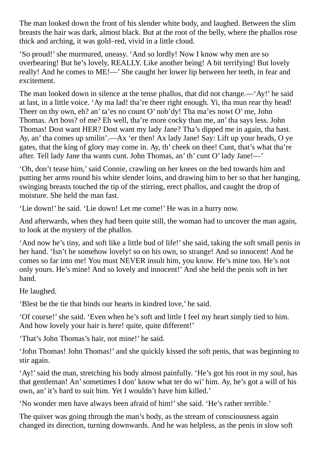The man looked down the front of his slender white body, and laughed. Between the slim breasts the hair was dark, almost black. But at the root of the belly, where the phallos rose thick and arching, it was gold–red, vivid in a little cloud.

'So proud!'she murmured, uneasy. 'And so lordly! Now I know why men are so overbearing! But he's lovely, REALLY. Like another being! A bit terrifying! But lovely really! And he comes to ME!—' She caught her lower lip between her teeth, in fear and excitement.

The man looked down in silence at the tense phallos, that did not change.—'Ay!' he said at last, in a little voice. 'Ay ma lad! tha're theer right enough. Yi, tha mun rear thy head! Theer on thy own, eh? an' ta'es no count O' nob'dy! Tha ma'es nowt O' me, John Thomas. Art boss? of me? Eh well, tha're more cocky than me, an' tha says less. John Thomas! Dost want HER? Dost want my lady Jane? Tha's dipped me in again, tha hast. Ay, an' tha comes up smilin'.—Ax 'er then! Ax lady Jane! Say: Lift up your heads, O ye gates, that the king of glory may come in. Ay, th' cheek on thee! Cunt, that's what tha're after. Tell lady Jane tha wants cunt. John Thomas, an' th' cunt O' lady Jane!—'

'Oh, don't tease him,'said Connie, crawling on her knees on the bed towards him and putting her arms round his white slender loins, and drawing him to her so that her hanging, swinging breasts touched the tip of the stirring, erect phallos, and caught the drop of moisture. She held the man fast.

'Lie down!' he said. 'Lie down! Let me come!' He was in a hurry now.

And afterwards, when they had been quite still, the woman had to uncover the man again, to look at the mystery of the phallos.

'And now he's tiny, and soft like a little bud of life!'she said, taking the soft small penis in her hand. 'Isn't he somehow lovely! so on his own, so strange! And so innocent! And he comes so far into me! You must NEVER insult him, you know. He's mine too. He's not only yours. He's mine! And so lovely and innocent!' And she held the penis soft in her hand.

He laughed.

'Blest be the tie that binds our hearts in kindred love,' he said.

'Of course!'she said. 'Even when he's soft and little I feel my heart simply tied to him. And how lovely your hair is here! quite, quite different!'

'That's John Thomas's hair, not mine!' he said.

'John Thomas! John Thomas!' and she quickly kissed the soft penis, that was beginning to stir again.

'Ay!'said the man, stretching his body almost painfully. 'He's got his root in my soul, has that gentleman! An'sometimes I don' know what ter do wi' him. Ay, he's got a will of his own, an' it's hard to suit him. Yet I wouldn't have him killed.'

'No wonder men have always been afraid of him!' she said. 'He's rather terrible.'

The quiver was going through the man's body, as the stream of consciousness again changed its direction, turning downwards. And he was helpless, as the penis in slow soft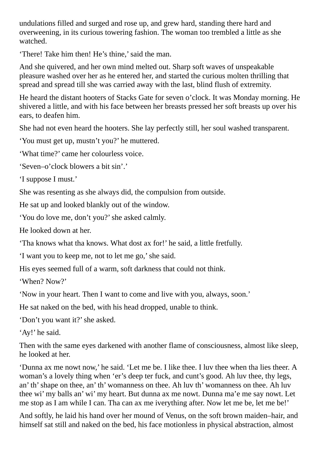undulations filled and surged and rose up, and grew hard, standing there hard and overweening, in its curious towering fashion. The woman too trembled a little as she watched.

'There! Take him then! He's thine,'said the man.

And she quivered, and her own mind melted out. Sharp soft waves of unspeakable pleasure washed over her as he entered her, and started the curious molten thrilling that spread and spread till she was carried away with the last, blind flush of extremity.

He heard the distant hooters of Stacks Gate for seven o'clock. It was Monday morning. He shivered a little, and with his face between her breasts pressed her soft breasts up over his ears, to deafen him.

She had not even heard the hooters. She lay perfectly still, her soul washed transparent.

'You must get up, mustn't you?' he muttered.

'What time?' came her colourless voice.

'Seven–o'clock blowers a bit sin'.'

'I suppose I must.'

She was resenting as she always did, the compulsion from outside.

He sat up and looked blankly out of the window.

'You do love me, don't you?'she asked calmly.

He looked down at her.

'Tha knows what tha knows. What dost ax for!' he said, a little fretfully.

'I want you to keep me, not to let me go,'she said.

His eyes seemed full of a warm, soft darkness that could not think.

'When? Now?'

'Now in your heart. Then I want to come and live with you, always, soon.'

He sat naked on the bed, with his head dropped, unable to think.

'Don't you want it?'she asked.

'Ay!' he said.

Then with the same eyes darkened with another flame of consciousness, almost like sleep, he looked at her.

'Dunna ax me nowt now,' he said. 'Let me be. I like thee. I luv thee when tha lies theer. A woman's a lovely thing when 'er's deep ter fuck, and cunt's good. Ah luv thee, thy legs, an' th'shape on thee, an' th' womanness on thee. Ah luv th' womanness on thee. Ah luv thee wi' my balls an' wi' my heart. But dunna ax me nowt. Dunna ma'e me say nowt. Let me stop as I am while I can. Tha can ax me iverything after. Now let me be, let me be!'

And softly, he laid his hand over her mound of Venus, on the soft brown maiden–hair, and himself sat still and naked on the bed, his face motionless in physical abstraction, almost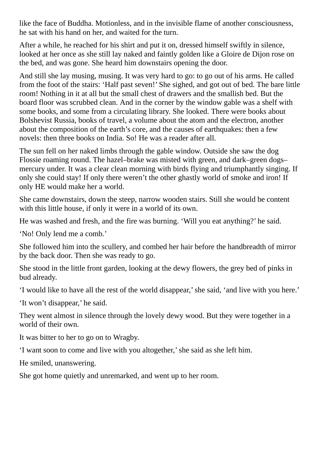like the face of Buddha. Motionless, and in the invisible flame of another consciousness, he sat with his hand on her, and waited for the turn.

After a while, he reached for his shirt and put it on, dressed himself swiftly in silence, looked at her once as she still lay naked and faintly golden like a Gloire de Dijon rose on the bed, and was gone. She heard him downstairs opening the door.

And still she lay musing, musing. It was very hard to go: to go out of his arms. He called from the foot of the stairs: 'Half past seven!' She sighed, and got out of bed. The bare little room! Nothing in it at all but the small chest of drawers and the smallish bed. But the board floor was scrubbed clean. And in the corner by the window gable was a shelf with some books, and some from a circulating library. She looked. There were books about Bolshevist Russia, books of travel, a volume about the atom and the electron, another about the composition of the earth's core, and the causes of earthquakes: then a few novels: then three books on India. So! He was a reader after all.

The sun fell on her naked limbs through the gable window. Outside she saw the dog Flossie roaming round. The hazel–brake was misted with green, and dark–green dogs– mercury under. It was a clear clean morning with birds flying and triumphantly singing. If only she could stay! If only there weren't the other ghastly world of smoke and iron! If only HE would make her a world.

She came downstairs, down the steep, narrow wooden stairs. Still she would be content with this little house, if only it were in a world of its own.

He was washed and fresh, and the fire was burning. 'Will you eat anything?' he said.

'No! Only lend me a comb.'

She followed him into the scullery, and combed her hair before the handbreadth of mirror by the back door. Then she was ready to go.

She stood in the little front garden, looking at the dewy flowers, the grey bed of pinks in bud already.

'I would like to have all the rest of the world disappear,'she said, 'and live with you here.'

'It won't disappear,' he said.

They went almost in silence through the lovely dewy wood. But they were together in a world of their own.

It was bitter to her to go on to Wragby.

'I want soon to come and live with you altogether,'she said as she left him.

He smiled, unanswering.

She got home quietly and unremarked, and went up to her room.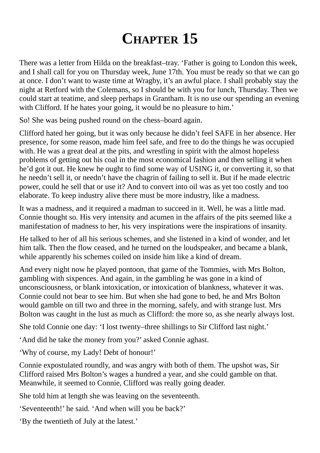## **CHAPTER 15**

There was a letter from Hilda on the breakfast–tray. 'Father is going to London this week, and I shall call for you on Thursday week, June 17th. You must be ready so that we can go at once. I don't want to waste time at Wragby, it's an awful place. I shall probably stay the night at Retford with the Colemans, so I should be with you for lunch, Thursday. Then we could start at teatime, and sleep perhaps in Grantham. It is no use our spending an evening with Clifford. If he hates your going, it would be no pleasure to him.'

So! She was being pushed round on the chess–board again.

Clifford hated her going, but it was only because he didn't feel SAFE in her absence. Her presence, for some reason, made him feel safe, and free to do the things he was occupied with. He was a great deal at the pits, and wrestling in spirit with the almost hopeless problems of getting out his coal in the most economical fashion and then selling it when he'd got it out. He knew he ought to find some way of USING it, or converting it, so that he needn't sell it, or needn't have the chagrin of failing to sell it. But if he made electric power, could he sell that or use it? And to convert into oil was as yet too costly and too elaborate. To keep industry alive there must be more industry, like a madness.

It was a madness, and it required a madman to succeed in it. Well, he was a little mad. Connie thought so. His very intensity and acumen in the affairs of the pits seemed like a manifestation of madness to her, his very inspirations were the inspirations of insanity.

He talked to her of all his serious schemes, and she listened in a kind of wonder, and let him talk. Then the flow ceased, and he turned on the loudspeaker, and became a blank, while apparently his schemes coiled on inside him like a kind of dream.

And every night now he played pontoon, that game of the Tommies, with Mrs Bolton, gambling with sixpences. And again, in the gambling he was gone in a kind of unconsciousness, or blank intoxication, or intoxication of blankness, whatever it was. Connie could not bear to see him. But when she had gone to bed, he and Mrs Bolton would gamble on till two and three in the morning, safely, and with strange lust. Mrs Bolton was caught in the lust as much as Clifford: the more so, as she nearly always lost.

She told Connie one day: 'I lost twenty–three shillings to Sir Clifford last night.'

'And did he take the money from you?' asked Connie aghast.

'Why of course, my Lady! Debt of honour!'

Connie expostulated roundly, and was angry with both of them. The upshot was, Sir Clifford raised Mrs Bolton's wages a hundred a year, and she could gamble on that. Meanwhile, it seemed to Connie, Clifford was really going deader.

She told him at length she was leaving on the seventeenth.

'Seventeenth!' he said. 'And when will you be back?'

'By the twentieth of July at the latest.'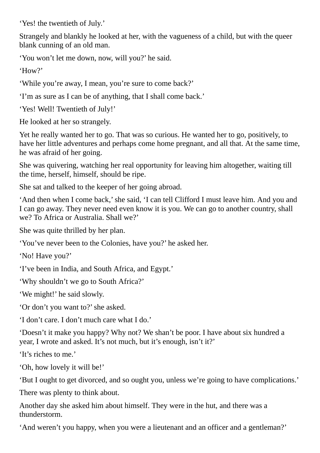'Yes! the twentieth of July.'

Strangely and blankly he looked at her, with the vagueness of a child, but with the queer blank cunning of an old man.

'You won't let me down, now, will you?' he said.

'How?'

'While you're away, I mean, you're sure to come back?'

'I'm as sure as I can be of anything, that I shall come back.'

'Yes! Well! Twentieth of July!'

He looked at her so strangely.

Yet he really wanted her to go. That was so curious. He wanted her to go, positively, to have her little adventures and perhaps come home pregnant, and all that. At the same time, he was afraid of her going.

She was quivering, watching her real opportunity for leaving him altogether, waiting till the time, herself, himself, should be ripe.

She sat and talked to the keeper of her going abroad.

'And then when I come back,'she said, 'I can tell Clifford I must leave him. And you and I can go away. They never need even know it is you. We can go to another country, shall we? To Africa or Australia. Shall we?'

She was quite thrilled by her plan.

'You've never been to the Colonies, have you?' he asked her.

'No! Have you?'

'I've been in India, and South Africa, and Egypt.'

'Why shouldn't we go to South Africa?'

'We might!' he said slowly.

'Or don't you want to?'she asked.

'I don't care. I don't much care what I do.'

'Doesn't it make you happy? Why not? We shan't be poor. I have about six hundred a year, I wrote and asked. It's not much, but it's enough, isn't it?'

'It's riches to me.'

'Oh, how lovely it will be!'

'But I ought to get divorced, and so ought you, unless we're going to have complications.'

There was plenty to think about.

Another day she asked him about himself. They were in the hut, and there was a thunderstorm.

'And weren't you happy, when you were a lieutenant and an officer and a gentleman?'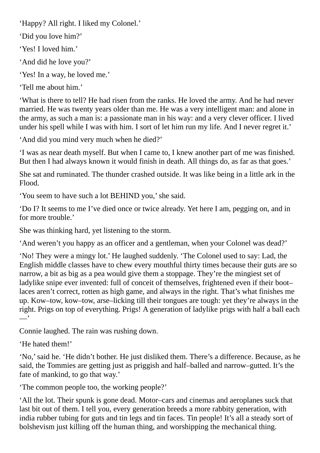'Happy? All right. I liked my Colonel.'

'Did you love him?'

'Yes! I loved him.'

'And did he love you?'

'Yes! In a way, he loved me.'

'Tell me about him.'

'What is there to tell? He had risen from the ranks. He loved the army. And he had never married. He was twenty years older than me. He was a very intelligent man: and alone in the army, as such a man is: a passionate man in his way: and a very clever officer. I lived under his spell while I was with him. I sort of let him run my life. And I never regret it.'

'And did you mind very much when he died?'

'I was as near death myself. But when I came to, I knew another part of me was finished. But then I had always known it would finish in death. All things do, as far as that goes.'

She sat and ruminated. The thunder crashed outside. It was like being in a little ark in the Flood.

'You seem to have such a lot BEHIND you,'she said.

'Do I? It seems to me I've died once or twice already. Yet here I am, pegging on, and in for more trouble.'

She was thinking hard, yet listening to the storm.

'And weren't you happy as an officer and a gentleman, when your Colonel was dead?'

'No! They were a mingy lot.' He laughed suddenly. 'The Colonel used to say: Lad, the English middle classes have to chew every mouthful thirty times because their guts are so narrow, a bit as big as a pea would give them a stoppage. They're the mingiest set of ladylike snipe ever invented: full of conceit of themselves, frightened even if their boot– laces aren't correct, rotten as high game, and always in the right. That's what finishes me up. Kow–tow, kow–tow, arse–licking till their tongues are tough: yet they're always in the right. Prigs on top of everything. Prigs! A generation of ladylike prigs with half a ball each —'

Connie laughed. The rain was rushing down.

'He hated them!'

'No,'said he. 'He didn't bother. He just disliked them. There's a difference. Because, as he said, the Tommies are getting just as priggish and half–balled and narrow–gutted. It's the fate of mankind, to go that way.'

'The common people too, the working people?'

'All the lot. Their spunk is gone dead. Motor–cars and cinemas and aeroplanes suck that last bit out of them. I tell you, every generation breeds a more rabbity generation, with india rubber tubing for guts and tin legs and tin faces. Tin people! It's all a steady sort of bolshevism just killing off the human thing, and worshipping the mechanical thing.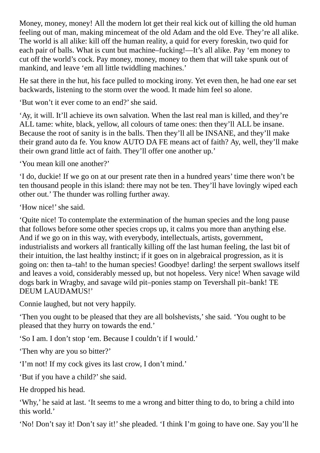Money, money, money! All the modern lot get their real kick out of killing the old human feeling out of man, making mincemeat of the old Adam and the old Eve. They're all alike. The world is all alike: kill off the human reality, a quid for every foreskin, two quid for each pair of balls. What is cunt but machine–fucking!—It's all alike. Pay 'em money to cut off the world's cock. Pay money, money, money to them that will take spunk out of mankind, and leave 'em all little twiddling machines.'

He sat there in the hut, his face pulled to mocking irony. Yet even then, he had one ear set backwards, listening to the storm over the wood. It made him feel so alone.

'But won't it ever come to an end?'she said.

'Ay, it will. It'll achieve its own salvation. When the last real man is killed, and they're ALL tame: white, black, yellow, all colours of tame ones: then they'll ALL be insane. Because the root of sanity is in the balls. Then they'll all be INSANE, and they'll make their grand auto da fe. You know AUTO DA FE means act of faith? Ay, well, they'll make their own grand little act of faith. They'll offer one another up.'

'You mean kill one another?'

'I do, duckie! If we go on at our present rate then in a hundred years' time there won't be ten thousand people in this island: there may not be ten. They'll have lovingly wiped each other out.' The thunder was rolling further away.

'How nice!'she said.

'Quite nice! To contemplate the extermination of the human species and the long pause that follows before some other species crops up, it calms you more than anything else. And if we go on in this way, with everybody, intellectuals, artists, government, industrialists and workers all frantically killing off the last human feeling, the last bit of their intuition, the last healthy instinct; if it goes on in algebraical progression, as it is going on: then ta–tah! to the human species! Goodbye! darling! the serpent swallows itself and leaves a void, considerably messed up, but not hopeless. Very nice! When savage wild dogs bark in Wragby, and savage wild pit–ponies stamp on Tevershall pit–bank! TE DEUM LAUDAMUS!'

Connie laughed, but not very happily.

'Then you ought to be pleased that they are all bolshevists,'she said. 'You ought to be pleased that they hurry on towards the end.'

'So I am. I don't stop 'em. Because I couldn't if I would.'

'Then why are you so bitter?'

'I'm not! If my cock gives its last crow, I don't mind.'

'But if you have a child?'she said.

He dropped his head.

'Why,' he said at last. 'It seems to me a wrong and bitter thing to do, to bring a child into this world.'

'No! Don't say it! Don't say it!' she pleaded. 'I think I'm going to have one. Say you'll he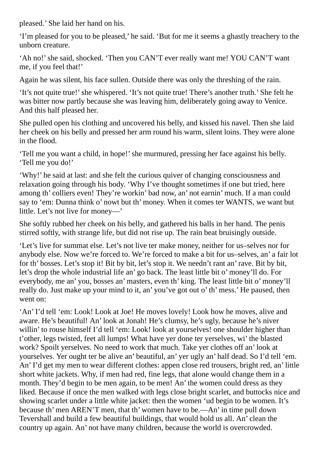pleased.' She laid her hand on his.

'I'm pleased for you to be pleased,' he said. 'But for me it seems a ghastly treachery to the unborn creature.

'Ah no!'she said, shocked. 'Then you CAN'T ever really want me! YOU CAN'T want me, if you feel that!'

Again he was silent, his face sullen. Outside there was only the threshing of the rain.

'It's not quite true!' she whispered. 'It's not quite true! There's another truth.' She felt he was bitter now partly because she was leaving him, deliberately going away to Venice. And this half pleased her.

She pulled open his clothing and uncovered his belly, and kissed his navel. Then she laid her cheek on his belly and pressed her arm round his warm, silent loins. They were alone in the flood.

'Tell me you want a child, in hope!' she murmured, pressing her face against his belly. 'Tell me you do!'

'Why!' he said at last: and she felt the curious quiver of changing consciousness and relaxation going through his body. 'Why I've thought sometimes if one but tried, here among th' colliers even! They're workin' bad now, an' not earnin' much. If a man could say to 'em: Dunna think o' nowt but th' money. When it comes ter WANTS, we want but little. Let's not live for money—'

She softly rubbed her cheek on his belly, and gathered his balls in her hand. The penis stirred softly, with strange life, but did not rise up. The rain beat bruisingly outside.

'Let's live for summat else. Let's not live ter make money, neither for us–selves nor for anybody else. Now we're forced to. We're forced to make a bit for us–selves, an' a fair lot for th' bosses. Let's stop it! Bit by bit, let's stop it. We needn't rant an' rave. Bit by bit, let's drop the whole industrial life an' go back. The least little bit o' money'll do. For everybody, me an' you, bosses an' masters, even th' king. The least little bit o' money'll really do. Just make up your mind to it, an' you've got out o' th' mess.' He paused, then went on:

'An' I'd tell 'em: Look! Look at Joe! He moves lovely! Look how he moves, alive and aware. He's beautiful! An' look at Jonah! He's clumsy, he's ugly, because he's niver willin' to rouse himself I'd tell 'em: Look! look at yourselves! one shoulder higher than t'other, legs twisted, feet all lumps! What have yer done ter yerselves, wi' the blasted work? Spoilt yerselves. No need to work that much. Take yer clothes off an' look at yourselves. Yer ought ter be alive an' beautiful, an' yer ugly an' half dead. So I'd tell 'em. An' I'd get my men to wear different clothes: appen close red trousers, bright red, an' little short white jackets. Why, if men had red, fine legs, that alone would change them in a month. They'd begin to be men again, to be men! An' the women could dress as they liked. Because if once the men walked with legs close bright scarlet, and buttocks nice and showing scarlet under a little white jacket: then the women 'ud begin to be women. It's because th' men AREN'T men, that th' women have to be.—An' in time pull down Tevershall and build a few beautiful buildings, that would hold us all. An' clean the country up again. An' not have many children, because the world is overcrowded.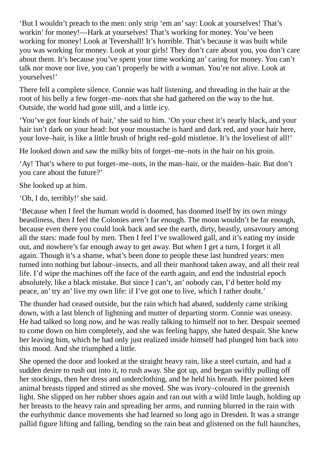'But I wouldn't preach to the men: only strip 'em an'say: Look at yourselves! That's workin' for money!—Hark at yourselves! That's working for money. You've been working for money! Look at Tevershall! It's horrible. That's because it was built while you was working for money. Look at your girls! They don't care about you, you don't care about them. It's because you've spent your time working an' caring for money. You can't talk nor move nor live, you can't properly be with a woman. You're not alive. Look at yourselves!'

There fell a complete silence. Connie was half listening, and threading in the hair at the root of his belly a few forget–me–nots that she had gathered on the way to the hut. Outside, the world had gone still, and a little icy.

'You've got four kinds of hair,'she said to him. 'On your chest it's nearly black, and your hair isn't dark on your head: but your moustache is hard and dark red, and your hair here, your love–hair, is like a little brush of bright red–gold mistletoe. It's the loveliest of all!'

He looked down and saw the milky bits of forget–me–nots in the hair on his groin.

'Ay! That's where to put forget–me–nots, in the man–hair, or the maiden–hair. But don't you care about the future?'

She looked up at him.

'Oh, I do, terribly!' she said.

'Because when I feel the human world is doomed, has doomed itself by its own mingy beastliness, then I feel the Colonies aren't far enough. The moon wouldn't be far enough, because even there you could look back and see the earth, dirty, beastly, unsavoury among all the stars: made foul by men. Then I feel I've swallowed gall, and it's eating my inside out, and nowhere's far enough away to get away. But when I get a turn, I forget it all again. Though it's a shame, what's been done to people these last hundred years: men turned into nothing but labour–insects, and all their manhood taken away, and all their real life. I'd wipe the machines off the face of the earth again, and end the industrial epoch absolutely, like a black mistake. But since I can't, an' nobody can, I'd better hold my peace, an' try an' live my own life: if I've got one to live, which I rather doubt.'

The thunder had ceased outside, but the rain which had abated, suddenly came striking down, with a last blench of lightning and mutter of departing storm. Connie was uneasy. He had talked so long now, and he was really talking to himself not to her. Despair seemed to come down on him completely, and she was feeling happy, she hated despair. She knew her leaving him, which he had only just realized inside himself had plunged him back into this mood. And she triumphed a little.

She opened the door and looked at the straight heavy rain, like a steel curtain, and had a sudden desire to rush out into it, to rush away. She got up, and began swiftly pulling off her stockings, then her dress and underclothing, and he held his breath. Her pointed keen animal breasts tipped and stirred as she moved. She was ivory–coloured in the greenish light. She slipped on her rubber shoes again and ran out with a wild little laugh, holding up her breasts to the heavy rain and spreading her arms, and running blurred in the rain with the eurhythmic dance movements she had learned so long ago in Dresden. It was a strange pallid figure lifting and falling, bending so the rain beat and glistened on the full haunches,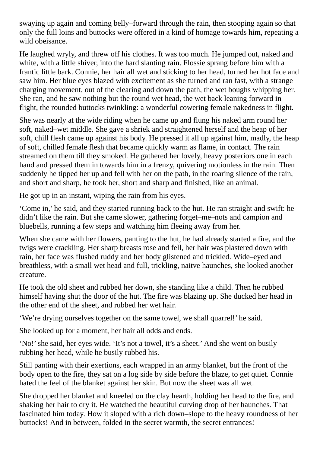swaying up again and coming belly–forward through the rain, then stooping again so that only the full loins and buttocks were offered in a kind of homage towards him, repeating a wild obeisance.

He laughed wryly, and threw off his clothes. It was too much. He jumped out, naked and white, with a little shiver, into the hard slanting rain. Flossie sprang before him with a frantic little bark. Connie, her hair all wet and sticking to her head, turned her hot face and saw him. Her blue eyes blazed with excitement as she turned and ran fast, with a strange charging movement, out of the clearing and down the path, the wet boughs whipping her. She ran, and he saw nothing but the round wet head, the wet back leaning forward in flight, the rounded buttocks twinkling: a wonderful cowering female nakedness in flight.

She was nearly at the wide riding when he came up and flung his naked arm round her soft, naked–wet middle. She gave a shriek and straightened herself and the heap of her soft, chill flesh came up against his body. He pressed it all up against him, madly, the heap of soft, chilled female flesh that became quickly warm as flame, in contact. The rain streamed on them till they smoked. He gathered her lovely, heavy posteriors one in each hand and pressed them in towards him in a frenzy, quivering motionless in the rain. Then suddenly he tipped her up and fell with her on the path, in the roaring silence of the rain, and short and sharp, he took her, short and sharp and finished, like an animal.

He got up in an instant, wiping the rain from his eyes.

'Come in,' he said, and they started running back to the hut. He ran straight and swift: he didn't like the rain. But she came slower, gathering forget–me–nots and campion and bluebells, running a few steps and watching him fleeing away from her.

When she came with her flowers, panting to the hut, he had already started a fire, and the twigs were crackling. Her sharp breasts rose and fell, her hair was plastered down with rain, her face was flushed ruddy and her body glistened and trickled. Wide–eyed and breathless, with a small wet head and full, trickling, naitve haunches, she looked another creature.

He took the old sheet and rubbed her down, she standing like a child. Then he rubbed himself having shut the door of the hut. The fire was blazing up. She ducked her head in the other end of the sheet, and rubbed her wet hair.

'We're drying ourselves together on the same towel, we shall quarrel!' he said.

She looked up for a moment, her hair all odds and ends.

'No!'she said, her eyes wide. 'It's not a towel, it's a sheet.' And she went on busily rubbing her head, while he busily rubbed his.

Still panting with their exertions, each wrapped in an army blanket, but the front of the body open to the fire, they sat on a log side by side before the blaze, to get quiet. Connie hated the feel of the blanket against her skin. But now the sheet was all wet.

She dropped her blanket and kneeled on the clay hearth, holding her head to the fire, and shaking her hair to dry it. He watched the beautiful curving drop of her haunches. That fascinated him today. How it sloped with a rich down–slope to the heavy roundness of her buttocks! And in between, folded in the secret warmth, the secret entrances!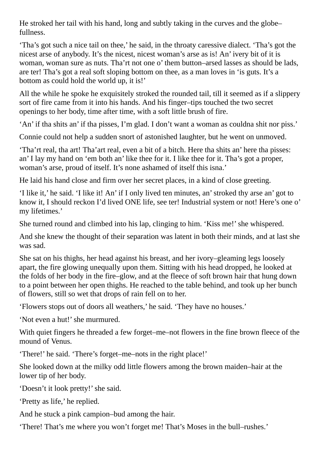He stroked her tail with his hand, long and subtly taking in the curves and the globe– fullness.

'Tha's got such a nice tail on thee,' he said, in the throaty caressive dialect. 'Tha's got the nicest arse of anybody. It's the nicest, nicest woman's arse as is! An' ivery bit of it is woman, woman sure as nuts. Tha'rt not one o' them button–arsed lasses as should be lads, are ter! Tha's got a real soft sloping bottom on thee, as a man loves in 'is guts. It's a bottom as could hold the world up, it is!'

All the while he spoke he exquisitely stroked the rounded tail, till it seemed as if a slippery sort of fire came from it into his hands. And his finger–tips touched the two secret openings to her body, time after time, with a soft little brush of fire.

'An' if tha shits an' if tha pisses, I'm glad. I don't want a woman as couldna shit nor piss.'

Connie could not help a sudden snort of astonished laughter, but he went on unmoved.

'Tha'rt real, tha art! Tha'art real, even a bit of a bitch. Here tha shits an' here tha pisses: an' I lay my hand on 'em both an' like thee for it. I like thee for it. Tha's got a proper, woman's arse, proud of itself. It's none ashamed of itself this isna.'

He laid his hand close and firm over her secret places, in a kind of close greeting.

'I like it,' he said. 'I like it! An' if I only lived ten minutes, an'stroked thy arse an' got to know it, I should reckon I'd lived ONE life, see ter! Industrial system or not! Here's one o' my lifetimes.'

She turned round and climbed into his lap, clinging to him. 'Kiss me!' she whispered.

And she knew the thought of their separation was latent in both their minds, and at last she was sad.

She sat on his thighs, her head against his breast, and her ivory–gleaming legs loosely apart, the fire glowing unequally upon them. Sitting with his head dropped, he looked at the folds of her body in the fire–glow, and at the fleece of soft brown hair that hung down to a point between her open thighs. He reached to the table behind, and took up her bunch of flowers, still so wet that drops of rain fell on to her.

'Flowers stops out of doors all weathers,' he said. 'They have no houses.'

'Not even a hut!'she murmured.

With quiet fingers he threaded a few forget–me–not flowers in the fine brown fleece of the mound of Venus.

'There!' he said. 'There's forget–me–nots in the right place!'

She looked down at the milky odd little flowers among the brown maiden–hair at the lower tip of her body.

'Doesn't it look pretty!' she said.

'Pretty as life,' he replied.

And he stuck a pink campion–bud among the hair.

'There! That's me where you won't forget me! That's Moses in the bull–rushes.'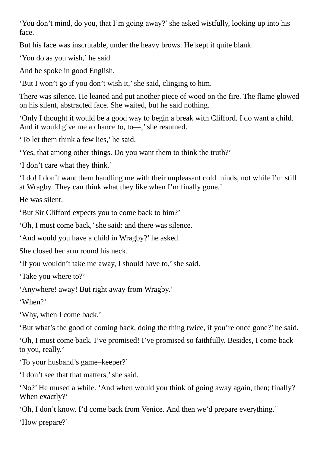'You don't mind, do you, that I'm going away?'she asked wistfully, looking up into his face.

But his face was inscrutable, under the heavy brows. He kept it quite blank.

'You do as you wish,' he said.

And he spoke in good English.

'But I won't go if you don't wish it,'she said, clinging to him.

There was silence. He leaned and put another piece of wood on the fire. The flame glowed on his silent, abstracted face. She waited, but he said nothing.

'Only I thought it would be a good way to begin a break with Clifford. I do want a child. And it would give me a chance to, to—,' she resumed.

'To let them think a few lies,' he said.

'Yes, that among other things. Do you want them to think the truth?'

'I don't care what they think.'

'I do! I don't want them handling me with their unpleasant cold minds, not while I'm still at Wragby. They can think what they like when I'm finally gone.'

He was silent.

'But Sir Clifford expects you to come back to him?'

'Oh, I must come back,'she said: and there was silence.

'And would you have a child in Wragby?' he asked.

She closed her arm round his neck.

'If you wouldn't take me away, I should have to,'she said.

'Take you where to?'

'Anywhere! away! But right away from Wragby.'

'When?'

'Why, when I come back.'

'But what's the good of coming back, doing the thing twice, if you're once gone?' he said.

'Oh, I must come back. I've promised! I've promised so faithfully. Besides, I come back to you, really.'

'To your husband's game–keeper?'

'I don't see that that matters,'she said.

'No?' He mused a while. 'And when would you think of going away again, then; finally? When exactly?'

'Oh, I don't know. I'd come back from Venice. And then we'd prepare everything.'

'How prepare?'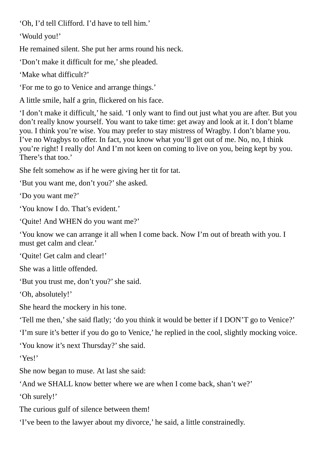'Oh, I'd tell Clifford. I'd have to tell him.'

'Would you!'

He remained silent. She put her arms round his neck.

'Don't make it difficult for me,'she pleaded.

'Make what difficult?'

'For me to go to Venice and arrange things.'

A little smile, half a grin, flickered on his face.

'I don't make it difficult,' he said. 'I only want to find out just what you are after. But you don't really know yourself. You want to take time: get away and look at it. I don't blame you. I think you're wise. You may prefer to stay mistress of Wragby. I don't blame you. I've no Wragbys to offer. In fact, you know what you'll get out of me. No, no, I think you're right! I really do! And I'm not keen on coming to live on you, being kept by you. There's that too.'

She felt somehow as if he were giving her tit for tat.

'But you want me, don't you?'she asked.

'Do you want me?'

'You know I do. That's evident.'

'Quite! And WHEN do you want me?'

'You know we can arrange it all when I come back. Now I'm out of breath with you. I must get calm and clear.'

'Quite! Get calm and clear!'

She was a little offended.

'But you trust me, don't you?'she said.

'Oh, absolutely!'

She heard the mockery in his tone.

'Tell me then,'she said flatly; 'do you think it would be better if I DON'T go to Venice?'

'I'm sure it's better if you do go to Venice,' he replied in the cool, slightly mocking voice.

'You know it's next Thursday?'she said.

'Yes!'

She now began to muse. At last she said:

'And we SHALL know better where we are when I come back, shan't we?'

'Oh surely!'

The curious gulf of silence between them!

'I've been to the lawyer about my divorce,' he said, a little constrainedly.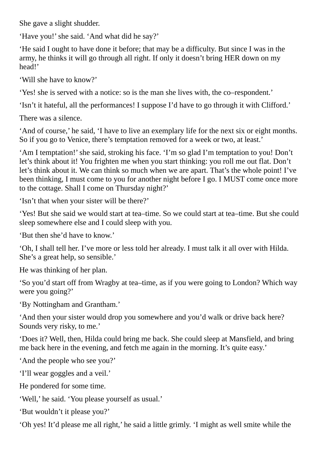She gave a slight shudder.

'Have you!' she said. 'And what did he say?'

'He said I ought to have done it before; that may be a difficulty. But since I was in the army, he thinks it will go through all right. If only it doesn't bring HER down on my head!'

'Will she have to know?'

'Yes! she is served with a notice: so is the man she lives with, the co–respondent.'

'Isn't it hateful, all the performances! I suppose I'd have to go through it with Clifford.'

There was a silence.

'And of course,' he said, 'I have to live an exemplary life for the next six or eight months. So if you go to Venice, there's temptation removed for a week or two, at least.'

'Am I temptation!' she said, stroking his face. 'I'm so glad I'm temptation to you! Don't let's think about it! You frighten me when you start thinking: you roll me out flat. Don't let's think about it. We can think so much when we are apart. That's the whole point! I've been thinking, I must come to you for another night before I go. I MUST come once more to the cottage. Shall I come on Thursday night?'

'Isn't that when your sister will be there?'

'Yes! But she said we would start at tea–time. So we could start at tea–time. But she could sleep somewhere else and I could sleep with you.

'But then she'd have to know.'

'Oh, I shall tell her. I've more or less told her already. I must talk it all over with Hilda. She's a great help, so sensible.'

He was thinking of her plan.

'So you'd start off from Wragby at tea–time, as if you were going to London? Which way were you going?'

'By Nottingham and Grantham.'

'And then your sister would drop you somewhere and you'd walk or drive back here? Sounds very risky, to me.'

'Does it? Well, then, Hilda could bring me back. She could sleep at Mansfield, and bring me back here in the evening, and fetch me again in the morning. It's quite easy.'

'And the people who see you?'

'I'll wear goggles and a veil.'

He pondered for some time.

'Well,' he said. 'You please yourself as usual.'

'But wouldn't it please you?'

'Oh yes! It'd please me all right,' he said a little grimly. 'I might as well smite while the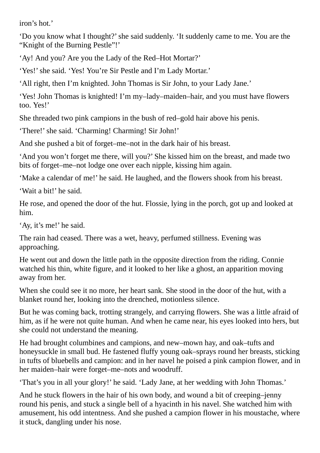iron's hot.'

'Do you know what I thought?'she said suddenly. 'It suddenly came to me. You are the "Knight of the Burning Pestle"!'

'Ay! And you? Are you the Lady of the Red–Hot Mortar?'

'Yes!' she said. 'Yes! You're Sir Pestle and I'm Lady Mortar.'

'All right, then I'm knighted. John Thomas is Sir John, to your Lady Jane.'

'Yes! John Thomas is knighted! I'm my–lady–maiden–hair, and you must have flowers too. Yes!'

She threaded two pink campions in the bush of red–gold hair above his penis.

'There!'she said. 'Charming! Charming! Sir John!'

And she pushed a bit of forget–me–not in the dark hair of his breast.

'And you won't forget me there, will you?' She kissed him on the breast, and made two bits of forget–me–not lodge one over each nipple, kissing him again.

'Make a calendar of me!' he said. He laughed, and the flowers shook from his breast.

'Wait a bit!' he said.

He rose, and opened the door of the hut. Flossie, lying in the porch, got up and looked at him.

'Ay, it's me!' he said.

The rain had ceased. There was a wet, heavy, perfumed stillness. Evening was approaching.

He went out and down the little path in the opposite direction from the riding. Connie watched his thin, white figure, and it looked to her like a ghost, an apparition moving away from her.

When she could see it no more, her heart sank. She stood in the door of the hut, with a blanket round her, looking into the drenched, motionless silence.

But he was coming back, trotting strangely, and carrying flowers. She was a little afraid of him, as if he were not quite human. And when he came near, his eyes looked into hers, but she could not understand the meaning.

He had brought columbines and campions, and new–mown hay, and oak–tufts and honeysuckle in small bud. He fastened fluffy young oak–sprays round her breasts, sticking in tufts of bluebells and campion: and in her navel he poised a pink campion flower, and in her maiden–hair were forget–me–nots and woodruff.

'That's you in all your glory!' he said. 'Lady Jane, at her wedding with John Thomas.'

And he stuck flowers in the hair of his own body, and wound a bit of creeping–jenny round his penis, and stuck a single bell of a hyacinth in his navel. She watched him with amusement, his odd intentness. And she pushed a campion flower in his moustache, where it stuck, dangling under his nose.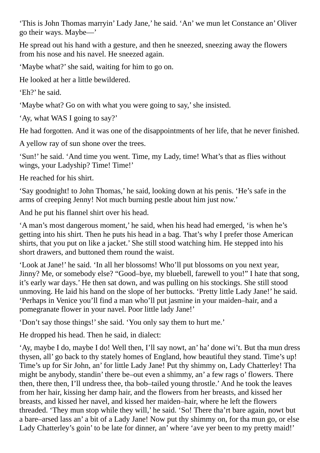'This is John Thomas marryin' Lady Jane,' he said. 'An' we mun let Constance an' Oliver go their ways. Maybe—'

He spread out his hand with a gesture, and then he sneezed, sneezing away the flowers from his nose and his navel. He sneezed again.

'Maybe what?'she said, waiting for him to go on.

He looked at her a little bewildered.

'Eh?' he said.

'Maybe what? Go on with what you were going to say,'she insisted.

'Ay, what WAS I going to say?'

He had forgotten. And it was one of the disappointments of her life, that he never finished.

A yellow ray of sun shone over the trees.

'Sun!' he said. 'And time you went. Time, my Lady, time! What's that as flies without wings, your Ladyship? Time! Time!'

He reached for his shirt.

'Say goodnight! to John Thomas,' he said, looking down at his penis. 'He's safe in the arms of creeping Jenny! Not much burning pestle about him just now.'

And he put his flannel shirt over his head.

'A man's most dangerous moment,' he said, when his head had emerged, 'is when he's getting into his shirt. Then he puts his head in a bag. That's why I prefer those American shirts, that you put on like a jacket.' She still stood watching him. He stepped into his short drawers, and buttoned them round the waist.

'Look at Jane!' he said. 'In all her blossoms! Who'll put blossoms on you next year, Jinny? Me, or somebody else? "Good–bye, my bluebell, farewell to you!" I hate that song, it's early war days.' He then sat down, and was pulling on his stockings. She still stood unmoving. He laid his hand on the slope of her buttocks. 'Pretty little Lady Jane!' he said. 'Perhaps in Venice you'll find a man who'll put jasmine in your maiden–hair, and a pomegranate flower in your navel. Poor little lady Jane!'

'Don't say those things!'she said. 'You only say them to hurt me.'

He dropped his head. Then he said, in dialect:

'Ay, maybe I do, maybe I do! Well then, I'll say nowt, an' ha' done wi't. But tha mun dress thysen, all' go back to thy stately homes of England, how beautiful they stand. Time's up! Time's up for Sir John, an' for little Lady Jane! Put thy shimmy on, Lady Chatterley! Tha might be anybody, standin' there be–out even a shimmy, an' a few rags o' flowers. There then, there then, I'll undress thee, tha bob–tailed young throstle.' And he took the leaves from her hair, kissing her damp hair, and the flowers from her breasts, and kissed her breasts, and kissed her navel, and kissed her maiden–hair, where he left the flowers threaded. 'They mun stop while they will,' he said. 'So! There tha'rt bare again, nowt but a bare–arsed lass an' a bit of a Lady Jane! Now put thy shimmy on, for tha mun go, or else Lady Chatterley's goin' to be late for dinner, an' where 'ave yer been to my pretty maid!'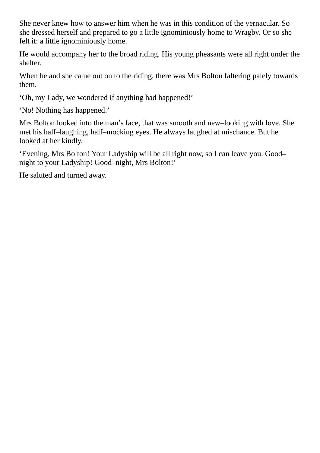She never knew how to answer him when he was in this condition of the vernacular. So she dressed herself and prepared to go a little ignominiously home to Wragby. Or so she felt it: a little ignominiously home.

He would accompany her to the broad riding. His young pheasants were all right under the shelter.

When he and she came out on to the riding, there was Mrs Bolton faltering palely towards them.

'Oh, my Lady, we wondered if anything had happened!'

'No! Nothing has happened.'

Mrs Bolton looked into the man's face, that was smooth and new–looking with love. She met his half–laughing, half–mocking eyes. He always laughed at mischance. But he looked at her kindly.

'Evening, Mrs Bolton! Your Ladyship will be all right now, so I can leave you. Good– night to your Ladyship! Good–night, Mrs Bolton!'

He saluted and turned away.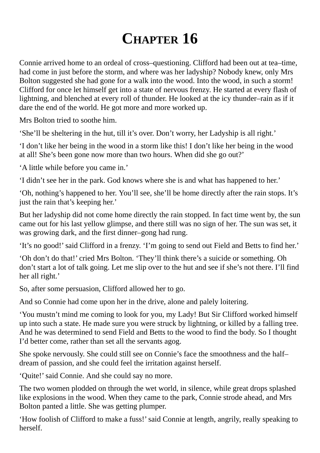## **CHAPTER 16**

Connie arrived home to an ordeal of cross–questioning. Clifford had been out at tea–time, had come in just before the storm, and where was her ladyship? Nobody knew, only Mrs Bolton suggested she had gone for a walk into the wood. Into the wood, in such a storm! Clifford for once let himself get into a state of nervous frenzy. He started at every flash of lightning, and blenched at every roll of thunder. He looked at the icy thunder–rain as if it dare the end of the world. He got more and more worked up.

Mrs Bolton tried to soothe him.

'She'll be sheltering in the hut, till it's over. Don't worry, her Ladyship is all right.'

'I don't like her being in the wood in a storm like this! I don't like her being in the wood at all! She's been gone now more than two hours. When did she go out?'

'A little while before you came in.'

'I didn't see her in the park. God knows where she is and what has happened to her.'

'Oh, nothing's happened to her. You'll see, she'll be home directly after the rain stops. It's just the rain that's keeping her.'

But her ladyship did not come home directly the rain stopped. In fact time went by, the sun came out for his last yellow glimpse, and there still was no sign of her. The sun was set, it was growing dark, and the first dinner–gong had rung.

'It's no good!'said Clifford in a frenzy. 'I'm going to send out Field and Betts to find her.'

'Oh don't do that!' cried Mrs Bolton. 'They'll think there's a suicide or something. Oh don't start a lot of talk going. Let me slip over to the hut and see if she's not there. I'll find her all right.'

So, after some persuasion, Clifford allowed her to go.

And so Connie had come upon her in the drive, alone and palely loitering.

'You mustn't mind me coming to look for you, my Lady! But Sir Clifford worked himself up into such a state. He made sure you were struck by lightning, or killed by a falling tree. And he was determined to send Field and Betts to the wood to find the body. So I thought I'd better come, rather than set all the servants agog.

She spoke nervously. She could still see on Connie's face the smoothness and the half– dream of passion, and she could feel the irritation against herself.

'Quite!'said Connie. And she could say no more.

The two women plodded on through the wet world, in silence, while great drops splashed like explosions in the wood. When they came to the park, Connie strode ahead, and Mrs Bolton panted a little. She was getting plumper.

'How foolish of Clifford to make a fuss!'said Connie at length, angrily, really speaking to herself.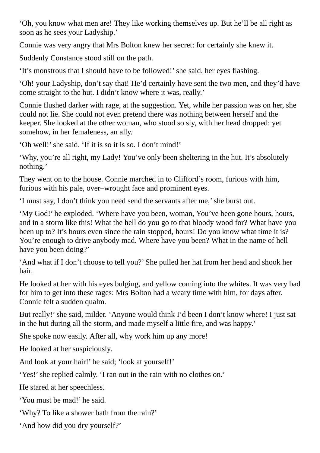'Oh, you know what men are! They like working themselves up. But he'll be all right as soon as he sees your Ladyship.'

Connie was very angry that Mrs Bolton knew her secret: for certainly she knew it.

Suddenly Constance stood still on the path.

'It's monstrous that I should have to be followed!'she said, her eyes flashing.

'Oh! your Ladyship, don't say that! He'd certainly have sent the two men, and they'd have come straight to the hut. I didn't know where it was, really.'

Connie flushed darker with rage, at the suggestion. Yet, while her passion was on her, she could not lie. She could not even pretend there was nothing between herself and the keeper. She looked at the other woman, who stood so sly, with her head dropped: yet somehow, in her femaleness, an ally.

'Oh well!'she said. 'If it is so it is so. I don't mind!'

'Why, you're all right, my Lady! You've only been sheltering in the hut. It's absolutely nothing.'

They went on to the house. Connie marched in to Clifford's room, furious with him, furious with his pale, over–wrought face and prominent eyes.

'I must say, I don't think you need send the servants after me,'she burst out.

'My God!' he exploded. 'Where have you been, woman, You've been gone hours, hours, and in a storm like this! What the hell do you go to that bloody wood for? What have you been up to? It's hours even since the rain stopped, hours! Do you know what time it is? You're enough to drive anybody mad. Where have you been? What in the name of hell have you been doing?'

'And what if I don't choose to tell you?' She pulled her hat from her head and shook her hair.

He looked at her with his eyes bulging, and yellow coming into the whites. It was very bad for him to get into these rages: Mrs Bolton had a weary time with him, for days after. Connie felt a sudden qualm.

But really!' she said, milder. 'Anyone would think I'd been I don't know where! I just sat in the hut during all the storm, and made myself a little fire, and was happy.'

She spoke now easily. After all, why work him up any more!

He looked at her suspiciously.

And look at your hair!' he said; 'look at yourself!'

'Yes!' she replied calmly. 'I ran out in the rain with no clothes on.'

He stared at her speechless.

'You must be mad!' he said.

'Why? To like a shower bath from the rain?'

'And how did you dry yourself?'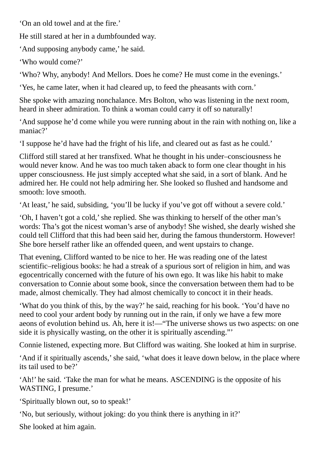'On an old towel and at the fire.'

He still stared at her in a dumbfounded way.

'And supposing anybody came,' he said.

'Who would come?'

'Who? Why, anybody! And Mellors. Does he come? He must come in the evenings.'

'Yes, he came later, when it had cleared up, to feed the pheasants with corn.'

She spoke with amazing nonchalance. Mrs Bolton, who was listening in the next room, heard in sheer admiration. To think a woman could carry it off so naturally!

'And suppose he'd come while you were running about in the rain with nothing on, like a maniac?'

'I suppose he'd have had the fright of his life, and cleared out as fast as he could.'

Clifford still stared at her transfixed. What he thought in his under–consciousness he would never know. And he was too much taken aback to form one clear thought in his upper consciousness. He just simply accepted what she said, in a sort of blank. And he admired her. He could not help admiring her. She looked so flushed and handsome and smooth: love smooth.

'At least,' he said, subsiding, 'you'll be lucky if you've got off without a severe cold.'

'Oh, I haven't got a cold,'she replied. She was thinking to herself of the other man's words: Tha's got the nicest woman's arse of anybody! She wished, she dearly wished she could tell Clifford that this had been said her, during the famous thunderstorm. However! She bore herself rather like an offended queen, and went upstairs to change.

That evening, Clifford wanted to be nice to her. He was reading one of the latest scientific–religious books: he had a streak of a spurious sort of religion in him, and was egocentrically concerned with the future of his own ego. It was like his habit to make conversation to Connie about some book, since the conversation between them had to be made, almost chemically. They had almost chemically to concoct it in their heads.

'What do you think of this, by the way?' he said, reaching for his book. 'You'd have no need to cool your ardent body by running out in the rain, if only we have a few more aeons of evolution behind us. Ah, here it is!—"The universe shows us two aspects: on one side it is physically wasting, on the other it is spiritually ascending."'

Connie listened, expecting more. But Clifford was waiting. She looked at him in surprise.

'And if it spiritually ascends,'she said, 'what does it leave down below, in the place where its tail used to be?'

'Ah!' he said. 'Take the man for what he means. ASCENDING is the opposite of his WASTING, I presume.'

'Spiritually blown out, so to speak!'

'No, but seriously, without joking: do you think there is anything in it?'

She looked at him again.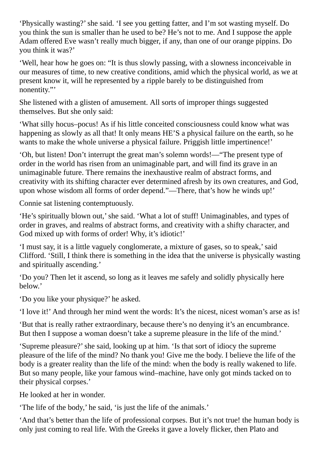'Physically wasting?'she said. 'I see you getting fatter, and I'm sot wasting myself. Do you think the sun is smaller than he used to be? He's not to me. And I suppose the apple Adam offered Eve wasn't really much bigger, if any, than one of our orange pippins. Do you think it was?'

'Well, hear how he goes on: "It is thus slowly passing, with a slowness inconceivable in our measures of time, to new creative conditions, amid which the physical world, as we at present know it, will he represented by a ripple barely to be distinguished from nonentity."'

She listened with a glisten of amusement. All sorts of improper things suggested themselves. But she only said:

'What silly hocus–pocus! As if his little conceited consciousness could know what was happening as slowly as all that! It only means HE'S a physical failure on the earth, so he wants to make the whole universe a physical failure. Priggish little impertinence!'

'Oh, but listen! Don't interrupt the great man's solemn words!—"The present type of order in the world has risen from an unimaginable part, and will find its grave in an unimaginable future. There remains the inexhaustive realm of abstract forms, and creativity with its shifting character ever determined afresh by its own creatures, and God, upon whose wisdom all forms of order depend."—There, that's how he winds up!'

Connie sat listening contemptuously.

'He's spiritually blown out,' she said. 'What a lot of stuff! Unimaginables, and types of order in graves, and realms of abstract forms, and creativity with a shifty character, and God mixed up with forms of order! Why, it's idiotic!'

'I must say, it is a little vaguely conglomerate, a mixture of gases, so to speak,'said Clifford. 'Still, I think there is something in the idea that the universe is physically wasting and spiritually ascending.'

'Do you? Then let it ascend, so long as it leaves me safely and solidly physically here below.'

'Do you like your physique?' he asked.

'I love it!' And through her mind went the words: It's the nicest, nicest woman's arse as is!

'But that is really rather extraordinary, because there's no denying it's an encumbrance. But then I suppose a woman doesn't take a supreme pleasure in the life of the mind.'

'Supreme pleasure?'she said, looking up at him. 'Is that sort of idiocy the supreme pleasure of the life of the mind? No thank you! Give me the body. I believe the life of the body is a greater reality than the life of the mind: when the body is really wakened to life. But so many people, like your famous wind–machine, have only got minds tacked on to their physical corpses.'

He looked at her in wonder.

'The life of the body,' he said, 'is just the life of the animals.'

'And that's better than the life of professional corpses. But it's not true! the human body is only just coming to real life. With the Greeks it gave a lovely flicker, then Plato and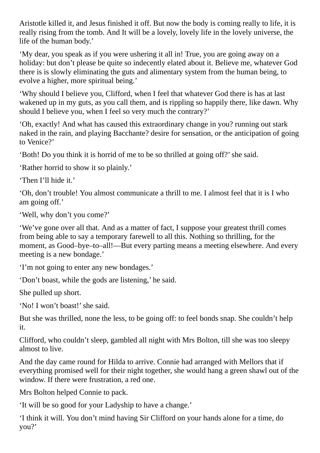Aristotle killed it, and Jesus finished it off. But now the body is coming really to life, it is really rising from the tomb. And It will be a lovely, lovely life in the lovely universe, the life of the human body.'

'My dear, you speak as if you were ushering it all in! True, you are going away on a holiday: but don't please be quite so indecently elated about it. Believe me, whatever God there is is slowly eliminating the guts and alimentary system from the human being, to evolve a higher, more spiritual being.'

'Why should I believe you, Clifford, when I feel that whatever God there is has at last wakened up in my guts, as you call them, and is rippling so happily there, like dawn. Why should I believe you, when I feel so very much the contrary?'

'Oh, exactly! And what has caused this extraordinary change in you? running out stark naked in the rain, and playing Bacchante? desire for sensation, or the anticipation of going to Venice?'

'Both! Do you think it is horrid of me to be so thrilled at going off?'she said.

'Rather horrid to show it so plainly.'

'Then I'll hide it.'

'Oh, don't trouble! You almost communicate a thrill to me. I almost feel that it is I who am going off.'

'Well, why don't you come?'

'We've gone over all that. And as a matter of fact, I suppose your greatest thrill comes from being able to say a temporary farewell to all this. Nothing so thrilling, for the moment, as Good–bye–to–all!—But every parting means a meeting elsewhere. And every meeting is a new bondage.'

'I'm not going to enter any new bondages.'

'Don't boast, while the gods are listening,' he said.

She pulled up short.

'No! I won't boast!' she said.

But she was thrilled, none the less, to be going off: to feel bonds snap. She couldn't help it.

Clifford, who couldn't sleep, gambled all night with Mrs Bolton, till she was too sleepy almost to live.

And the day came round for Hilda to arrive. Connie had arranged with Mellors that if everything promised well for their night together, she would hang a green shawl out of the window. If there were frustration, a red one.

Mrs Bolton helped Connie to pack.

'It will be so good for your Ladyship to have a change.'

'I think it will. You don't mind having Sir Clifford on your hands alone for a time, do you?'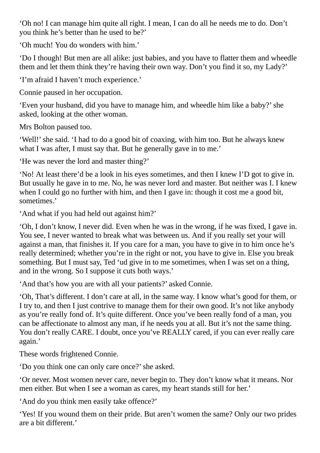'Oh no! I can manage him quite all right. I mean, I can do all he needs me to do. Don't you think he's better than he used to be?'

'Oh much! You do wonders with him.'

'Do I though! But men are all alike: just babies, and you have to flatter them and wheedle them and let them think they're having their own way. Don't you find it so, my Lady?'

'I'm afraid I haven't much experience.'

Connie paused in her occupation.

'Even your husband, did you have to manage him, and wheedle him like a baby?'she asked, looking at the other woman.

Mrs Bolton paused too.

'Well!' she said. 'I had to do a good bit of coaxing, with him too. But he always knew what I was after, I must say that. But he generally gave in to me.'

'He was never the lord and master thing?'

'No! At least there'd be a look in his eyes sometimes, and then I knew I'D got to give in. But usually he gave in to me. No, he was never lord and master. But neither was I. I knew when I could go no further with him, and then I gave in: though it cost me a good bit, sometimes.'

'And what if you had held out against him?'

'Oh, I don't know, I never did. Even when he was in the wrong, if he was fixed, I gave in. You see, I never wanted to break what was between us. And if you really set your will against a man, that finishes it. If you care for a man, you have to give in to him once he's really determined; whether you're in the right or not, you have to give in. Else you break something. But I must say, Ted 'ud give in to me sometimes, when I was set on a thing, and in the wrong. So I suppose it cuts both ways.'

'And that's how you are with all your patients?' asked Connie.

'Oh, That's different. I don't care at all, in the same way. I know what's good for them, or I try to, and then I just contrive to manage them for their own good. It's not like anybody as you're really fond of. It's quite different. Once you've been really fond of a man, you can be affectionate to almost any man, if he needs you at all. But it's not the same thing. You don't really CARE. I doubt, once you've REALLY cared, if you can ever really care again.'

These words frightened Connie.

'Do you think one can only care once?'she asked.

'Or never. Most women never care, never begin to. They don't know what it means. Nor men either. But when I see a woman as cares, my heart stands still for her.'

'And do you think men easily take offence?'

'Yes! If you wound them on their pride. But aren't women the same? Only our two prides are a bit different.'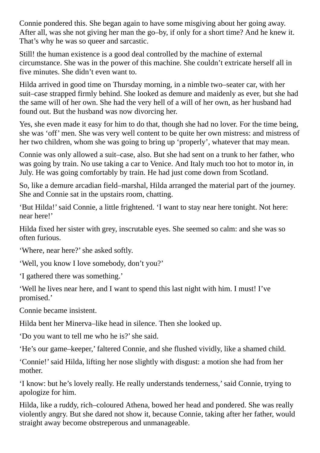Connie pondered this. She began again to have some misgiving about her going away. After all, was she not giving her man the go–by, if only for a short time? And he knew it. That's why he was so queer and sarcastic.

Still! the human existence is a good deal controlled by the machine of external circumstance. She was in the power of this machine. She couldn't extricate herself all in five minutes. She didn't even want to.

Hilda arrived in good time on Thursday morning, in a nimble two–seater car, with her suit–case strapped firmly behind. She looked as demure and maidenly as ever, but she had the same will of her own. She had the very hell of a will of her own, as her husband had found out. But the husband was now divorcing her.

Yes, she even made it easy for him to do that, though she had no lover. For the time being, she was 'off' men. She was very well content to be quite her own mistress: and mistress of her two children, whom she was going to bring up 'properly', whatever that may mean.

Connie was only allowed a suit–case, also. But she had sent on a trunk to her father, who was going by train. No use taking a car to Venice. And Italy much too hot to motor in, in July. He was going comfortably by train. He had just come down from Scotland.

So, like a demure arcadian field–marshal, Hilda arranged the material part of the journey. She and Connie sat in the upstairs room, chatting.

'But Hilda!'said Connie, a little frightened. 'I want to stay near here tonight. Not here: near here!'

Hilda fixed her sister with grey, inscrutable eyes. She seemed so calm: and she was so often furious.

'Where, near here?'she asked softly.

'Well, you know I love somebody, don't you?'

'I gathered there was something.'

'Well he lives near here, and I want to spend this last night with him. I must! I've promised.'

Connie became insistent.

Hilda bent her Minerva–like head in silence. Then she looked up.

'Do you want to tell me who he is?'she said.

'He's our game–keeper,' faltered Connie, and she flushed vividly, like a shamed child.

'Connie!'said Hilda, lifting her nose slightly with disgust: a motion she had from her mother.

'I know: but he's lovely really. He really understands tenderness,'said Connie, trying to apologize for him.

Hilda, like a ruddy, rich–coloured Athena, bowed her head and pondered. She was really violently angry. But she dared not show it, because Connie, taking after her father, would straight away become obstreperous and unmanageable.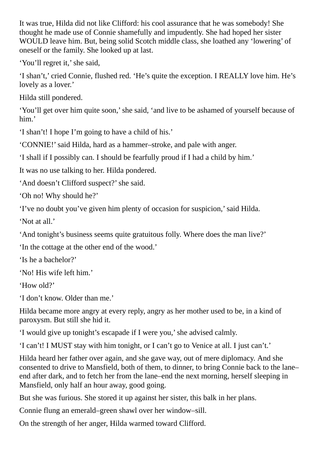It was true, Hilda did not like Clifford: his cool assurance that he was somebody! She thought he made use of Connie shamefully and impudently. She had hoped her sister WOULD leave him. But, being solid Scotch middle class, she loathed any 'lowering' of oneself or the family. She looked up at last.

'You'll regret it,'she said,

'I shan't,' cried Connie, flushed red. 'He's quite the exception. I REALLY love him. He's lovely as a lover.'

Hilda still pondered.

'You'll get over him quite soon,'she said, 'and live to be ashamed of yourself because of him.'

'I shan't! I hope I'm going to have a child of his.'

'CONNIE!'said Hilda, hard as a hammer–stroke, and pale with anger.

'I shall if I possibly can. I should be fearfully proud if I had a child by him.'

It was no use talking to her. Hilda pondered.

'And doesn't Clifford suspect?'she said.

'Oh no! Why should he?'

'I've no doubt you've given him plenty of occasion for suspicion,'said Hilda.

'Not at all.'

'And tonight's business seems quite gratuitous folly. Where does the man live?'

'In the cottage at the other end of the wood.'

'Is he a bachelor?'

'No! His wife left him.'

'How old?'

'I don't know. Older than me.'

Hilda became more angry at every reply, angry as her mother used to be, in a kind of paroxysm. But still she hid it.

'I would give up tonight's escapade if I were you,'she advised calmly.

'I can't! I MUST stay with him tonight, or I can't go to Venice at all. I just can't.'

Hilda heard her father over again, and she gave way, out of mere diplomacy. And she consented to drive to Mansfield, both of them, to dinner, to bring Connie back to the lane– end after dark, and to fetch her from the lane–end the next morning, herself sleeping in Mansfield, only half an hour away, good going.

But she was furious. She stored it up against her sister, this balk in her plans.

Connie flung an emerald–green shawl over her window–sill.

On the strength of her anger, Hilda warmed toward Clifford.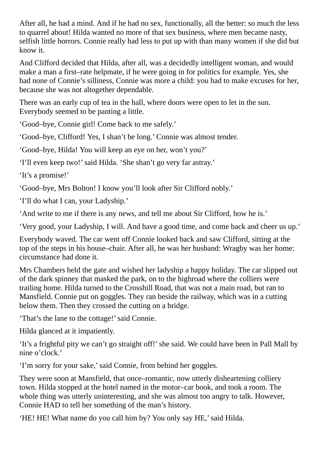After all, he had a mind. And if he had no sex, functionally, all the better: so much the less to quarrel about! Hilda wanted no more of that sex business, where men became nasty, selfish little horrors. Connie really had less to put up with than many women if she did but know it.

And Clifford decided that Hilda, after all, was a decidedly intelligent woman, and would make a man a first–rate helpmate, if he were going in for politics for example. Yes, she had none of Connie's silliness, Connie was more a child: you had to make excuses for her, because she was not altogether dependable.

There was an early cup of tea in the hall, where doors were open to let in the sun. Everybody seemed to be panting a little.

'Good–bye, Connie girl! Come back to me safely.'

'Good–bye, Clifford! Yes, I shan't be long.' Connie was almost tender.

'Good–bye, Hilda! You will keep an eye on her, won't you?'

'I'll even keep two!'said Hilda. 'She shan't go very far astray.'

'It's a promise!'

'Good–bye, Mrs Bolton! I know you'll look after Sir Clifford nobly.'

'I'll do what I can, your Ladyship.'

'And write to me if there is any news, and tell me about Sir Clifford, how he is.'

'Very good, your Ladyship, I will. And have a good time, and come back and cheer us up.'

Everybody waved. The car went off Connie looked back and saw Clifford, sitting at the top of the steps in his house–chair. After all, he was her husband: Wragby was her home: circumstance had done it.

Mrs Chambers held the gate and wished her ladyship a happy holiday. The car slipped out of the dark spinney that masked the park, on to the highroad where the colliers were trailing home. Hilda turned to the Crosshill Road, that was not a main road, but ran to Mansfield. Connie put on goggles. They ran beside the railway, which was in a cutting below them. Then they crossed the cutting on a bridge.

'That's the lane to the cottage!'said Connie.

Hilda glanced at it impatiently.

'It's a frightful pity we can't go straight off!'she said. We could have been in Pall Mall by nine o'clock.'

'I'm sorry for your sake,'said Connie, from behind her goggles.

They were soon at Mansfield, that once–romantic, now utterly disheartening colliery town. Hilda stopped at the hotel named in the motor–car book, and took a room. The whole thing was utterly uninteresting, and she was almost too angry to talk. However, Connie HAD to tell her something of the man's history.

'HE! HE! What name do you call him by? You only say HE,' said Hilda.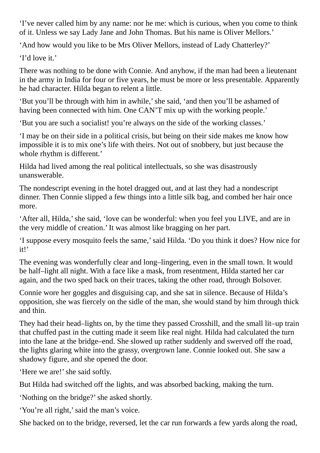'I've never called him by any name: nor he me: which is curious, when you come to think of it. Unless we say Lady Jane and John Thomas. But his name is Oliver Mellors.'

'And how would you like to be Mrs Oliver Mellors, instead of Lady Chatterley?'

'I'd love it.'

There was nothing to be done with Connie. And anyhow, if the man had been a lieutenant in the army in India for four or five years, he must be more or less presentable. Apparently he had character. Hilda began to relent a little.

'But you'll be through with him in awhile,'she said, 'and then you'll be ashamed of having been connected with him. One CAN'T mix up with the working people.'

'But you are such a socialist! you're always on the side of the working classes.'

'I may be on their side in a political crisis, but being on their side makes me know how impossible it is to mix one's life with theirs. Not out of snobbery, but just because the whole rhythm is different.'

Hilda had lived among the real political intellectuals, so she was disastrously unanswerable.

The nondescript evening in the hotel dragged out, and at last they had a nondescript dinner. Then Connie slipped a few things into a little silk bag, and combed her hair once more.

'After all, Hilda,'she said, 'love can be wonderful: when you feel you LIVE, and are in the very middle of creation.' It was almost like bragging on her part.

'I suppose every mosquito feels the same,'said Hilda. 'Do you think it does? How nice for it!'

The evening was wonderfully clear and long–lingering, even in the small town. It would be half–light all night. With a face like a mask, from resentment, Hilda started her car again, and the two sped back on their traces, taking the other road, through Bolsover.

Connie wore her goggles and disguising cap, and she sat in silence. Because of Hilda's opposition, she was fiercely on the sidle of the man, she would stand by him through thick and thin.

They had their head–lights on, by the time they passed Crosshill, and the small lit–up train that chuffed past in the cutting made it seem like real night. Hilda had calculated the turn into the lane at the bridge–end. She slowed up rather suddenly and swerved off the road, the lights glaring white into the grassy, overgrown lane. Connie looked out. She saw a shadowy figure, and she opened the door.

'Here we are!' she said softly.

But Hilda had switched off the lights, and was absorbed backing, making the turn.

'Nothing on the bridge?'she asked shortly.

'You're all right,' said the man's voice.

She backed on to the bridge, reversed, let the car run forwards a few yards along the road,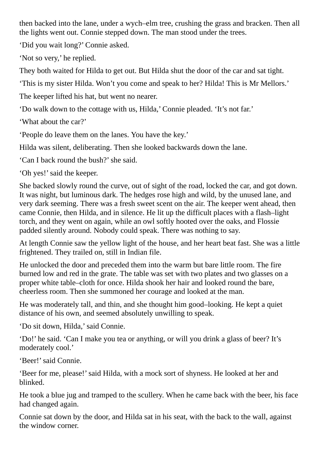then backed into the lane, under a wych–elm tree, crushing the grass and bracken. Then all the lights went out. Connie stepped down. The man stood under the trees.

'Did you wait long?' Connie asked.

'Not so very,' he replied.

They both waited for Hilda to get out. But Hilda shut the door of the car and sat tight.

'This is my sister Hilda. Won't you come and speak to her? Hilda! This is Mr Mellors.'

The keeper lifted his hat, but went no nearer.

'Do walk down to the cottage with us, Hilda,' Connie pleaded. 'It's not far.'

'What about the car?'

'People do leave them on the lanes. You have the key.'

Hilda was silent, deliberating. Then she looked backwards down the lane.

'Can I back round the bush?'she said.

'Oh yes!' said the keeper.

She backed slowly round the curve, out of sight of the road, locked the car, and got down. It was night, but luminous dark. The hedges rose high and wild, by the unused lane, and very dark seeming. There was a fresh sweet scent on the air. The keeper went ahead, then came Connie, then Hilda, and in silence. He lit up the difficult places with a flash–light torch, and they went on again, while an owl softly hooted over the oaks, and Flossie padded silently around. Nobody could speak. There was nothing to say.

At length Connie saw the yellow light of the house, and her heart beat fast. She was a little frightened. They trailed on, still in Indian file.

He unlocked the door and preceded them into the warm but bare little room. The fire burned low and red in the grate. The table was set with two plates and two glasses on a proper white table–cloth for once. Hilda shook her hair and looked round the bare, cheerless room. Then she summoned her courage and looked at the man.

He was moderately tall, and thin, and she thought him good–looking. He kept a quiet distance of his own, and seemed absolutely unwilling to speak.

'Do sit down, Hilda,'said Connie.

'Do!' he said. 'Can I make you tea or anything, or will you drink a glass of beer? It's moderately cool.'

'Beer!'said Connie.

'Beer for me, please!'said Hilda, with a mock sort of shyness. He looked at her and blinked.

He took a blue jug and tramped to the scullery. When he came back with the beer, his face had changed again.

Connie sat down by the door, and Hilda sat in his seat, with the back to the wall, against the window corner.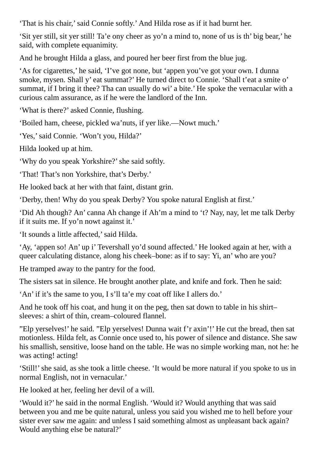'That is his chair,'said Connie softly.' And Hilda rose as if it had burnt her.

'Sit yer still, sit yer still! Ta'e ony cheer as yo'n a mind to, none of us is th' big bear,' he said, with complete equanimity.

And he brought Hilda a glass, and poured her beer first from the blue jug.

'As for cigarettes,' he said, 'I've got none, but 'appen you've got your own. I dunna smoke, mysen. Shall y' eat summat?' He turned direct to Connie. 'Shall t'eat a smite o' summat, if I bring it thee? Tha can usually do wi' a bite.' He spoke the vernacular with a curious calm assurance, as if he were the landlord of the Inn.

'What is there?' asked Connie, flushing.

'Boiled ham, cheese, pickled wa'nuts, if yer like.—Nowt much.'

'Yes,'said Connie. 'Won't you, Hilda?'

Hilda looked up at him.

'Why do you speak Yorkshire?'she said softly.

'That! That's non Yorkshire, that's Derby.'

He looked back at her with that faint, distant grin.

'Derby, then! Why do you speak Derby? You spoke natural English at first.'

'Did Ah though? An' canna Ah change if Ah'm a mind to 't? Nay, nay, let me talk Derby if it suits me. If yo'n nowt against it.'

'It sounds a little affected,'said Hilda.

'Ay, 'appen so! An' up i' Tevershall yo'd sound affected.' He looked again at her, with a queer calculating distance, along his cheek–bone: as if to say: Yi, an' who are you?

He tramped away to the pantry for the food.

The sisters sat in silence. He brought another plate, and knife and fork. Then he said:

'An' if it's the same to you, I s'll ta'e my coat off like I allers do.'

And he took off his coat, and hung it on the peg, then sat down to table in his shirt– sleeves: a shirt of thin, cream–coloured flannel.

"Elp yerselves!' he said. "Elp yerselves! Dunna wait f'r axin'!' He cut the bread, then sat motionless. Hilda felt, as Connie once used to, his power of silence and distance. She saw his smallish, sensitive, loose hand on the table. He was no simple working man, not he: he was acting! acting!

'Still!'she said, as she took a little cheese. 'It would be more natural if you spoke to us in normal English, not in vernacular.'

He looked at her, feeling her devil of a will.

'Would it?' he said in the normal English. 'Would it? Would anything that was said between you and me be quite natural, unless you said you wished me to hell before your sister ever saw me again: and unless I said something almost as unpleasant back again? Would anything else be natural?'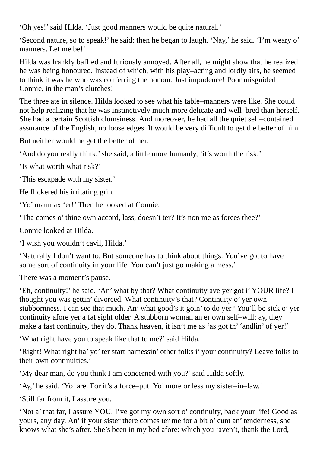'Oh yes!'said Hilda. 'Just good manners would be quite natural.'

'Second nature, so to speak!' he said: then he began to laugh. 'Nay,' he said. 'I'm weary o' manners. Let me be!'

Hilda was frankly baffled and furiously annoyed. After all, he might show that he realized he was being honoured. Instead of which, with his play–acting and lordly airs, he seemed to think it was he who was conferring the honour. Just impudence! Poor misguided Connie, in the man's clutches!

The three ate in silence. Hilda looked to see what his table–manners were like. She could not help realizing that he was instinctively much more delicate and well–bred than herself. She had a certain Scottish clumsiness. And moreover, he had all the quiet self–contained assurance of the English, no loose edges. It would be very difficult to get the better of him.

But neither would he get the better of her.

'And do you really think,'she said, a little more humanly, 'it's worth the risk.'

'Is what worth what risk?'

'This escapade with my sister.'

He flickered his irritating grin.

'Yo' maun ax 'er!' Then he looked at Connie.

'Tha comes o' thine own accord, lass, doesn't ter? It's non me as forces thee?'

Connie looked at Hilda.

'I wish you wouldn't cavil, Hilda.'

'Naturally I don't want to. But someone has to think about things. You've got to have some sort of continuity in your life. You can't just go making a mess.'

There was a moment's pause.

'Eh, continuity!' he said. 'An' what by that? What continuity ave yer got i' YOUR life? I thought you was gettin' divorced. What continuity's that? Continuity o' yer own stubbornness. I can see that much. An' what good's it goin' to do yer? You'll be sick o' yer continuity afore yer a fat sight older. A stubborn woman an er own self–will: ay, they make a fast continuity, they do. Thank heaven, it isn't me as 'as got th' 'andlin' of yer!'

'What right have you to speak like that to me?'said Hilda.

'Right! What right ha' yo' ter start harnessin' other folks i' your continuity? Leave folks to their own continuities.'

'My dear man, do you think I am concerned with you?'said Hilda softly.

'Ay,' he said. 'Yo' are. For it's a force–put. Yo' more or less my sister–in–law.'

'Still far from it, I assure you.

'Not a' that far, I assure YOU. I've got my own sort o' continuity, back your life! Good as yours, any day. An' if your sister there comes ter me for a bit o' cunt an' tenderness, she knows what she's after. She's been in my bed afore: which you 'aven't, thank the Lord,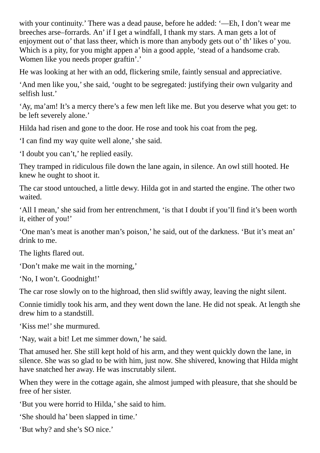with your continuity.' There was a dead pause, before he added: '—Eh, I don't wear me breeches arse–forrards. An' if I get a windfall, I thank my stars. A man gets a lot of enjoyment out o' that lass theer, which is more than anybody gets out o' th' likes o' you. Which is a pity, for you might appen a' bin a good apple, 'stead of a handsome crab. Women like you needs proper graftin'.'

He was looking at her with an odd, flickering smile, faintly sensual and appreciative.

'And men like you,'she said, 'ought to be segregated: justifying their own vulgarity and selfish lust.'

'Ay, ma'am! It's a mercy there's a few men left like me. But you deserve what you get: to be left severely alone.'

Hilda had risen and gone to the door. He rose and took his coat from the peg.

'I can find my way quite well alone,'she said.

'I doubt you can't,' he replied easily.

They tramped in ridiculous file down the lane again, in silence. An owl still hooted. He knew he ought to shoot it.

The car stood untouched, a little dewy. Hilda got in and started the engine. The other two waited.

'All I mean,'she said from her entrenchment, 'is that I doubt if you'll find it's been worth it, either of you!'

'One man's meat is another man's poison,' he said, out of the darkness. 'But it's meat an' drink to me.

The lights flared out.

'Don't make me wait in the morning,'

'No, I won't. Goodnight!'

The car rose slowly on to the highroad, then slid swiftly away, leaving the night silent.

Connie timidly took his arm, and they went down the lane. He did not speak. At length she drew him to a standstill.

'Kiss me!'she murmured.

'Nay, wait a bit! Let me simmer down,' he said.

That amused her. She still kept hold of his arm, and they went quickly down the lane, in silence. She was so glad to be with him, just now. She shivered, knowing that Hilda might have snatched her away. He was inscrutably silent.

When they were in the cottage again, she almost jumped with pleasure, that she should be free of her sister.

'But you were horrid to Hilda,'she said to him.

'She should ha' been slapped in time.'

'But why? and she's SO nice.'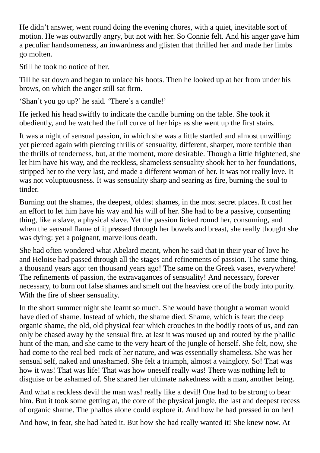He didn't answer, went round doing the evening chores, with a quiet, inevitable sort of motion. He was outwardly angry, but not with her. So Connie felt. And his anger gave him a peculiar handsomeness, an inwardness and glisten that thrilled her and made her limbs go molten.

Still he took no notice of her.

Till he sat down and began to unlace his boots. Then he looked up at her from under his brows, on which the anger still sat firm.

'Shan't you go up?' he said. 'There's a candle!'

He jerked his head swiftly to indicate the candle burning on the table. She took it obediently, and he watched the full curve of her hips as she went up the first stairs.

It was a night of sensual passion, in which she was a little startled and almost unwilling: yet pierced again with piercing thrills of sensuality, different, sharper, more terrible than the thrills of tenderness, but, at the moment, more desirable. Though a little frightened, she let him have his way, and the reckless, shameless sensuality shook her to her foundations, stripped her to the very last, and made a different woman of her. It was not really love. It was not voluptuousness. It was sensuality sharp and searing as fire, burning the soul to tinder.

Burning out the shames, the deepest, oldest shames, in the most secret places. It cost her an effort to let him have his way and his will of her. She had to be a passive, consenting thing, like a slave, a physical slave. Yet the passion licked round her, consuming, and when the sensual flame of it pressed through her bowels and breast, she really thought she was dying: yet a poignant, marvellous death.

She had often wondered what Abelard meant, when he said that in their year of love he and Heloise had passed through all the stages and refinements of passion. The same thing, a thousand years ago: ten thousand years ago! The same on the Greek vases, everywhere! The refinements of passion, the extravagances of sensuality! And necessary, forever necessary, to burn out false shames and smelt out the heaviest ore of the body into purity. With the fire of sheer sensuality.

In the short summer night she learnt so much. She would have thought a woman would have died of shame. Instead of which, the shame died. Shame, which is fear: the deep organic shame, the old, old physical fear which crouches in the bodily roots of us, and can only be chased away by the sensual fire, at last it was roused up and routed by the phallic hunt of the man, and she came to the very heart of the jungle of herself. She felt, now, she had come to the real bed–rock of her nature, and was essentially shameless. She was her sensual self, naked and unashamed. She felt a triumph, almost a vainglory. So! That was how it was! That was life! That was how oneself really was! There was nothing left to disguise or be ashamed of. She shared her ultimate nakedness with a man, another being.

And what a reckless devil the man was! really like a devil! One had to be strong to bear him. But it took some getting at, the core of the physical jungle, the last and deepest recess of organic shame. The phallos alone could explore it. And how he had pressed in on her!

And how, in fear, she had hated it. But how she had really wanted it! She knew now. At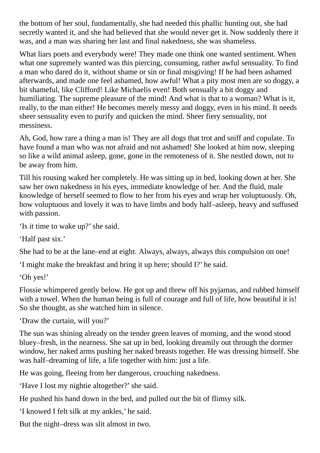the bottom of her soul, fundamentally, she had needed this phallic hunting out, she had secretly wanted it, and she had believed that she would never get it. Now suddenly there it was, and a man was sharing her last and final nakedness, she was shameless.

What liars poets and everybody were! They made one think one wanted sentiment. When what one supremely wanted was this piercing, consuming, rather awful sensuality. To find a man who dared do it, without shame or sin or final misgiving! If he had been ashamed afterwards, and made one feel ashamed, how awful! What a pity most men are so doggy, a bit shameful, like Clifford! Like Michaelis even! Both sensually a bit doggy and humiliating. The supreme pleasure of the mind! And what is that to a woman? What is it, really, to the man either! He becomes merely messy and doggy, even in his mind. It needs sheer sensuality even to purify and quicken the mind. Sheer fiery sensuality, not messiness.

Ah, God, how rare a thing a man is! They are all dogs that trot and sniff and copulate. To have found a man who was not afraid and not ashamed! She looked at him now, sleeping so like a wild animal asleep, gone, gone in the remoteness of it. She nestled down, not to be away from him.

Till his rousing waked her completely. He was sitting up in bed, looking down at her. She saw her own nakedness in his eyes, immediate knowledge of her. And the fluid, male knowledge of herself seemed to flow to her from his eyes and wrap her voluptuously. Oh, how voluptuous and lovely it was to have limbs and body half–asleep, heavy and suffused with passion.

'Is it time to wake up?'she said.

'Half past six.'

She had to be at the lane–end at eight. Always, always, always this compulsion on one!

'I might make the breakfast and bring it up here; should I?' he said.

'Oh yes!'

Flossie whimpered gently below. He got up and threw off his pyjamas, and rubbed himself with a towel. When the human being is full of courage and full of life, how beautiful it is! So she thought, as she watched him in silence.

'Draw the curtain, will you?'

The sun was shining already on the tender green leaves of morning, and the wood stood bluey–fresh, in the nearness. She sat up in bed, looking dreamily out through the dormer window, her naked arms pushing her naked breasts together. He was dressing himself. She was half–dreaming of life, a life together with him: just a life.

He was going, fleeing from her dangerous, crouching nakedness.

'Have I lost my nightie altogether?'she said.

He pushed his hand down in the bed, and pulled out the bit of flimsy silk.

'I knowed I felt silk at my ankles,' he said.

But the night–dress was slit almost in two.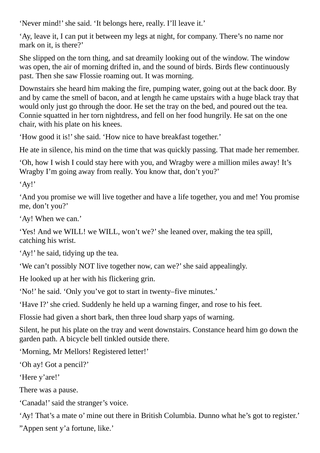'Never mind!' she said. 'It belongs here, really. I'll leave it.'

'Ay, leave it, I can put it between my legs at night, for company. There's no name nor mark on it, is there?'

She slipped on the torn thing, and sat dreamily looking out of the window. The window was open, the air of morning drifted in, and the sound of birds. Birds flew continuously past. Then she saw Flossie roaming out. It was morning.

Downstairs she heard him making the fire, pumping water, going out at the back door. By and by came the smell of bacon, and at length he came upstairs with a huge black tray that would only just go through the door. He set the tray on the bed, and poured out the tea. Connie squatted in her torn nightdress, and fell on her food hungrily. He sat on the one chair, with his plate on his knees.

'How good it is!' she said. 'How nice to have breakfast together.'

He ate in silence, his mind on the time that was quickly passing. That made her remember.

'Oh, how I wish I could stay here with you, and Wragby were a million miles away! It's Wragby I'm going away from really. You know that, don't you?'

'Ay!'

'And you promise we will live together and have a life together, you and me! You promise me, don't you?'

'Ay! When we can.'

'Yes! And we WILL! we WILL, won't we?'she leaned over, making the tea spill, catching his wrist.

'Ay!' he said, tidying up the tea.

'We can't possibly NOT live together now, can we?'she said appealingly.

He looked up at her with his flickering grin.

'No!' he said. 'Only you've got to start in twenty–five minutes.'

'Have I?' she cried. Suddenly he held up a warning finger, and rose to his feet.

Flossie had given a short bark, then three loud sharp yaps of warning.

Silent, he put his plate on the tray and went downstairs. Constance heard him go down the garden path. A bicycle bell tinkled outside there.

'Morning, Mr Mellors! Registered letter!'

'Oh ay! Got a pencil?'

'Here y'are!'

There was a pause.

'Canada!'said the stranger's voice.

'Ay! That's a mate o' mine out there in British Columbia. Dunno what he's got to register.'

"Appen sent y'a fortune, like.'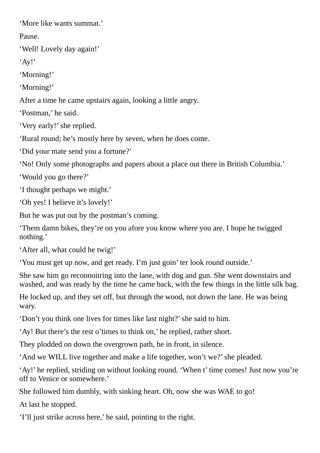'More like wants summat.'

Pause.

'Well! Lovely day again!'

'Ay!'

'Morning!'

'Morning!'

After a time he came upstairs again, looking a little angry.

'Postman,' he said.

'Very early!'she replied.

'Rural round; he's mostly here by seven, when he does come.

'Did your mate send you a fortune?'

'No! Only some photographs and papers about a place out there in British Columbia.'

'Would you go there?'

'I thought perhaps we might.'

'Oh yes! I believe it's lovely!'

But he was put out by the postman's coming.

'Them damn bikes, they're on you afore you know where you are. I hope he twigged nothing.'

'After all, what could he twig!'

'You must get up now, and get ready. I'm just goin' ter look round outside.'

She saw him go reconnoitring into the lane, with dog and gun. She went downstairs and washed, and was ready by the time he came back, with the few things in the little silk bag.

He locked up, and they set off, but through the wood, not down the lane. He was being wary.

'Don't you think one lives for times like last night?'she said to him.

'Ay! But there's the rest o'times to think on,' he replied, rather short.

They plodded on down the overgrown path, he in front, in silence.

'And we WILL live together and make a life together, won't we?'she pleaded.

'Ay!' he replied, striding on without looking round. 'When t' time comes! Just now you're off to Venice or somewhere.'

She followed him dumbly, with sinking heart. Oh, now she was WAE to go!

At last he stopped.

'I'll just strike across here,' he said, pointing to the right.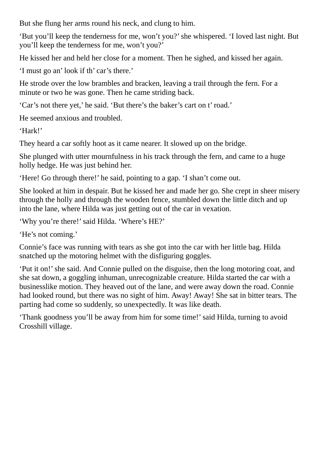But she flung her arms round his neck, and clung to him.

'But you'll keep the tenderness for me, won't you?'she whispered. 'I loved last night. But you'll keep the tenderness for me, won't you?'

He kissed her and held her close for a moment. Then he sighed, and kissed her again.

'I must go an' look if th' car's there.'

He strode over the low brambles and bracken, leaving a trail through the fern. For a minute or two he was gone. Then he came striding back.

'Car's not there yet,' he said. 'But there's the baker's cart on t' road.'

He seemed anxious and troubled.

'Hark!'

They heard a car softly hoot as it came nearer. It slowed up on the bridge.

She plunged with utter mournfulness in his track through the fern, and came to a huge holly hedge. He was just behind her.

'Here! Go through there!' he said, pointing to a gap. 'I shan't come out.

She looked at him in despair. But he kissed her and made her go. She crept in sheer misery through the holly and through the wooden fence, stumbled down the little ditch and up into the lane, where Hilda was just getting out of the car in vexation.

'Why you're there!'said Hilda. 'Where's HE?'

'He's not coming.'

Connie's face was running with tears as she got into the car with her little bag. Hilda snatched up the motoring helmet with the disfiguring goggles.

'Put it on!' she said. And Connie pulled on the disguise, then the long motoring coat, and she sat down, a goggling inhuman, unrecognizable creature. Hilda started the car with a businesslike motion. They heaved out of the lane, and were away down the road. Connie had looked round, but there was no sight of him. Away! Away! She sat in bitter tears. The parting had come so suddenly, so unexpectedly. It was like death.

'Thank goodness you'll be away from him for some time!'said Hilda, turning to avoid Crosshill village.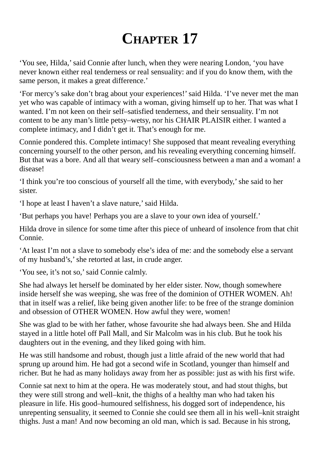## **CHAPTER 17**

'You see, Hilda,'said Connie after lunch, when they were nearing London, 'you have never known either real tenderness or real sensuality: and if you do know them, with the same person, it makes a great difference.'

'For mercy's sake don't brag about your experiences!'said Hilda. 'I've never met the man yet who was capable of intimacy with a woman, giving himself up to her. That was what I wanted. I'm not keen on their self–satisfied tenderness, and their sensuality. I'm not content to be any man's little petsy–wetsy, nor his CHAIR PLAISIR either. I wanted a complete intimacy, and I didn't get it. That's enough for me.

Connie pondered this. Complete intimacy! She supposed that meant revealing everything concerning yourself to the other person, and his revealing everything concerning himself. But that was a bore. And all that weary self–consciousness between a man and a woman! a disease!

'I think you're too conscious of yourself all the time, with everybody,'she said to her sister.

'I hope at least I haven't a slave nature,'said Hilda.

'But perhaps you have! Perhaps you are a slave to your own idea of yourself.'

Hilda drove in silence for some time after this piece of unheard of insolence from that chit Connie.

'At least I'm not a slave to somebody else's idea of me: and the somebody else a servant of my husband's,'she retorted at last, in crude anger.

'You see, it's not so,'said Connie calmly.

She had always let herself be dominated by her elder sister. Now, though somewhere inside herself she was weeping, she was free of the dominion of OTHER WOMEN. Ah! that in itself was a relief, like being given another life: to be free of the strange dominion and obsession of OTHER WOMEN. How awful they were, women!

She was glad to be with her father, whose favourite she had always been. She and Hilda stayed in a little hotel off Pall Mall, and Sir Malcolm was in his club. But he took his daughters out in the evening, and they liked going with him.

He was still handsome and robust, though just a little afraid of the new world that had sprung up around him. He had got a second wife in Scotland, younger than himself and richer. But he had as many holidays away from her as possible: just as with his first wife.

Connie sat next to him at the opera. He was moderately stout, and had stout thighs, but they were still strong and well–knit, the thighs of a healthy man who had taken his pleasure in life. His good–humoured selfishness, his dogged sort of independence, his unrepenting sensuality, it seemed to Connie she could see them all in his well–knit straight thighs. Just a man! And now becoming an old man, which is sad. Because in his strong,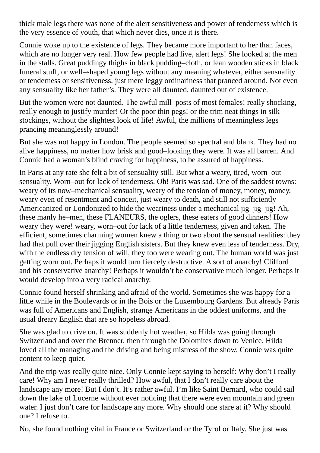thick male legs there was none of the alert sensitiveness and power of tenderness which is the very essence of youth, that which never dies, once it is there.

Connie woke up to the existence of legs. They became more important to her than faces, which are no longer very real. How few people had live, alert legs! She looked at the men in the stalls. Great puddingy thighs in black pudding–cloth, or lean wooden sticks in black funeral stuff, or well–shaped young legs without any meaning whatever, either sensuality or tenderness or sensitiveness, just mere leggy ordinariness that pranced around. Not even any sensuality like her father's. They were all daunted, daunted out of existence.

But the women were not daunted. The awful mill–posts of most females! really shocking, really enough to justify murder! Or the poor thin pegs! or the trim neat things in silk stockings, without the slightest look of life! Awful, the millions of meaningless legs prancing meaninglessly around!

But she was not happy in London. The people seemed so spectral and blank. They had no alive happiness, no matter how brisk and good–looking they were. It was all barren. And Connie had a woman's blind craving for happiness, to be assured of happiness.

In Paris at any rate she felt a bit of sensuality still. But what a weary, tired, worn–out sensuality. Worn–out for lack of tenderness. Oh! Paris was sad. One of the saddest towns: weary of its now–mechanical sensuality, weary of the tension of money, money, money, weary even of resentment and conceit, just weary to death, and still not sufficiently Americanized or Londonized to hide the weariness under a mechanical jig–jig–jig! Ah, these manly he–men, these FLANEURS, the oglers, these eaters of good dinners! How weary they were! weary, worn–out for lack of a little tenderness, given and taken. The efficient, sometimes charming women knew a thing or two about the sensual realities: they had that pull over their jigging English sisters. But they knew even less of tenderness. Dry, with the endless dry tension of will, they too were wearing out. The human world was just getting worn out. Perhaps it would turn fiercely destructive. A sort of anarchy! Clifford and his conservative anarchy! Perhaps it wouldn't be conservative much longer. Perhaps it would develop into a very radical anarchy.

Connie found herself shrinking and afraid of the world. Sometimes she was happy for a little while in the Boulevards or in the Bois or the Luxembourg Gardens. But already Paris was full of Americans and English, strange Americans in the oddest uniforms, and the usual dreary English that are so hopeless abroad.

She was glad to drive on. It was suddenly hot weather, so Hilda was going through Switzerland and over the Brenner, then through the Dolomites down to Venice. Hilda loved all the managing and the driving and being mistress of the show. Connie was quite content to keep quiet.

And the trip was really quite nice. Only Connie kept saying to herself: Why don't I really care! Why am I never really thrilled? How awful, that I don't really care about the landscape any more! But I don't. It's rather awful. I'm like Saint Bernard, who could sail down the lake of Lucerne without ever noticing that there were even mountain and green water. I just don't care for landscape any more. Why should one stare at it? Why should one? I refuse to.

No, she found nothing vital in France or Switzerland or the Tyrol or Italy. She just was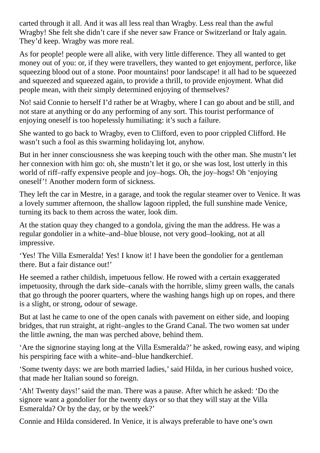carted through it all. And it was all less real than Wragby. Less real than the awful Wragby! She felt she didn't care if she never saw France or Switzerland or Italy again. They'd keep. Wragby was more real.

As for people! people were all alike, with very little difference. They all wanted to get money out of you: or, if they were travellers, they wanted to get enjoyment, perforce, like squeezing blood out of a stone. Poor mountains! poor landscape! it all had to be squeezed and squeezed and squeezed again, to provide a thrill, to provide enjoyment. What did people mean, with their simply determined enjoying of themselves?

No! said Connie to herself I'd rather be at Wragby, where I can go about and be still, and not stare at anything or do any performing of any sort. This tourist performance of enjoying oneself is too hopelessly humiliating: it's such a failure.

She wanted to go back to Wragby, even to Clifford, even to poor crippled Clifford. He wasn't such a fool as this swarming holidaying lot, anyhow.

But in her inner consciousness she was keeping touch with the other man. She mustn't let her connexion with him go: oh, she mustn't let it go, or she was lost, lost utterly in this world of riff–raffy expensive people and joy–hogs. Oh, the joy–hogs! Oh 'enjoying oneself'! Another modern form of sickness.

They left the car in Mestre, in a garage, and took the regular steamer over to Venice. It was a lovely summer afternoon, the shallow lagoon rippled, the full sunshine made Venice, turning its back to them across the water, look dim.

At the station quay they changed to a gondola, giving the man the address. He was a regular gondolier in a white–and–blue blouse, not very good–looking, not at all impressive.

'Yes! The Villa Esmeralda! Yes! I know it! I have been the gondolier for a gentleman there. But a fair distance out!'

He seemed a rather childish, impetuous fellow. He rowed with a certain exaggerated impetuosity, through the dark side–canals with the horrible, slimy green walls, the canals that go through the poorer quarters, where the washing hangs high up on ropes, and there is a slight, or strong, odour of sewage.

But at last he came to one of the open canals with pavement on either side, and looping bridges, that run straight, at right–angles to the Grand Canal. The two women sat under the little awning, the man was perched above, behind them.

'Are the signorine staying long at the Villa Esmeralda?' he asked, rowing easy, and wiping his perspiring face with a white–and–blue handkerchief.

'Some twenty days: we are both married ladies,'said Hilda, in her curious hushed voice, that made her Italian sound so foreign.

'Ah! Twenty days!'said the man. There was a pause. After which he asked: 'Do the signore want a gondolier for the twenty days or so that they will stay at the Villa Esmeralda? Or by the day, or by the week?'

Connie and Hilda considered. In Venice, it is always preferable to have one's own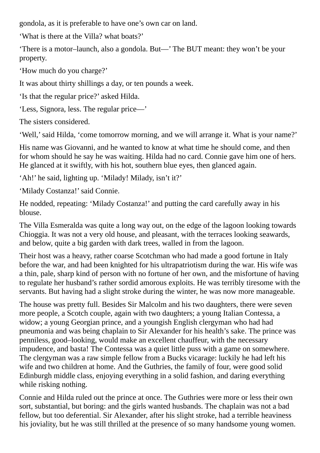gondola, as it is preferable to have one's own car on land.

'What is there at the Villa? what boats?'

'There is a motor–launch, also a gondola. But—' The BUT meant: they won't be your property.

'How much do you charge?'

It was about thirty shillings a day, or ten pounds a week.

'Is that the regular price?' asked Hilda.

'Less, Signora, less. The regular price—'

The sisters considered.

'Well,'said Hilda, 'come tomorrow morning, and we will arrange it. What is your name?'

His name was Giovanni, and he wanted to know at what time he should come, and then for whom should he say he was waiting. Hilda had no card. Connie gave him one of hers. He glanced at it swiftly, with his hot, southern blue eyes, then glanced again.

'Ah!' he said, lighting up. 'Milady! Milady, isn't it?'

'Milady Costanza!' said Connie.

He nodded, repeating: 'Milady Costanza!' and putting the card carefully away in his blouse.

The Villa Esmeralda was quite a long way out, on the edge of the lagoon looking towards Chioggia. It was not a very old house, and pleasant, with the terraces looking seawards, and below, quite a big garden with dark trees, walled in from the lagoon.

Their host was a heavy, rather coarse Scotchman who had made a good fortune in Italy before the war, and had been knighted for his ultrapatriotism during the war. His wife was a thin, pale, sharp kind of person with no fortune of her own, and the misfortune of having to regulate her husband's rather sordid amorous exploits. He was terribly tiresome with the servants. But having had a slight stroke during the winter, he was now more manageable.

The house was pretty full. Besides Sir Malcolm and his two daughters, there were seven more people, a Scotch couple, again with two daughters; a young Italian Contessa, a widow; a young Georgian prince, and a youngish English clergyman who had had pneumonia and was being chaplain to Sir Alexander for his health's sake. The prince was penniless, good–looking, would make an excellent chauffeur, with the necessary impudence, and basta! The Contessa was a quiet little puss with a game on somewhere. The clergyman was a raw simple fellow from a Bucks vicarage: luckily he had left his wife and two children at home. And the Guthries, the family of four, were good solid Edinburgh middle class, enjoying everything in a solid fashion, and daring everything while risking nothing.

Connie and Hilda ruled out the prince at once. The Guthries were more or less their own sort, substantial, but boring: and the girls wanted husbands. The chaplain was not a bad fellow, but too deferential. Sir Alexander, after his slight stroke, had a terrible heaviness his joviality, but he was still thrilled at the presence of so many handsome young women.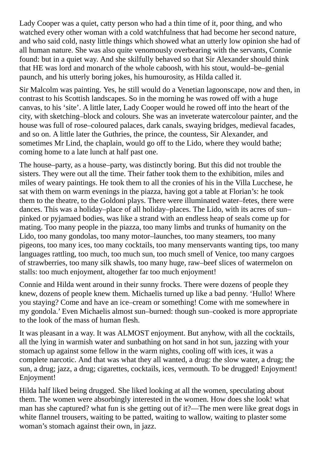Lady Cooper was a quiet, catty person who had a thin time of it, poor thing, and who watched every other woman with a cold watchfulness that had become her second nature, and who said cold, nasty little things which showed what an utterly low opinion she had of all human nature. She was also quite venomously overbearing with the servants, Connie found: but in a quiet way. And she skilfully behaved so that Sir Alexander should think that HE was lord and monarch of the whole caboosh, with his stout, would–be–genial paunch, and his utterly boring jokes, his humourosity, as Hilda called it.

Sir Malcolm was painting. Yes, he still would do a Venetian lagoonscape, now and then, in contrast to his Scottish landscapes. So in the morning he was rowed off with a huge canvas, to his 'site'. A little later, Lady Cooper would he rowed off into the heart of the city, with sketching–block and colours. She was an inveterate watercolour painter, and the house was full of rose–coloured palaces, dark canals, swaying bridges, medieval facades, and so on. A little later the Guthries, the prince, the countess, Sir Alexander, and sometimes Mr Lind, the chaplain, would go off to the Lido, where they would bathe; coming home to a late lunch at half past one.

The house–party, as a house–party, was distinctly boring. But this did not trouble the sisters. They were out all the time. Their father took them to the exhibition, miles and miles of weary paintings. He took them to all the cronies of his in the Villa Lucchese, he sat with them on warm evenings in the piazza, having got a table at Florian's: he took them to the theatre, to the Goldoni plays. There were illuminated water–fetes, there were dances. This was a holiday–place of all holiday–places. The Lido, with its acres of sun– pinked or pyjamaed bodies, was like a strand with an endless heap of seals come up for mating. Too many people in the piazza, too many limbs and trunks of humanity on the Lido, too many gondolas, too many motor–launches, too many steamers, too many pigeons, too many ices, too many cocktails, too many menservants wanting tips, too many languages rattling, too much, too much sun, too much smell of Venice, too many cargoes of strawberries, too many silk shawls, too many huge, raw–beef slices of watermelon on stalls: too much enjoyment, altogether far too much enjoyment!

Connie and Hilda went around in their sunny frocks. There were dozens of people they knew, dozens of people knew them. Michaelis turned up like a bad penny. 'Hullo! Where you staying? Come and have an ice–cream or something! Come with me somewhere in my gondola.' Even Michaelis almost sun–burned: though sun–cooked is more appropriate to the look of the mass of human flesh.

It was pleasant in a way. It was ALMOST enjoyment. But anyhow, with all the cocktails, all the lying in warmish water and sunbathing on hot sand in hot sun, jazzing with your stomach up against some fellow in the warm nights, cooling off with ices, it was a complete narcotic. And that was what they all wanted, a drug: the slow water, a drug; the sun, a drug; jazz, a drug; cigarettes, cocktails, ices, vermouth. To be drugged! Enjoyment! Enjoyment!

Hilda half liked being drugged. She liked looking at all the women, speculating about them. The women were absorbingly interested in the women. How does she look! what man has she captured? what fun is she getting out of it?—The men were like great dogs in white flannel trousers, waiting to be patted, waiting to wallow, waiting to plaster some woman's stomach against their own, in jazz.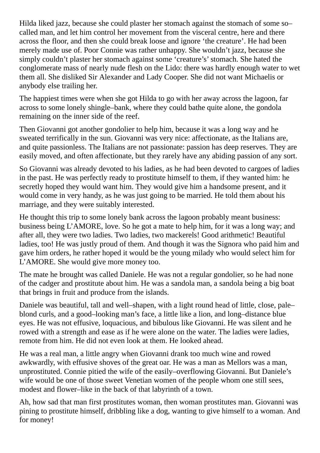Hilda liked jazz, because she could plaster her stomach against the stomach of some so– called man, and let him control her movement from the visceral centre, here and there across the floor, and then she could break loose and ignore 'the creature'. He had been merely made use of. Poor Connie was rather unhappy. She wouldn't jazz, because she simply couldn't plaster her stomach against some 'creature's' stomach. She hated the conglomerate mass of nearly nude flesh on the Lido: there was hardly enough water to wet them all. She disliked Sir Alexander and Lady Cooper. She did not want Michaelis or anybody else trailing her.

The happiest times were when she got Hilda to go with her away across the lagoon, far across to some lonely shingle–bank, where they could bathe quite alone, the gondola remaining on the inner side of the reef.

Then Giovanni got another gondolier to help him, because it was a long way and he sweated terrifically in the sun. Giovanni was very nice: affectionate, as the Italians are, and quite passionless. The Italians are not passionate: passion has deep reserves. They are easily moved, and often affectionate, but they rarely have any abiding passion of any sort.

So Giovanni was already devoted to his ladies, as he had been devoted to cargoes of ladies in the past. He was perfectly ready to prostitute himself to them, if they wanted him: he secretly hoped they would want him. They would give him a handsome present, and it would come in very handy, as he was just going to be married. He told them about his marriage, and they were suitably interested.

He thought this trip to some lonely bank across the lagoon probably meant business: business being L'AMORE, love. So he got a mate to help him, for it was a long way; and after all, they were two ladies. Two ladies, two mackerels! Good arithmetic! Beautiful ladies, too! He was justly proud of them. And though it was the Signora who paid him and gave him orders, he rather hoped it would be the young milady who would select him for L'AMORE. She would give more money too.

The mate he brought was called Daniele. He was not a regular gondolier, so he had none of the cadger and prostitute about him. He was a sandola man, a sandola being a big boat that brings in fruit and produce from the islands.

Daniele was beautiful, tall and well–shapen, with a light round head of little, close, pale– blond curls, and a good–looking man's face, a little like a lion, and long–distance blue eyes. He was not effusive, loquacious, and bibulous like Giovanni. He was silent and he rowed with a strength and ease as if he were alone on the water. The ladies were ladies, remote from him. He did not even look at them. He looked ahead.

He was a real man, a little angry when Giovanni drank too much wine and rowed awkwardly, with effusive shoves of the great oar. He was a man as Mellors was a man, unprostituted. Connie pitied the wife of the easily–overflowing Giovanni. But Daniele's wife would be one of those sweet Venetian women of the people whom one still sees, modest and flower–like in the back of that labyrinth of a town.

Ah, how sad that man first prostitutes woman, then woman prostitutes man. Giovanni was pining to prostitute himself, dribbling like a dog, wanting to give himself to a woman. And for money!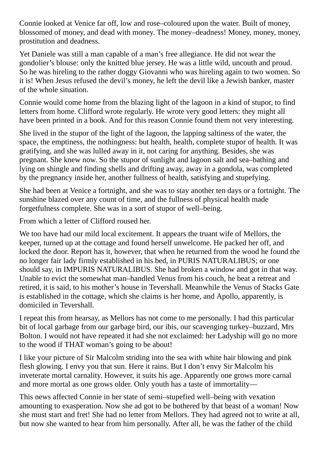Connie looked at Venice far off, low and rose–coloured upon the water. Built of money, blossomed of money, and dead with money. The money–deadness! Money, money, money, prostitution and deadness.

Yet Daniele was still a man capable of a man's free allegiance. He did not wear the gondolier's blouse: only the knitted blue jersey. He was a little wild, uncouth and proud. So he was hireling to the rather doggy Giovanni who was hireling again to two women. So it is! When Jesus refused the devil's money, he left the devil like a Jewish banker, master of the whole situation.

Connie would come home from the blazing light of the lagoon in a kind of stupor, to find letters from home. Clifford wrote regularly. He wrote very good letters: they might all have been printed in a book. And for this reason Connie found them not very interesting.

She lived in the stupor of the light of the lagoon, the lapping saltiness of the water, the space, the emptiness, the nothingness: but health, health, complete stupor of health. It was gratifying, and she was lulled away in it, not caring for anything. Besides, she was pregnant. She knew now. So the stupor of sunlight and lagoon salt and sea–bathing and lying on shingle and finding shells and drifting away, away in a gondola, was completed by the pregnancy inside her, another fullness of health, satisfying and stupefying.

She had been at Venice a fortnight, and she was to stay another ten days or a fortnight. The sunshine blazed over any count of time, and the fullness of physical health made forgetfulness complete. She was in a sort of stupor of well–being.

From which a letter of Clifford roused her.

We too have had our mild local excitement. It appears the truant wife of Mellors, the keeper, turned up at the cottage and found herself unwelcome. He packed her off, and locked the door. Report has it, however, that when he returned from the wood he found the no longer fair lady firmly established in his bed, in PURIS NATURALIBUS; or one should say, in IMPURIS NATURALIBUS. She had broken a window and got in that way. Unable to evict the somewhat man–handled Venus from his couch, he beat a retreat and retired, it is said, to his mother's house in Tevershall. Meanwhile the Venus of Stacks Gate is established in the cottage, which she claims is her home, and Apollo, apparently, is domiciled in Tevershall.

I repeat this from hearsay, as Mellors has not come to me personally. I had this particular bit of local garbage from our garbage bird, our ibis, our scavenging turkey–buzzard, Mrs Bolton. I would not have repeated it had she not exclaimed: her Ladyship will go no more to the wood if THAT woman's going to be about!

I like your picture of Sir Malcolm striding into the sea with white hair blowing and pink flesh glowing. I envy you that sun. Here it rains. But I don't envy Sir Malcolm his inveterate mortal carnality. However, it suits his age. Apparently one grows more carnal and more mortal as one grows older. Only youth has a taste of immortality—

This news affected Connie in her state of semi–stupefied well–being with vexation amounting to exasperation. Now she ad got to be bothered by that beast of a woman! Now she must start and fret! She had no letter from Mellors. They had agreed not to write at all, but now she wanted to hear from him personally. After all, he was the father of the child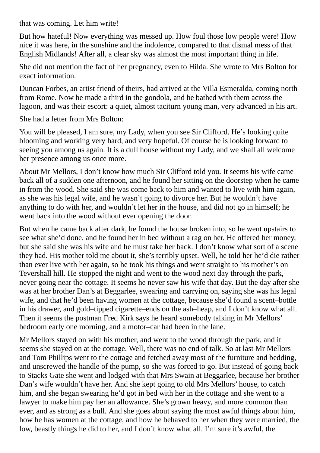that was coming. Let him write!

But how hateful! Now everything was messed up. How foul those low people were! How nice it was here, in the sunshine and the indolence, compared to that dismal mess of that English Midlands! After all, a clear sky was almost the most important thing in life.

She did not mention the fact of her pregnancy, even to Hilda. She wrote to Mrs Bolton for exact information.

Duncan Forbes, an artist friend of theirs, had arrived at the Villa Esmeralda, coming north from Rome. Now he made a third in the gondola, and he bathed with them across the lagoon, and was their escort: a quiet, almost taciturn young man, very advanced in his art.

She had a letter from Mrs Bolton:

You will be pleased, I am sure, my Lady, when you see Sir Clifford. He's looking quite blooming and working very hard, and very hopeful. Of course he is looking forward to seeing you among us again. It is a dull house without my Lady, and we shall all welcome her presence among us once more.

About Mr Mellors, I don't know how much Sir Clifford told you. It seems his wife came back all of a sudden one afternoon, and he found her sitting on the doorstep when he came in from the wood. She said she was come back to him and wanted to live with him again, as she was his legal wife, and he wasn't going to divorce her. But he wouldn't have anything to do with her, and wouldn't let her in the house, and did not go in himself; he went back into the wood without ever opening the door.

But when he came back after dark, he found the house broken into, so he went upstairs to see what she'd done, and he found her in bed without a rag on her. He offered her money, but she said she was his wife and he must take her back. I don't know what sort of a scene they had. His mother told me about it, she's terribly upset. Well, he told her he'd die rather than ever live with her again, so he took his things and went straight to his mother's on Tevershall hill. He stopped the night and went to the wood next day through the park, never going near the cottage. It seems he never saw his wife that day. But the day after she was at her brother Dan's at Beggarlee, swearing and carrying on, saying she was his legal wife, and that he'd been having women at the cottage, because she'd found a scent–bottle in his drawer, and gold–tipped cigarette–ends on the ash–heap, and I don't know what all. Then it seems the postman Fred Kirk says he heard somebody talking in Mr Mellors' bedroom early one morning, and a motor–car had been in the lane.

Mr Mellors stayed on with his mother, and went to the wood through the park, and it seems she stayed on at the cottage. Well, there was no end of talk. So at last Mr Mellors and Tom Phillips went to the cottage and fetched away most of the furniture and bedding, and unscrewed the handle of the pump, so she was forced to go. But instead of going back to Stacks Gate she went and lodged with that Mrs Swain at Beggarlee, because her brother Dan's wife wouldn't have her. And she kept going to old Mrs Mellors' house, to catch him, and she began swearing he'd got in bed with her in the cottage and she went to a lawyer to make him pay her an allowance. She's grown heavy, and more common than ever, and as strong as a bull. And she goes about saying the most awful things about him, how he has women at the cottage, and how he behaved to her when they were married, the low, beastly things he did to her, and I don't know what all. I'm sure it's awful, the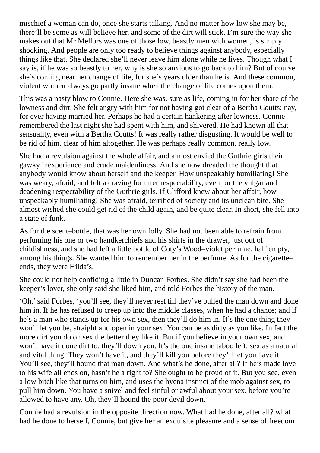mischief a woman can do, once she starts talking. And no matter how low she may be, there'll be some as will believe her, and some of the dirt will stick. I'm sure the way she makes out that Mr Mellors was one of those low, beastly men with women, is simply shocking. And people are only too ready to believe things against anybody, especially things like that. She declared she'll never leave him alone while he lives. Though what I say is, if he was so beastly to her, why is she so anxious to go back to him? But of course she's coming near her change of life, for she's years older than he is. And these common, violent women always go partly insane when the change of life comes upon them.

This was a nasty blow to Connie. Here she was, sure as life, coming in for her share of the lowness and dirt. She felt angry with him for not having got clear of a Bertha Coutts: nay, for ever having married her. Perhaps he had a certain hankering after lowness. Connie remembered the last night she had spent with him, and shivered. He had known all that sensuality, even with a Bertha Coutts! It was really rather disgusting. It would be well to be rid of him, clear of him altogether. He was perhaps really common, really low.

She had a revulsion against the whole affair, and almost envied the Guthrie girls their gawky inexperience and crude maidenliness. And she now dreaded the thought that anybody would know about herself and the keeper. How unspeakably humiliating! She was weary, afraid, and felt a craving for utter respectability, even for the vulgar and deadening respectability of the Guthrie girls. If Clifford knew about her affair, how unspeakably humiliating! She was afraid, terrified of society and its unclean bite. She almost wished she could get rid of the child again, and be quite clear. In short, she fell into a state of funk.

As for the scent–bottle, that was her own folly. She had not been able to refrain from perfuming his one or two handkerchiefs and his shirts in the drawer, just out of childishness, and she had left a little bottle of Coty's Wood–violet perfume, half empty, among his things. She wanted him to remember her in the perfume. As for the cigarette– ends, they were Hilda's.

She could not help confiding a little in Duncan Forbes. She didn't say she had been the keeper's lover, she only said she liked him, and told Forbes the history of the man.

'Oh,'said Forbes, 'you'll see, they'll never rest till they've pulled the man down and done him in. If he has refused to creep up into the middle classes, when he had a chance; and if he's a man who stands up for his own sex, then they'll do him in. It's the one thing they won't let you be, straight and open in your sex. You can be as dirty as you like. In fact the more dirt you do on sex the better they like it. But if you believe in your own sex, and won't have it done dirt to: they'll down you. It's the one insane taboo left: sex as a natural and vital thing. They won't have it, and they'll kill you before they'll let you have it. You'll see, they'll hound that man down. And what's he done, after all? If he's made love to his wife all ends on, hasn't he a right to? She ought to be proud of it. But you see, even a low bitch like that turns on him, and uses the hyena instinct of the mob against sex, to pull him down. You have a snivel and feel sinful or awful about your sex, before you're allowed to have any. Oh, they'll hound the poor devil down.'

Connie had a revulsion in the opposite direction now. What had he done, after all? what had he done to herself, Connie, but give her an exquisite pleasure and a sense of freedom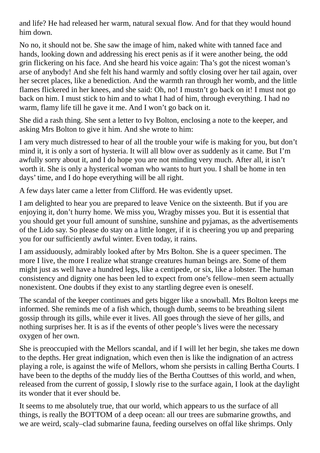and life? He had released her warm, natural sexual flow. And for that they would hound him down.

No no, it should not be. She saw the image of him, naked white with tanned face and hands, looking down and addressing his erect penis as if it were another being, the odd grin flickering on his face. And she heard his voice again: Tha's got the nicest woman's arse of anybody! And she felt his hand warmly and softly closing over her tail again, over her secret places, like a benediction. And the warmth ran through her womb, and the little flames flickered in her knees, and she said: Oh, no! I mustn't go back on it! I must not go back on him. I must stick to him and to what I had of him, through everything. I had no warm, flamy life till he gave it me. And I won't go back on it.

She did a rash thing. She sent a letter to Ivy Bolton, enclosing a note to the keeper, and asking Mrs Bolton to give it him. And she wrote to him:

I am very much distressed to hear of all the trouble your wife is making for you, but don't mind it, it is only a sort of hysteria. It will all blow over as suddenly as it came. But I'm awfully sorry about it, and I do hope you are not minding very much. After all, it isn't worth it. She is only a hysterical woman who wants to hurt you. I shall be home in ten days' time, and I do hope everything will be all right.

A few days later came a letter from Clifford. He was evidently upset.

I am delighted to hear you are prepared to leave Venice on the sixteenth. But if you are enjoying it, don't hurry home. We miss you, Wragby misses you. But it is essential that you should get your full amount of sunshine, sunshine and pyjamas, as the advertisements of the Lido say. So please do stay on a little longer, if it is cheering you up and preparing you for our sufficiently awful winter. Even today, it rains.

I am assiduously, admirably looked after by Mrs Bolton. She is a queer specimen. The more I live, the more I realize what strange creatures human beings are. Some of them might just as well have a hundred legs, like a centipede, or six, like a lobster. The human consistency and dignity one has been led to expect from one's fellow–men seem actually nonexistent. One doubts if they exist to any startling degree even is oneself.

The scandal of the keeper continues and gets bigger like a snowball. Mrs Bolton keeps me informed. She reminds me of a fish which, though dumb, seems to be breathing silent gossip through its gills, while ever it lives. All goes through the sieve of her gills, and nothing surprises her. It is as if the events of other people's lives were the necessary oxygen of her own.

She is preoccupied with the Mellors scandal, and if I will let her begin, she takes me down to the depths. Her great indignation, which even then is like the indignation of an actress playing a role, is against the wife of Mellors, whom she persists in calling Bertha Courts. I have been to the depths of the muddy lies of the Bertha Couttses of this world, and when, released from the current of gossip, I slowly rise to the surface again, I look at the daylight its wonder that it ever should be.

It seems to me absolutely true, that our world, which appears to us the surface of all things, is really the BOTTOM of a deep ocean: all our trees are submarine growths, and we are weird, scaly–clad submarine fauna, feeding ourselves on offal like shrimps. Only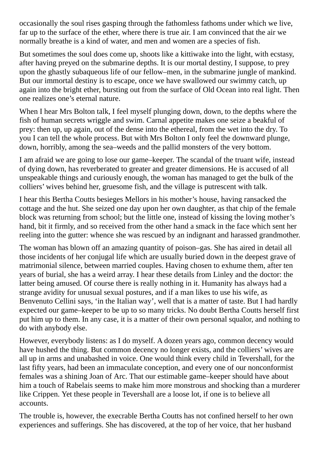occasionally the soul rises gasping through the fathomless fathoms under which we live, far up to the surface of the ether, where there is true air. I am convinced that the air we normally breathe is a kind of water, and men and women are a species of fish.

But sometimes the soul does come up, shoots like a kittiwake into the light, with ecstasy, after having preyed on the submarine depths. It is our mortal destiny, I suppose, to prey upon the ghastly subaqueous life of our fellow–men, in the submarine jungle of mankind. But our immortal destiny is to escape, once we have swallowed our swimmy catch, up again into the bright ether, bursting out from the surface of Old Ocean into real light. Then one realizes one's eternal nature.

When I hear Mrs Bolton talk, I feel myself plunging down, down, to the depths where the fish of human secrets wriggle and swim. Carnal appetite makes one seize a beakful of prey: then up, up again, out of the dense into the ethereal, from the wet into the dry. To you I can tell the whole process. But with Mrs Bolton I only feel the downward plunge, down, horribly, among the sea–weeds and the pallid monsters of the very bottom.

I am afraid we are going to lose our game–keeper. The scandal of the truant wife, instead of dying down, has reverberated to greater and greater dimensions. He is accused of all unspeakable things and curiously enough, the woman has managed to get the bulk of the colliers' wives behind her, gruesome fish, and the village is putrescent with talk.

I hear this Bertha Coutts besieges Mellors in his mother's house, having ransacked the cottage and the hut. She seized one day upon her own daughter, as that chip of the female block was returning from school; but the little one, instead of kissing the loving mother's hand, bit it firmly, and so received from the other hand a smack in the face which sent her reeling into the gutter: whence she was rescued by an indignant and harassed grandmother.

The woman has blown off an amazing quantity of poison–gas. She has aired in detail all those incidents of her conjugal life which are usually buried down in the deepest grave of matrimonial silence, between married couples. Having chosen to exhume them, after ten years of burial, she has a weird array. I hear these details from Linley and the doctor: the latter being amused. Of course there is really nothing in it. Humanity has always had a strange avidity for unusual sexual postures, and if a man likes to use his wife, as Benvenuto Cellini says, 'in the Italian way', well that is a matter of taste. But I had hardly expected our game–keeper to be up to so many tricks. No doubt Bertha Coutts herself first put him up to them. In any case, it is a matter of their own personal squalor, and nothing to do with anybody else.

However, everybody listens: as I do myself. A dozen years ago, common decency would have hushed the thing. But common decency no longer exists, and the colliers' wives are all up in arms and unabashed in voice. One would think every child in Tevershall, for the last fifty years, had been an immaculate conception, and every one of our nonconformist females was a shining Joan of Arc. That our estimable game–keeper should have about him a touch of Rabelais seems to make him more monstrous and shocking than a murderer like Crippen. Yet these people in Tevershall are a loose lot, if one is to believe all accounts.

The trouble is, however, the execrable Bertha Coutts has not confined herself to her own experiences and sufferings. She has discovered, at the top of her voice, that her husband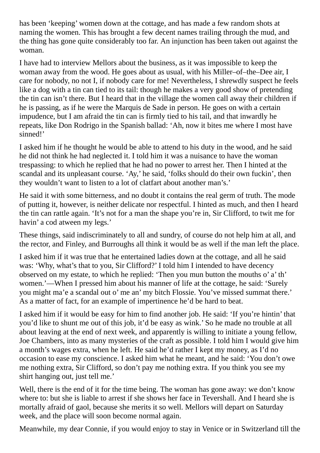has been 'keeping' women down at the cottage, and has made a few random shots at naming the women. This has brought a few decent names trailing through the mud, and the thing has gone quite considerably too far. An injunction has been taken out against the woman.

I have had to interview Mellors about the business, as it was impossible to keep the woman away from the wood. He goes about as usual, with his Miller–of–the–Dee air, I care for nobody, no not I, if nobody care for me! Nevertheless, I shrewdly suspect he feels like a dog with a tin can tied to its tail: though he makes a very good show of pretending the tin can isn't there. But I heard that in the village the women call away their children if he is passing, as if he were the Marquis de Sade in person. He goes on with a certain impudence, but I am afraid the tin can is firmly tied to his tail, and that inwardly he repeats, like Don Rodrigo in the Spanish ballad: 'Ah, now it bites me where I most have sinned!'

I asked him if he thought he would be able to attend to his duty in the wood, and he said he did not think he had neglected it. I told him it was a nuisance to have the woman trespassing: to which he replied that he had no power to arrest her. Then I hinted at the scandal and its unpleasant course. 'Ay,' he said, 'folks should do their own fuckin', then they wouldn't want to listen to a lot of clatfart about another man's.'

He said it with some bitterness, and no doubt it contains the real germ of truth. The mode of putting it, however, is neither delicate nor respectful. I hinted as much, and then I heard the tin can rattle again. 'It's not for a man the shape you're in, Sir Clifford, to twit me for havin' a cod atween my legs.'

These things, said indiscriminately to all and sundry, of course do not help him at all, and the rector, and Finley, and Burroughs all think it would be as well if the man left the place.

I asked him if it was true that he entertained ladies down at the cottage, and all he said was: 'Why, what's that to you, Sir Clifford?' I told him I intended to have decency observed on my estate, to which he replied: 'Then you mun button the mouths o' a' th' women.'—When I pressed him about his manner of life at the cottage, he said: 'Surely you might ma'e a scandal out o' me an' my bitch Flossie. You've missed summat there.' As a matter of fact, for an example of impertinence he'd be hard to beat.

I asked him if it would be easy for him to find another job. He said: 'If you're hintin' that you'd like to shunt me out of this job, it'd be easy as wink.' So he made no trouble at all about leaving at the end of next week, and apparently is willing to initiate a young fellow, Joe Chambers, into as many mysteries of the craft as possible. I told him I would give him a month's wages extra, when he left. He said he'd rather I kept my money, as I'd no occasion to ease my conscience. I asked him what he meant, and he said: 'You don't owe me nothing extra, Sir Clifford, so don't pay me nothing extra. If you think you see my shirt hanging out, just tell me.'

Well, there is the end of it for the time being. The woman has gone away: we don't know where to: but she is liable to arrest if she shows her face in Tevershall. And I heard she is mortally afraid of gaol, because she merits it so well. Mellors will depart on Saturday week, and the place will soon become normal again.

Meanwhile, my dear Connie, if you would enjoy to stay in Venice or in Switzerland till the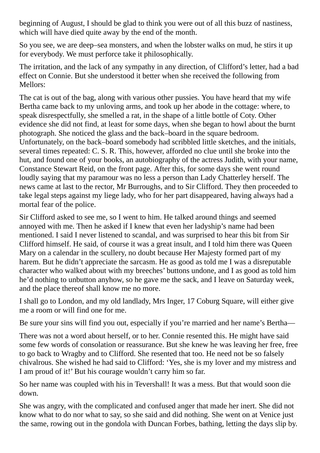beginning of August, I should be glad to think you were out of all this buzz of nastiness, which will have died quite away by the end of the month.

So you see, we are deep–sea monsters, and when the lobster walks on mud, he stirs it up for everybody. We must perforce take it philosophically.

The irritation, and the lack of any sympathy in any direction, of Clifford's letter, had a bad effect on Connie. But she understood it better when she received the following from Mellors:

The cat is out of the bag, along with various other pussies. You have heard that my wife Bertha came back to my unloving arms, and took up her abode in the cottage: where, to speak disrespectfully, she smelled a rat, in the shape of a little bottle of Coty. Other evidence she did not find, at least for some days, when she began to howl about the burnt photograph. She noticed the glass and the back–board in the square bedroom. Unfortunately, on the back–board somebody had scribbled little sketches, and the initials, several times repeated: C. S. R. This, however, afforded no clue until she broke into the hut, and found one of your books, an autobiography of the actress Judith, with your name, Constance Stewart Reid, on the front page. After this, for some days she went round loudly saying that my paramour was no less a person than Lady Chatterley herself. The news came at last to the rector, Mr Burroughs, and to Sir Clifford. They then proceeded to take legal steps against my liege lady, who for her part disappeared, having always had a mortal fear of the police.

Sir Clifford asked to see me, so I went to him. He talked around things and seemed annoyed with me. Then he asked if I knew that even her ladyship's name had been mentioned. I said I never listened to scandal, and was surprised to hear this bit from Sir Clifford himself. He said, of course it was a great insult, and I told him there was Queen Mary on a calendar in the scullery, no doubt because Her Majesty formed part of my harem. But he didn't appreciate the sarcasm. He as good as told me I was a disreputable character who walked about with my breeches' buttons undone, and I as good as told him he'd nothing to unbutton anyhow, so he gave me the sack, and I leave on Saturday week, and the place thereof shall know me no more.

I shall go to London, and my old landlady, Mrs Inger, 17 Coburg Square, will either give me a room or will find one for me.

Be sure your sins will find you out, especially if you're married and her name's Bertha—

There was not a word about herself, or to her. Connie resented this. He might have said some few words of consolation or reassurance. But she knew he was leaving her free, free to go back to Wragby and to Clifford. She resented that too. He need not be so falsely chivalrous. She wished he had said to Clifford: 'Yes, she is my lover and my mistress and I am proud of it!' But his courage wouldn't carry him so far.

So her name was coupled with his in Tevershall! It was a mess. But that would soon die down.

She was angry, with the complicated and confused anger that made her inert. She did not know what to do nor what to say, so she said and did nothing. She went on at Venice just the same, rowing out in the gondola with Duncan Forbes, bathing, letting the days slip by.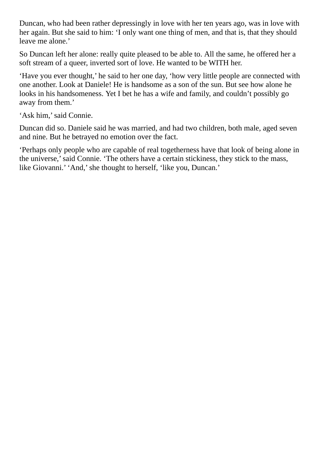Duncan, who had been rather depressingly in love with her ten years ago, was in love with her again. But she said to him: 'I only want one thing of men, and that is, that they should leave me alone.'

So Duncan left her alone: really quite pleased to be able to. All the same, he offered her a soft stream of a queer, inverted sort of love. He wanted to be WITH her.

'Have you ever thought,' he said to her one day, 'how very little people are connected with one another. Look at Daniele! He is handsome as a son of the sun. But see how alone he looks in his handsomeness. Yet I bet he has a wife and family, and couldn't possibly go away from them.'

'Ask him,'said Connie.

Duncan did so. Daniele said he was married, and had two children, both male, aged seven and nine. But he betrayed no emotion over the fact.

'Perhaps only people who are capable of real togetherness have that look of being alone in the universe,'said Connie. 'The others have a certain stickiness, they stick to the mass, like Giovanni.' 'And,' she thought to herself, 'like you, Duncan.'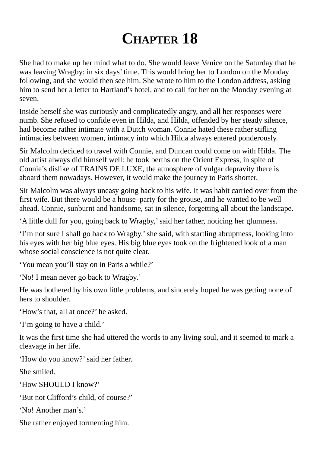## **CHAPTER 18**

She had to make up her mind what to do. She would leave Venice on the Saturday that he was leaving Wragby: in six days' time. This would bring her to London on the Monday following, and she would then see him. She wrote to him to the London address, asking him to send her a letter to Hartland's hotel, and to call for her on the Monday evening at seven.

Inside herself she was curiously and complicatedly angry, and all her responses were numb. She refused to confide even in Hilda, and Hilda, offended by her steady silence, had become rather intimate with a Dutch woman. Connie hated these rather stifling intimacies between women, intimacy into which Hilda always entered ponderously.

Sir Malcolm decided to travel with Connie, and Duncan could come on with Hilda. The old artist always did himself well: he took berths on the Orient Express, in spite of Connie's dislike of TRAINS DE LUXE, the atmosphere of vulgar depravity there is aboard them nowadays. However, it would make the journey to Paris shorter.

Sir Malcolm was always uneasy going back to his wife. It was habit carried over from the first wife. But there would be a house–party for the grouse, and he wanted to be well ahead. Connie, sunburnt and handsome, sat in silence, forgetting all about the landscape.

'A little dull for you, going back to Wragby,'said her father, noticing her glumness.

'I'm not sure I shall go back to Wragby,'she said, with startling abruptness, looking into his eyes with her big blue eyes. His big blue eyes took on the frightened look of a man whose social conscience is not quite clear.

'You mean you'll stay on in Paris a while?'

'No! I mean never go back to Wragby.'

He was bothered by his own little problems, and sincerely hoped he was getting none of hers to shoulder.

'How's that, all at once?' he asked.

'I'm going to have a child.'

It was the first time she had uttered the words to any living soul, and it seemed to mark a cleavage in her life.

'How do you know?'said her father.

She smiled.

'How SHOULD I know?'

'But not Clifford's child, of course?'

'No! Another man's.'

She rather enjoyed tormenting him.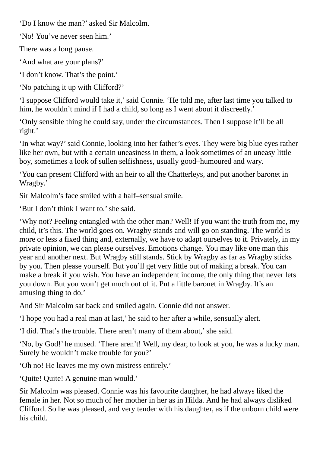'Do I know the man?' asked Sir Malcolm.

'No! You've never seen him.'

There was a long pause.

'And what are your plans?'

'I don't know. That's the point.'

'No patching it up with Clifford?'

'I suppose Clifford would take it,'said Connie. 'He told me, after last time you talked to him, he wouldn't mind if I had a child, so long as I went about it discreetly.'

'Only sensible thing he could say, under the circumstances. Then I suppose it'll be all right.'

'In what way?'said Connie, looking into her father's eyes. They were big blue eyes rather like her own, but with a certain uneasiness in them, a look sometimes of an uneasy little boy, sometimes a look of sullen selfishness, usually good–humoured and wary.

'You can present Clifford with an heir to all the Chatterleys, and put another baronet in Wragby.'

Sir Malcolm's face smiled with a half–sensual smile.

'But I don't think I want to,'she said.

'Why not? Feeling entangled with the other man? Well! If you want the truth from me, my child, it's this. The world goes on. Wragby stands and will go on standing. The world is more or less a fixed thing and, externally, we have to adapt ourselves to it. Privately, in my private opinion, we can please ourselves. Emotions change. You may like one man this year and another next. But Wragby still stands. Stick by Wragby as far as Wragby sticks by you. Then please yourself. But you'll get very little out of making a break. You can make a break if you wish. You have an independent income, the only thing that never lets you down. But you won't get much out of it. Put a little baronet in Wragby. It's an amusing thing to do.'

And Sir Malcolm sat back and smiled again. Connie did not answer.

'I hope you had a real man at last,' he said to her after a while, sensually alert.

'I did. That's the trouble. There aren't many of them about,'she said.

'No, by God!' he mused. 'There aren't! Well, my dear, to look at you, he was a lucky man. Surely he wouldn't make trouble for you?'

'Oh no! He leaves me my own mistress entirely.'

'Quite! Quite! A genuine man would.'

Sir Malcolm was pleased. Connie was his favourite daughter, he had always liked the female in her. Not so much of her mother in her as in Hilda. And he had always disliked Clifford. So he was pleased, and very tender with his daughter, as if the unborn child were his child.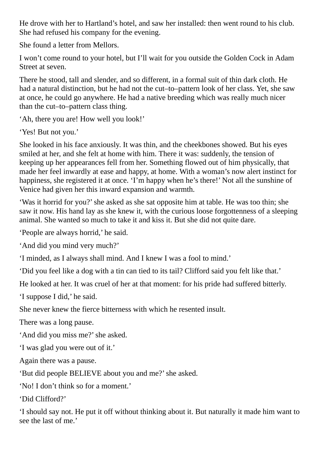He drove with her to Hartland's hotel, and saw her installed: then went round to his club. She had refused his company for the evening.

She found a letter from Mellors.

I won't come round to your hotel, but I'll wait for you outside the Golden Cock in Adam Street at seven.

There he stood, tall and slender, and so different, in a formal suit of thin dark cloth. He had a natural distinction, but he had not the cut–to–pattern look of her class. Yet, she saw at once, he could go anywhere. He had a native breeding which was really much nicer than the cut–to–pattern class thing.

'Ah, there you are! How well you look!'

'Yes! But not you.'

She looked in his face anxiously. It was thin, and the cheekbones showed. But his eyes smiled at her, and she felt at home with him. There it was: suddenly, the tension of keeping up her appearances fell from her. Something flowed out of him physically, that made her feel inwardly at ease and happy, at home. With a woman's now alert instinct for happiness, she registered it at once. 'I'm happy when he's there!' Not all the sunshine of Venice had given her this inward expansion and warmth.

'Was it horrid for you?'she asked as she sat opposite him at table. He was too thin; she saw it now. His hand lay as she knew it, with the curious loose forgottenness of a sleeping animal. She wanted so much to take it and kiss it. But she did not quite dare.

'People are always horrid,' he said.

'And did you mind very much?'

'I minded, as I always shall mind. And I knew I was a fool to mind.'

'Did you feel like a dog with a tin can tied to its tail? Clifford said you felt like that.'

He looked at her. It was cruel of her at that moment: for his pride had suffered bitterly.

'I suppose I did,' he said.

She never knew the fierce bitterness with which he resented insult.

There was a long pause.

'And did you miss me?'she asked.

'I was glad you were out of it.'

Again there was a pause.

'But did people BELIEVE about you and me?' she asked.

'No! I don't think so for a moment.'

'Did Clifford?'

'I should say not. He put it off without thinking about it. But naturally it made him want to see the last of me.'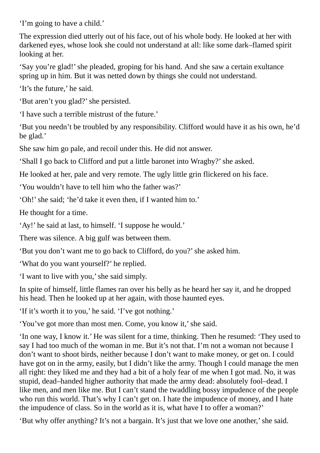'I'm going to have a child.'

The expression died utterly out of his face, out of his whole body. He looked at her with darkened eyes, whose look she could not understand at all: like some dark–flamed spirit looking at her.

'Say you're glad!'she pleaded, groping for his hand. And she saw a certain exultance spring up in him. But it was netted down by things she could not understand.

'It's the future,' he said.

'But aren't you glad?'she persisted.

'I have such a terrible mistrust of the future.'

'But you needn't be troubled by any responsibility. Clifford would have it as his own, he'd be glad.'

She saw him go pale, and recoil under this. He did not answer.

'Shall I go back to Clifford and put a little baronet into Wragby?'she asked.

He looked at her, pale and very remote. The ugly little grin flickered on his face.

'You wouldn't have to tell him who the father was?'

'Oh!'she said; 'he'd take it even then, if I wanted him to.'

He thought for a time.

'Ay!' he said at last, to himself. 'I suppose he would.'

There was silence. A big gulf was between them.

'But you don't want me to go back to Clifford, do you?'she asked him.

'What do you want yourself?' he replied.

'I want to live with you,'she said simply.

In spite of himself, little flames ran over his belly as he heard her say it, and he dropped his head. Then he looked up at her again, with those haunted eyes.

'If it's worth it to you,' he said. 'I've got nothing.'

'You've got more than most men. Come, you know it,'she said.

'In one way, I know it.' He was silent for a time, thinking. Then he resumed: 'They used to say I had too much of the woman in me. But it's not that. I'm not a woman not because I don't want to shoot birds, neither because I don't want to make money, or get on. I could have got on in the army, easily, but I didn't like the army. Though I could manage the men all right: they liked me and they had a bit of a holy fear of me when I got mad. No, it was stupid, dead–handed higher authority that made the army dead: absolutely fool–dead. I like men, and men like me. But I can't stand the twaddling bossy impudence of the people who run this world. That's why I can't get on. I hate the impudence of money, and I hate the impudence of class. So in the world as it is, what have I to offer a woman?'

'But why offer anything? It's not a bargain. It's just that we love one another,'she said.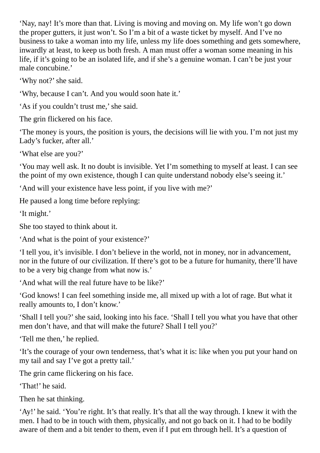'Nay, nay! It's more than that. Living is moving and moving on. My life won't go down the proper gutters, it just won't. So I'm a bit of a waste ticket by myself. And I've no business to take a woman into my life, unless my life does something and gets somewhere, inwardly at least, to keep us both fresh. A man must offer a woman some meaning in his life, if it's going to be an isolated life, and if she's a genuine woman. I can't be just your male concubine.'

'Why not?' she said.

'Why, because I can't. And you would soon hate it.'

'As if you couldn't trust me,' she said.

The grin flickered on his face.

'The money is yours, the position is yours, the decisions will lie with you. I'm not just my Lady's fucker, after all.'

'What else are you?'

'You may well ask. It no doubt is invisible. Yet I'm something to myself at least. I can see the point of my own existence, though I can quite understand nobody else's seeing it.'

'And will your existence have less point, if you live with me?'

He paused a long time before replying:

'It might.'

She too stayed to think about it.

'And what is the point of your existence?'

'I tell you, it's invisible. I don't believe in the world, not in money, nor in advancement, nor in the future of our civilization. If there's got to be a future for humanity, there'll have to be a very big change from what now is.'

'And what will the real future have to be like?'

'God knows! I can feel something inside me, all mixed up with a lot of rage. But what it really amounts to, I don't know.'

'Shall I tell you?'she said, looking into his face. 'Shall I tell you what you have that other men don't have, and that will make the future? Shall I tell you?'

'Tell me then,' he replied.

'It's the courage of your own tenderness, that's what it is: like when you put your hand on my tail and say I've got a pretty tail.'

The grin came flickering on his face.

'That!' he said.

Then he sat thinking.

'Ay!' he said. 'You're right. It's that really. It's that all the way through. I knew it with the men. I had to be in touch with them, physically, and not go back on it. I had to be bodily aware of them and a bit tender to them, even if I put em through hell. It's a question of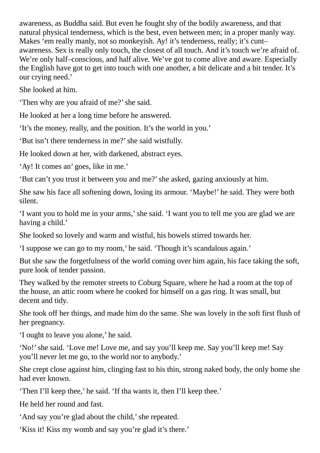awareness, as Buddha said. But even he fought shy of the bodily awareness, and that natural physical tenderness, which is the best, even between men; in a proper manly way. Makes 'em really manly, not so monkeyish. Ay! it's tenderness, really; it's cunt– awareness. Sex is really only touch, the closest of all touch. And it's touch we're afraid of. We're only half–conscious, and half alive. We've got to come alive and aware. Especially the English have got to get into touch with one another, a bit delicate and a bit tender. It's our crying need.'

She looked at him.

'Then why are you afraid of me?'she said.

He looked at her a long time before he answered.

'It's the money, really, and the position. It's the world in you.'

'But isn't there tenderness in me?'she said wistfully.

He looked down at her, with darkened, abstract eyes.

'Ay! It comes an' goes, like in me.'

'But can't you trust it between you and me?'she asked, gazing anxiously at him.

She saw his face all softening down, losing its armour. 'Maybe!' he said. They were both silent.

'I want you to hold me in your arms,'she said. 'I want you to tell me you are glad we are having a child.'

She looked so lovely and warm and wistful, his bowels stirred towards her.

'I suppose we can go to my room,' he said. 'Though it's scandalous again.'

But she saw the forgetfulness of the world coming over him again, his face taking the soft, pure look of tender passion.

They walked by the remoter streets to Coburg Square, where he had a room at the top of the house, an attic room where he cooked for himself on a gas ring. It was small, but decent and tidy.

She took off her things, and made him do the same. She was lovely in the soft first flush of her pregnancy.

'I ought to leave you alone,' he said.

'No!'she said. 'Love me! Love me, and say you'll keep me. Say you'll keep me! Say you'll never let me go, to the world nor to anybody.'

She crept close against him, clinging fast to his thin, strong naked body, the only home she had ever known.

'Then I'll keep thee,' he said. 'If tha wants it, then I'll keep thee.'

He held her round and fast.

'And say you're glad about the child,'she repeated.

'Kiss it! Kiss my womb and say you're glad it's there.'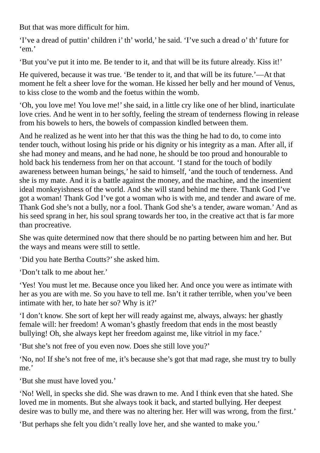But that was more difficult for him.

'I've a dread of puttin' children i' th' world,' he said. 'I've such a dread o' th' future for 'em.'

'But you've put it into me. Be tender to it, and that will be its future already. Kiss it!'

He quivered, because it was true. 'Be tender to it, and that will be its future.'—At that moment he felt a sheer love for the woman. He kissed her belly and her mound of Venus, to kiss close to the womb and the foetus within the womb.

'Oh, you love me! You love me!'she said, in a little cry like one of her blind, inarticulate love cries. And he went in to her softly, feeling the stream of tenderness flowing in release from his bowels to hers, the bowels of compassion kindled between them.

And he realized as he went into her that this was the thing he had to do, to come into tender touch, without losing his pride or his dignity or his integrity as a man. After all, if she had money and means, and he had none, he should be too proud and honourable to hold back his tenderness from her on that account. 'I stand for the touch of bodily awareness between human beings,' he said to himself, 'and the touch of tenderness. And she is my mate. And it is a battle against the money, and the machine, and the insentient ideal monkeyishness of the world. And she will stand behind me there. Thank God I've got a woman! Thank God I've got a woman who is with me, and tender and aware of me. Thank God she's not a bully, nor a fool. Thank God she's a tender, aware woman.' And as his seed sprang in her, his soul sprang towards her too, in the creative act that is far more than procreative.

She was quite determined now that there should be no parting between him and her. But the ways and means were still to settle.

'Did you hate Bertha Coutts?'she asked him.

'Don't talk to me about her.'

'Yes! You must let me. Because once you liked her. And once you were as intimate with her as you are with me. So you have to tell me. Isn't it rather terrible, when you've been intimate with her, to hate her so? Why is it?'

'I don't know. She sort of kept her will ready against me, always, always: her ghastly female will: her freedom! A woman's ghastly freedom that ends in the most beastly bullying! Oh, she always kept her freedom against me, like vitriol in my face.'

'But she's not free of you even now. Does she still love you?'

'No, no! If she's not free of me, it's because she's got that mad rage, she must try to bully me.'

'But she must have loved you.'

'No! Well, in specks she did. She was drawn to me. And I think even that she hated. She loved me in moments. But she always took it back, and started bullying. Her deepest desire was to bully me, and there was no altering her. Her will was wrong, from the first.'

'But perhaps she felt you didn't really love her, and she wanted to make you.'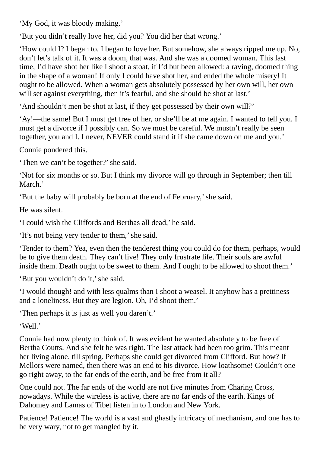'My God, it was bloody making.'

'But you didn't really love her, did you? You did her that wrong.'

'How could I? I began to. I began to love her. But somehow, she always ripped me up. No, don't let's talk of it. It was a doom, that was. And she was a doomed woman. This last time, I'd have shot her like I shoot a stoat, if I'd but been allowed: a raving, doomed thing in the shape of a woman! If only I could have shot her, and ended the whole misery! It ought to be allowed. When a woman gets absolutely possessed by her own will, her own will set against everything, then it's fearful, and she should be shot at last.'

'And shouldn't men be shot at last, if they get possessed by their own will?'

'Ay!—the same! But I must get free of her, or she'll be at me again. I wanted to tell you. I must get a divorce if I possibly can. So we must be careful. We mustn't really be seen together, you and I. I never, NEVER could stand it if she came down on me and you.'

Connie pondered this.

'Then we can't be together?'she said.

'Not for six months or so. But I think my divorce will go through in September; then till March.'

'But the baby will probably be born at the end of February,'she said.

He was silent.

'I could wish the Cliffords and Berthas all dead,' he said.

'It's not being very tender to them,'she said.

'Tender to them? Yea, even then the tenderest thing you could do for them, perhaps, would be to give them death. They can't live! They only frustrate life. Their souls are awful inside them. Death ought to be sweet to them. And I ought to be allowed to shoot them.'

'But you wouldn't do it,' she said.

'I would though! and with less qualms than I shoot a weasel. It anyhow has a prettiness and a loneliness. But they are legion. Oh, I'd shoot them.'

'Then perhaps it is just as well you daren't.'

'Well.'

Connie had now plenty to think of. It was evident he wanted absolutely to be free of Bertha Coutts. And she felt he was right. The last attack had been too grim. This meant her living alone, till spring. Perhaps she could get divorced from Clifford. But how? If Mellors were named, then there was an end to his divorce. How loathsome! Couldn't one go right away, to the far ends of the earth, and be free from it all?

One could not. The far ends of the world are not five minutes from Charing Cross, nowadays. While the wireless is active, there are no far ends of the earth. Kings of Dahomey and Lamas of Tibet listen in to London and New York.

Patience! Patience! The world is a vast and ghastly intricacy of mechanism, and one has to be very wary, not to get mangled by it.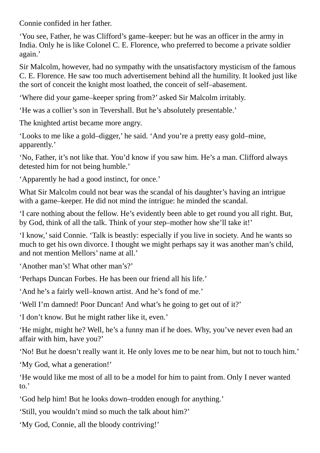Connie confided in her father.

'You see, Father, he was Clifford's game–keeper: but he was an officer in the army in India. Only he is like Colonel C. E. Florence, who preferred to become a private soldier again.'

Sir Malcolm, however, had no sympathy with the unsatisfactory mysticism of the famous C. E. Florence. He saw too much advertisement behind all the humility. It looked just like the sort of conceit the knight most loathed, the conceit of self–abasement.

'Where did your game–keeper spring from?' asked Sir Malcolm irritably.

'He was a collier's son in Tevershall. But he's absolutely presentable.'

The knighted artist became more angry.

'Looks to me like a gold–digger,' he said. 'And you're a pretty easy gold–mine, apparently.'

'No, Father, it's not like that. You'd know if you saw him. He's a man. Clifford always detested him for not being humble.'

'Apparently he had a good instinct, for once.'

What Sir Malcolm could not bear was the scandal of his daughter's having an intrigue with a game–keeper. He did not mind the intrigue: he minded the scandal.

'I care nothing about the fellow. He's evidently been able to get round you all right. But, by God, think of all the talk. Think of your step–mother how she'll take it!'

'I know,'said Connie. 'Talk is beastly: especially if you live in society. And he wants so much to get his own divorce. I thought we might perhaps say it was another man's child, and not mention Mellors' name at all.'

'Another man's! What other man's?'

'Perhaps Duncan Forbes. He has been our friend all his life.'

'And he's a fairly well–known artist. And he's fond of me.'

'Well I'm damned! Poor Duncan! And what's he going to get out of it?'

'I don't know. But he might rather like it, even.'

'He might, might he? Well, he's a funny man if he does. Why, you've never even had an affair with him, have you?'

'No! But he doesn't really want it. He only loves me to be near him, but not to touch him.'

'My God, what a generation!'

'He would like me most of all to be a model for him to paint from. Only I never wanted to.'

'God help him! But he looks down–trodden enough for anything.'

'Still, you wouldn't mind so much the talk about him?'

'My God, Connie, all the bloody contriving!'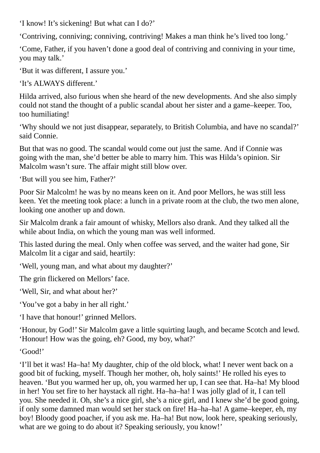'I know! It's sickening! But what can I do?'

'Contriving, conniving; conniving, contriving! Makes a man think he's lived too long.'

'Come, Father, if you haven't done a good deal of contriving and conniving in your time, you may talk.'

'But it was different, I assure you.'

'It's ALWAYS different.'

Hilda arrived, also furious when she heard of the new developments. And she also simply could not stand the thought of a public scandal about her sister and a game–keeper. Too, too humiliating!

'Why should we not just disappear, separately, to British Columbia, and have no scandal?' said Connie.

But that was no good. The scandal would come out just the same. And if Connie was going with the man, she'd better be able to marry him. This was Hilda's opinion. Sir Malcolm wasn't sure. The affair might still blow over.

'But will you see him, Father?'

Poor Sir Malcolm! he was by no means keen on it. And poor Mellors, he was still less keen. Yet the meeting took place: a lunch in a private room at the club, the two men alone, looking one another up and down.

Sir Malcolm drank a fair amount of whisky, Mellors also drank. And they talked all the while about India, on which the young man was well informed.

This lasted during the meal. Only when coffee was served, and the waiter had gone, Sir Malcolm lit a cigar and said, heartily:

'Well, young man, and what about my daughter?'

The grin flickered on Mellors' face.

'Well, Sir, and what about her?'

'You've got a baby in her all right.'

'I have that honour!' grinned Mellors.

'Honour, by God!' Sir Malcolm gave a little squirting laugh, and became Scotch and lewd. 'Honour! How was the going, eh? Good, my boy, what?'

'Good!'

'I'll bet it was! Ha–ha! My daughter, chip of the old block, what! I never went back on a good bit of fucking, myself. Though her mother, oh, holy saints!' He rolled his eyes to heaven. 'But you warmed her up, oh, you warmed her up, I can see that. Ha–ha! My blood in her! You set fire to her haystack all right. Ha–ha–ha! I was jolly glad of it, I can tell you. She needed it. Oh, she's a nice girl, she's a nice girl, and I knew she'd be good going, if only some damned man would set her stack on fire! Ha–ha–ha! A game–keeper, eh, my boy! Bloody good poacher, if you ask me. Ha–ha! But now, look here, speaking seriously, what are we going to do about it? Speaking seriously, you know!'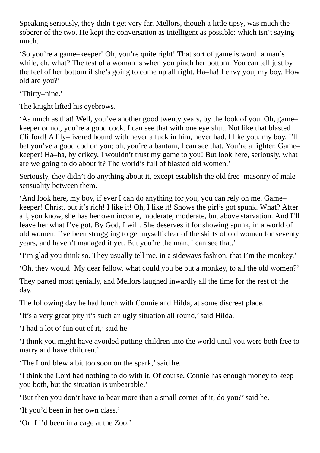Speaking seriously, they didn't get very far. Mellors, though a little tipsy, was much the soberer of the two. He kept the conversation as intelligent as possible: which isn't saying much.

'So you're a game–keeper! Oh, you're quite right! That sort of game is worth a man's while, eh, what? The test of a woman is when you pinch her bottom. You can tell just by the feel of her bottom if she's going to come up all right. Ha–ha! I envy you, my boy. How old are you?'

'Thirty–nine.'

The knight lifted his eyebrows.

'As much as that! Well, you've another good twenty years, by the look of you. Oh, game– keeper or not, you're a good cock. I can see that with one eye shut. Not like that blasted Clifford! A lily–livered hound with never a fuck in him, never had. I like you, my boy, I'll bet you've a good cod on you; oh, you're a bantam, I can see that. You're a fighter. Game– keeper! Ha–ha, by crikey, I wouldn't trust my game to you! But look here, seriously, what are we going to do about it? The world's full of blasted old women.'

Seriously, they didn't do anything about it, except establish the old free–masonry of male sensuality between them.

'And look here, my boy, if ever I can do anything for you, you can rely on me. Game– keeper! Christ, but it's rich! I like it! Oh, I like it! Shows the girl's got spunk. What? After all, you know, she has her own income, moderate, moderate, but above starvation. And I'll leave her what I've got. By God, I will. She deserves it for showing spunk, in a world of old women. I've been struggling to get myself clear of the skirts of old women for seventy years, and haven't managed it yet. But you're the man, I can see that.'

'I'm glad you think so. They usually tell me, in a sideways fashion, that I'm the monkey.'

'Oh, they would! My dear fellow, what could you be but a monkey, to all the old women?'

They parted most genially, and Mellors laughed inwardly all the time for the rest of the day.

The following day he had lunch with Connie and Hilda, at some discreet place.

'It's a very great pity it's such an ugly situation all round,'said Hilda.

'I had a lot o' fun out of it,'said he.

'I think you might have avoided putting children into the world until you were both free to marry and have children.'

'The Lord blew a bit too soon on the spark,'said he.

'I think the Lord had nothing to do with it. Of course, Connie has enough money to keep you both, but the situation is unbearable.'

'But then you don't have to bear more than a small corner of it, do you?'said he.

'If you'd been in her own class.'

'Or if I'd been in a cage at the Zoo.'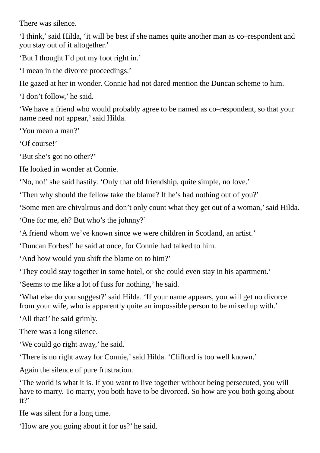There was silence.

'I think,'said Hilda, 'it will be best if she names quite another man as co–respondent and you stay out of it altogether.'

'But I thought I'd put my foot right in.'

'I mean in the divorce proceedings.'

He gazed at her in wonder. Connie had not dared mention the Duncan scheme to him.

'I don't follow,' he said.

'We have a friend who would probably agree to be named as co–respondent, so that your name need not appear,'said Hilda.

'You mean a man?'

'Of course!'

'But she's got no other?'

He looked in wonder at Connie.

'No, no!'she said hastily. 'Only that old friendship, quite simple, no love.'

'Then why should the fellow take the blame? If he's had nothing out of you?'

'Some men are chivalrous and don't only count what they get out of a woman,'said Hilda.

'One for me, eh? But who's the johnny?'

'A friend whom we've known since we were children in Scotland, an artist.'

'Duncan Forbes!' he said at once, for Connie had talked to him.

'And how would you shift the blame on to him?'

'They could stay together in some hotel, or she could even stay in his apartment.'

'Seems to me like a lot of fuss for nothing,' he said.

'What else do you suggest?'said Hilda. 'If your name appears, you will get no divorce from your wife, who is apparently quite an impossible person to be mixed up with.'

'All that!' he said grimly.

There was a long silence.

'We could go right away,' he said.

'There is no right away for Connie,'said Hilda. 'Clifford is too well known.'

Again the silence of pure frustration.

'The world is what it is. If you want to live together without being persecuted, you will have to marry. To marry, you both have to be divorced. So how are you both going about it?'

He was silent for a long time.

'How are you going about it for us?' he said.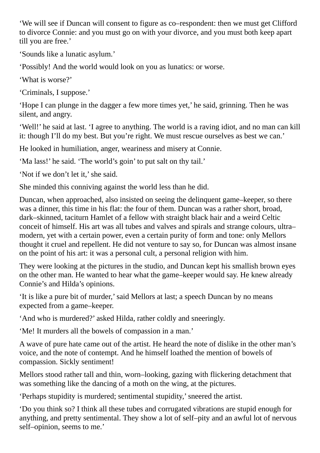'We will see if Duncan will consent to figure as co–respondent: then we must get Clifford to divorce Connie: and you must go on with your divorce, and you must both keep apart till you are free.'

'Sounds like a lunatic asylum.'

'Possibly! And the world would look on you as lunatics: or worse.

'What is worse?'

'Criminals, I suppose.'

'Hope I can plunge in the dagger a few more times yet,' he said, grinning. Then he was silent, and angry.

'Well!' he said at last. 'I agree to anything. The world is a raving idiot, and no man can kill it: though I'll do my best. But you're right. We must rescue ourselves as best we can.'

He looked in humiliation, anger, weariness and misery at Connie.

'Ma lass!' he said. 'The world's goin' to put salt on thy tail.'

'Not if we don't let it,' she said.

She minded this conniving against the world less than he did.

Duncan, when approached, also insisted on seeing the delinquent game–keeper, so there was a dinner, this time in his flat: the four of them. Duncan was a rather short, broad, dark–skinned, taciturn Hamlet of a fellow with straight black hair and a weird Celtic conceit of himself. His art was all tubes and valves and spirals and strange colours, ultra– modern, yet with a certain power, even a certain purity of form and tone: only Mellors thought it cruel and repellent. He did not venture to say so, for Duncan was almost insane on the point of his art: it was a personal cult, a personal religion with him.

They were looking at the pictures in the studio, and Duncan kept his smallish brown eyes on the other man. He wanted to hear what the game–keeper would say. He knew already Connie's and Hilda's opinions.

'It is like a pure bit of murder,'said Mellors at last; a speech Duncan by no means expected from a game–keeper.

'And who is murdered?' asked Hilda, rather coldly and sneeringly.

'Me! It murders all the bowels of compassion in a man.'

A wave of pure hate came out of the artist. He heard the note of dislike in the other man's voice, and the note of contempt. And he himself loathed the mention of bowels of compassion. Sickly sentiment!

Mellors stood rather tall and thin, worn–looking, gazing with flickering detachment that was something like the dancing of a moth on the wing, at the pictures.

'Perhaps stupidity is murdered; sentimental stupidity,'sneered the artist.

'Do you think so? I think all these tubes and corrugated vibrations are stupid enough for anything, and pretty sentimental. They show a lot of self–pity and an awful lot of nervous self–opinion, seems to me.'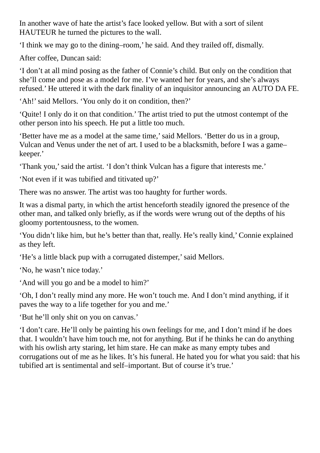In another wave of hate the artist's face looked yellow. But with a sort of silent HAUTEUR he turned the pictures to the wall.

'I think we may go to the dining–room,' he said. And they trailed off, dismally.

After coffee, Duncan said:

'I don't at all mind posing as the father of Connie's child. But only on the condition that she'll come and pose as a model for me. I've wanted her for years, and she's always refused.' He uttered it with the dark finality of an inquisitor announcing an AUTO DA FE.

'Ah!'said Mellors. 'You only do it on condition, then?'

'Quite! I only do it on that condition.' The artist tried to put the utmost contempt of the other person into his speech. He put a little too much.

'Better have me as a model at the same time,'said Mellors. 'Better do us in a group, Vulcan and Venus under the net of art. I used to be a blacksmith, before I was a game– keeper.'

'Thank you,'said the artist. 'I don't think Vulcan has a figure that interests me.'

'Not even if it was tubified and titivated up?'

There was no answer. The artist was too haughty for further words.

It was a dismal party, in which the artist henceforth steadily ignored the presence of the other man, and talked only briefly, as if the words were wrung out of the depths of his gloomy portentousness, to the women.

'You didn't like him, but he's better than that, really. He's really kind,' Connie explained as they left.

'He's a little black pup with a corrugated distemper,'said Mellors.

'No, he wasn't nice today.'

'And will you go and be a model to him?'

'Oh, I don't really mind any more. He won't touch me. And I don't mind anything, if it paves the way to a life together for you and me.'

'But he'll only shit on you on canvas.'

'I don't care. He'll only be painting his own feelings for me, and I don't mind if he does that. I wouldn't have him touch me, not for anything. But if he thinks he can do anything with his owlish arty staring, let him stare. He can make as many empty tubes and corrugations out of me as he likes. It's his funeral. He hated you for what you said: that his tubified art is sentimental and self–important. But of course it's true.'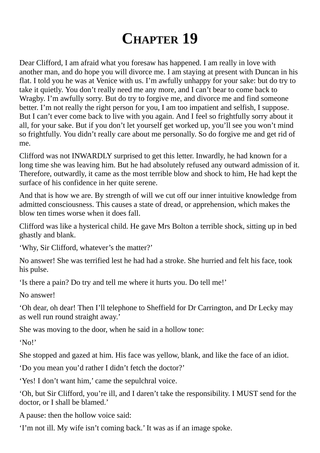## **CHAPTER 19**

Dear Clifford, I am afraid what you foresaw has happened. I am really in love with another man, and do hope you will divorce me. I am staying at present with Duncan in his flat. I told you he was at Venice with us. I'm awfully unhappy for your sake: but do try to take it quietly. You don't really need me any more, and I can't bear to come back to Wragby. I'm awfully sorry. But do try to forgive me, and divorce me and find someone better. I'm not really the right person for you, I am too impatient and selfish, I suppose. But I can't ever come back to live with you again. And I feel so frightfully sorry about it all, for your sake. But if you don't let yourself get worked up, you'll see you won't mind so frightfully. You didn't really care about me personally. So do forgive me and get rid of me.

Clifford was not INWARDLY surprised to get this letter. Inwardly, he had known for a long time she was leaving him. But he had absolutely refused any outward admission of it. Therefore, outwardly, it came as the most terrible blow and shock to him, He had kept the surface of his confidence in her quite serene.

And that is how we are. By strength of will we cut off our inner intuitive knowledge from admitted consciousness. This causes a state of dread, or apprehension, which makes the blow ten times worse when it does fall.

Clifford was like a hysterical child. He gave Mrs Bolton a terrible shock, sitting up in bed ghastly and blank.

'Why, Sir Clifford, whatever's the matter?'

No answer! She was terrified lest he had had a stroke. She hurried and felt his face, took his pulse.

'Is there a pain? Do try and tell me where it hurts you. Do tell me!'

No answer!

'Oh dear, oh dear! Then I'll telephone to Sheffield for Dr Carrington, and Dr Lecky may as well run round straight away.'

She was moving to the door, when he said in a hollow tone:

'No!'

She stopped and gazed at him. His face was yellow, blank, and like the face of an idiot.

'Do you mean you'd rather I didn't fetch the doctor?'

'Yes! I don't want him,' came the sepulchral voice.

'Oh, but Sir Clifford, you're ill, and I daren't take the responsibility. I MUST send for the doctor, or I shall be blamed.'

A pause: then the hollow voice said:

'I'm not ill. My wife isn't coming back.' It was as if an image spoke.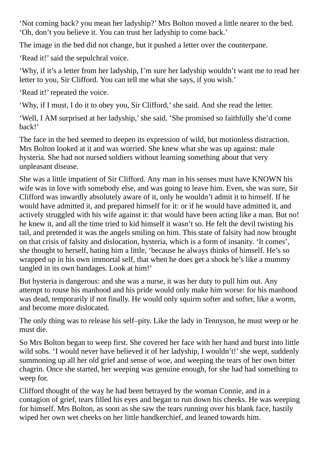'Not coming back? you mean her ladyship?' Mrs Bolton moved a little nearer to the bed. 'Oh, don't you believe it. You can trust her ladyship to come back.'

The image in the bed did not change, but it pushed a letter over the counterpane.

'Read it!' said the sepulchral voice.

'Why, if it's a letter from her ladyship, I'm sure her ladyship wouldn't want me to read her letter to you, Sir Clifford. You can tell me what she says, if you wish.'

'Read it!' repeated the voice.

'Why, if I must, I do it to obey you, Sir Clifford,'she said. And she read the letter.

'Well, I AM surprised at her ladyship,'she said. 'She promised so faithfully she'd come back!'

The face in the bed seemed to deepen its expression of wild, but motionless distraction. Mrs Bolton looked at it and was worried. She knew what she was up against: male hysteria. She had not nursed soldiers without learning something about that very unpleasant disease.

She was a little impatient of Sir Clifford. Any man in his senses must have KNOWN his wife was in love with somebody else, and was going to leave him. Even, she was sure, Sir Clifford was inwardly absolutely aware of it, only he wouldn't admit it to himself. If he would have admitted it, and prepared himself for it: or if he would have admitted it, and actively struggled with his wife against it: that would have been acting like a man. But no! he knew it, and all the time tried to kid himself it wasn't so. He felt the devil twisting his tail, and pretended it was the angels smiling on him. This state of falsity had now brought on that crisis of falsity and dislocation, hysteria, which is a form of insanity. 'It comes', she thought to herself, hating him a little, 'because he always thinks of himself. He's so wrapped up in his own immortal self, that when he does get a shock he's like a mummy tangled in its own bandages. Look at him!'

But hysteria is dangerous: and she was a nurse, it was her duty to pull him out. Any attempt to rouse his manhood and his pride would only make him worse: for his manhood was dead, temporarily if not finally. He would only squirm softer and softer, like a worm, and become more dislocated.

The only thing was to release his self–pity. Like the lady in Tennyson, he must weep or he must die.

So Mrs Bolton began to weep first. She covered her face with her hand and burst into little wild sobs. 'I would never have believed it of her ladyship, I wouldn't!' she wept, suddenly summoning up all her old grief and sense of woe, and weeping the tears of her own bitter chagrin. Once she started, her weeping was genuine enough, for she had had something to weep for.

Clifford thought of the way he had been betrayed by the woman Connie, and in a contagion of grief, tears filled his eyes and began to run down his cheeks. He was weeping for himself. Mrs Bolton, as soon as she saw the tears running over his blank face, hastily wiped her own wet cheeks on her little handkerchief, and leaned towards him.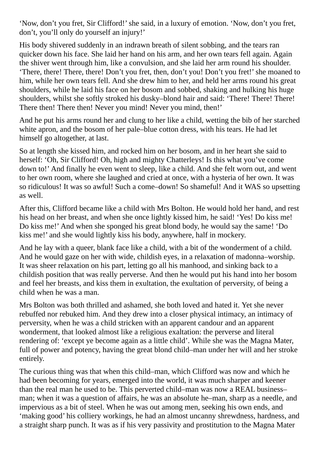'Now, don't you fret, Sir Clifford!'she said, in a luxury of emotion. 'Now, don't you fret, don't, you'll only do yourself an injury!'

His body shivered suddenly in an indrawn breath of silent sobbing, and the tears ran quicker down his face. She laid her hand on his arm, and her own tears fell again. Again the shiver went through him, like a convulsion, and she laid her arm round his shoulder. 'There, there! There, there! Don't you fret, then, don't you! Don't you fret!' she moaned to him, while her own tears fell. And she drew him to her, and held her arms round his great shoulders, while he laid his face on her bosom and sobbed, shaking and hulking his huge shoulders, whilst she softly stroked his dusky–blond hair and said: 'There! There! There! There then! There then! Never you mind! Never you mind, then!'

And he put his arms round her and clung to her like a child, wetting the bib of her starched white apron, and the bosom of her pale–blue cotton dress, with his tears. He had let himself go altogether, at last.

So at length she kissed him, and rocked him on her bosom, and in her heart she said to herself: 'Oh, Sir Clifford! Oh, high and mighty Chatterleys! Is this what you've come down to!' And finally he even went to sleep, like a child. And she felt worn out, and went to her own room, where she laughed and cried at once, with a hysteria of her own. It was so ridiculous! It was so awful! Such a come–down! So shameful! And it WAS so upsetting as well.

After this, Clifford became like a child with Mrs Bolton. He would hold her hand, and rest his head on her breast, and when she once lightly kissed him, he said! 'Yes! Do kiss me! Do kiss me!' And when she sponged his great blond body, he would say the same! 'Do kiss me!' and she would lightly kiss his body, anywhere, half in mockery.

And he lay with a queer, blank face like a child, with a bit of the wonderment of a child. And he would gaze on her with wide, childish eyes, in a relaxation of madonna–worship. It was sheer relaxation on his part, letting go all his manhood, and sinking back to a childish position that was really perverse. And then he would put his hand into her bosom and feel her breasts, and kiss them in exultation, the exultation of perversity, of being a child when he was a man.

Mrs Bolton was both thrilled and ashamed, she both loved and hated it. Yet she never rebuffed nor rebuked him. And they drew into a closer physical intimacy, an intimacy of perversity, when he was a child stricken with an apparent candour and an apparent wonderment, that looked almost like a religious exaltation: the perverse and literal rendering of: 'except ye become again as a little child'. While she was the Magna Mater, full of power and potency, having the great blond child–man under her will and her stroke entirely.

The curious thing was that when this child–man, which Clifford was now and which he had been becoming for years, emerged into the world, it was much sharper and keener than the real man he used to be. This perverted child–man was now a REAL business– man; when it was a question of affairs, he was an absolute he–man, sharp as a needle, and impervious as a bit of steel. When he was out among men, seeking his own ends, and 'making good' his colliery workings, he had an almost uncanny shrewdness, hardness, and a straight sharp punch. It was as if his very passivity and prostitution to the Magna Mater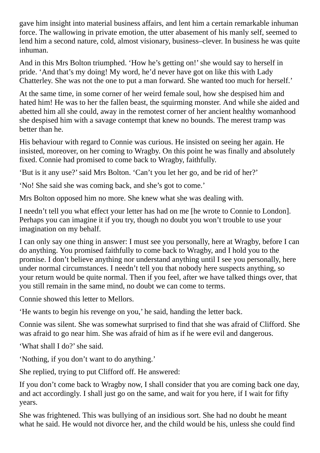gave him insight into material business affairs, and lent him a certain remarkable inhuman force. The wallowing in private emotion, the utter abasement of his manly self, seemed to lend him a second nature, cold, almost visionary, business–clever. In business he was quite inhuman.

And in this Mrs Bolton triumphed. 'How he's getting on!'she would say to herself in pride. 'And that's my doing! My word, he'd never have got on like this with Lady Chatterley. She was not the one to put a man forward. She wanted too much for herself.'

At the same time, in some corner of her weird female soul, how she despised him and hated him! He was to her the fallen beast, the squirming monster. And while she aided and abetted him all she could, away in the remotest corner of her ancient healthy womanhood she despised him with a savage contempt that knew no bounds. The merest tramp was better than he.

His behaviour with regard to Connie was curious. He insisted on seeing her again. He insisted, moreover, on her coming to Wragby. On this point he was finally and absolutely fixed. Connie had promised to come back to Wragby, faithfully.

'But is it any use?'said Mrs Bolton. 'Can't you let her go, and be rid of her?'

'No! She said she was coming back, and she's got to come.'

Mrs Bolton opposed him no more. She knew what she was dealing with.

I needn't tell you what effect your letter has had on me [he wrote to Connie to London]. Perhaps you can imagine it if you try, though no doubt you won't trouble to use your imagination on my behalf.

I can only say one thing in answer: I must see you personally, here at Wragby, before I can do anything. You promised faithfully to come back to Wragby, and I hold you to the promise. I don't believe anything nor understand anything until I see you personally, here under normal circumstances. I needn't tell you that nobody here suspects anything, so your return would be quite normal. Then if you feel, after we have talked things over, that you still remain in the same mind, no doubt we can come to terms.

Connie showed this letter to Mellors.

'He wants to begin his revenge on you,' he said, handing the letter back.

Connie was silent. She was somewhat surprised to find that she was afraid of Clifford. She was afraid to go near him. She was afraid of him as if he were evil and dangerous.

'What shall I do?'she said.

'Nothing, if you don't want to do anything.'

She replied, trying to put Clifford off. He answered:

If you don't come back to Wragby now, I shall consider that you are coming back one day, and act accordingly. I shall just go on the same, and wait for you here, if I wait for fifty years.

She was frightened. This was bullying of an insidious sort. She had no doubt he meant what he said. He would not divorce her, and the child would be his, unless she could find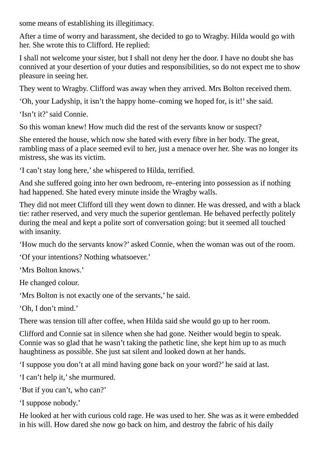some means of establishing its illegitimacy.

After a time of worry and harassment, she decided to go to Wragby. Hilda would go with her. She wrote this to Clifford. He replied:

I shall not welcome your sister, but I shall not deny her the door. I have no doubt she has connived at your desertion of your duties and responsibilities, so do not expect me to show pleasure in seeing her.

They went to Wragby. Clifford was away when they arrived. Mrs Bolton received them.

'Oh, your Ladyship, it isn't the happy home–coming we hoped for, is it!'she said.

'Isn't it?'said Connie.

So this woman knew! How much did the rest of the servants know or suspect?

She entered the house, which now she hated with every fibre in her body. The great, rambling mass of a place seemed evil to her, just a menace over her. She was no longer its mistress, she was its victim.

'I can't stay long here,'she whispered to Hilda, terrified.

And she suffered going into her own bedroom, re–entering into possession as if nothing had happened. She hated every minute inside the Wragby walls.

They did not meet Clifford till they went down to dinner. He was dressed, and with a black tie: rather reserved, and very much the superior gentleman. He behaved perfectly politely during the meal and kept a polite sort of conversation going: but it seemed all touched with insanity.

'How much do the servants know?' asked Connie, when the woman was out of the room.

'Of your intentions? Nothing whatsoever.'

'Mrs Bolton knows.'

He changed colour.

'Mrs Bolton is not exactly one of the servants,' he said.

'Oh, I don't mind.'

There was tension till after coffee, when Hilda said she would go up to her room.

Clifford and Connie sat in silence when she had gone. Neither would begin to speak. Connie was so glad that he wasn't taking the pathetic line, she kept him up to as much haughtiness as possible. She just sat silent and looked down at her hands.

'I suppose you don't at all mind having gone back on your word?' he said at last.

'I can't help it,' she murmured.

'But if you can't, who can?'

'I suppose nobody.'

He looked at her with curious cold rage. He was used to her. She was as it were embedded in his will. How dared she now go back on him, and destroy the fabric of his daily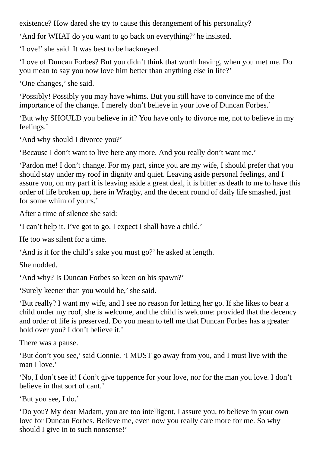existence? How dared she try to cause this derangement of his personality?

'And for WHAT do you want to go back on everything?' he insisted.

'Love!' she said. It was best to be hackneyed.

'Love of Duncan Forbes? But you didn't think that worth having, when you met me. Do you mean to say you now love him better than anything else in life?'

'One changes,' she said.

'Possibly! Possibly you may have whims. But you still have to convince me of the importance of the change. I merely don't believe in your love of Duncan Forbes.'

'But why SHOULD you believe in it? You have only to divorce me, not to believe in my feelings.'

'And why should I divorce you?'

'Because I don't want to live here any more. And you really don't want me.'

'Pardon me! I don't change. For my part, since you are my wife, I should prefer that you should stay under my roof in dignity and quiet. Leaving aside personal feelings, and I assure you, on my part it is leaving aside a great deal, it is bitter as death to me to have this order of life broken up, here in Wragby, and the decent round of daily life smashed, just for some whim of yours.'

After a time of silence she said:

'I can't help it. I've got to go. I expect I shall have a child.'

He too was silent for a time.

'And is it for the child's sake you must go?' he asked at length.

She nodded.

'And why? Is Duncan Forbes so keen on his spawn?'

'Surely keener than you would be,'she said.

'But really? I want my wife, and I see no reason for letting her go. If she likes to bear a child under my roof, she is welcome, and the child is welcome: provided that the decency and order of life is preserved. Do you mean to tell me that Duncan Forbes has a greater hold over you? I don't believe it.'

There was a pause.

'But don't you see,'said Connie. 'I MUST go away from you, and I must live with the man I love.'

'No, I don't see it! I don't give tuppence for your love, nor for the man you love. I don't believe in that sort of cant.'

'But you see, I do.'

'Do you? My dear Madam, you are too intelligent, I assure you, to believe in your own love for Duncan Forbes. Believe me, even now you really care more for me. So why should I give in to such nonsense!'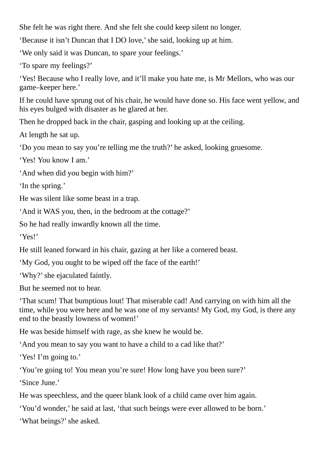She felt he was right there. And she felt she could keep silent no longer.

'Because it isn't Duncan that I DO love,'she said, looking up at him.

'We only said it was Duncan, to spare your feelings.'

'To spare my feelings?'

'Yes! Because who I really love, and it'll make you hate me, is Mr Mellors, who was our game–keeper here.'

If he could have sprung out of his chair, he would have done so. His face went yellow, and his eyes bulged with disaster as he glared at her.

Then he dropped back in the chair, gasping and looking up at the ceiling.

At length he sat up.

'Do you mean to say you're telling me the truth?' he asked, looking gruesome.

'Yes! You know I am.'

'And when did you begin with him?'

'In the spring.'

He was silent like some beast in a trap.

'And it WAS you, then, in the bedroom at the cottage?'

So he had really inwardly known all the time.

'Yes!'

He still leaned forward in his chair, gazing at her like a cornered beast.

'My God, you ought to be wiped off the face of the earth!'

'Why?'she ejaculated faintly.

But he seemed not to hear.

'That scum! That bumptious lout! That miserable cad! And carrying on with him all the time, while you were here and he was one of my servants! My God, my God, is there any end to the beastly lowness of women!'

He was beside himself with rage, as she knew he would be.

'And you mean to say you want to have a child to a cad like that?'

'Yes! I'm going to.'

'You're going to! You mean you're sure! How long have you been sure?'

'Since June.'

He was speechless, and the queer blank look of a child came over him again.

'You'd wonder,' he said at last, 'that such beings were ever allowed to be born.'

'What beings?'she asked.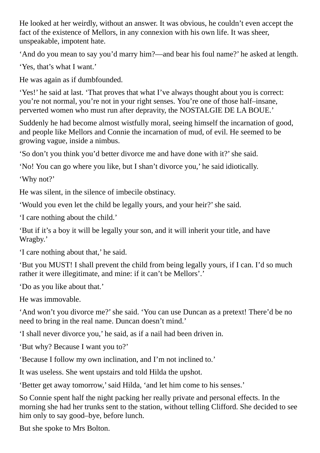He looked at her weirdly, without an answer. It was obvious, he couldn't even accept the fact of the existence of Mellors, in any connexion with his own life. It was sheer, unspeakable, impotent hate.

'And do you mean to say you'd marry him?—and bear his foul name?' he asked at length.

'Yes, that's what I want.'

He was again as if dumbfounded.

'Yes!' he said at last. 'That proves that what I've always thought about you is correct: you're not normal, you're not in your right senses. You're one of those half–insane, perverted women who must run after depravity, the NOSTALGIE DE LA BOUE.'

Suddenly he had become almost wistfully moral, seeing himself the incarnation of good, and people like Mellors and Connie the incarnation of mud, of evil. He seemed to be growing vague, inside a nimbus.

'So don't you think you'd better divorce me and have done with it?'she said.

'No! You can go where you like, but I shan't divorce you,' he said idiotically.

'Why not?'

He was silent, in the silence of imbecile obstinacy.

'Would you even let the child be legally yours, and your heir?' she said.

'I care nothing about the child.'

'But if it's a boy it will be legally your son, and it will inherit your title, and have Wragby.'

'I care nothing about that,' he said.

'But you MUST! I shall prevent the child from being legally yours, if I can. I'd so much rather it were illegitimate, and mine: if it can't be Mellors'.'

'Do as you like about that.'

He was immovable.

'And won't you divorce me?'she said. 'You can use Duncan as a pretext! There'd be no need to bring in the real name. Duncan doesn't mind.'

'I shall never divorce you,' he said, as if a nail had been driven in.

'But why? Because I want you to?'

'Because I follow my own inclination, and I'm not inclined to.'

It was useless. She went upstairs and told Hilda the upshot.

'Better get away tomorrow,'said Hilda, 'and let him come to his senses.'

So Connie spent half the night packing her really private and personal effects. In the morning she had her trunks sent to the station, without telling Clifford. She decided to see him only to say good–bye, before lunch.

But she spoke to Mrs Bolton.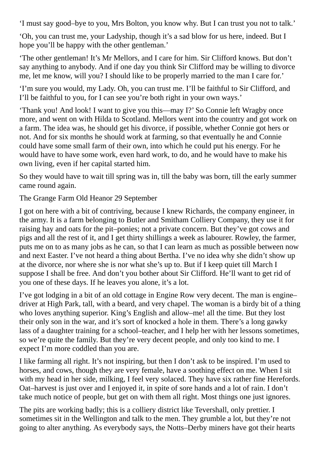'I must say good–bye to you, Mrs Bolton, you know why. But I can trust you not to talk.'

'Oh, you can trust me, your Ladyship, though it's a sad blow for us here, indeed. But I hope you'll be happy with the other gentleman.'

'The other gentleman! It's Mr Mellors, and I care for him. Sir Clifford knows. But don't say anything to anybody. And if one day you think Sir Clifford may be willing to divorce me, let me know, will you? I should like to be properly married to the man I care for.'

'I'm sure you would, my Lady. Oh, you can trust me. I'll be faithful to Sir Clifford, and I'll be faithful to you, for I can see you're both right in your own ways.'

'Thank you! And look! I want to give you this—may I?' So Connie left Wragby once more, and went on with Hilda to Scotland. Mellors went into the country and got work on a farm. The idea was, he should get his divorce, if possible, whether Connie got hers or not. And for six months he should work at farming, so that eventually he and Connie could have some small farm of their own, into which he could put his energy. For he would have to have some work, even hard work, to do, and he would have to make his own living, even if her capital started him.

So they would have to wait till spring was in, till the baby was born, till the early summer came round again.

The Grange Farm Old Heanor 29 September

I got on here with a bit of contriving, because I knew Richards, the company engineer, in the army. It is a farm belonging to Butler and Smitham Colliery Company, they use it for raising hay and oats for the pit–ponies; not a private concern. But they've got cows and pigs and all the rest of it, and I get thirty shillings a week as labourer. Rowley, the farmer, puts me on to as many jobs as he can, so that I can learn as much as possible between now and next Easter. I've not heard a thing about Bertha. I've no idea why she didn't show up at the divorce, nor where she is nor what she's up to. But if I keep quiet till March I suppose I shall be free. And don't you bother about Sir Clifford. He'll want to get rid of you one of these days. If he leaves you alone, it's a lot.

I've got lodging in a bit of an old cottage in Engine Row very decent. The man is engine– driver at High Park, tall, with a beard, and very chapel. The woman is a birdy bit of a thing who loves anything superior. King's English and allow–me! all the time. But they lost their only son in the war, and it's sort of knocked a hole in them. There's a long gawky lass of a daughter training for a school–teacher, and I help her with her lessons sometimes, so we're quite the family. But they're very decent people, and only too kind to me. I expect I'm more coddled than you are.

I like farming all right. It's not inspiring, but then I don't ask to be inspired. I'm used to horses, and cows, though they are very female, have a soothing effect on me. When I sit with my head in her side, milking, I feel very solaced. They have six rather fine Herefords. Oat–harvest is just over and I enjoyed it, in spite of sore hands and a lot of rain. I don't take much notice of people, but get on with them all right. Most things one just ignores.

The pits are working badly; this is a colliery district like Tevershall, only prettier. I sometimes sit in the Wellington and talk to the men. They grumble a lot, but they're not going to alter anything. As everybody says, the Notts–Derby miners have got their hearts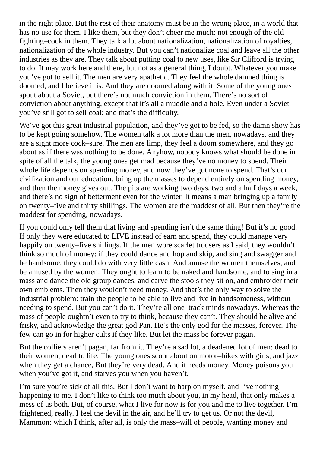in the right place. But the rest of their anatomy must be in the wrong place, in a world that has no use for them. I like them, but they don't cheer me much: not enough of the old fighting–cock in them. They talk a lot about nationalization, nationalization of royalties, nationalization of the whole industry. But you can't nationalize coal and leave all the other industries as they are. They talk about putting coal to new uses, like Sir Clifford is trying to do. It may work here and there, but not as a general thing, I doubt. Whatever you make you've got to sell it. The men are very apathetic. They feel the whole damned thing is doomed, and I believe it is. And they are doomed along with it. Some of the young ones spout about a Soviet, but there's not much conviction in them. There's no sort of conviction about anything, except that it's all a muddle and a hole. Even under a Soviet you've still got to sell coal: and that's the difficulty.

We've got this great industrial population, and they've got to be fed, so the damn show has to be kept going somehow. The women talk a lot more than the men, nowadays, and they are a sight more cock–sure. The men are limp, they feel a doom somewhere, and they go about as if there was nothing to be done. Anyhow, nobody knows what should be done in spite of all the talk, the young ones get mad because they've no money to spend. Their whole life depends on spending money, and now they've got none to spend. That's our civilization and our education: bring up the masses to depend entirely on spending money, and then the money gives out. The pits are working two days, two and a half days a week, and there's no sign of betterment even for the winter. It means a man bringing up a family on twenty–five and thirty shillings. The women are the maddest of all. But then they're the maddest for spending, nowadays.

If you could only tell them that living and spending isn't the same thing! But it's no good. If only they were educated to LIVE instead of earn and spend, they could manage very happily on twenty–five shillings. If the men wore scarlet trousers as I said, they wouldn't think so much of money: if they could dance and hop and skip, and sing and swagger and be handsome, they could do with very little cash. And amuse the women themselves, and be amused by the women. They ought to learn to be naked and handsome, and to sing in a mass and dance the old group dances, and carve the stools they sit on, and embroider their own emblems. Then they wouldn't need money. And that's the only way to solve the industrial problem: train the people to be able to live and live in handsomeness, without needing to spend. But you can't do it. They're all one–track minds nowadays. Whereas the mass of people oughtn't even to try to think, because they can't. They should be alive and frisky, and acknowledge the great god Pan. He's the only god for the masses, forever. The few can go in for higher cults if they like. But let the mass be forever pagan.

But the colliers aren't pagan, far from it. They're a sad lot, a deadened lot of men: dead to their women, dead to life. The young ones scoot about on motor–bikes with girls, and jazz when they get a chance, But they're very dead. And it needs money. Money poisons you when you've got it, and starves you when you haven't.

I'm sure you're sick of all this. But I don't want to harp on myself, and I've nothing happening to me. I don't like to think too much about you, in my head, that only makes a mess of us both. But, of course, what I live for now is for you and me to live together. I'm frightened, really. I feel the devil in the air, and he'll try to get us. Or not the devil, Mammon: which I think, after all, is only the mass–will of people, wanting money and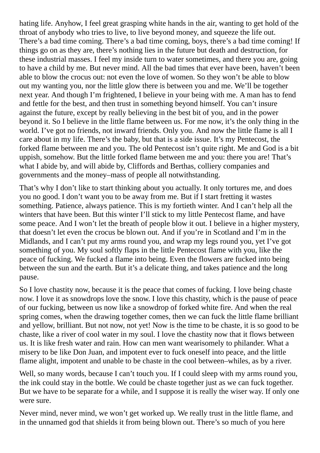hating life. Anyhow, I feel great grasping white hands in the air, wanting to get hold of the throat of anybody who tries to live, to live beyond money, and squeeze the life out. There's a bad time coming. There's a bad time coming, boys, there's a bad time coming! If things go on as they are, there's nothing lies in the future but death and destruction, for these industrial masses. I feel my inside turn to water sometimes, and there you are, going to have a child by me. But never mind. All the bad times that ever have been, haven't been able to blow the crocus out: not even the love of women. So they won't be able to blow out my wanting you, nor the little glow there is between you and me. We'll be together next year. And though I'm frightened, I believe in your being with me. A man has to fend and fettle for the best, and then trust in something beyond himself. You can't insure against the future, except by really believing in the best bit of you, and in the power beyond it. So I believe in the little flame between us. For me now, it's the only thing in the world. I've got no friends, not inward friends. Only you. And now the little flame is all I care about in my life. There's the baby, but that is a side issue. It's my Pentecost, the forked flame between me and you. The old Pentecost isn't quite right. Me and God is a bit uppish, somehow. But the little forked flame between me and you: there you are! That's what I abide by, and will abide by, Cliffords and Berthas, colliery companies and governments and the money–mass of people all notwithstanding.

That's why I don't like to start thinking about you actually. It only tortures me, and does you no good. I don't want you to be away from me. But if I start fretting it wastes something. Patience, always patience. This is my fortieth winter. And I can't help all the winters that have been. But this winter I'll stick to my little Pentecost flame, and have some peace. And I won't let the breath of people blow it out. I believe in a higher mystery, that doesn't let even the crocus be blown out. And if you're in Scotland and I'm in the Midlands, and I can't put my arms round you, and wrap my legs round you, yet I've got something of you. My soul softly flaps in the little Pentecost flame with you, like the peace of fucking. We fucked a flame into being. Even the flowers are fucked into being between the sun and the earth. But it's a delicate thing, and takes patience and the long pause.

So I love chastity now, because it is the peace that comes of fucking. I love being chaste now. I love it as snowdrops love the snow. I love this chastity, which is the pause of peace of our fucking, between us now like a snowdrop of forked white fire. And when the real spring comes, when the drawing together comes, then we can fuck the little flame brilliant and yellow, brilliant. But not now, not yet! Now is the time to be chaste, it is so good to be chaste, like a river of cool water in my soul. I love the chastity now that it flows between us. It is like fresh water and rain. How can men want wearisomely to philander. What a misery to be like Don Juan, and impotent ever to fuck oneself into peace, and the little flame alight, impotent and unable to be chaste in the cool between–whiles, as by a river.

Well, so many words, because I can't touch you. If I could sleep with my arms round you, the ink could stay in the bottle. We could be chaste together just as we can fuck together. But we have to be separate for a while, and I suppose it is really the wiser way. If only one were sure.

Never mind, never mind, we won't get worked up. We really trust in the little flame, and in the unnamed god that shields it from being blown out. There's so much of you here